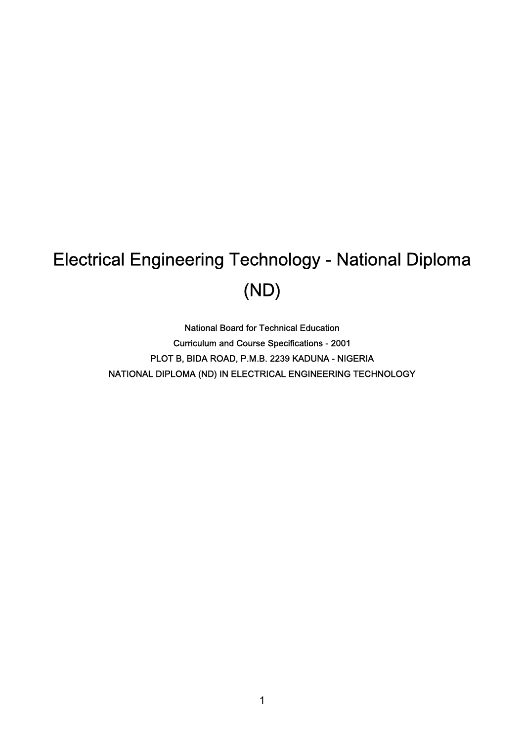# Electrical Engineering Technology - National Diploma (ND)

National Board for Technical Education Curriculum and Course Specifications - 2001 PLOT B, BIDA ROAD, P.M.B. 2239 KADUNA - NIGERIA NATIONAL DIPLOMA (ND) IN ELECTRICAL ENGINEERING TECHNOLOGY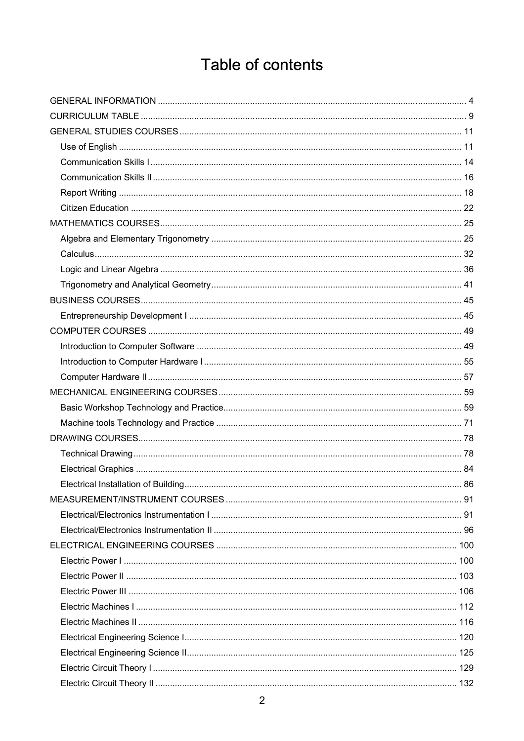### Table of contents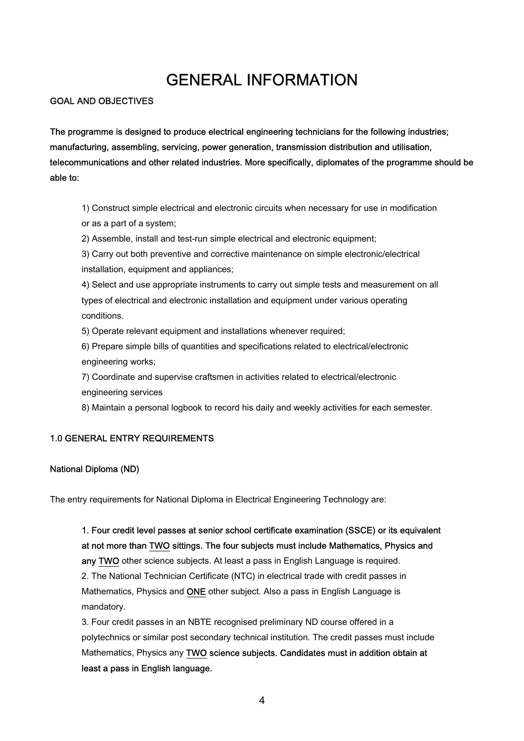### GENERAL INFORMATION

GOAL AND OBJECTIVES

The programme is designed to produce electrical engineering technicians for the following industries; manufacturing, assembling, servicing, power generation, transmission distribution and utilisation, telecommunications and other related industries. More specifically, diplomates of the programme should be able to:

1) Construct simple electrical and electronic circuits when necessary for use in modification or as a part of a system;

2) Assemble, install and test-run simple electrical and electronic equipment;

3) Carry out both preventive and corrective maintenance on simple electronic/electrical installation, equipment and appliances;

4) Select and use appropriate instruments to carry out simple tests and measurement on all types of electrical and electronic installation and equipment under various operating conditions.

5) Operate relevant equipment and installations whenever required;

6) Prepare simple bills of quantities and specifications related to electrical/electronic engineering works;

7) Coordinate and supervise craftsmen in activities related to electrical/electronic engineering services

8) Maintain a personal logbook to record his daily and weekly activities for each semester.

#### 1.0 GENERAL ENTRY REQUIREMENTS

#### National Diploma (ND)

The entry requirements for National Diploma in Electrical Engineering Technology are:

1. Four credit level passes at senior school certificate examination (SSCE) or its equivalent at not more than TWO sittings. The four subjects must include Mathematics, Physics and any TWO other science subjects. At least a pass in English Language is required. 2. The National Technician Certificate (NTC) in electrical trade with credit passes in Mathematics, Physics and ONE other subject. Also a pass in English Language is mandatory.

3. Four credit passes in an NBTE recognised preliminary ND course offered in a polytechnics or similar post secondary technical institution. The credit passes must include Mathematics, Physics any TWO science subjects. Candidates must in addition obtain at least a pass in English language.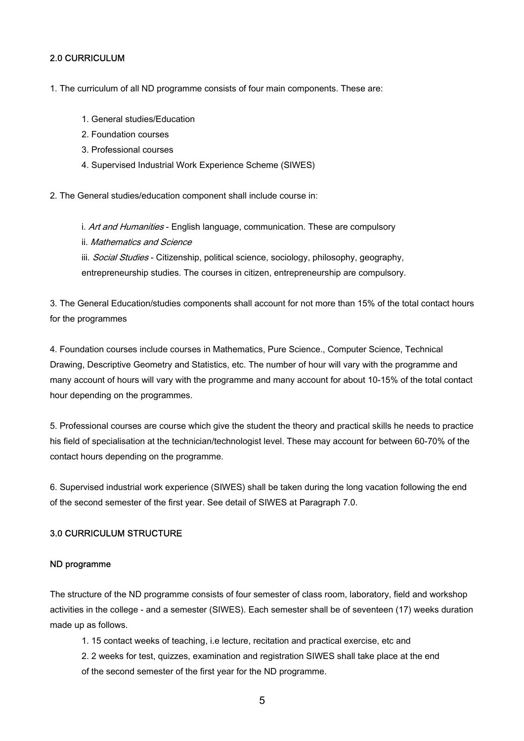#### 2.0 CURRICULUM

#### 1. The curriculum of all ND programme consists of four main components. These are:

- 1. General studies/Education
- 2. Foundation courses
- 3. Professional courses
- 4. Supervised Industrial Work Experience Scheme (SIWES)

2. The General studies/education component shall include course in:

i. Art and Humanities - English language, communication. These are compulsory

ii. Mathematics and Science

iii. Social Studies - Citizenship, political science, sociology, philosophy, geography, entrepreneurship studies. The courses in citizen, entrepreneurship are compulsory.

3. The General Education/studies components shall account for not more than 15% of the total contact hours for the programmes

4. Foundation courses include courses in Mathematics, Pure Science., Computer Science, Technical Drawing, Descriptive Geometry and Statistics, etc. The number of hour will vary with the programme and many account of hours will vary with the programme and many account for about 10-15% of the total contact hour depending on the programmes.

5. Professional courses are course which give the student the theory and practical skills he needs to practice his field of specialisation at the technician/technologist level. These may account for between 60-70% of the contact hours depending on the programme.

6. Supervised industrial work experience (SIWES) shall be taken during the long vacation following the end of the second semester of the first year. See detail of SIWES at Paragraph 7.0.

#### 3.0 CURRICULUM STRUCTURE

#### ND programme

The structure of the ND programme consists of four semester of class room, laboratory, field and workshop activities in the college - and a semester (SIWES). Each semester shall be of seventeen (17) weeks duration made up as follows.

- 1. 15 contact weeks of teaching, i.e lecture, recitation and practical exercise, etc and
- 2. 2 weeks for test, quizzes, examination and registration SIWES shall take place at the end of the second semester of the first year for the ND programme.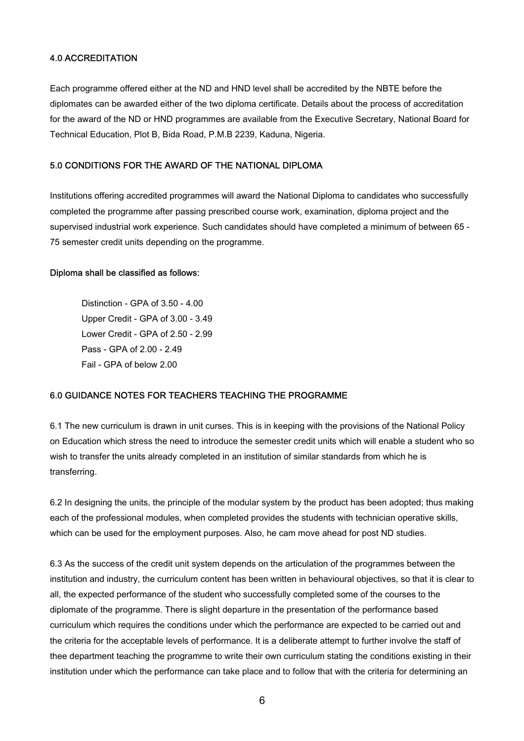#### 4.0 ACCREDITATION

Each programme offered either at the ND and HND level shall be accredited by the NBTE before the diplomates can be awarded either of the two diploma certificate. Details about the process of accreditation for the award of the ND or HND programmes are available from the Executive Secretary, National Board for Technical Education, Plot B, Bida Road, P.M.B 2239, Kaduna, Nigeria.

#### 5.0 CONDITIONS FOR THE AWARD OF THE NATIONAL DIPLOMA

Institutions offering accredited programmes will award the National Diploma to candidates who successfully completed the programme after passing prescribed course work, examination, diploma project and the supervised industrial work experience. Such candidates should have completed a minimum of between 65 - 75 semester credit units depending on the programme.

#### Diploma shall be classified as follows:

Distinction - GPA of 3.50 - 4.00 Upper Credit - GPA of 3.00 - 3.49 Lower Credit - GPA of 2.50 - 2.99 Pass - GPA of 2.00 - 2.49 Fail - GPA of below 2.00

#### 6.0 GUIDANCE NOTES FOR TEACHERS TEACHING THE PROGRAMME

6.1 The new curriculum is drawn in unit curses. This is in keeping with the provisions of the National Policy on Education which stress the need to introduce the semester credit units which will enable a student who so wish to transfer the units already completed in an institution of similar standards from which he is transferring.

6.2 In designing the units, the principle of the modular system by the product has been adopted; thus making each of the professional modules, when completed provides the students with technician operative skills, which can be used for the employment purposes. Also, he cam move ahead for post ND studies.

6.3 As the success of the credit unit system depends on the articulation of the programmes between the institution and industry, the curriculum content has been written in behavioural objectives, so that it is clear to all, the expected performance of the student who successfully completed some of the courses to the diplomate of the programme. There is slight departure in the presentation of the performance based curriculum which requires the conditions under which the performance are expected to be carried out and the criteria for the acceptable levels of performance. It is a deliberate attempt to further involve the staff of thee department teaching the programme to write their own curriculum stating the conditions existing in their institution under which the performance can take place and to follow that with the criteria for determining an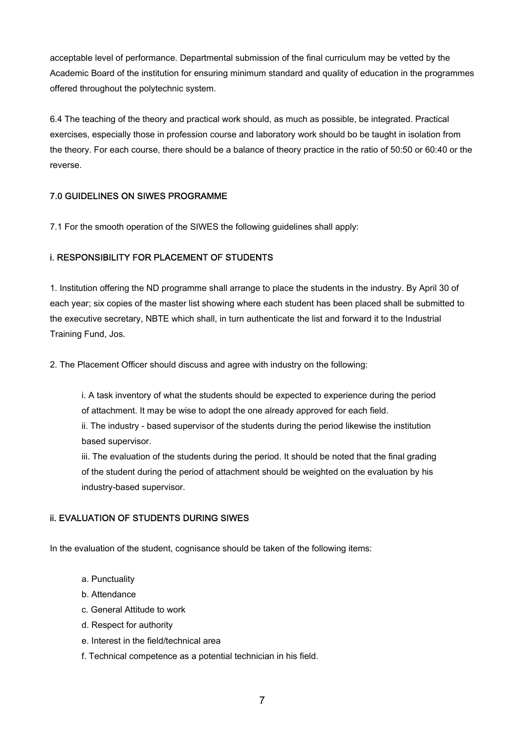acceptable level of performance. Departmental submission of the final curriculum may be vetted by the Academic Board of the institution for ensuring minimum standard and quality of education in the programmes offered throughout the polytechnic system.

6.4 The teaching of the theory and practical work should, as much as possible, be integrated. Practical exercises, especially those in profession course and laboratory work should bo be taught in isolation from the theory. For each course, there should be a balance of theory practice in the ratio of 50:50 or 60:40 or the reverse.

#### 7.0 GUIDELINES ON SIWES PROGRAMME

7.1 For the smooth operation of the SIWES the following guidelines shall apply:

#### i. RESPONSIBILITY FOR PLACEMENT OF STUDENTS

1. Institution offering the ND programme shall arrange to place the students in the industry. By April 30 of each year; six copies of the master list showing where each student has been placed shall be submitted to the executive secretary, NBTE which shall, in turn authenticate the list and forward it to the Industrial Training Fund, Jos.

2. The Placement Officer should discuss and agree with industry on the following:

i. A task inventory of what the students should be expected to experience during the period of attachment. It may be wise to adopt the one already approved for each field.

ii. The industry - based supervisor of the students during the period likewise the institution based supervisor.

iii. The evaluation of the students during the period. It should be noted that the final grading of the student during the period of attachment should be weighted on the evaluation by his industry-based supervisor.

#### ii. EVALUATION OF STUDENTS DURING SIWES

In the evaluation of the student, cognisance should be taken of the following items:

- a. Punctuality
- b. Attendance
- c. General Attitude to work
- d. Respect for authority
- e. Interest in the field/technical area
- f. Technical competence as a potential technician in his field.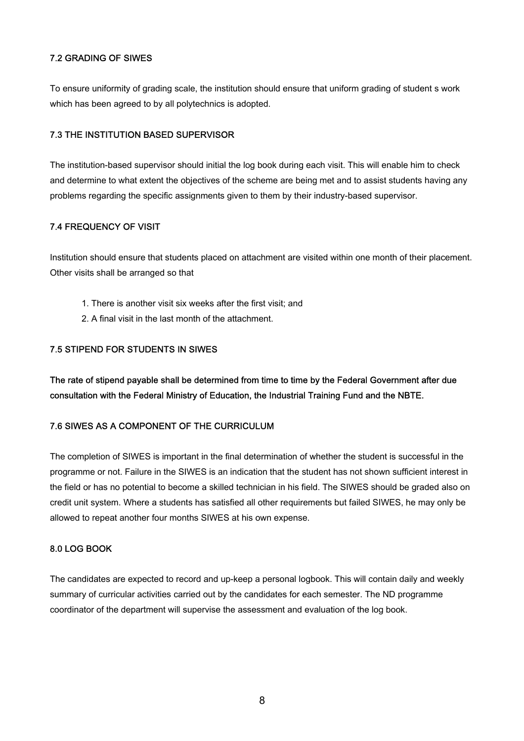#### 7.2 GRADING OF SIWES

To ensure uniformity of grading scale, the institution should ensure that uniform grading of student s work which has been agreed to by all polytechnics is adopted.

#### 7.3 THE INSTITUTION BASED SUPERVISOR

The institution-based supervisor should initial the log book during each visit. This will enable him to check and determine to what extent the objectives of the scheme are being met and to assist students having any problems regarding the specific assignments given to them by their industry-based supervisor.

#### 7.4 FREQUENCY OF VISIT

Institution should ensure that students placed on attachment are visited within one month of their placement. Other visits shall be arranged so that

- 1. There is another visit six weeks after the first visit; and
- 2. A final visit in the last month of the attachment.

#### 7.5 STIPEND FOR STUDENTS IN SIWES

The rate of stipend payable shall be determined from time to time by the Federal Government after due consultation with the Federal Ministry of Education, the Industrial Training Fund and the NBTE.

#### 7.6 SIWES AS A COMPONENT OF THE CURRICULUM

The completion of SIWES is important in the final determination of whether the student is successful in the programme or not. Failure in the SIWES is an indication that the student has not shown sufficient interest in the field or has no potential to become a skilled technician in his field. The SIWES should be graded also on credit unit system. Where a students has satisfied all other requirements but failed SIWES, he may only be allowed to repeat another four months SIWES at his own expense.

#### 8.0 LOG BOOK

The candidates are expected to record and up-keep a personal logbook. This will contain daily and weekly summary of curricular activities carried out by the candidates for each semester. The ND programme coordinator of the department will supervise the assessment and evaluation of the log book.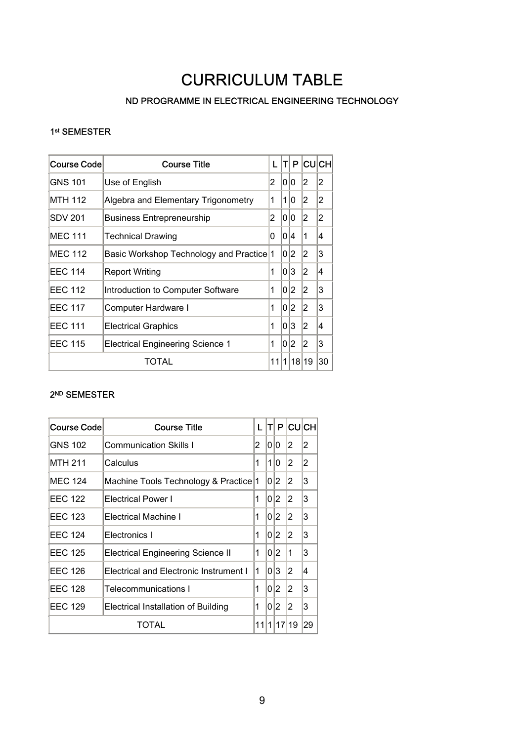### CURRICULUM TABLE

#### ND PROGRAMME IN ELECTRICAL ENGINEERING TECHNOLOGY

#### 1st SEMESTER

| <b>Course Code</b> | <b>Course Title</b>                      | L | Tl  | P              |                | CU∣CH∣ |
|--------------------|------------------------------------------|---|-----|----------------|----------------|--------|
| GNS 101            | Use of English                           | 2 | 0   | 0              | 2              | 2      |
| MTH 112            | Algebra and Elementary Trigonometry      | 1 | 1   | 0              | $\overline{2}$ | 2      |
| SDV 201            | <b>Business Entrepreneurship</b>         | 2 | 0   | 0              | 2              | 2      |
| <b>MEC 111</b>     | <b>Technical Drawing</b>                 | 0 | 0 4 |                | 1              | 4      |
| <b>MEC 112</b>     | Basic Workshop Technology and Practice 1 |   | 0   | $ 2\rangle$    | 2              | 3      |
| <b>EEC 114</b>     | <b>Report Writing</b>                    | 1 | 0   | 3              | 2              | 4      |
| <b>EEC 112</b>     | Introduction to Computer Software        | 1 | 0   | 2              | 2              | 3      |
| <b>EEC 117</b>     | Computer Hardware I                      | 1 |     | 0 2            | 2              | 3      |
| <b>EEC 111</b>     | <b>Electrical Graphics</b>               | 1 | 0   | 3              | 2              | 14     |
| <b>EEC 115</b>     | <b>Electrical Engineering Science 1</b>  | 1 | 0   | $\overline{2}$ | 2              | 3      |
| TOTAL              |                                          |   |     |                | 18 19          | 30     |

#### 2<sup>ND</sup> SEMESTER

| Course Code                                           | <b>Course Title</b>                      | L | т          | P  | <b>CUCH</b>    |                |
|-------------------------------------------------------|------------------------------------------|---|------------|----|----------------|----------------|
| GNS 102                                               | <b>Communication Skills I</b>            | 2 | 10 IO      |    | 2              | 2              |
| <b>MTH 211</b>                                        | Calculus                                 | 1 | 1          | 10 | 2              | $\overline{2}$ |
| <b>MEC 124</b>                                        | Machine Tools Technology & Practice 1    |   |            | 02 | 2              | 3              |
| <b>EFC 122</b>                                        | <b>Electrical Power I</b>                | 1 |            | 02 | 12             | 3              |
| <b>EEC 123</b>                                        | Electrical Machine I                     | 1 |            | 02 | 2              | 3              |
| <b>EEC 124</b>                                        | Electronics I                            | 1 | 0 2        |    | 2              | 3              |
| <b>EEC 125</b>                                        | <b>Electrical Engineering Science II</b> | 1 | $0\vert 2$ |    | 1              | 3              |
| <b>EEC 126</b>                                        | Electrical and Electronic Instrument I   | 1 |            | 03 | $\overline{2}$ | 14             |
| <b>EEC 128</b>                                        | <b>Telecommunications I</b>              | 1 |            | 02 | 2              | 3              |
| <b>EEC 129</b><br>Electrical Installation of Building |                                          | 1 |            | 02 | 2              | 3              |
|                                                       | TOTAL                                    |   |            |    |                |                |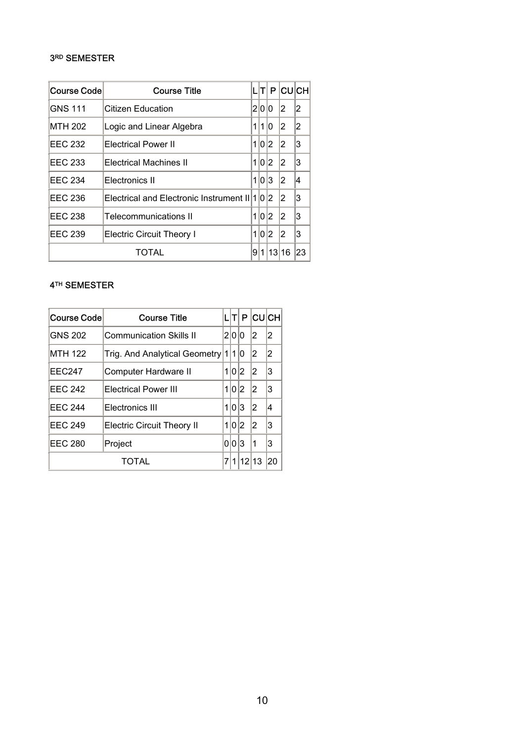#### 3RD SEMESTER

| Course Code    | <b>Course Title</b>                           |                | П     | P     |    | <b>CUCH</b> |
|----------------|-----------------------------------------------|----------------|-------|-------|----|-------------|
| <b>GNS 111</b> | Citizen Education                             | $\overline{2}$ | 1010  |       | 2  | 2           |
| <b>MTH 202</b> | Logic and Linear Algebra                      |                | 1110  |       | 2  | 12          |
| <b>EEC 232</b> | <b>Electrical Power II</b>                    | 11             | 0     | 12.   | 2  | 3           |
| EEC 233        | <b>Electrical Machines II</b>                 |                | 110   | 12.   | 12 | Ι3          |
| <b>EEC 234</b> | Electronics II                                |                |       | 1 0 3 | 2  | 14          |
| <b>EEC 236</b> | Electrical and Electronic Instrument II 1 0 2 |                |       |       | 12 | 13          |
| <b>EEC 238</b> | <b>Telecommunications II</b>                  |                |       | 02    | 2  | 3           |
| <b>EEC 239</b> | <b>Electric Circuit Theory I</b>              |                | 1 0 2 |       | 2  | Ι3          |
|                | TOTAL                                         | 9              | 1     | 13    | 16 | 23          |

#### 4TH SEMESTER

| Course Code    | <b>Course Title</b>               |   | TI    | P     | <b>CUCH</b> |    |
|----------------|-----------------------------------|---|-------|-------|-------------|----|
| <b>GNS 202</b> | <b>Communication Skills II</b>    |   | 200   |       | 12          | 2  |
| <b>MTH 122</b> | Trig. And Analytical Geometry 1   |   | 110   |       | 12          | 2  |
| <b>EEC247</b>  | Computer Hardware II              |   | 1 0 2 |       | 2           | 3  |
| <b>EEC 242</b> | <b>Electrical Power III</b>       |   | 1 0 2 |       | 12          | 3  |
| <b>EEC 244</b> | Electronics III                   | 1 | 0 3   |       | 12          | 4  |
| <b>EEC 249</b> | <b>Electric Circuit Theory II</b> |   | 1 0 2 |       | 12          | 3  |
| <b>EEC 280</b> | Project                           |   | 0 0 3 |       | 1           | 3  |
|                | <b>TOTAL</b>                      | 7 |       | 12 13 |             | 20 |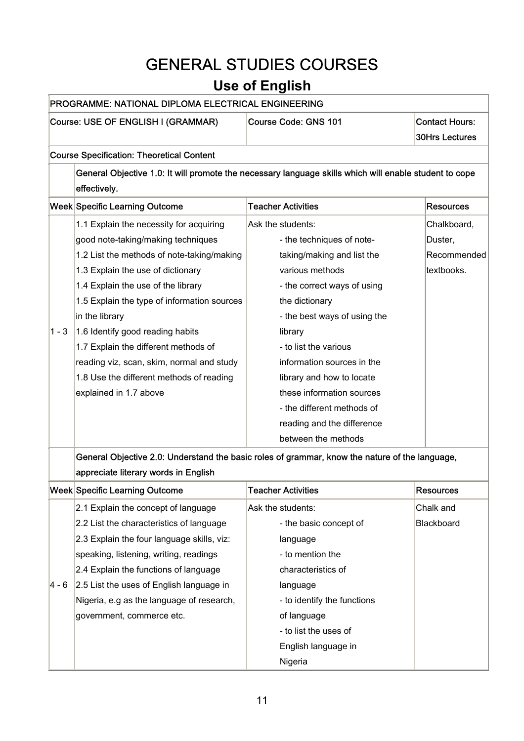## GENERAL STUDIES COURSES

### **Use of English**

#### PROGRAMME: NATIONAL DIPLOMA ELECTRICAL ENGINEERING

#### Course: USE OF ENGLISH I (GRAMMAR) Course Code: GNS 101 Contact Hours:

30Hrs Lectures

#### Course Specification: Theoretical Content

|         | General Objective 1.0: It will promote the necessary language skills which will enable student to cope<br>effectively. |                              |                  |  |  |
|---------|------------------------------------------------------------------------------------------------------------------------|------------------------------|------------------|--|--|
|         | <b>Week Specific Learning Outcome</b>                                                                                  | <b>Teacher Activities</b>    | <b>Resources</b> |  |  |
|         | 1.1 Explain the necessity for acquiring                                                                                | Ask the students:            | Chalkboard,      |  |  |
|         | good note-taking/making techniques                                                                                     | - the techniques of note-    | Duster,          |  |  |
|         | 1.2 List the methods of note-taking/making                                                                             | taking/making and list the   | Recommended      |  |  |
|         | 1.3 Explain the use of dictionary                                                                                      | various methods              | textbooks.       |  |  |
|         | 1.4 Explain the use of the library                                                                                     | - the correct ways of using  |                  |  |  |
|         | 1.5 Explain the type of information sources                                                                            | the dictionary               |                  |  |  |
|         | in the library                                                                                                         | - the best ways of using the |                  |  |  |
| $1 - 3$ | 1.6 Identify good reading habits                                                                                       | library                      |                  |  |  |
|         | 1.7 Explain the different methods of                                                                                   | - to list the various        |                  |  |  |
|         | reading viz, scan, skim, normal and study                                                                              | information sources in the   |                  |  |  |
|         | 1.8 Use the different methods of reading                                                                               | library and how to locate    |                  |  |  |
|         | explained in 1.7 above                                                                                                 | these information sources    |                  |  |  |
|         |                                                                                                                        | - the different methods of   |                  |  |  |
|         |                                                                                                                        | reading and the difference   |                  |  |  |
|         |                                                                                                                        | between the methods          |                  |  |  |
|         | General Objective 2.0: Understand the basic roles of grammar, know the nature of the language,                         |                              |                  |  |  |
|         | appreciate literary words in English                                                                                   |                              |                  |  |  |
|         | <b>Week Specific Learning Outcome</b>                                                                                  | <b>Teacher Activities</b>    | <b>Resources</b> |  |  |
|         |                                                                                                                        |                              |                  |  |  |

|        | week∣Specific Learning Outcome             | I eacher Activities         | <b>Resources</b>  |
|--------|--------------------------------------------|-----------------------------|-------------------|
|        | 2.1 Explain the concept of language        | Ask the students:           | Chalk and         |
|        | 2.2 List the characteristics of language   | - the basic concept of      | <b>Blackboard</b> |
|        | 2.3 Explain the four language skills, viz: | language                    |                   |
|        | speaking, listening, writing, readings     | - to mention the            |                   |
|        | 2.4 Explain the functions of language      | characteristics of          |                   |
| l4 - 6 | 2.5 List the uses of English language in   | language                    |                   |
|        | Nigeria, e.g as the language of research,  | - to identify the functions |                   |
|        | government, commerce etc.                  | of language                 |                   |
|        |                                            | - to list the uses of       |                   |
|        |                                            | English language in         |                   |
|        |                                            | Nigeria                     |                   |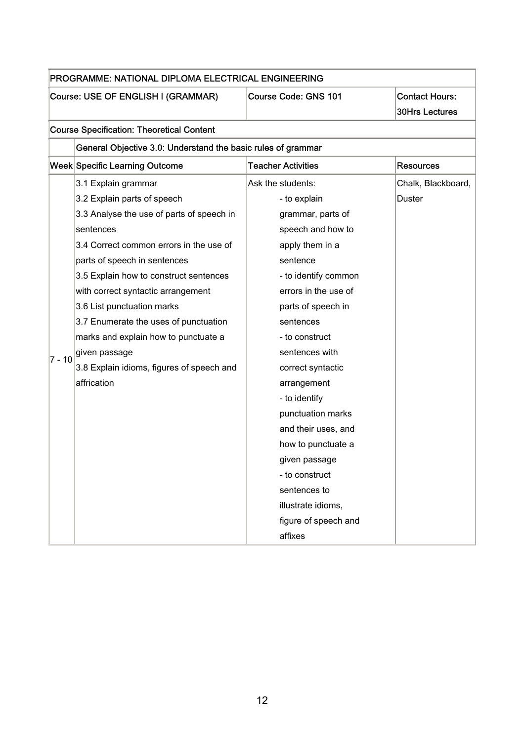|          | PROGRAMME: NATIONAL DIPLOMA ELECTRICAL ENGINEERING           |                           |                                                |  |  |  |
|----------|--------------------------------------------------------------|---------------------------|------------------------------------------------|--|--|--|
|          | Course: USE OF ENGLISH I (GRAMMAR)                           | Course Code: GNS 101      | <b>Contact Hours:</b><br><b>30Hrs Lectures</b> |  |  |  |
|          | <b>Course Specification: Theoretical Content</b>             |                           |                                                |  |  |  |
|          | General Objective 3.0: Understand the basic rules of grammar |                           |                                                |  |  |  |
|          | Week Specific Learning Outcome                               | <b>Teacher Activities</b> | <b>Resources</b>                               |  |  |  |
|          | 3.1 Explain grammar                                          | Ask the students:         | Chalk, Blackboard,                             |  |  |  |
|          | 3.2 Explain parts of speech                                  | - to explain              | Duster                                         |  |  |  |
|          | 3.3 Analyse the use of parts of speech in                    | grammar, parts of         |                                                |  |  |  |
|          | sentences                                                    | speech and how to         |                                                |  |  |  |
|          | 3.4 Correct common errors in the use of                      | apply them in a           |                                                |  |  |  |
|          | parts of speech in sentences                                 | sentence                  |                                                |  |  |  |
|          | 3.5 Explain how to construct sentences                       | - to identify common      |                                                |  |  |  |
|          | with correct syntactic arrangement                           | errors in the use of      |                                                |  |  |  |
|          | 3.6 List punctuation marks                                   | parts of speech in        |                                                |  |  |  |
|          | 3.7 Enumerate the uses of punctuation                        | sentences                 |                                                |  |  |  |
|          | marks and explain how to punctuate a                         | - to construct            |                                                |  |  |  |
| $7 - 10$ | given passage                                                | sentences with            |                                                |  |  |  |
|          | 3.8 Explain idioms, figures of speech and                    | correct syntactic         |                                                |  |  |  |
|          | affrication                                                  | arrangement               |                                                |  |  |  |
|          |                                                              | - to identify             |                                                |  |  |  |
|          |                                                              | punctuation marks         |                                                |  |  |  |
|          |                                                              | and their uses, and       |                                                |  |  |  |
|          |                                                              | how to punctuate a        |                                                |  |  |  |
|          |                                                              | given passage             |                                                |  |  |  |
|          |                                                              | - to construct            |                                                |  |  |  |
|          |                                                              | sentences to              |                                                |  |  |  |
|          |                                                              | illustrate idioms,        |                                                |  |  |  |
|          |                                                              | figure of speech and      |                                                |  |  |  |
|          |                                                              | affixes                   |                                                |  |  |  |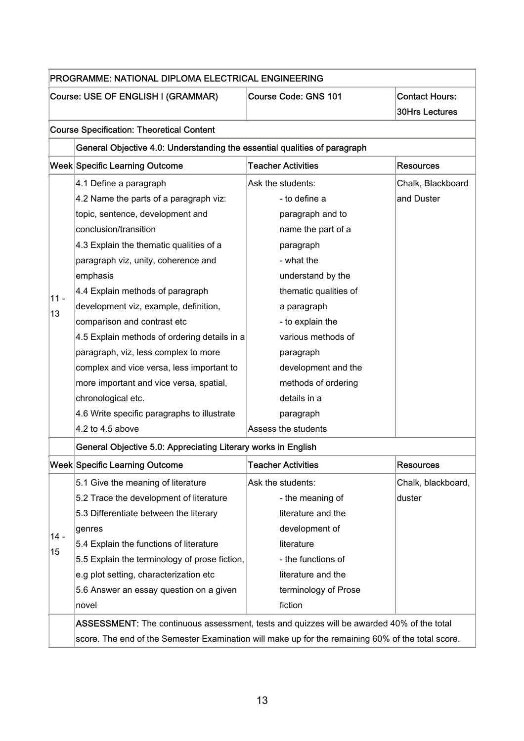|        | Course: USE OF ENGLISH I (GRAMMAR)                                        | Course Code: GNS 101      | <b>Contact Hours:</b><br><b>30Hrs Lectures</b> |
|--------|---------------------------------------------------------------------------|---------------------------|------------------------------------------------|
|        | <b>Course Specification: Theoretical Content</b>                          |                           |                                                |
|        | General Objective 4.0: Understanding the essential qualities of paragraph |                           |                                                |
|        | Week Specific Learning Outcome                                            | <b>Teacher Activities</b> | <b>Resources</b>                               |
|        | 4.1 Define a paragraph                                                    | Ask the students:         | Chalk, Blackboard                              |
|        | 4.2 Name the parts of a paragraph viz:                                    | - to define a             | and Duster                                     |
|        | topic, sentence, development and                                          | paragraph and to          |                                                |
|        | conclusion/transition                                                     | name the part of a        |                                                |
|        | 4.3 Explain the thematic qualities of a                                   | paragraph                 |                                                |
|        | paragraph viz, unity, coherence and                                       | - what the                |                                                |
|        | emphasis                                                                  | understand by the         |                                                |
|        | 4.4 Explain methods of paragraph                                          | thematic qualities of     |                                                |
| $11 -$ | development viz, example, definition,                                     | a paragraph               |                                                |
| 13     | comparison and contrast etc                                               | - to explain the          |                                                |
|        | 4.5 Explain methods of ordering details in a                              | various methods of        |                                                |
|        | paragraph, viz, less complex to more                                      | paragraph                 |                                                |
|        | complex and vice versa, less important to                                 | development and the       |                                                |
|        | more important and vice versa, spatial,                                   | methods of ordering       |                                                |
|        | chronological etc.                                                        | details in a              |                                                |
|        | 4.6 Write specific paragraphs to illustrate                               | paragraph                 |                                                |
|        | 4.2 to 4.5 above                                                          | Assess the students       |                                                |
|        | General Objective 5.0: Appreciating Literary works in English             |                           |                                                |
|        | Week Specific Learning Outcome                                            | <b>Teacher Activities</b> | <b>Resources</b>                               |
|        | 5.1 Give the meaning of literature                                        | Ask the students:         | Chalk, blackboard,                             |
|        | 5.2 Trace the development of literature                                   | - the meaning of          | duster                                         |
|        | 5.3 Differentiate between the literary                                    | literature and the        |                                                |
|        | genres                                                                    | development of            |                                                |
| $14 -$ | 5.4 Explain the functions of literature                                   | literature                |                                                |
| 15     | 5.5 Explain the terminology of prose fiction,                             | - the functions of        |                                                |
|        | e.g plot setting, characterization etc                                    | literature and the        |                                                |
|        | 5.6 Answer an essay question on a given                                   | terminology of Prose      |                                                |
|        | novel                                                                     | fiction                   |                                                |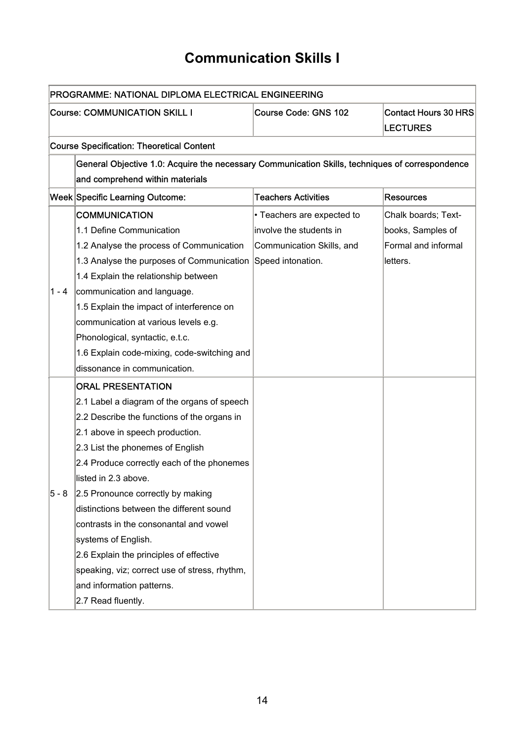### **Communication Skills I**

|         | PROGRAMME: NATIONAL DIPLOMA ELECTRICAL ENGINEERING                                              |                            |                             |  |  |  |  |
|---------|-------------------------------------------------------------------------------------------------|----------------------------|-----------------------------|--|--|--|--|
|         | <b>Course: COMMUNICATION SKILL I</b>                                                            | Course Code: GNS 102       | <b>Contact Hours 30 HRS</b> |  |  |  |  |
|         |                                                                                                 |                            | <b>LECTURES</b>             |  |  |  |  |
|         | <b>Course Specification: Theoretical Content</b>                                                |                            |                             |  |  |  |  |
|         | General Objective 1.0: Acquire the necessary Communication Skills, techniques of correspondence |                            |                             |  |  |  |  |
|         | and comprehend within materials                                                                 |                            |                             |  |  |  |  |
|         | Week Specific Learning Outcome:                                                                 | <b>Teachers Activities</b> | <b>Resources</b>            |  |  |  |  |
|         | <b>COMMUNICATION</b>                                                                            | • Teachers are expected to | Chalk boards; Text-         |  |  |  |  |
|         | 1.1 Define Communication                                                                        | involve the students in    | books, Samples of           |  |  |  |  |
|         | 1.2 Analyse the process of Communication                                                        | Communication Skills, and  | Formal and informal         |  |  |  |  |
|         | 1.3 Analyse the purposes of Communication Speed intonation.                                     |                            | letters.                    |  |  |  |  |
|         | 1.4 Explain the relationship between                                                            |                            |                             |  |  |  |  |
| $1 - 4$ | communication and language.                                                                     |                            |                             |  |  |  |  |
|         | 1.5 Explain the impact of interference on                                                       |                            |                             |  |  |  |  |
|         | communication at various levels e.g.                                                            |                            |                             |  |  |  |  |
|         | Phonological, syntactic, e.t.c.                                                                 |                            |                             |  |  |  |  |
|         | 1.6 Explain code-mixing, code-switching and                                                     |                            |                             |  |  |  |  |
|         | dissonance in communication.                                                                    |                            |                             |  |  |  |  |
|         | <b>ORAL PRESENTATION</b>                                                                        |                            |                             |  |  |  |  |
|         | 2.1 Label a diagram of the organs of speech                                                     |                            |                             |  |  |  |  |
|         | 2.2 Describe the functions of the organs in                                                     |                            |                             |  |  |  |  |
|         | 2.1 above in speech production.                                                                 |                            |                             |  |  |  |  |
|         | 2.3 List the phonemes of English                                                                |                            |                             |  |  |  |  |
|         | 2.4 Produce correctly each of the phonemes                                                      |                            |                             |  |  |  |  |
|         | listed in 2.3 above.                                                                            |                            |                             |  |  |  |  |
| $5 - 8$ | 2.5 Pronounce correctly by making                                                               |                            |                             |  |  |  |  |
|         | distinctions between the different sound                                                        |                            |                             |  |  |  |  |
|         | contrasts in the consonantal and vowel                                                          |                            |                             |  |  |  |  |
|         | systems of English.                                                                             |                            |                             |  |  |  |  |
|         | 2.6 Explain the principles of effective                                                         |                            |                             |  |  |  |  |
|         | speaking, viz; correct use of stress, rhythm,                                                   |                            |                             |  |  |  |  |
|         | and information patterns.                                                                       |                            |                             |  |  |  |  |
|         | 2.7 Read fluently.                                                                              |                            |                             |  |  |  |  |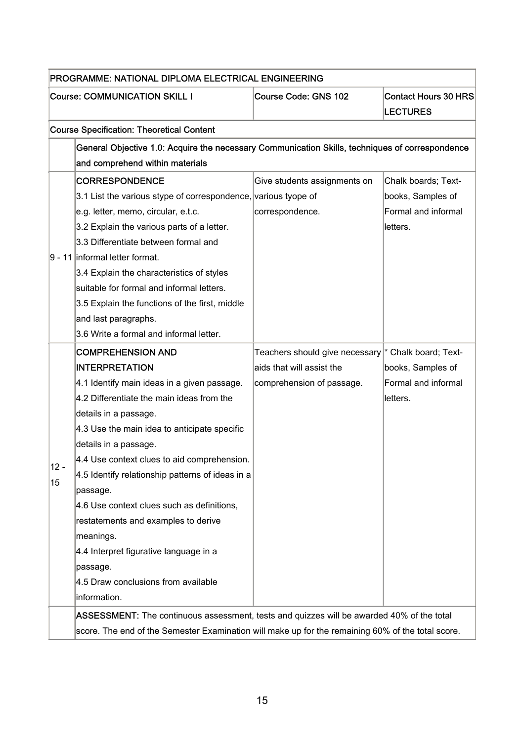|        | PROGRAMME: NATIONAL DIPLOMA ELECTRICAL ENGINEERING                                                |                                                     |                             |  |  |  |
|--------|---------------------------------------------------------------------------------------------------|-----------------------------------------------------|-----------------------------|--|--|--|
|        | <b>Course: COMMUNICATION SKILL I</b>                                                              | <b>Course Code: GNS 102</b>                         | <b>Contact Hours 30 HRS</b> |  |  |  |
|        |                                                                                                   |                                                     | <b>LECTURES</b>             |  |  |  |
|        | <b>Course Specification: Theoretical Content</b>                                                  |                                                     |                             |  |  |  |
|        | General Objective 1.0: Acquire the necessary Communication Skills, techniques of correspondence   |                                                     |                             |  |  |  |
|        | and comprehend within materials                                                                   |                                                     |                             |  |  |  |
|        | <b>CORRESPONDENCE</b>                                                                             | Give students assignments on                        | Chalk boards; Text-         |  |  |  |
|        | 3.1 List the various stype of correspondence, various tyope of                                    |                                                     | books, Samples of           |  |  |  |
|        | e.g. letter, memo, circular, e.t.c.                                                               | correspondence.                                     | Formal and informal         |  |  |  |
|        | 3.2 Explain the various parts of a letter.                                                        |                                                     | letters.                    |  |  |  |
|        | 3.3 Differentiate between formal and                                                              |                                                     |                             |  |  |  |
|        | 9 - 11 informal letter format.                                                                    |                                                     |                             |  |  |  |
|        | 3.4 Explain the characteristics of styles                                                         |                                                     |                             |  |  |  |
|        | suitable for formal and informal letters.                                                         |                                                     |                             |  |  |  |
|        | 3.5 Explain the functions of the first, middle                                                    |                                                     |                             |  |  |  |
|        | and last paragraphs.                                                                              |                                                     |                             |  |  |  |
|        | 3.6 Write a formal and informal letter.                                                           |                                                     |                             |  |  |  |
|        | <b>COMPREHENSION AND</b>                                                                          | Teachers should give necessary * Chalk board; Text- |                             |  |  |  |
|        | <b>INTERPRETATION</b>                                                                             | aids that will assist the                           | books, Samples of           |  |  |  |
|        | 4.1 Identify main ideas in a given passage.                                                       | comprehension of passage.                           | Formal and informal         |  |  |  |
|        | 4.2 Differentiate the main ideas from the                                                         |                                                     | letters.                    |  |  |  |
|        | details in a passage.                                                                             |                                                     |                             |  |  |  |
|        | 4.3 Use the main idea to anticipate specific                                                      |                                                     |                             |  |  |  |
|        | details in a passage.                                                                             |                                                     |                             |  |  |  |
| $12 -$ | 4.4 Use context clues to aid comprehension.                                                       |                                                     |                             |  |  |  |
| 15     | 4.5 Identify relationship patterns of ideas in a                                                  |                                                     |                             |  |  |  |
|        | passage.                                                                                          |                                                     |                             |  |  |  |
|        | 4.6 Use context clues such as definitions,                                                        |                                                     |                             |  |  |  |
|        | restatements and examples to derive                                                               |                                                     |                             |  |  |  |
|        | meanings.                                                                                         |                                                     |                             |  |  |  |
|        | 4.4 Interpret figurative language in a                                                            |                                                     |                             |  |  |  |
|        | passage.                                                                                          |                                                     |                             |  |  |  |
|        | 4.5 Draw conclusions from available                                                               |                                                     |                             |  |  |  |
|        | information.                                                                                      |                                                     |                             |  |  |  |
|        | ASSESSMENT: The continuous assessment, tests and quizzes will be awarded 40% of the total         |                                                     |                             |  |  |  |
|        | score. The end of the Semester Examination will make up for the remaining 60% of the total score. |                                                     |                             |  |  |  |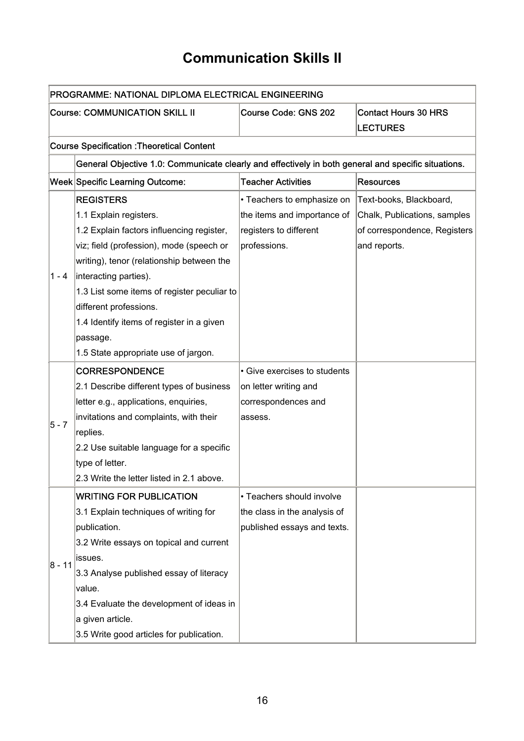### **Communication Skills II**

|         | PROGRAMME: NATIONAL DIPLOMA ELECTRICAL ENGINEERING                                                  |                              |                              |
|---------|-----------------------------------------------------------------------------------------------------|------------------------------|------------------------------|
|         | <b>Course: COMMUNICATION SKILL II</b><br><b>Course Code: GNS 202</b><br><b>LECTURES</b>             |                              | <b>Contact Hours 30 HRS</b>  |
|         | <b>Course Specification : Theoretical Content</b>                                                   |                              |                              |
|         | General Objective 1.0: Communicate clearly and effectively in both general and specific situations. |                              |                              |
|         | Week Specific Learning Outcome:                                                                     | <b>Teacher Activities</b>    | <b>Resources</b>             |
|         | <b>REGISTERS</b>                                                                                    | • Teachers to emphasize on   | Text-books, Blackboard,      |
|         | 1.1 Explain registers.                                                                              | the items and importance of  | Chalk, Publications, samples |
|         | 1.2 Explain factors influencing register,                                                           | registers to different       | of correspondence, Registers |
|         | viz; field (profession), mode (speech or                                                            | professions.                 | and reports.                 |
|         | writing), tenor (relationship between the                                                           |                              |                              |
| $1 - 4$ | interacting parties).                                                                               |                              |                              |
|         | 1.3 List some items of register peculiar to                                                         |                              |                              |
|         | different professions.                                                                              |                              |                              |
|         | 1.4 Identify items of register in a given                                                           |                              |                              |
|         | passage.                                                                                            |                              |                              |
|         | 1.5 State appropriate use of jargon.                                                                |                              |                              |
|         | <b>CORRESPONDENCE</b>                                                                               | • Give exercises to students |                              |
|         | 2.1 Describe different types of business                                                            | on letter writing and        |                              |
|         | letter e.g., applications, enquiries,                                                               | correspondences and          |                              |
| $5 - 7$ | invitations and complaints, with their                                                              | assess.                      |                              |
|         | replies.                                                                                            |                              |                              |
|         | 2.2 Use suitable language for a specific                                                            |                              |                              |
|         | type of letter.                                                                                     |                              |                              |
|         | 2.3 Write the letter listed in 2.1 above.                                                           |                              |                              |
|         | <b>WRITING FOR PUBLICATION</b>                                                                      | • Teachers should involve    |                              |
|         | 3.1 Explain techniques of writing for                                                               | the class in the analysis of |                              |
|         | publication.                                                                                        | published essays and texts.  |                              |
|         | 3.2 Write essays on topical and current                                                             |                              |                              |
| 8 - 11  | issues.                                                                                             |                              |                              |
|         | 3.3 Analyse published essay of literacy                                                             |                              |                              |
|         | value.                                                                                              |                              |                              |
|         | 3.4 Evaluate the development of ideas in                                                            |                              |                              |
|         | a given article.                                                                                    |                              |                              |
|         | 3.5 Write good articles for publication.                                                            |                              |                              |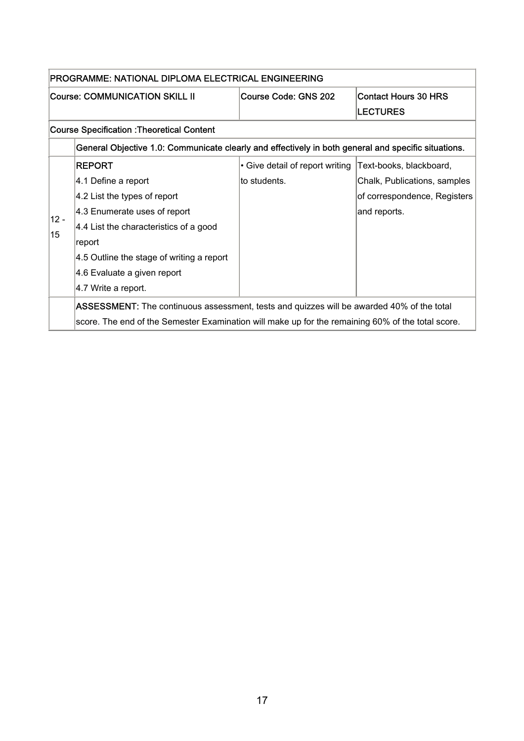|        | PROGRAMME: NATIONAL DIPLOMA ELECTRICAL ENGINEERING                                                  |                                                         |                              |
|--------|-----------------------------------------------------------------------------------------------------|---------------------------------------------------------|------------------------------|
|        | <b>Course: COMMUNICATION SKILL II</b>                                                               | <b>Contact Hours 30 HRS</b><br>Course Code: GNS 202     |                              |
|        |                                                                                                     |                                                         | <b>LECTURES</b>              |
|        | <b>Course Specification : Theoretical Content</b>                                                   |                                                         |                              |
|        | General Objective 1.0: Communicate clearly and effectively in both general and specific situations. |                                                         |                              |
|        | <b>REPORT</b>                                                                                       | • Give detail of report writing Text-books, blackboard, |                              |
|        | 4.1 Define a report                                                                                 | to students.                                            | Chalk, Publications, samples |
|        | 4.2 List the types of report                                                                        |                                                         | of correspondence, Registers |
| $12 -$ | 4.3 Enumerate uses of report                                                                        |                                                         | and reports.                 |
| 15     | 4.4 List the characteristics of a good                                                              |                                                         |                              |
|        | report                                                                                              |                                                         |                              |
|        | 4.5 Outline the stage of writing a report                                                           |                                                         |                              |
|        | 4.6 Evaluate a given report                                                                         |                                                         |                              |
|        | 4.7 Write a report.                                                                                 |                                                         |                              |
|        | ASSESSMENT: The continuous assessment, tests and quizzes will be awarded 40% of the total           |                                                         |                              |
|        | score. The end of the Semester Examination will make up for the remaining 60% of the total score.   |                                                         |                              |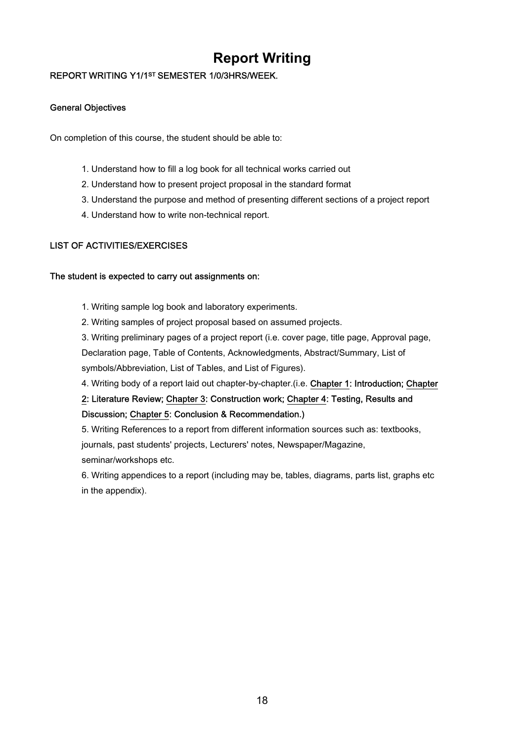### **Report Writing**

#### REPORT WRITING Y1/1ST SEMESTER 1/0/3HRS/WEEK.

#### General Objectives

On completion of this course, the student should be able to:

- 1. Understand how to fill a log book for all technical works carried out
- 2. Understand how to present project proposal in the standard format
- 3. Understand the purpose and method of presenting different sections of a project report
- 4. Understand how to write non-technical report.

#### LIST OF ACTIVITIES/EXERCISES

#### The student is expected to carry out assignments on:

1. Writing sample log book and laboratory experiments.

2. Writing samples of project proposal based on assumed projects.

3. Writing preliminary pages of a project report (i.e. cover page, title page, Approval page,

Declaration page, Table of Contents, Acknowledgments, Abstract/Summary, List of

symbols/Abbreviation, List of Tables, and List of Figures).

4. Writing body of a report laid out chapter-by-chapter.(i.e. Chapter 1: Introduction; Chapter

#### 2: Literature Review; Chapter 3: Construction work; Chapter 4: Testing, Results and Discussion; Chapter 5: Conclusion & Recommendation.)

5. Writing References to a report from different information sources such as: textbooks, journals, past students' projects, Lecturers' notes, Newspaper/Magazine, seminar/workshops etc.

6. Writing appendices to a report (including may be, tables, diagrams, parts list, graphs etc in the appendix).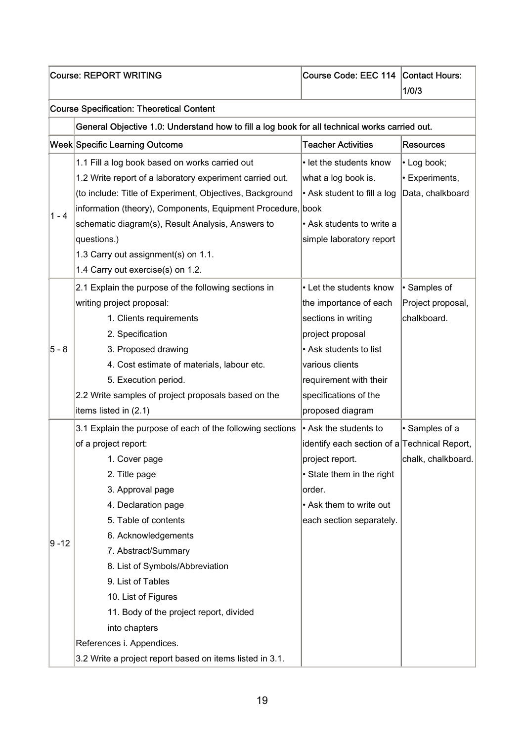|          | <b>Course: REPORT WRITING</b>                                                                                                                                                                                                                                                                                                                                                                                                                                            | Course Code: EEC 114 Contact Hours:                                                                                                                                                                              | 1/0/3                                                   |
|----------|--------------------------------------------------------------------------------------------------------------------------------------------------------------------------------------------------------------------------------------------------------------------------------------------------------------------------------------------------------------------------------------------------------------------------------------------------------------------------|------------------------------------------------------------------------------------------------------------------------------------------------------------------------------------------------------------------|---------------------------------------------------------|
|          | <b>Course Specification: Theoretical Content</b>                                                                                                                                                                                                                                                                                                                                                                                                                         |                                                                                                                                                                                                                  |                                                         |
|          | General Objective 1.0: Understand how to fill a log book for all technical works carried out.                                                                                                                                                                                                                                                                                                                                                                            |                                                                                                                                                                                                                  |                                                         |
|          | Week Specific Learning Outcome                                                                                                                                                                                                                                                                                                                                                                                                                                           | <b>Teacher Activities</b>                                                                                                                                                                                        | <b>Resources</b>                                        |
| $1 - 4$  | 1.1 Fill a log book based on works carried out<br>1.2 Write report of a laboratory experiment carried out.<br>(to include: Title of Experiment, Objectives, Background<br>information (theory), Components, Equipment Procedure, book<br>schematic diagram(s), Result Analysis, Answers to<br>questions.)<br>1.3 Carry out assignment(s) on 1.1.<br>1.4 Carry out exercise(s) on 1.2.                                                                                    | • let the students know<br>what a log book is.<br>$\cdot$ Ask student to fill a log<br>• Ask students to write a<br>simple laboratory report                                                                     | • Log book;<br>$\cdot$ Experiments,<br>Data, chalkboard |
| $5 - 8$  | 2.1 Explain the purpose of the following sections in<br>writing project proposal:<br>1. Clients requirements<br>2. Specification<br>3. Proposed drawing<br>4. Cost estimate of materials, labour etc.<br>5. Execution period.<br>2.2 Write samples of project proposals based on the<br>items listed in (2.1)                                                                                                                                                            | • Let the students know<br>the importance of each<br>sections in writing<br>project proposal<br>• Ask students to list<br>various clients<br>requirement with their<br>specifications of the<br>proposed diagram | · Samples of<br>Project proposal,<br>chalkboard.        |
| $9 - 12$ | 3.1 Explain the purpose of each of the following sections<br>of a project report:<br>1. Cover page<br>2. Title page<br>3. Approval page<br>4. Declaration page<br>5. Table of contents<br>6. Acknowledgements<br>7. Abstract/Summary<br>8. List of Symbols/Abbreviation<br>9. List of Tables<br>10. List of Figures<br>11. Body of the project report, divided<br>into chapters<br>References i. Appendices.<br>3.2 Write a project report based on items listed in 3.1. | • Ask the students to<br>identify each section of a Technical Report,<br>project report.<br>• State them in the right<br>order.<br>• Ask them to write out<br>each section separately.                           | · Samples of a<br>chalk, chalkboard.                    |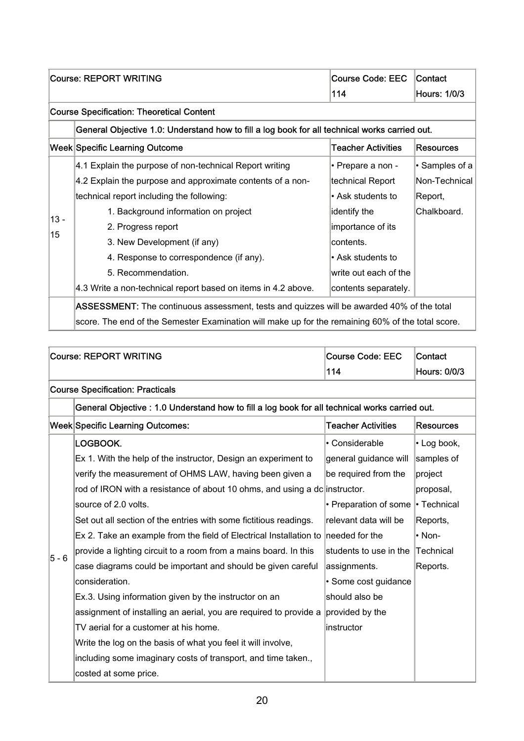|        | <b>Course: REPORT WRITING</b>                                                                     | <b>Course Code: EEC</b>   | Contact             |
|--------|---------------------------------------------------------------------------------------------------|---------------------------|---------------------|
|        |                                                                                                   | 114                       | <b>Hours: 1/0/3</b> |
|        | <b>Course Specification: Theoretical Content</b>                                                  |                           |                     |
|        | General Objective 1.0: Understand how to fill a log book for all technical works carried out.     |                           |                     |
|        | <b>Week Specific Learning Outcome</b>                                                             | <b>Teacher Activities</b> | <b>Resources</b>    |
|        | 4.1 Explain the purpose of non-technical Report writing                                           | • Prepare a non -         | • Samples of a      |
|        | 4.2 Explain the purpose and approximate contents of a non-                                        | technical Report          | Non-Technical       |
|        | technical report including the following:                                                         | • Ask students to         | Report,             |
| $13 -$ | 1. Background information on project                                                              | identify the              | Chalkboard.         |
| 15     | 2. Progress report                                                                                | importance of its         |                     |
|        | 3. New Development (if any)                                                                       | contents.                 |                     |
|        | 4. Response to correspondence (if any).                                                           | l• Ask students to        |                     |
|        | 5. Recommendation.                                                                                | write out each of the     |                     |
|        | 4.3 Write a non-technical report based on items in 4.2 above.                                     | contents separately.      |                     |
|        | ASSESSMENT: The continuous assessment, tests and quizzes will be awarded 40% of the total         |                           |                     |
|        | score. The end of the Semester Examination will make up for the remaining 60% of the total score. |                           |                     |

|       | <b>Course: REPORT WRITING</b>                                                                  | <b>Course Code: EEC</b>   | Contact             |
|-------|------------------------------------------------------------------------------------------------|---------------------------|---------------------|
|       |                                                                                                | 114                       | <b>Hours: 0/0/3</b> |
|       | <b>Course Specification: Practicals</b>                                                        |                           |                     |
|       | General Objective : 1.0 Understand how to fill a log book for all technical works carried out. |                           |                     |
|       | <b>Week Specific Learning Outcomes:</b>                                                        | <b>Teacher Activities</b> | <b>Resources</b>    |
|       | LOGBOOK.                                                                                       | • Considerable            | • Log book,         |
|       | Ex 1. With the help of the instructor, Design an experiment to                                 | general guidance will     | samples of          |
|       | verify the measurement of OHMS LAW, having been given a                                        | be required from the      | project             |
|       | rod of IRON with a resistance of about 10 ohms, and using a dc instructor.                     |                           | proposal,           |
|       | source of 2.0 volts.                                                                           | • Preparation of some     | • Technical         |
|       | Set out all section of the entries with some fictitious readings.                              | relevant data will be     | Reports,            |
|       | Ex 2. Take an example from the field of Electrical Installation to needed for the              |                           | $\cdot$ Non-        |
| 5 - 6 | provide a lighting circuit to a room from a mains board. In this                               | students to use in the    | <b>Technical</b>    |
|       | case diagrams could be important and should be given careful                                   | assignments.              | Reports.            |
|       | consideration.                                                                                 | · Some cost guidance      |                     |
|       | Ex.3. Using information given by the instructor on an                                          | should also be            |                     |
|       | assignment of installing an aerial, you are required to provide a                              | provided by the           |                     |
|       | TV aerial for a customer at his home.                                                          | instructor                |                     |
|       | Write the log on the basis of what you feel it will involve,                                   |                           |                     |
|       | including some imaginary costs of transport, and time taken.,                                  |                           |                     |
|       | costed at some price.                                                                          |                           |                     |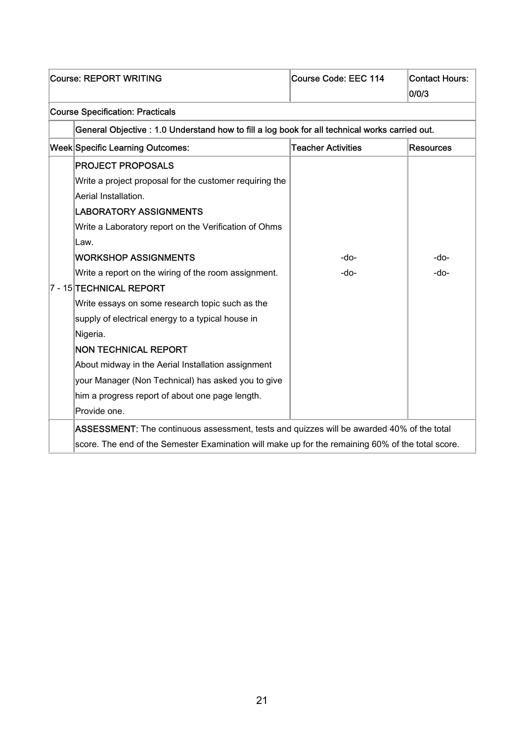| <b>Course: REPORT WRITING</b>                                                                     | Course Code: EEC 114      | <b>Contact Hours:</b> |
|---------------------------------------------------------------------------------------------------|---------------------------|-----------------------|
|                                                                                                   |                           | 0/0/3                 |
| <b>Course Specification: Practicals</b>                                                           |                           |                       |
| General Objective : 1.0 Understand how to fill a log book for all technical works carried out.    |                           |                       |
| <b>Week Specific Learning Outcomes:</b>                                                           | <b>Teacher Activities</b> | <b>Resources</b>      |
| <b>PROJECT PROPOSALS</b>                                                                          |                           |                       |
| Write a project proposal for the customer requiring the                                           |                           |                       |
| Aerial Installation.                                                                              |                           |                       |
| <b>LABORATORY ASSIGNMENTS</b>                                                                     |                           |                       |
| Write a Laboratory report on the Verification of Ohms                                             |                           |                       |
| Law.                                                                                              |                           |                       |
| <b>WORKSHOP ASSIGNMENTS</b>                                                                       | -do-                      | -do-                  |
| Write a report on the wiring of the room assignment.                                              | -do-                      | -do-                  |
| 7 - 15 TECHNICAL REPORT                                                                           |                           |                       |
| Write essays on some research topic such as the                                                   |                           |                       |
| supply of electrical energy to a typical house in                                                 |                           |                       |
| Nigeria.                                                                                          |                           |                       |
| <b>NON TECHNICAL REPORT</b>                                                                       |                           |                       |
| About midway in the Aerial Installation assignment                                                |                           |                       |
| your Manager (Non Technical) has asked you to give                                                |                           |                       |
| him a progress report of about one page length.                                                   |                           |                       |
| Provide one.                                                                                      |                           |                       |
| ASSESSMENT: The continuous assessment, tests and quizzes will be awarded 40% of the total         |                           |                       |
| score. The end of the Semester Examination will make up for the remaining 60% of the total score. |                           |                       |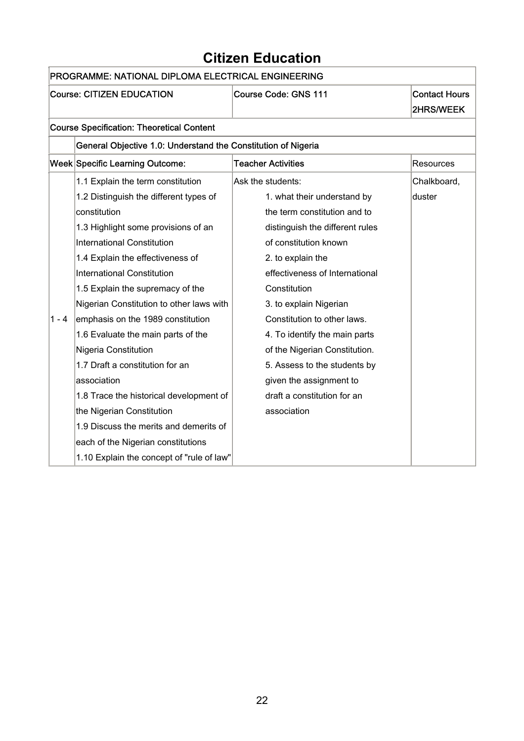### **Citizen Education**

٦

|         | PROGRAMME: NATIONAL DIPLOMA ELECTRICAL ENGINEERING            |                                 |                      |  |
|---------|---------------------------------------------------------------|---------------------------------|----------------------|--|
|         | <b>Course: CITIZEN EDUCATION</b>                              | <b>Course Code: GNS 111</b>     | <b>Contact Hours</b> |  |
|         |                                                               |                                 | <b>2HRS/WEEK</b>     |  |
|         | <b>Course Specification: Theoretical Content</b>              |                                 |                      |  |
|         | General Objective 1.0: Understand the Constitution of Nigeria |                                 |                      |  |
|         | Week Specific Learning Outcome:                               | <b>Teacher Activities</b>       | <b>Resources</b>     |  |
|         | 1.1 Explain the term constitution                             | Ask the students:               | Chalkboard,          |  |
|         | 1.2 Distinguish the different types of                        | 1. what their understand by     | duster               |  |
|         | constitution                                                  | the term constitution and to    |                      |  |
|         | 1.3 Highlight some provisions of an                           | distinguish the different rules |                      |  |
|         | <b>International Constitution</b>                             | of constitution known           |                      |  |
|         | 1.4 Explain the effectiveness of                              | 2. to explain the               |                      |  |
|         | <b>International Constitution</b>                             | effectiveness of International  |                      |  |
|         | 1.5 Explain the supremacy of the                              | Constitution                    |                      |  |
|         | Nigerian Constitution to other laws with                      | 3. to explain Nigerian          |                      |  |
| $1 - 4$ | emphasis on the 1989 constitution                             | Constitution to other laws.     |                      |  |
|         | 1.6 Evaluate the main parts of the                            | 4. To identify the main parts   |                      |  |
|         | Nigeria Constitution                                          | of the Nigerian Constitution.   |                      |  |
|         | 1.7 Draft a constitution for an                               | 5. Assess to the students by    |                      |  |
|         | association                                                   | given the assignment to         |                      |  |
|         | 1.8 Trace the historical development of                       | draft a constitution for an     |                      |  |
|         | the Nigerian Constitution                                     | association                     |                      |  |
|         | 1.9 Discuss the merits and demerits of                        |                                 |                      |  |
|         | each of the Nigerian constitutions                            |                                 |                      |  |
|         | 1.10 Explain the concept of "rule of law"                     |                                 |                      |  |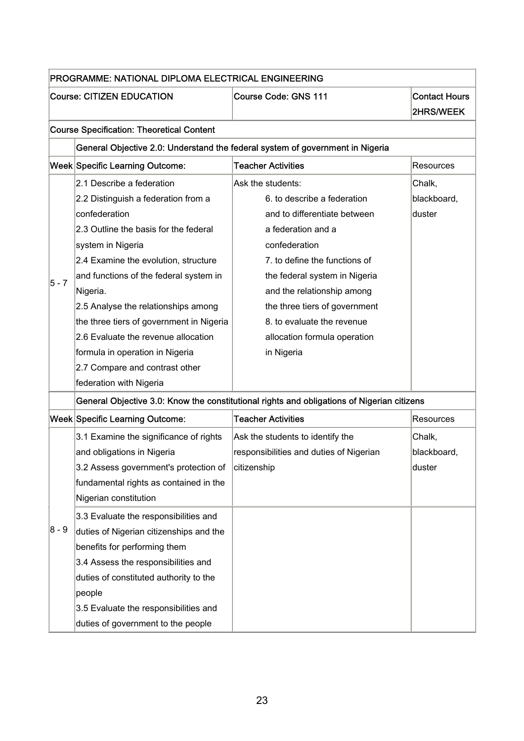|         | PROGRAMME: NATIONAL DIPLOMA ELECTRICAL ENGINEERING |                                                                                            |                                   |
|---------|----------------------------------------------------|--------------------------------------------------------------------------------------------|-----------------------------------|
|         | <b>Course: CITIZEN EDUCATION</b>                   | <b>Course Code: GNS 111</b>                                                                | <b>Contact Hours</b><br>2HRS/WEEK |
|         | <b>Course Specification: Theoretical Content</b>   |                                                                                            |                                   |
|         |                                                    | General Objective 2.0: Understand the federal system of government in Nigeria              |                                   |
|         | Week Specific Learning Outcome:                    | <b>Teacher Activities</b>                                                                  | Resources                         |
|         | 2.1 Describe a federation                          | Ask the students:                                                                          | Chalk,                            |
|         | 2.2 Distinguish a federation from a                | 6. to describe a federation                                                                | blackboard,                       |
|         | confederation                                      | and to differentiate between                                                               | duster                            |
|         | 2.3 Outline the basis for the federal              | a federation and a                                                                         |                                   |
|         | system in Nigeria                                  | confederation                                                                              |                                   |
|         | 2.4 Examine the evolution, structure               | 7. to define the functions of                                                              |                                   |
|         | and functions of the federal system in             | the federal system in Nigeria                                                              |                                   |
| $5 - 7$ | Nigeria.                                           | and the relationship among                                                                 |                                   |
|         | 2.5 Analyse the relationships among                | the three tiers of government                                                              |                                   |
|         | the three tiers of government in Nigeria           | 8. to evaluate the revenue                                                                 |                                   |
|         | 2.6 Evaluate the revenue allocation                | allocation formula operation                                                               |                                   |
|         | formula in operation in Nigeria                    | in Nigeria                                                                                 |                                   |
|         | 2.7 Compare and contrast other                     |                                                                                            |                                   |
|         | federation with Nigeria                            |                                                                                            |                                   |
|         |                                                    | General Objective 3.0: Know the constitutional rights and obligations of Nigerian citizens |                                   |
|         | Week Specific Learning Outcome:                    | <b>Teacher Activities</b>                                                                  | Resources                         |
|         | 3.1 Examine the significance of rights             | Ask the students to identify the                                                           | Chalk,                            |
|         | and obligations in Nigeria                         | responsibilities and duties of Nigerian                                                    | blackboard,                       |
|         | 3.2 Assess government's protection of              | citizenship                                                                                | duster                            |
|         | fundamental rights as contained in the             |                                                                                            |                                   |
|         | Nigerian constitution                              |                                                                                            |                                   |
|         | 3.3 Evaluate the responsibilities and              |                                                                                            |                                   |
| $8 - 9$ | duties of Nigerian citizenships and the            |                                                                                            |                                   |
|         | benefits for performing them                       |                                                                                            |                                   |
|         | 3.4 Assess the responsibilities and                |                                                                                            |                                   |
|         | duties of constituted authority to the             |                                                                                            |                                   |
|         | people                                             |                                                                                            |                                   |
|         | 3.5 Evaluate the responsibilities and              |                                                                                            |                                   |
|         | duties of government to the people                 |                                                                                            |                                   |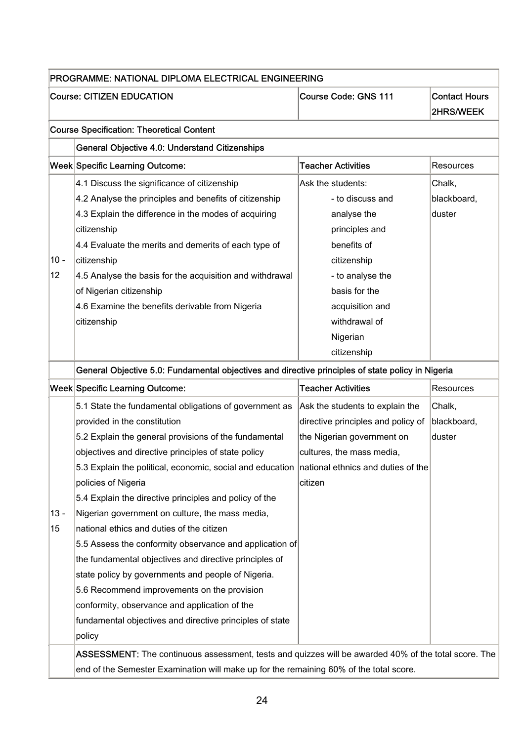|        | PROGRAMME: NATIONAL DIPLOMA ELECTRICAL ENGINEERING                                                   |                                    |                                   |
|--------|------------------------------------------------------------------------------------------------------|------------------------------------|-----------------------------------|
|        | <b>Course: CITIZEN EDUCATION</b>                                                                     | Course Code: GNS 111               | <b>Contact Hours</b><br>2HRS/WEEK |
|        | <b>Course Specification: Theoretical Content</b>                                                     |                                    |                                   |
|        | General Objective 4.0: Understand Citizenships                                                       |                                    |                                   |
|        | Week Specific Learning Outcome:                                                                      | <b>Teacher Activities</b>          | Resources                         |
|        | 4.1 Discuss the significance of citizenship                                                          | Ask the students:                  | Chalk,                            |
|        | 4.2 Analyse the principles and benefits of citizenship                                               | - to discuss and                   | blackboard,                       |
|        | 4.3 Explain the difference in the modes of acquiring                                                 | analyse the                        | duster                            |
|        | citizenship                                                                                          | principles and                     |                                   |
|        | 4.4 Evaluate the merits and demerits of each type of                                                 | benefits of                        |                                   |
| $10 -$ | citizenship                                                                                          | citizenship                        |                                   |
| 12     | 4.5 Analyse the basis for the acquisition and withdrawal                                             | - to analyse the                   |                                   |
|        | of Nigerian citizenship                                                                              | basis for the                      |                                   |
|        | 4.6 Examine the benefits derivable from Nigeria                                                      | acquisition and                    |                                   |
|        | citizenship                                                                                          | withdrawal of                      |                                   |
|        |                                                                                                      | Nigerian                           |                                   |
|        |                                                                                                      | citizenship                        |                                   |
|        | General Objective 5.0: Fundamental objectives and directive principles of state policy in Nigeria    |                                    |                                   |
|        | <b>Week Specific Learning Outcome:</b>                                                               | <b>Teacher Activities</b>          | Resources                         |
|        | 5.1 State the fundamental obligations of government as                                               | Ask the students to explain the    | Chalk,                            |
|        | provided in the constitution                                                                         | directive principles and policy of | blackboard,                       |
|        | 5.2 Explain the general provisions of the fundamental                                                | the Nigerian government on         | duster                            |
|        | objectives and directive principles of state policy                                                  | cultures, the mass media,          |                                   |
|        | 5.3 Explain the political, economic, social and education national ethnics and duties of the         |                                    |                                   |
|        | policies of Nigeria                                                                                  | citizen                            |                                   |
|        | 5.4 Explain the directive principles and policy of the                                               |                                    |                                   |
| $13 -$ | Nigerian government on culture, the mass media,                                                      |                                    |                                   |
| 15     | national ethics and duties of the citizen                                                            |                                    |                                   |
|        | 5.5 Assess the conformity observance and application of                                              |                                    |                                   |
|        | the fundamental objectives and directive principles of                                               |                                    |                                   |
|        | state policy by governments and people of Nigeria.                                                   |                                    |                                   |
|        | 5.6 Recommend improvements on the provision                                                          |                                    |                                   |
|        | conformity, observance and application of the                                                        |                                    |                                   |
|        | fundamental objectives and directive principles of state                                             |                                    |                                   |
|        | policy                                                                                               |                                    |                                   |
|        | ASSESSMENT: The continuous assessment, tests and quizzes will be awarded 40% of the total score. The |                                    |                                   |
|        |                                                                                                      |                                    |                                   |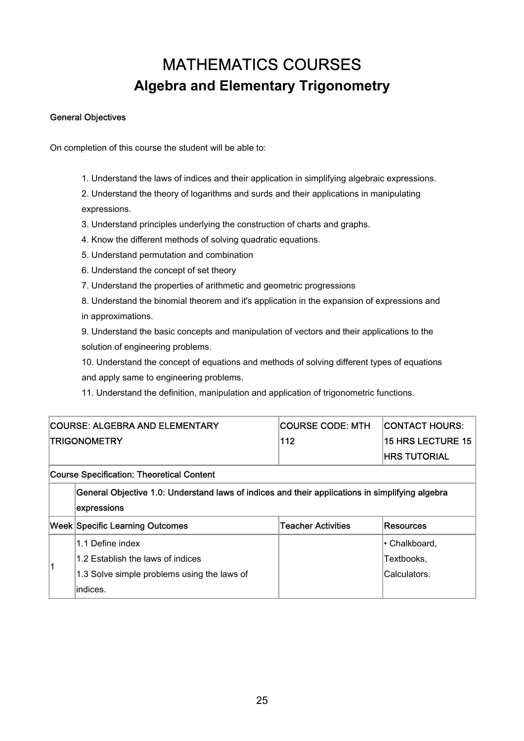### MATHEMATICS COURSES **Algebra and Elementary Trigonometry**

#### General Objectives

On completion of this course the student will be able to:

1. Understand the laws of indices and their application in simplifying algebraic expressions.

2. Understand the theory of logarithms and surds and their applications in manipulating expressions.

- 3. Understand principles underlying the construction of charts and graphs.
- 4. Know the different methods of solving quadratic equations.
- 5. Understand permutation and combination
- 6. Understand the concept of set theory
- 7. Understand the properties of arithmetic and geometric progressions
- 8. Understand the binomial theorem and it's application in the expansion of expressions and in approximations.

9. Understand the basic concepts and manipulation of vectors and their applications to the solution of engineering problems.

10. Understand the concept of equations and methods of solving different types of equations and apply same to engineering problems.

11. Understand the definition, manipulation and application of trigonometric functions.

|   | COURSE: ALGEBRA AND ELEMENTARY              | <b>COURSE CODE: MTH</b>                                                                         | <b>CONTACT HOURS:</b>    |
|---|---------------------------------------------|-------------------------------------------------------------------------------------------------|--------------------------|
|   | <b>TRIGONOMETRY</b>                         | 112                                                                                             | <b>15 HRS LECTURE 15</b> |
|   |                                             |                                                                                                 | <b>IHRS TUTORIAL</b>     |
|   | Course Specification: Theoretical Content   |                                                                                                 |                          |
|   |                                             | General Objective 1.0: Understand laws of indices and their applications in simplifying algebra |                          |
|   | expressions                                 |                                                                                                 |                          |
|   | <b>Week Specific Learning Outcomes</b>      | <b>Teacher Activities</b>                                                                       | Resources                |
|   | 1.1 Define index                            |                                                                                                 | l∙ Chalkboard.           |
| 1 | 1.2 Establish the laws of indices           |                                                                                                 | Textbooks,               |
|   | 1.3 Solve simple problems using the laws of |                                                                                                 | Calculators.             |
|   | indices.                                    |                                                                                                 |                          |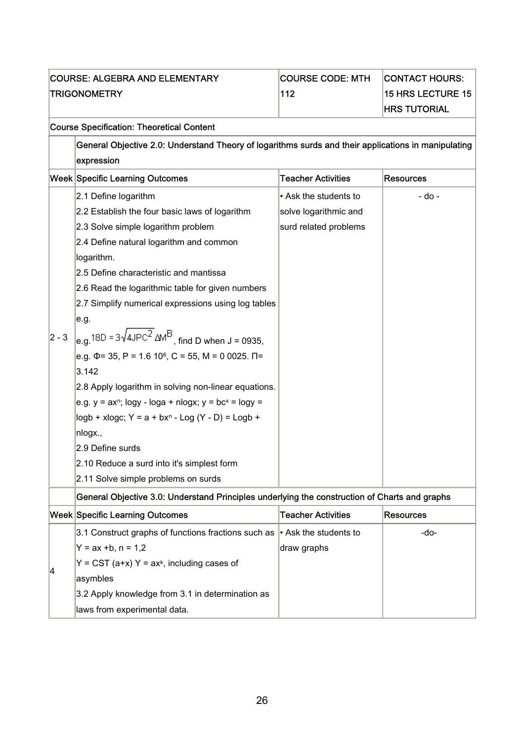| <b>COURSE: ALGEBRA AND ELEMENTARY</b>                                                               | <b>COURSE CODE: MTH</b>   | <b>CONTACT HOURS:</b>    |
|-----------------------------------------------------------------------------------------------------|---------------------------|--------------------------|
| <b>TRIGONOMETRY</b>                                                                                 | 112                       | <b>15 HRS LECTURE 15</b> |
|                                                                                                     |                           | <b>HRS TUTORIAL</b>      |
| <b>Course Specification: Theoretical Content</b>                                                    |                           |                          |
| General Objective 2.0: Understand Theory of logarithms surds and their applications in manipulating |                           |                          |
| expression                                                                                          |                           |                          |
| Week Specific Learning Outcomes                                                                     | <b>Teacher Activities</b> | <b>Resources</b>         |
| 2.1 Define logarithm                                                                                | • Ask the students to     | - do -                   |
| 2.2 Establish the four basic laws of logarithm                                                      | solve logarithmic and     |                          |
| 2.3 Solve simple logarithm problem                                                                  | surd related problems     |                          |
| 2.4 Define natural logarithm and common                                                             |                           |                          |
| logarithm.                                                                                          |                           |                          |
| 2.5 Define characteristic and mantissa                                                              |                           |                          |
| 2.6 Read the logarithmic table for given numbers                                                    |                           |                          |
| 2.7 Simplify numerical expressions using log tables                                                 |                           |                          |
| e.g.                                                                                                |                           |                          |

|           | 2.7 Simplify numerical expressions using log tables                                        |  |
|-----------|--------------------------------------------------------------------------------------------|--|
|           | le.g.                                                                                      |  |
| $ 2 - 3 $ | $\vert_{\text{e.g.}}$ 18D = 3 $\sqrt{4 \text{JPC}^2}$ $\Delta M^B$ , find D when J = 0935, |  |
|           | e.g. $\Phi$ = 35, P = 1.6 10 <sup>6</sup> , C = 55, M = 0 0025. $\Pi$ =                    |  |
|           | 3.142                                                                                      |  |
|           | 2.8 Apply logarithm in solving non-linear equations.                                       |  |
|           | e.g. y = ax <sup>n</sup> ; logy - loga + nlogx; y = bc <sup>x</sup> = logy =               |  |
|           | $\log b$ + xlogc; Y = a + bx <sup>n</sup> - Log (Y - D) = Logb +                           |  |
|           | nlogx.,                                                                                    |  |
|           | 2.9 Define surds                                                                           |  |
|           | 2.10 Reduce a surd into it's simplest form                                                 |  |
|           | 2.11 Solve simple problems on surds                                                        |  |

#### General Objective 3.0: Understand Principles underlying the construction of Charts and graphs

|    | <b>Week Specific Learning Outcomes</b>                                          | <b>Teacher Activities</b> | Resources |
|----|---------------------------------------------------------------------------------|---------------------------|-----------|
|    | 3.1 Construct graphs of functions fractions such as $\cdot$ Ask the students to |                           | -do-      |
|    | $Y = ax +b, n = 1,2$                                                            | draw graphs               |           |
|    | $Y = CST$ (a+x) $Y = ax^k$ , including cases of                                 |                           |           |
| 14 | asymbles                                                                        |                           |           |
|    | 3.2 Apply knowledge from 3.1 in determination as                                |                           |           |
|    | laws from experimental data.                                                    |                           |           |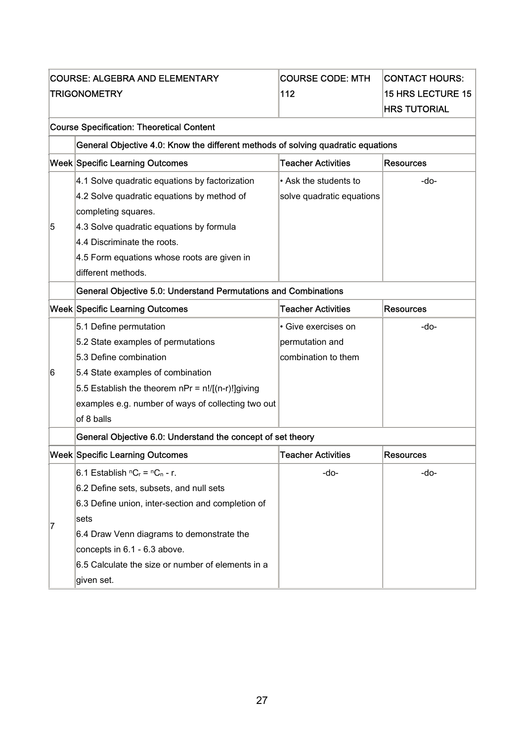|   | <b>COURSE: ALGEBRA AND ELEMENTARY</b>                                            | <b>COURSE CODE: MTH</b>   | <b>CONTACT HOURS:</b>    |  |  |  |  |
|---|----------------------------------------------------------------------------------|---------------------------|--------------------------|--|--|--|--|
|   | TRIGONOMETRY                                                                     | 112                       | <b>15 HRS LECTURE 15</b> |  |  |  |  |
|   |                                                                                  |                           | <b>HRS TUTORIAL</b>      |  |  |  |  |
|   | <b>Course Specification: Theoretical Content</b>                                 |                           |                          |  |  |  |  |
|   | General Objective 4.0: Know the different methods of solving quadratic equations |                           |                          |  |  |  |  |
|   | Week Specific Learning Outcomes                                                  | <b>Teacher Activities</b> | <b>Resources</b>         |  |  |  |  |
|   | 4.1 Solve quadratic equations by factorization                                   | • Ask the students to     | -do-                     |  |  |  |  |
|   | 4.2 Solve quadratic equations by method of                                       | solve quadratic equations |                          |  |  |  |  |
|   | completing squares.                                                              |                           |                          |  |  |  |  |
| 5 | 4.3 Solve quadratic equations by formula                                         |                           |                          |  |  |  |  |
|   | 4.4 Discriminate the roots.                                                      |                           |                          |  |  |  |  |
|   | 4.5 Form equations whose roots are given in                                      |                           |                          |  |  |  |  |
|   | different methods.                                                               |                           |                          |  |  |  |  |
|   | General Objective 5.0: Understand Permutations and Combinations                  |                           |                          |  |  |  |  |
|   | Week Specific Learning Outcomes                                                  | <b>Teacher Activities</b> | <b>Resources</b>         |  |  |  |  |
|   | 5.1 Define permutation                                                           | · Give exercises on       | -do-                     |  |  |  |  |
|   | 5.2 State examples of permutations                                               | permutation and           |                          |  |  |  |  |
|   | 5.3 Define combination                                                           | combination to them       |                          |  |  |  |  |
| 6 | 5.4 State examples of combination                                                |                           |                          |  |  |  |  |
|   | 5.5 Establish the theorem $nPr = n!/[(n-r)!]$ giving                             |                           |                          |  |  |  |  |
|   | examples e.g. number of ways of collecting two out                               |                           |                          |  |  |  |  |
|   | of 8 balls                                                                       |                           |                          |  |  |  |  |
|   | General Objective 6.0: Understand the concept of set theory                      |                           |                          |  |  |  |  |
|   | Week Specific Learning Outcomes                                                  | <b>Teacher Activities</b> | <b>Resources</b>         |  |  |  |  |
|   | 6.1 Establish $nC_r = nC_n - r$ .                                                | -do-                      | -do-                     |  |  |  |  |
|   | 6.2 Define sets, subsets, and null sets                                          |                           |                          |  |  |  |  |
|   | 6.3 Define union, inter-section and completion of                                |                           |                          |  |  |  |  |
| 7 | sets                                                                             |                           |                          |  |  |  |  |
|   | 6.4 Draw Venn diagrams to demonstrate the                                        |                           |                          |  |  |  |  |
|   | concepts in 6.1 - 6.3 above.                                                     |                           |                          |  |  |  |  |
|   | 6.5 Calculate the size or number of elements in a                                |                           |                          |  |  |  |  |
|   | given set.                                                                       |                           |                          |  |  |  |  |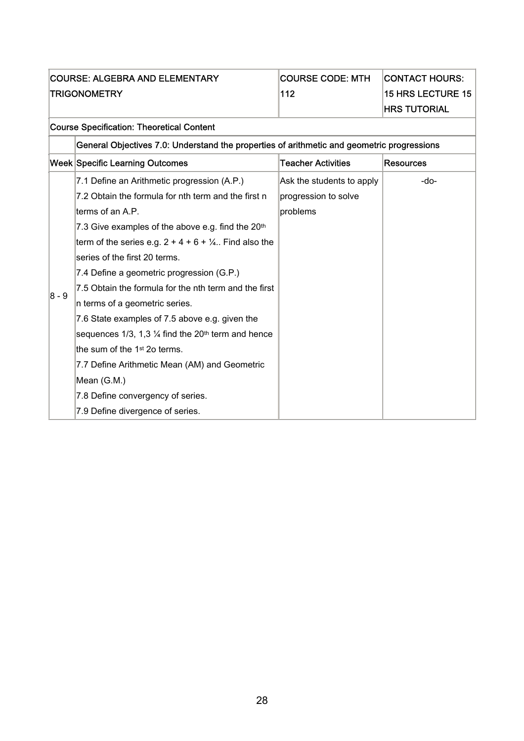|              | <b>COURSE: ALGEBRA AND ELEMENTARY</b>                                                      | <b>COURSE CODE: MTH</b>   | <b>CONTACT HOURS:</b>    |  |  |  |
|--------------|--------------------------------------------------------------------------------------------|---------------------------|--------------------------|--|--|--|
| TRIGONOMETRY |                                                                                            | 112                       | <b>15 HRS LECTURE 15</b> |  |  |  |
|              |                                                                                            |                           | <b>HRS TUTORIAL</b>      |  |  |  |
|              | <b>Course Specification: Theoretical Content</b>                                           |                           |                          |  |  |  |
|              | General Objectives 7.0: Understand the properties of arithmetic and geometric progressions |                           |                          |  |  |  |
|              | Week Specific Learning Outcomes                                                            | <b>Teacher Activities</b> | <b>Resources</b>         |  |  |  |
|              | 7.1 Define an Arithmetic progression (A.P.)                                                | Ask the students to apply | -do-                     |  |  |  |
|              | 7.2 Obtain the formula for nth term and the first n                                        | progression to solve      |                          |  |  |  |
|              | lterms of an A.P.                                                                          | problems                  |                          |  |  |  |
|              | 7.3 Give examples of the above e.g. find the 20 <sup>th</sup>                              |                           |                          |  |  |  |
|              | term of the series e.g. $2 + 4 + 6 + \frac{1}{4}$ . Find also the                          |                           |                          |  |  |  |
|              | series of the first 20 terms.                                                              |                           |                          |  |  |  |
|              | 7.4 Define a geometric progression (G.P.)                                                  |                           |                          |  |  |  |
|              | 7.5 Obtain the formula for the nth term and the first                                      |                           |                          |  |  |  |

 $\vert_{8}$  - 9

n terms of a geometric series.

the sum of the 1<sup>st</sup> 2o terms.

7.8 Define convergency of series. 7.9 Define divergence of series.

Mean (G.M.)

7.6 State examples of 7.5 above e.g. given the sequences 1/3, 1,3  $\frac{1}{4}$  find the 20<sup>th</sup> term and hence

7.7 Define Arithmetic Mean (AM) and Geometric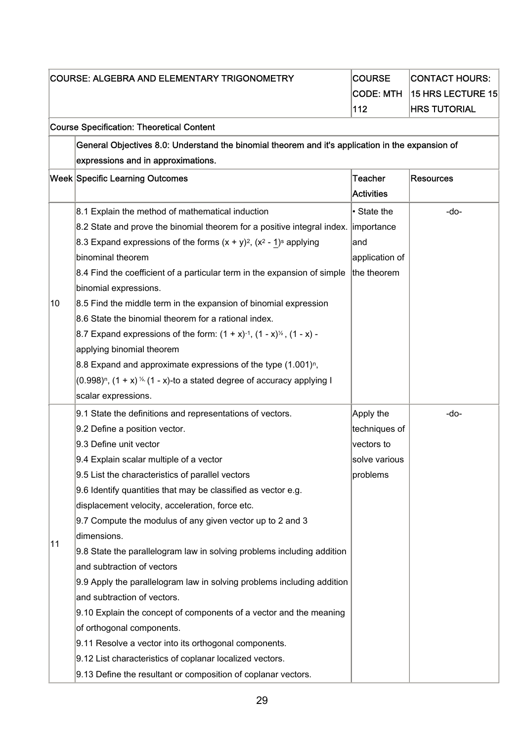| <b>COURSE: ALGEBRA AND ELEMENTARY TRIGONOMETRY</b> |                                                                                                  | <b>COURSE</b>     | <b>CONTACT HOURS:</b> |  |  |  |
|----------------------------------------------------|--------------------------------------------------------------------------------------------------|-------------------|-----------------------|--|--|--|
|                                                    |                                                                                                  | <b>CODE: MTH</b>  | 15 HRS LECTURE 15     |  |  |  |
|                                                    |                                                                                                  | 112               | <b>HRS TUTORIAL</b>   |  |  |  |
|                                                    | <b>Course Specification: Theoretical Content</b>                                                 |                   |                       |  |  |  |
|                                                    | General Objectives 8.0: Understand the binomial theorem and it's application in the expansion of |                   |                       |  |  |  |
|                                                    | expressions and in approximations.                                                               |                   |                       |  |  |  |
|                                                    | <b>Week Specific Learning Outcomes</b>                                                           | <b>Teacher</b>    | <b>Resources</b>      |  |  |  |
|                                                    |                                                                                                  | <b>Activities</b> |                       |  |  |  |
|                                                    | 8.1 Explain the method of mathematical induction                                                 | • State the       | -do-                  |  |  |  |
|                                                    | 8.2 State and prove the binomial theorem for a positive integral index. importance               |                   |                       |  |  |  |
|                                                    | 8.3 Expand expressions of the forms $(x + y)^2$ , $(x^2 - 1)^s$ applying                         | and               |                       |  |  |  |
|                                                    | binominal theorem                                                                                | application of    |                       |  |  |  |
|                                                    | 8.4 Find the coefficient of a particular term in the expansion of simple                         | the theorem       |                       |  |  |  |
|                                                    | binomial expressions.                                                                            |                   |                       |  |  |  |
| 10                                                 | 8.5 Find the middle term in the expansion of binomial expression                                 |                   |                       |  |  |  |
|                                                    | 8.6 State the binomial theorem for a rational index.                                             |                   |                       |  |  |  |
|                                                    | 8.7 Expand expressions of the form: $(1 + x)^{-1}$ , $(1 - x)^{1/2}$ , $(1 - x)$ -               |                   |                       |  |  |  |
|                                                    | applying binomial theorem                                                                        |                   |                       |  |  |  |
|                                                    | 8.8 Expand and approximate expressions of the type $(1.001)^n$ ,                                 |                   |                       |  |  |  |
|                                                    | $(0.998)^n$ , $(1 + x)$ <sup>1/2</sup> (1 - x)-to a stated degree of accuracy applying I         |                   |                       |  |  |  |
|                                                    | scalar expressions.                                                                              |                   |                       |  |  |  |
|                                                    | 9.1 State the definitions and representations of vectors.                                        | Apply the         | -do-                  |  |  |  |
|                                                    | 9.2 Define a position vector.                                                                    | techniques of     |                       |  |  |  |
|                                                    | 9.3 Define unit vector                                                                           | vectors to        |                       |  |  |  |
|                                                    | 9.4 Explain scalar multiple of a vector                                                          | solve various     |                       |  |  |  |
|                                                    | 9.5 List the characteristics of parallel vectors                                                 | problems          |                       |  |  |  |
|                                                    | 9.6 Identify quantities that may be classified as vector e.g.                                    |                   |                       |  |  |  |
|                                                    | displacement velocity, acceleration, force etc.                                                  |                   |                       |  |  |  |
|                                                    | 9.7 Compute the modulus of any given vector up to 2 and 3                                        |                   |                       |  |  |  |
|                                                    | dimensions.                                                                                      |                   |                       |  |  |  |
| 11                                                 | 9.8 State the parallelogram law in solving problems including addition                           |                   |                       |  |  |  |
|                                                    | and subtraction of vectors                                                                       |                   |                       |  |  |  |
|                                                    | 9.9 Apply the parallelogram law in solving problems including addition                           |                   |                       |  |  |  |
|                                                    | and subtraction of vectors.                                                                      |                   |                       |  |  |  |
|                                                    | 9.10 Explain the concept of components of a vector and the meaning                               |                   |                       |  |  |  |
|                                                    | of orthogonal components.                                                                        |                   |                       |  |  |  |
|                                                    | 9.11 Resolve a vector into its orthogonal components.                                            |                   |                       |  |  |  |
|                                                    | 9.12 List characteristics of coplanar localized vectors.                                         |                   |                       |  |  |  |
|                                                    | 9.13 Define the resultant or composition of coplanar vectors.                                    |                   |                       |  |  |  |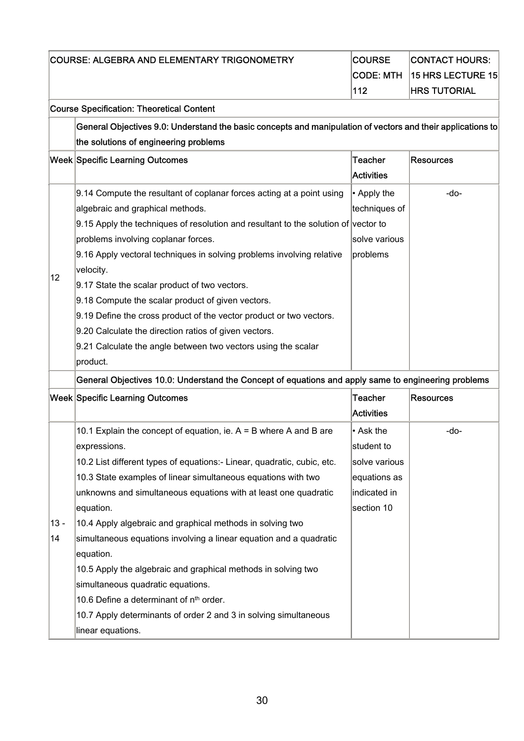|              | COURSE: ALGEBRA AND ELEMENTARY TRIGONOMETRY                                                                                                                                                                                                                                                                                                                                                                                                                                                                                                                                                                                                                                                                           | <b>COURSE</b><br><b>CODE: MTH</b><br>112                                               | <b>CONTACT HOURS:</b><br>15 HRS LECTURE 15<br><b>HRS TUTORIAL</b> |  |  |
|--------------|-----------------------------------------------------------------------------------------------------------------------------------------------------------------------------------------------------------------------------------------------------------------------------------------------------------------------------------------------------------------------------------------------------------------------------------------------------------------------------------------------------------------------------------------------------------------------------------------------------------------------------------------------------------------------------------------------------------------------|----------------------------------------------------------------------------------------|-------------------------------------------------------------------|--|--|
|              | <b>Course Specification: Theoretical Content</b>                                                                                                                                                                                                                                                                                                                                                                                                                                                                                                                                                                                                                                                                      |                                                                                        |                                                                   |  |  |
|              | General Objectives 9.0: Understand the basic concepts and manipulation of vectors and their applications to<br>the solutions of engineering problems                                                                                                                                                                                                                                                                                                                                                                                                                                                                                                                                                                  |                                                                                        |                                                                   |  |  |
|              | <b>Week Specific Learning Outcomes</b>                                                                                                                                                                                                                                                                                                                                                                                                                                                                                                                                                                                                                                                                                | <b>Teacher</b><br><b>Activities</b>                                                    | <b>Resources</b>                                                  |  |  |
| 12           | 9.14 Compute the resultant of coplanar forces acting at a point using<br>algebraic and graphical methods.<br>9.15 Apply the techniques of resolution and resultant to the solution of vector to<br>problems involving coplanar forces.<br>9.16 Apply vectoral techniques in solving problems involving relative<br>velocity.<br>9.17 State the scalar product of two vectors.<br>9.18 Compute the scalar product of given vectors.<br>9.19 Define the cross product of the vector product or two vectors.<br>9.20 Calculate the direction ratios of given vectors.<br>9.21 Calculate the angle between two vectors using the scalar<br>product.                                                                       | • Apply the<br>techniques of<br>solve various<br>problems                              | $-do-$                                                            |  |  |
|              | General Objectives 10.0: Understand the Concept of equations and apply same to engineering problems<br><b>Week Specific Learning Outcomes</b>                                                                                                                                                                                                                                                                                                                                                                                                                                                                                                                                                                         | <b>Teacher</b><br><b>Activities</b>                                                    | <b>Resources</b>                                                  |  |  |
| $13 -$<br>14 | 10.1 Explain the concept of equation, ie. $A = B$ where A and B are<br>expressions.<br>10.2 List different types of equations:- Linear, quadratic, cubic, etc.<br>10.3 State examples of linear simultaneous equations with two<br>unknowns and simultaneous equations with at least one quadratic<br>equation.<br>10.4 Apply algebraic and graphical methods in solving two<br>simultaneous equations involving a linear equation and a quadratic<br>equation.<br>10.5 Apply the algebraic and graphical methods in solving two<br>simultaneous quadratic equations.<br>10.6 Define a determinant of n <sup>th</sup> order.<br>10.7 Apply determinants of order 2 and 3 in solving simultaneous<br>linear equations. | • Ask the<br>student to<br>solve various<br>equations as<br>indicated in<br>section 10 | -do-                                                              |  |  |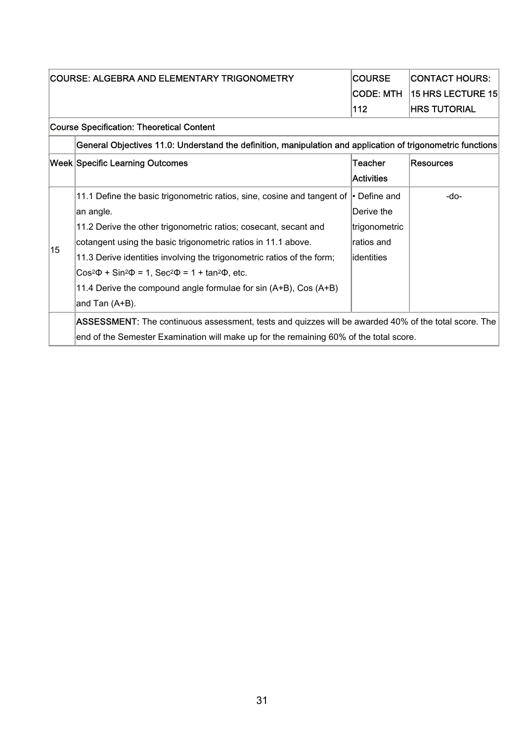| COURSE: ALGEBRA AND ELEMENTARY TRIGONOMETRY |                                                                                                             | <b>COURSE</b>     | <b>CONTACT HOURS:</b> |  |
|---------------------------------------------|-------------------------------------------------------------------------------------------------------------|-------------------|-----------------------|--|
|                                             | <b>CODE: MTH</b>                                                                                            |                   | 15 HRS LECTURE 15     |  |
|                                             |                                                                                                             | 112               | <b>HRS TUTORIAL</b>   |  |
|                                             | <b>Course Specification: Theoretical Content</b>                                                            |                   |                       |  |
|                                             | General Objectives 11.0: Understand the definition, manipulation and application of trigonometric functions |                   |                       |  |
|                                             | <b>Week Specific Learning Outcomes</b>                                                                      | Teacher           | <b>Resources</b>      |  |
|                                             |                                                                                                             | <b>Activities</b> |                       |  |
|                                             | 11.1 Define the basic trigonometric ratios, sine, cosine and tangent of $\cdot$ Define and                  |                   | -do-                  |  |
|                                             | an angle.                                                                                                   | Derive the        |                       |  |
|                                             | 11.2 Derive the other trigonometric ratios; cosecant, secant and                                            | trigonometric     |                       |  |
| 15                                          | cotangent using the basic trigonometric ratios in 11.1 above.                                               | ratios and        |                       |  |
|                                             | 11.3 Derive identities involving the trigonometric ratios of the form;                                      | identities        |                       |  |
|                                             | $Cos^{2}\Phi + Sin^{2}\Phi = 1$ , $Sec^{2}\Phi = 1 + tan^{2}\Phi$ , etc.                                    |                   |                       |  |
|                                             | 11.4 Derive the compound angle formulae for sin (A+B), Cos (A+B)                                            |                   |                       |  |
|                                             | and Tan (A+B).                                                                                              |                   |                       |  |
|                                             | ASSESSMENT: The continuous assessment, tests and quizzes will be awarded 40% of the total score. The        |                   |                       |  |
|                                             | end of the Semester Examination will make up for the remaining 60% of the total score.                      |                   |                       |  |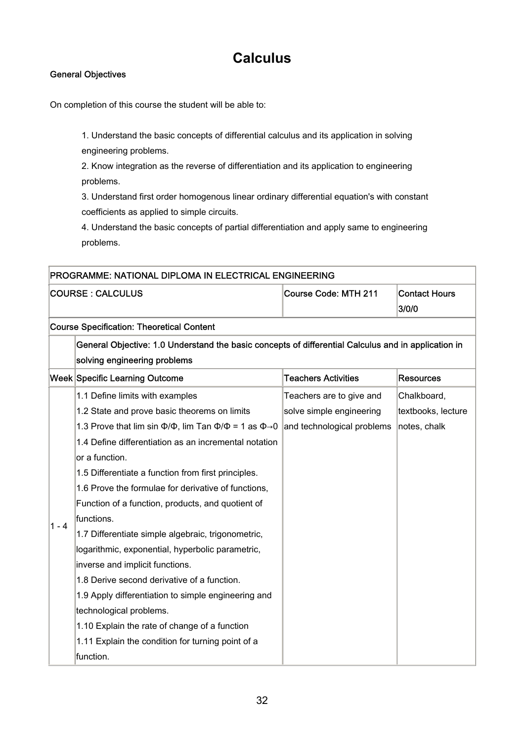### **Calculus**

#### General Objectives

On completion of this course the student will be able to:

1. Understand the basic concepts of differential calculus and its application in solving engineering problems.

2. Know integration as the reverse of differentiation and its application to engineering problems.

3. Understand first order homogenous linear ordinary differential equation's with constant coefficients as applied to simple circuits.

4. Understand the basic concepts of partial differentiation and apply same to engineering problems.

| <b>PROGRAMME: NATIONAL DIPLOMA IN ELECTRICAL ENGINEERING</b> |                      |                        |  |
|--------------------------------------------------------------|----------------------|------------------------|--|
| <b>COURSE : CALCULUS</b>                                     | Course Code: MTH 211 | Contact Hours<br>3/0/0 |  |

Course Specification: Theoretical Content

| General Objective: 1.0 Understand the basic concepts of differential Calculus and in application in |                            |           |  |
|-----------------------------------------------------------------------------------------------------|----------------------------|-----------|--|
| solving engineering problems                                                                        |                            |           |  |
| Week Specific Learning Outcome                                                                      | <b>Teachers Activities</b> | Resources |  |
|                                                                                                     |                            |           |  |

|         | 1.1 Define limits with examples                                                                                | Teachers are to give and | Chalkboard,        |
|---------|----------------------------------------------------------------------------------------------------------------|--------------------------|--------------------|
|         | 1.2 State and prove basic theorems on limits                                                                   | solve simple engineering | textbooks, lecture |
|         | 1.3 Prove that lim sin $\Phi/\Phi$ , lim Tan $\Phi/\Phi$ = 1 as $\Phi\rightarrow 0$ and technological problems |                          | notes, chalk       |
|         | 1.4 Define differentiation as an incremental notation                                                          |                          |                    |
|         | or a function.                                                                                                 |                          |                    |
|         | 1.5 Differentiate a function from first principles.                                                            |                          |                    |
|         | 1.6 Prove the formulae for derivative of functions,                                                            |                          |                    |
|         | Function of a function, products, and quotient of                                                              |                          |                    |
| $1 - 4$ | functions.                                                                                                     |                          |                    |
|         | 1.7 Differentiate simple algebraic, trigonometric,                                                             |                          |                    |
|         | logarithmic, exponential, hyperbolic parametric,                                                               |                          |                    |
|         | inverse and implicit functions.                                                                                |                          |                    |
|         | 1.8 Derive second derivative of a function.                                                                    |                          |                    |
|         | 1.9 Apply differentiation to simple engineering and                                                            |                          |                    |
|         | technological problems.                                                                                        |                          |                    |
|         | 1.10 Explain the rate of change of a function                                                                  |                          |                    |
|         | 1.11 Explain the condition for turning point of a                                                              |                          |                    |
|         | function.                                                                                                      |                          |                    |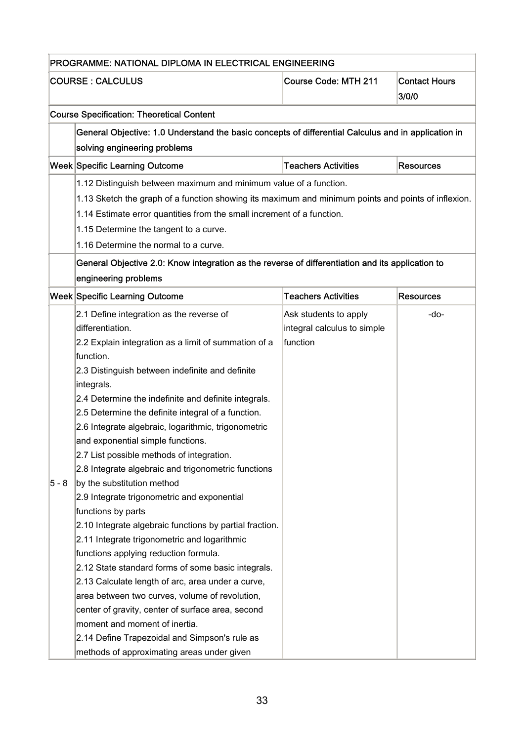|                                                  | PROGRAMME: NATIONAL DIPLOMA IN ELECTRICAL ENGINEERING                                               |                             |                               |
|--------------------------------------------------|-----------------------------------------------------------------------------------------------------|-----------------------------|-------------------------------|
|                                                  | <b>COURSE : CALCULUS</b>                                                                            | <b>Course Code: MTH 211</b> | <b>Contact Hours</b><br>3/0/0 |
| <b>Course Specification: Theoretical Content</b> |                                                                                                     |                             |                               |
|                                                  | General Objective: 1.0 Understand the basic concepts of differential Calculus and in application in |                             |                               |
|                                                  | solving engineering problems                                                                        |                             |                               |
|                                                  | Week Specific Learning Outcome                                                                      | <b>Teachers Activities</b>  | <b>Resources</b>              |
|                                                  | 1.12 Distinguish between maximum and minimum value of a function.                                   |                             |                               |
|                                                  | 1.13 Sketch the graph of a function showing its maximum and minimum points and points of inflexion. |                             |                               |
|                                                  | 1.14 Estimate error quantities from the small increment of a function.                              |                             |                               |
|                                                  | 1.15 Determine the tangent to a curve.                                                              |                             |                               |
|                                                  | 1.16 Determine the normal to a curve.                                                               |                             |                               |
|                                                  | General Objective 2.0: Know integration as the reverse of differentiation and its application to    |                             |                               |
|                                                  | engineering problems                                                                                |                             |                               |
|                                                  | Week Specific Learning Outcome                                                                      | <b>Teachers Activities</b>  | <b>Resources</b>              |
|                                                  | 2.1 Define integration as the reverse of                                                            | Ask students to apply       | -do-                          |
|                                                  | differentiation.                                                                                    | integral calculus to simple |                               |
|                                                  | 2.2 Explain integration as a limit of summation of a                                                | function                    |                               |
|                                                  | function.                                                                                           |                             |                               |
|                                                  | 2.3 Distinguish between indefinite and definite                                                     |                             |                               |
|                                                  | integrals.                                                                                          |                             |                               |
|                                                  | 2.4 Determine the indefinite and definite integrals.                                                |                             |                               |
|                                                  | 2.5 Determine the definite integral of a function.                                                  |                             |                               |
|                                                  | 2.6 Integrate algebraic, logarithmic, trigonometric                                                 |                             |                               |
|                                                  | and exponential simple functions.                                                                   |                             |                               |
|                                                  | 2.7 List possible methods of integration.                                                           |                             |                               |
|                                                  | 2.8 Integrate algebraic and trigonometric functions                                                 |                             |                               |
| $5 - 8$                                          | by the substitution method                                                                          |                             |                               |
|                                                  | 2.9 Integrate trigonometric and exponential                                                         |                             |                               |
|                                                  | functions by parts                                                                                  |                             |                               |
|                                                  | 2.10 Integrate algebraic functions by partial fraction.                                             |                             |                               |
|                                                  | 2.11 Integrate trigonometric and logarithmic                                                        |                             |                               |
|                                                  | functions applying reduction formula.                                                               |                             |                               |
|                                                  | 2.12 State standard forms of some basic integrals.                                                  |                             |                               |
|                                                  | 2.13 Calculate length of arc, area under a curve,                                                   |                             |                               |
|                                                  | area between two curves, volume of revolution,                                                      |                             |                               |
|                                                  | center of gravity, center of surface area, second                                                   |                             |                               |
|                                                  | moment and moment of inertia.                                                                       |                             |                               |
|                                                  | 2.14 Define Trapezoidal and Simpson's rule as                                                       |                             |                               |
|                                                  | methods of approximating areas under given                                                          |                             |                               |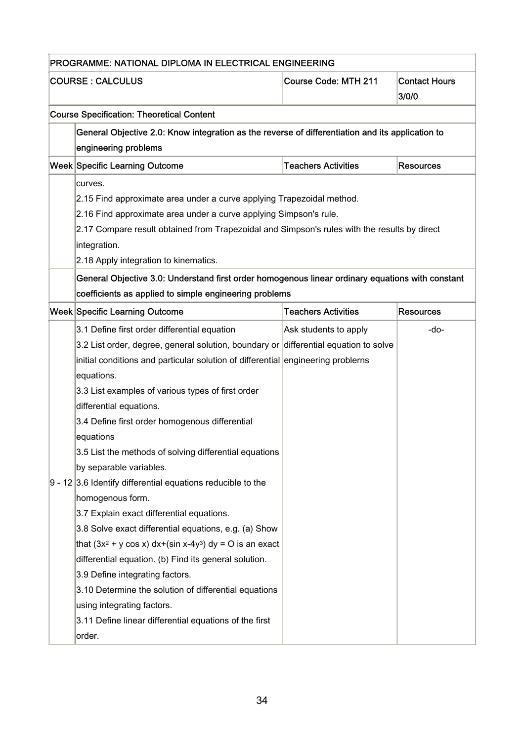| PROGRAMME: NATIONAL DIPLOMA IN ELECTRICAL ENGINEERING |                                                                                                                          |                             |                               |  |
|-------------------------------------------------------|--------------------------------------------------------------------------------------------------------------------------|-----------------------------|-------------------------------|--|
|                                                       | <b>COURSE : CALCULUS</b>                                                                                                 | <b>Course Code: MTH 211</b> | <b>Contact Hours</b><br>3/0/0 |  |
|                                                       | <b>Course Specification: Theoretical Content</b>                                                                         |                             |                               |  |
|                                                       | General Objective 2.0: Know integration as the reverse of differentiation and its application to<br>engineering problems |                             |                               |  |
|                                                       | Week Specific Learning Outcome                                                                                           | <b>Teachers Activities</b>  | <b>Resources</b>              |  |
|                                                       | curves.                                                                                                                  |                             |                               |  |
|                                                       | 2.15 Find approximate area under a curve applying Trapezoidal method.                                                    |                             |                               |  |
|                                                       | 2.16 Find approximate area under a curve applying Simpson's rule.                                                        |                             |                               |  |
|                                                       | 2.17 Compare result obtained from Trapezoidal and Simpson's rules with the results by direct                             |                             |                               |  |
|                                                       | integration.                                                                                                             |                             |                               |  |
|                                                       | 2.18 Apply integration to kinematics.                                                                                    |                             |                               |  |
|                                                       | General Objective 3.0: Understand first order homogenous linear ordinary equations with constant                         |                             |                               |  |
|                                                       | coefficients as applied to simple engineering problems                                                                   |                             |                               |  |
|                                                       | Week Specific Learning Outcome                                                                                           | <b>Teachers Activities</b>  | <b>Resources</b>              |  |
|                                                       | 3.1 Define first order differential equation                                                                             | Ask students to apply       | $-do-$                        |  |
|                                                       | 3.2 List order, degree, general solution, boundary or differential equation to solve                                     |                             |                               |  |
|                                                       | initial conditions and particular solution of differential engineering problerns                                         |                             |                               |  |
|                                                       | equations.                                                                                                               |                             |                               |  |
|                                                       | 3.3 List examples of various types of first order                                                                        |                             |                               |  |
|                                                       | differential equations.                                                                                                  |                             |                               |  |
|                                                       | 3.4 Define first order homogenous differential                                                                           |                             |                               |  |
|                                                       | equations                                                                                                                |                             |                               |  |
|                                                       | 3.5 List the methods of solving differential equations                                                                   |                             |                               |  |
|                                                       | by separable variables.                                                                                                  |                             |                               |  |
|                                                       | $9 - 12$ 3.6 Identify differential equations reducible to the                                                            |                             |                               |  |
|                                                       | homogenous form.                                                                                                         |                             |                               |  |
|                                                       | 3.7 Explain exact differential equations.                                                                                |                             |                               |  |
|                                                       | 3.8 Solve exact differential equations, e.g. (a) Show                                                                    |                             |                               |  |
|                                                       | that $(3x^2 + y \cos x) dx+(sin x-4y^3) dy = 0$ is an exact                                                              |                             |                               |  |
|                                                       | differential equation. (b) Find its general solution.                                                                    |                             |                               |  |
|                                                       | 3.9 Define integrating factors.                                                                                          |                             |                               |  |
|                                                       | 3.10 Determine the solution of differential equations                                                                    |                             |                               |  |
|                                                       | using integrating factors.                                                                                               |                             |                               |  |
|                                                       | 3.11 Define linear differential equations of the first                                                                   |                             |                               |  |
|                                                       | order.                                                                                                                   |                             |                               |  |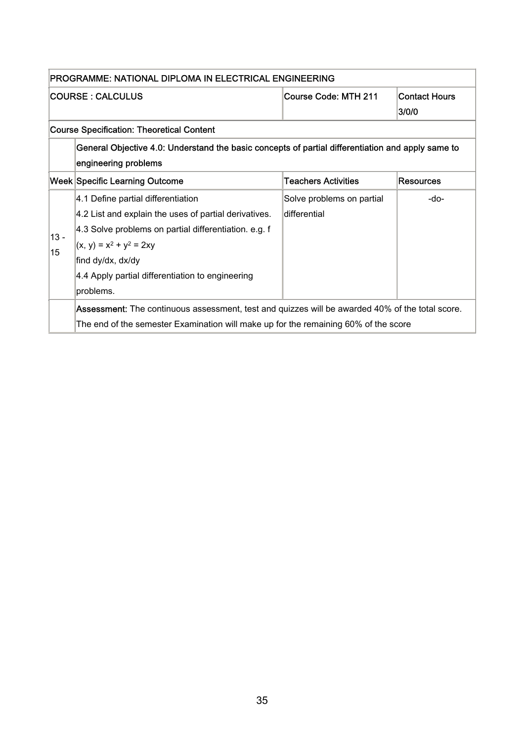| PROGRAMME: NATIONAL DIPLOMA IN ELECTRICAL ENGINEERING |                                                                                                                                                                                                                                                                          |                                            |                               |  |
|-------------------------------------------------------|--------------------------------------------------------------------------------------------------------------------------------------------------------------------------------------------------------------------------------------------------------------------------|--------------------------------------------|-------------------------------|--|
|                                                       | <b>COURSE: CALCULUS</b>                                                                                                                                                                                                                                                  | Course Code: MTH 211                       | <b>Contact Hours</b><br>3/0/0 |  |
|                                                       | <b>Course Specification: Theoretical Content</b>                                                                                                                                                                                                                         |                                            |                               |  |
|                                                       | General Objective 4.0: Understand the basic concepts of partial differentiation and apply same to<br>engineering problems                                                                                                                                                |                                            |                               |  |
|                                                       | <b>Week Specific Learning Outcome</b>                                                                                                                                                                                                                                    | <b>Teachers Activities</b>                 | <b>Resources</b>              |  |
| $13 -$<br>15                                          | 4.1 Define partial differentiation<br>4.2 List and explain the uses of partial derivatives.<br>4.3 Solve problems on partial differentiation. e.g. f<br>$(x, y) = x^2 + y^2 = 2xy$<br>find dy/dx, dx/dy<br>4.4 Apply partial differentiation to engineering<br>problems. | Solve problems on partial<br>ldifferential | -do-                          |  |
|                                                       | <b>Assessment:</b> The continuous assessment, test and quizzes will be awarded 40% of the total score.<br>The end of the semester Examination will make up for the remaining 60% of the score                                                                            |                                            |                               |  |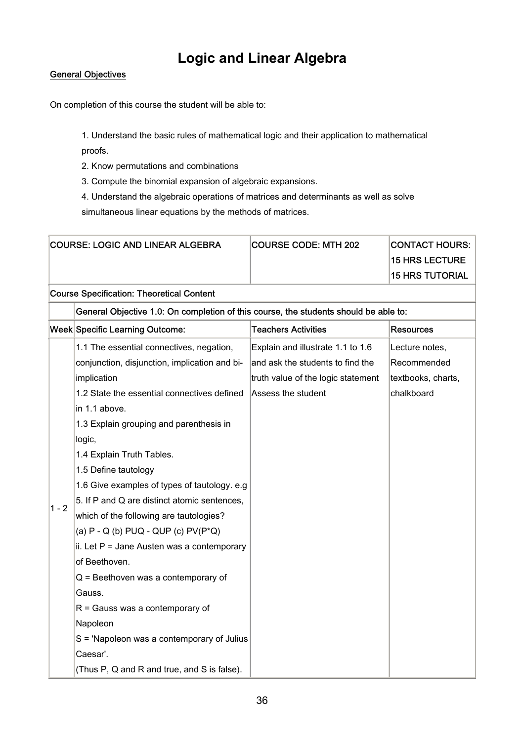### **Logic and Linear Algebra**

#### General Objectives

On completion of this course the student will be able to:

1. Understand the basic rules of mathematical logic and their application to mathematical proofs.

2. Know permutations and combinations

3. Compute the binomial expansion of algebraic expansions.

4. Understand the algebraic operations of matrices and determinants as well as solve simultaneous linear equations by the methods of matrices.

| <b>COURSE: LOGIC AND LINEAR ALGEBRA</b>          |                                                                                      | <b>COURSE CODE: MTH 202</b>        | <b>CONTACT HOURS:</b>  |
|--------------------------------------------------|--------------------------------------------------------------------------------------|------------------------------------|------------------------|
|                                                  |                                                                                      |                                    | <b>15 HRS LECTURE</b>  |
|                                                  |                                                                                      |                                    | <b>15 HRS TUTORIAL</b> |
| <b>Course Specification: Theoretical Content</b> |                                                                                      |                                    |                        |
|                                                  | General Objective 1.0: On completion of this course, the students should be able to: |                                    |                        |
|                                                  | Week Specific Learning Outcome:                                                      | <b>Teachers Activities</b>         | Resources              |
| $1 - 2$                                          | 1.1 The essential connectives, negation,                                             | Explain and illustrate 1.1 to 1.6  | Lecture notes,         |
|                                                  | conjunction, disjunction, implication and bi-                                        | and ask the students to find the   | Recommended            |
|                                                  | implication                                                                          | truth value of the logic statement | textbooks, charts,     |
|                                                  | 1.2 State the essential connectives defined                                          | Assess the student                 | chalkboard             |
|                                                  | in 1.1 above.                                                                        |                                    |                        |
|                                                  | 1.3 Explain grouping and parenthesis in                                              |                                    |                        |
|                                                  | logic,                                                                               |                                    |                        |
|                                                  | 1.4 Explain Truth Tables.                                                            |                                    |                        |
|                                                  | 1.5 Define tautology                                                                 |                                    |                        |
|                                                  | 1.6 Give examples of types of tautology. e.g.                                        |                                    |                        |
|                                                  | 5. If P and Q are distinct atomic sentences,                                         |                                    |                        |
|                                                  | which of the following are tautologies?                                              |                                    |                        |
|                                                  | (a) $P - Q$ (b) $PUQ - QUP$ (c) $PV(P^*Q)$                                           |                                    |                        |
|                                                  | ii. Let $P =$ Jane Austen was a contemporary                                         |                                    |                        |
|                                                  | of Beethoven.                                                                        |                                    |                        |
|                                                  | $Q =$ Beethoven was a contemporary of                                                |                                    |                        |
|                                                  | Gauss.                                                                               |                                    |                        |
|                                                  | $R =$ Gauss was a contemporary of                                                    |                                    |                        |
|                                                  | Napoleon                                                                             |                                    |                        |
|                                                  | S = 'Napoleon was a contemporary of Julius                                           |                                    |                        |
|                                                  | Caesar'.                                                                             |                                    |                        |
|                                                  | (Thus P, Q and R and true, and S is false).                                          |                                    |                        |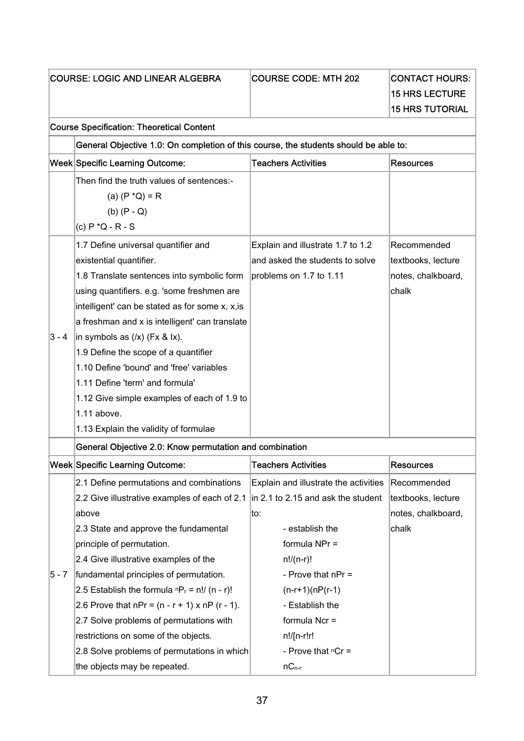|         | <b>COURSE: LOGIC AND LINEAR ALGEBRA</b>                                                                                                                                                                                                                                                                                                                                                                                                                                                                                                      | <b>COURSE CODE: MTH 202</b>                                                                                                                                                                                                              | <b>CONTACT HOURS:</b>                                            |
|---------|----------------------------------------------------------------------------------------------------------------------------------------------------------------------------------------------------------------------------------------------------------------------------------------------------------------------------------------------------------------------------------------------------------------------------------------------------------------------------------------------------------------------------------------------|------------------------------------------------------------------------------------------------------------------------------------------------------------------------------------------------------------------------------------------|------------------------------------------------------------------|
|         |                                                                                                                                                                                                                                                                                                                                                                                                                                                                                                                                              |                                                                                                                                                                                                                                          | <b>15 HRS LECTURE</b>                                            |
|         |                                                                                                                                                                                                                                                                                                                                                                                                                                                                                                                                              |                                                                                                                                                                                                                                          | <b>15 HRS TUTORIAL</b>                                           |
|         | <b>Course Specification: Theoretical Content</b>                                                                                                                                                                                                                                                                                                                                                                                                                                                                                             |                                                                                                                                                                                                                                          |                                                                  |
|         | General Objective 1.0: On completion of this course, the students should be able to:                                                                                                                                                                                                                                                                                                                                                                                                                                                         |                                                                                                                                                                                                                                          |                                                                  |
|         | <b>Week Specific Learning Outcome:</b>                                                                                                                                                                                                                                                                                                                                                                                                                                                                                                       | <b>Teachers Activities</b>                                                                                                                                                                                                               | <b>Resources</b>                                                 |
|         | Then find the truth values of sentences:-<br>(a) $(P * Q) = R$<br>$(b)$ $(P - Q)$<br>(c) $P * Q - R - S$                                                                                                                                                                                                                                                                                                                                                                                                                                     |                                                                                                                                                                                                                                          |                                                                  |
| $3 - 4$ | 1.7 Define universal quantifier and<br>existential quantifier.<br>1.8 Translate sentences into symbolic form<br>using quantifiers. e.g. 'some freshmen are<br>intelligent' can be stated as for some x, x, is<br>a freshman and x is intelligent' can translate<br>in symbols as $(\overline{x})$ (Fx & lx).<br>1.9 Define the scope of a quantifier<br>1.10 Define 'bound' and 'free' variables<br>1.11 Define 'term' and formula'<br>1.12 Give simple examples of each of 1.9 to<br>$1.11$ above.<br>1.13 Explain the validity of formulae | Explain and illustrate 1.7 to 1.2<br>and asked the students to solve<br>problems on 1.7 to 1.11                                                                                                                                          | Recommended<br>textbooks, lecture<br>notes, chalkboard,<br>chalk |
|         | General Objective 2.0: Know permutation and combination                                                                                                                                                                                                                                                                                                                                                                                                                                                                                      |                                                                                                                                                                                                                                          |                                                                  |
|         | Week Specific Learning Outcome:                                                                                                                                                                                                                                                                                                                                                                                                                                                                                                              | <b>Teachers Activities</b>                                                                                                                                                                                                               | Resources                                                        |
| $5 - 7$ | 2.1 Define permutations and combinations<br>2.2 Give illustrative examples of each of 2.1<br>above<br>2.3 State and approve the fundamental<br>principle of permutation.<br>2.4 Give illustrative examples of the<br>fundamental principles of permutation.<br>2.5 Establish the formula $P_r = n!/(n - r)!$<br>2.6 Prove that $nPr = (n - r + 1) \times nP (r - 1)$ .<br>2.7 Solve problems of permutations with<br>restrictions on some of the objects.                                                                                    | Explain and illustrate the activities<br>in 2.1 to 2.15 and ask the student<br>to:<br>- establish the<br>formula NPr =<br>$n!/(n-r)!$<br>- Prove that $nPr =$<br>$(n-r+1)(nP(r-1))$<br>- Establish the<br>formula Ncr =<br>$n!/[n-r!r!]$ | Recommended<br>textbooks, lecture<br>notes, chalkboard,<br>chalk |
|         | 2.8 Solve problems of permutations in which<br>the objects may be repeated.                                                                                                                                                                                                                                                                                                                                                                                                                                                                  | - Prove that $nCr =$<br>$nC_{n-r}$                                                                                                                                                                                                       |                                                                  |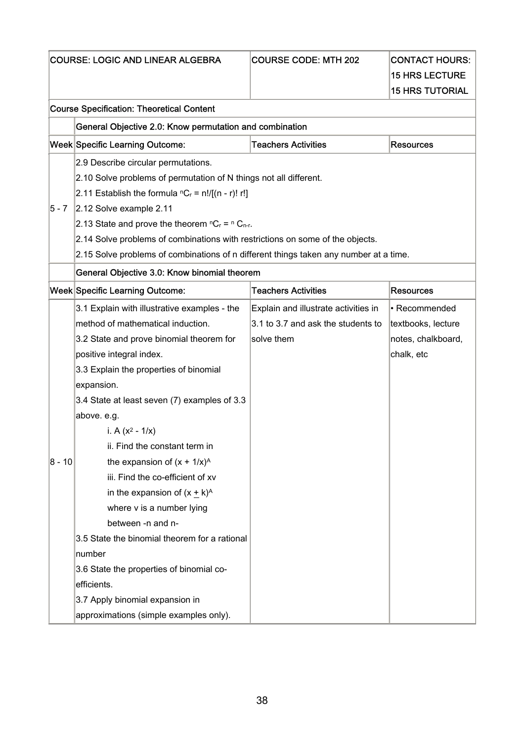| <b>COURSE: LOGIC AND LINEAR ALGEBRA</b>                     |                                                                                       | <b>COURSE CODE: MTH 202</b>          | <b>CONTACT HOURS:</b>  |  |
|-------------------------------------------------------------|---------------------------------------------------------------------------------------|--------------------------------------|------------------------|--|
|                                                             |                                                                                       |                                      | <b>15 HRS LECTURE</b>  |  |
|                                                             |                                                                                       |                                      | <b>15 HRS TUTORIAL</b> |  |
|                                                             | <b>Course Specification: Theoretical Content</b>                                      |                                      |                        |  |
|                                                             | General Objective 2.0: Know permutation and combination                               |                                      |                        |  |
|                                                             | Week Specific Learning Outcome:                                                       | <b>Teachers Activities</b>           | <b>Resources</b>       |  |
|                                                             | 2.9 Describe circular permutations.                                                   |                                      |                        |  |
|                                                             | 2.10 Solve problems of permutation of N things not all different.                     |                                      |                        |  |
| 2.11 Establish the formula ${}^{n}C_{r}$ = n!/[(n - r)! r!] |                                                                                       |                                      |                        |  |
| 5 - 7                                                       | 2.12 Solve example 2.11                                                               |                                      |                        |  |
|                                                             | 2.13 State and prove the theorem ${}^{n}C_{r} = {}^{n}C_{n-r}$ .                      |                                      |                        |  |
|                                                             | 2.14 Solve problems of combinations with restrictions on some of the objects.         |                                      |                        |  |
|                                                             | 2.15 Solve problems of combinations of n different things taken any number at a time. |                                      |                        |  |
|                                                             | General Objective 3.0: Know binomial theorem                                          |                                      |                        |  |
|                                                             | Week Specific Learning Outcome:                                                       | <b>Teachers Activities</b>           | <b>Resources</b>       |  |
|                                                             | 3.1 Explain with illustrative examples - the                                          | Explain and illustrate activities in | • Recommended          |  |
|                                                             | method of mathematical induction.                                                     | 3.1 to 3.7 and ask the students to   | textbooks, lecture     |  |
|                                                             | 3.2 State and prove binomial theorem for                                              | solve them                           | notes, chalkboard,     |  |
|                                                             | positive integral index.                                                              |                                      | chalk, etc             |  |
|                                                             | 3.3 Explain the properties of binomial                                                |                                      |                        |  |
|                                                             | expansion.                                                                            |                                      |                        |  |
|                                                             | 3.4 State at least seven (7) examples of 3.3                                          |                                      |                        |  |
|                                                             | above. e.g.                                                                           |                                      |                        |  |
|                                                             | i. A $(x^2 - 1/x)$                                                                    |                                      |                        |  |
|                                                             | ii. Find the constant term in                                                         |                                      |                        |  |
| $8 - 10$                                                    | the expansion of $(x + 1/x)^{A}$                                                      |                                      |                        |  |
|                                                             | iii. Find the co-efficient of xv                                                      |                                      |                        |  |
|                                                             | in the expansion of $(x + k)^A$                                                       |                                      |                        |  |
|                                                             | where v is a number lying                                                             |                                      |                        |  |
|                                                             | between -n and n-                                                                     |                                      |                        |  |
|                                                             | 3.5 State the binomial theorem for a rational                                         |                                      |                        |  |
|                                                             | number                                                                                |                                      |                        |  |
|                                                             | 3.6 State the properties of binomial co-                                              |                                      |                        |  |
|                                                             | efficients.                                                                           |                                      |                        |  |
|                                                             | 3.7 Apply binomial expansion in                                                       |                                      |                        |  |
|                                                             | approximations (simple examples only).                                                |                                      |                        |  |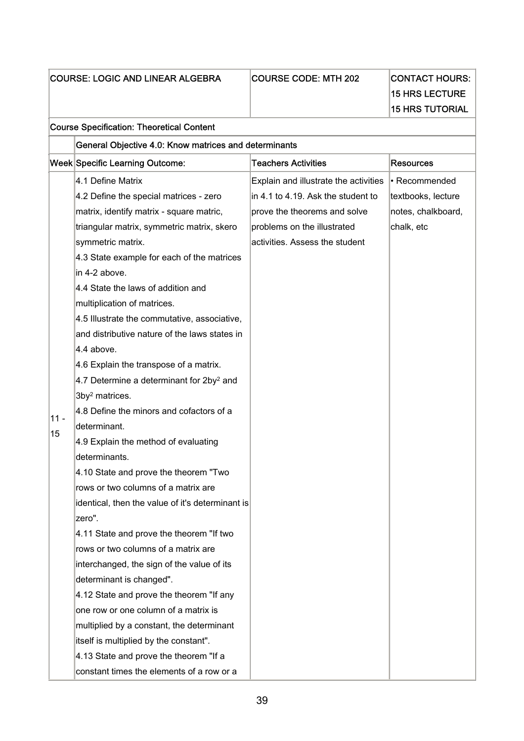| <b>COURSE: LOGIC AND LINEAR ALGEBRA</b> |                                                       | <b>COURSE CODE: MTH 202</b>           | <b>CONTACT HOURS:</b>  |
|-----------------------------------------|-------------------------------------------------------|---------------------------------------|------------------------|
|                                         |                                                       |                                       | <b>15 HRS LECTURE</b>  |
|                                         |                                                       |                                       | <b>15 HRS TUTORIAL</b> |
|                                         | <b>Course Specification: Theoretical Content</b>      |                                       |                        |
|                                         | General Objective 4.0: Know matrices and determinants |                                       |                        |
|                                         | Week Specific Learning Outcome:                       | <b>Teachers Activities</b>            | <b>Resources</b>       |
|                                         | 4.1 Define Matrix                                     | Explain and illustrate the activities | • Recommended          |
|                                         | 4.2 Define the special matrices - zero                | in 4.1 to 4.19. Ask the student to    | textbooks, lecture     |
|                                         | matrix, identify matrix - square matric,              | prove the theorems and solve          | notes, chalkboard,     |
|                                         | triangular matrix, symmetric matrix, skero            | problems on the illustrated           | chalk, etc             |
|                                         | symmetric matrix.                                     | activities. Assess the student        |                        |
|                                         | 4.3 State example for each of the matrices            |                                       |                        |
|                                         | in 4-2 above.                                         |                                       |                        |
|                                         | 4.4 State the laws of addition and                    |                                       |                        |
|                                         | multiplication of matrices.                           |                                       |                        |
|                                         | 4.5 Illustrate the commutative, associative,          |                                       |                        |
|                                         | and distributive nature of the laws states in         |                                       |                        |
|                                         | 4.4 above.                                            |                                       |                        |
|                                         | 4.6 Explain the transpose of a matrix.                |                                       |                        |
|                                         | 4.7 Determine a determinant for 2by <sup>2</sup> and  |                                       |                        |
|                                         | 3by <sup>2</sup> matrices.                            |                                       |                        |
|                                         | 4.8 Define the minors and cofactors of a              |                                       |                        |
| $11 -$<br>15                            | determinant.                                          |                                       |                        |
|                                         | 4.9 Explain the method of evaluating                  |                                       |                        |
|                                         | determinants.                                         |                                       |                        |
|                                         | 4.10 State and prove the theorem "Two                 |                                       |                        |
|                                         | rows or two columns of a matrix are                   |                                       |                        |
|                                         | identical, then the value of it's determinant is      |                                       |                        |
|                                         | zero".                                                |                                       |                        |
|                                         | 4.11 State and prove the theorem "If two              |                                       |                        |
|                                         | rows or two columns of a matrix are                   |                                       |                        |
|                                         | interchanged, the sign of the value of its            |                                       |                        |
|                                         | determinant is changed".                              |                                       |                        |
|                                         | 4.12 State and prove the theorem "If any              |                                       |                        |
|                                         | one row or one column of a matrix is                  |                                       |                        |
|                                         | multiplied by a constant, the determinant             |                                       |                        |
|                                         | itself is multiplied by the constant".                |                                       |                        |
|                                         | 4.13 State and prove the theorem "If a                |                                       |                        |
|                                         | constant times the elements of a row or a             |                                       |                        |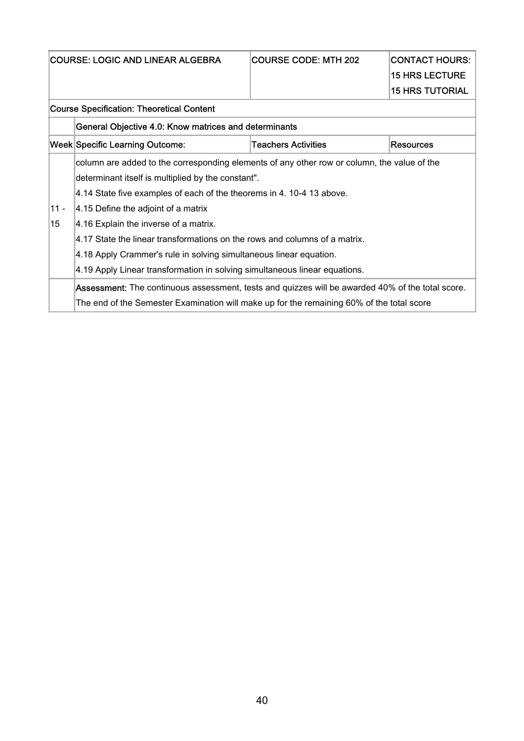| <b>COURSE: LOGIC AND LINEAR ALGEBRA</b> |                                                                                                                           | <b>COURSE CODE: MTH 202</b> | <b>CONTACT HOURS:</b><br><b>15 HRS LECTURE</b><br><b>15 HRS TUTORIAL</b> |  |  |  |
|-----------------------------------------|---------------------------------------------------------------------------------------------------------------------------|-----------------------------|--------------------------------------------------------------------------|--|--|--|
|                                         | <b>Course Specification: Theoretical Content</b>                                                                          |                             |                                                                          |  |  |  |
|                                         | General Objective 4.0: Know matrices and determinants                                                                     |                             |                                                                          |  |  |  |
|                                         | Week Specific Learning Outcome:                                                                                           | <b>Teachers Activities</b>  | <b>Resources</b>                                                         |  |  |  |
|                                         | column are added to the corresponding elements of any other row or column, the value of the                               |                             |                                                                          |  |  |  |
|                                         | determinant itself is multiplied by the constant".<br>4.14 State five examples of each of the theorems in 4.10-413 above. |                             |                                                                          |  |  |  |
| $11 -$                                  | 4.15 Define the adjoint of a matrix                                                                                       |                             |                                                                          |  |  |  |
| 15                                      | 4.16 Explain the inverse of a matrix.                                                                                     |                             |                                                                          |  |  |  |
|                                         | 4.17 State the linear transformations on the rows and columns of a matrix.                                                |                             |                                                                          |  |  |  |
|                                         | 4.18 Apply Crammer's rule in solving simultaneous linear equation.                                                        |                             |                                                                          |  |  |  |
|                                         | 4.19 Apply Linear transformation in solving simultaneous linear equations.                                                |                             |                                                                          |  |  |  |
|                                         | Assessment: The continuous assessment, tests and quizzes will be awarded 40% of the total score.                          |                             |                                                                          |  |  |  |
|                                         | The end of the Semester Examination will make up for the remaining 60% of the total score                                 |                             |                                                                          |  |  |  |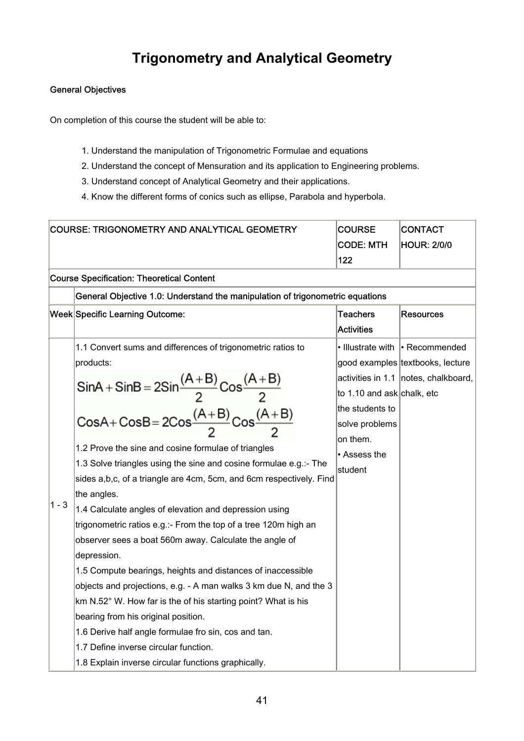## **Trigonometry and Analytical Geometry**

### General Objectives

On completion of this course the student will be able to:

- 1. Understand the manipulation of Trigonometric Formulae and equations
- 2. Understand the concept of Mensuration and its application to Engineering problems.
- 3. Understand concept of Analytical Geometry and their applications.
- 4. Know the different forms of conics such as ellipse, Parabola and hyperbola.

| COURSE: TRIGONOMETRY AND ANALYTICAL GEOMETRY |                                                                                                                                | <b>COURSE</b>              | <b>CONTACT</b>                         |
|----------------------------------------------|--------------------------------------------------------------------------------------------------------------------------------|----------------------------|----------------------------------------|
|                                              | <b>CODE: MTH</b>                                                                                                               |                            | <b>HOUR: 2/0/0</b>                     |
|                                              |                                                                                                                                | 122                        |                                        |
|                                              | <b>Course Specification: Theoretical Content</b>                                                                               |                            |                                        |
|                                              | General Objective 1.0: Understand the manipulation of trigonometric equations                                                  |                            |                                        |
|                                              | <b>Week Specific Learning Outcome:</b>                                                                                         | <b>Teachers</b>            | <b>Resources</b>                       |
|                                              |                                                                                                                                | <b>Activities</b>          |                                        |
|                                              | 1.1 Convert sums and differences of trigonometric ratios to                                                                    |                            | • Illustrate with • Recommended        |
|                                              | products:                                                                                                                      |                            | good examples textbooks, lecture       |
|                                              |                                                                                                                                |                            | activities in 1.1   notes, chalkboard, |
|                                              |                                                                                                                                | to 1.10 and ask chalk, etc |                                        |
|                                              | SinA + SinB = $2$ Sin $\frac{(A+B)}{2}$ Cos $\frac{(A+B)}{2}$<br>CosA + CosB = $2$ Cos $\frac{(A+B)}{2}$ Cos $\frac{(A+B)}{2}$ | the students to            |                                        |
|                                              |                                                                                                                                | solve problems             |                                        |
|                                              | 1.2 Prove the sine and cosine formulae of triangles                                                                            | on them.                   |                                        |
|                                              | 1.3 Solve triangles using the sine and cosine formulae e.g.:- The                                                              | • Assess the               |                                        |
|                                              | sides a,b,c, of a triangle are 4cm, 5cm, and 6cm respectively. Find                                                            | student                    |                                        |
|                                              | the angles.                                                                                                                    |                            |                                        |
| $1 - 3$                                      | 1.4 Calculate angles of elevation and depression using                                                                         |                            |                                        |
|                                              | trigonometric ratios e.g.:- From the top of a tree 120m high an                                                                |                            |                                        |
|                                              | observer sees a boat 560m away. Calculate the angle of                                                                         |                            |                                        |
|                                              | depression.                                                                                                                    |                            |                                        |
|                                              | 1.5 Compute bearings, heights and distances of inaccessible                                                                    |                            |                                        |
|                                              | objects and projections, e.g. - A man walks 3 km due N, and the 3                                                              |                            |                                        |
|                                              | km N.52° W. How far is the of his starting point? What is his                                                                  |                            |                                        |
|                                              | bearing from his original position.                                                                                            |                            |                                        |
|                                              | 1.6 Derive half angle formulae fro sin, cos and tan.                                                                           |                            |                                        |
|                                              | 1.7 Define inverse circular function.                                                                                          |                            |                                        |
|                                              | 1.8 Explain inverse circular functions graphically.                                                                            |                            |                                        |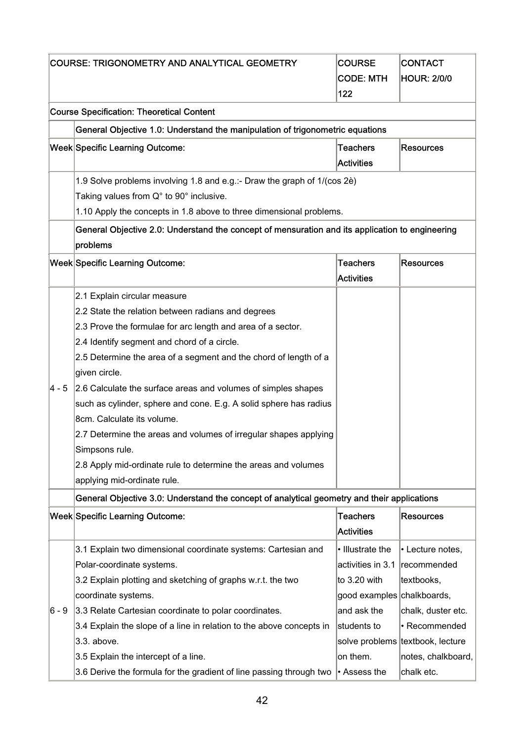|          | COURSE: TRIGONOMETRY AND ANALYTICAL GEOMETRY                                                    |                            | <b>CONTACT</b>                   |
|----------|-------------------------------------------------------------------------------------------------|----------------------------|----------------------------------|
|          |                                                                                                 |                            | <b>HOUR: 2/0/0</b>               |
|          |                                                                                                 | <b>CODE: MTH</b><br>122    |                                  |
|          |                                                                                                 |                            |                                  |
|          | <b>Course Specification: Theoretical Content</b>                                                |                            |                                  |
|          | General Objective 1.0: Understand the manipulation of trigonometric equations                   |                            |                                  |
|          | Week Specific Learning Outcome:                                                                 | <b>Teachers</b>            | <b>Resources</b>                 |
|          |                                                                                                 | <b>Activities</b>          |                                  |
|          | 1.9 Solve problems involving 1.8 and e.g.:- Draw the graph of 1/(cos 2è)                        |                            |                                  |
|          | Taking values from Q° to 90° inclusive.                                                         |                            |                                  |
|          | 1.10 Apply the concepts in 1.8 above to three dimensional problems.                             |                            |                                  |
|          | General Objective 2.0: Understand the concept of mensuration and its application to engineering |                            |                                  |
|          | problems                                                                                        |                            |                                  |
|          | Week Specific Learning Outcome:                                                                 | <b>Teachers</b>            | <b>Resources</b>                 |
|          |                                                                                                 | <b>Activities</b>          |                                  |
|          | 2.1 Explain circular measure                                                                    |                            |                                  |
|          | 2.2 State the relation between radians and degrees                                              |                            |                                  |
|          | 2.3 Prove the formulae for arc length and area of a sector.                                     |                            |                                  |
|          | 2.4 Identify segment and chord of a circle.                                                     |                            |                                  |
|          | 2.5 Determine the area of a segment and the chord of length of a                                |                            |                                  |
|          | given circle.                                                                                   |                            |                                  |
| $4 - 5$  | 2.6 Calculate the surface areas and volumes of simples shapes                                   |                            |                                  |
|          | such as cylinder, sphere and cone. E.g. A solid sphere has radius                               |                            |                                  |
|          | 8cm. Calculate its volume.                                                                      |                            |                                  |
|          | 2.7 Determine the areas and volumes of irregular shapes applying                                |                            |                                  |
|          | Simpsons rule.                                                                                  |                            |                                  |
|          | 2.8 Apply mid-ordinate rule to determine the areas and volumes                                  |                            |                                  |
|          | applying mid-ordinate rule.                                                                     |                            |                                  |
|          |                                                                                                 |                            |                                  |
|          | General Objective 3.0: Understand the concept of analytical geometry and their applications     |                            |                                  |
|          | Week Specific Learning Outcome:                                                                 | <b>Teachers</b>            | <b>Resources</b>                 |
|          |                                                                                                 | <b>Activities</b>          |                                  |
|          | 3.1 Explain two dimensional coordinate systems: Cartesian and                                   | · Illustrate the           | • Lecture notes,                 |
|          | Polar-coordinate systems.                                                                       | activities in 3.1          | recommended                      |
|          | 3.2 Explain plotting and sketching of graphs w.r.t. the two                                     | to 3.20 with               | textbooks,                       |
|          | coordinate systems.                                                                             | good examples chalkboards, |                                  |
| $ 6 - 9$ | 3.3 Relate Cartesian coordinate to polar coordinates.                                           | and ask the                | chalk, duster etc.               |
|          | 3.4 Explain the slope of a line in relation to the above concepts in                            | students to                | • Recommended                    |
|          | 3.3. above.                                                                                     |                            | solve problems textbook, lecture |
|          | 3.5 Explain the intercept of a line.                                                            | on them.                   | notes, chalkboard,               |
|          | 3.6 Derive the formula for the gradient of line passing through two                             | $\bullet$ Assess the       | chalk etc.                       |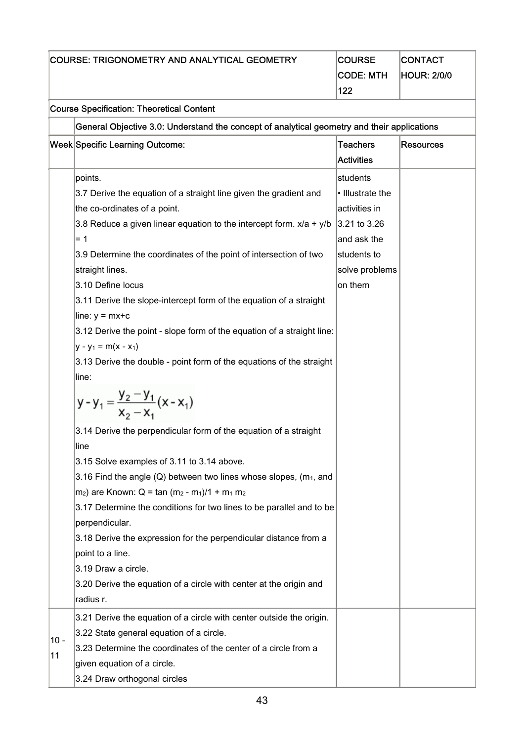| <b>COURSE: TRIGONOMETRY AND ANALYTICAL GEOMETRY</b> |                                                                                             | <b>COURSE</b>     | <b>CONTACT</b>     |
|-----------------------------------------------------|---------------------------------------------------------------------------------------------|-------------------|--------------------|
|                                                     | <b>CODE: MTH</b>                                                                            |                   | <b>HOUR: 2/0/0</b> |
|                                                     |                                                                                             | 122               |                    |
|                                                     | <b>Course Specification: Theoretical Content</b>                                            |                   |                    |
|                                                     | General Objective 3.0: Understand the concept of analytical geometry and their applications |                   |                    |
|                                                     | Week Specific Learning Outcome:<br><b>Teachers</b>                                          |                   | <b>Resources</b>   |
|                                                     |                                                                                             | <b>Activities</b> |                    |
|                                                     | points.                                                                                     | students          |                    |
|                                                     | 3.7 Derive the equation of a straight line given the gradient and                           | • Illustrate the  |                    |
|                                                     | the co-ordinates of a point.                                                                | activities in     |                    |
|                                                     | 3.8 Reduce a given linear equation to the intercept form. $x/a + y/b$                       | 3.21 to 3.26      |                    |
|                                                     | $= 1$                                                                                       | and ask the       |                    |
|                                                     | 3.9 Determine the coordinates of the point of intersection of two                           | students to       |                    |
|                                                     | straight lines.                                                                             | solve problems    |                    |
|                                                     | 3.10 Define locus                                                                           | on them           |                    |
|                                                     | 3.11 Derive the slope-intercept form of the equation of a straight                          |                   |                    |
|                                                     | line: $y = mx + c$                                                                          |                   |                    |
|                                                     | 3.12 Derive the point - slope form of the equation of a straight line:                      |                   |                    |
|                                                     | $y - y_1 = m(x - x_1)$                                                                      |                   |                    |
|                                                     | 3.13 Derive the double - point form of the equations of the straight                        |                   |                    |
|                                                     | line:                                                                                       |                   |                    |
|                                                     | $y - y_1 = \frac{y_2 - y_1}{x_2 - x_1}(x - x_1)$                                            |                   |                    |
|                                                     | 3.14 Derive the perpendicular form of the equation of a straight                            |                   |                    |
|                                                     | line                                                                                        |                   |                    |
|                                                     | 3.15 Solve examples of 3.11 to 3.14 above.                                                  |                   |                    |
|                                                     | 3.16 Find the angle $(Q)$ between two lines whose slopes, ( $m_1$ , and                     |                   |                    |
|                                                     | m <sub>2</sub> ) are Known: Q = tan $(m_2 - m_1)/1 + m_1 m_2$                               |                   |                    |
|                                                     | 3.17 Determine the conditions for two lines to be parallel and to be                        |                   |                    |
|                                                     | perpendicular.                                                                              |                   |                    |
|                                                     | 3.18 Derive the expression for the perpendicular distance from a                            |                   |                    |
|                                                     | point to a line.                                                                            |                   |                    |
|                                                     | 3.19 Draw a circle.                                                                         |                   |                    |
|                                                     | 3.20 Derive the equation of a circle with center at the origin and<br>radius r.             |                   |                    |
|                                                     | 3.21 Derive the equation of a circle with center outside the origin.                        |                   |                    |
|                                                     | 3.22 State general equation of a circle.                                                    |                   |                    |
| $10 -$                                              | 3.23 Determine the coordinates of the center of a circle from a                             |                   |                    |
| 11                                                  | given equation of a circle.                                                                 |                   |                    |
|                                                     | 3.24 Draw orthogonal circles                                                                |                   |                    |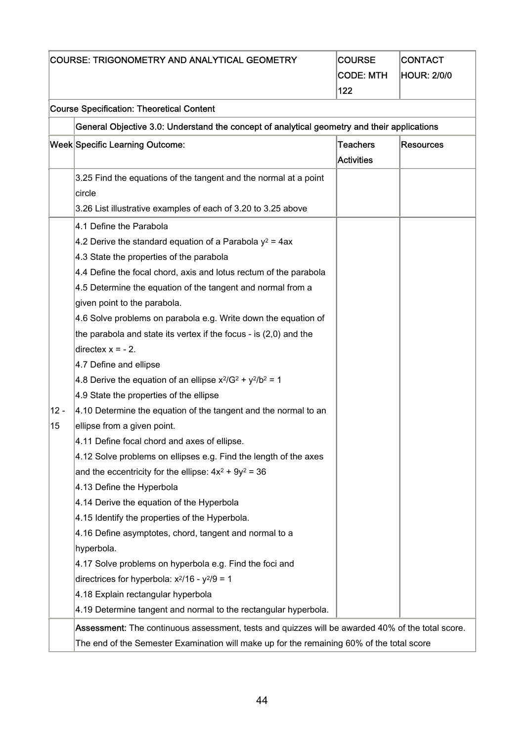| <b>COURSE: TRIGONOMETRY AND ANALYTICAL GEOMETRY</b> |                                                                                                  | <b>COURSE</b>     | <b>CONTACT</b>     |
|-----------------------------------------------------|--------------------------------------------------------------------------------------------------|-------------------|--------------------|
|                                                     | <b>CODE: MTH</b>                                                                                 |                   | <b>HOUR: 2/0/0</b> |
|                                                     |                                                                                                  | 122               |                    |
|                                                     | <b>Course Specification: Theoretical Content</b>                                                 |                   |                    |
|                                                     | General Objective 3.0: Understand the concept of analytical geometry and their applications      |                   |                    |
|                                                     | Week Specific Learning Outcome:                                                                  | <b>Teachers</b>   | <b>Resources</b>   |
|                                                     |                                                                                                  | <b>Activities</b> |                    |
|                                                     | 3.25 Find the equations of the tangent and the normal at a point                                 |                   |                    |
|                                                     | circle                                                                                           |                   |                    |
|                                                     | 3.26 List illustrative examples of each of 3.20 to 3.25 above                                    |                   |                    |
|                                                     | 4.1 Define the Parabola                                                                          |                   |                    |
|                                                     | 4.2 Derive the standard equation of a Parabola $y^2$ = 4ax                                       |                   |                    |
|                                                     | 4.3 State the properties of the parabola                                                         |                   |                    |
|                                                     | 4.4 Define the focal chord, axis and lotus rectum of the parabola                                |                   |                    |
|                                                     | 4.5 Determine the equation of the tangent and normal from a                                      |                   |                    |
|                                                     | given point to the parabola.                                                                     |                   |                    |
|                                                     | 4.6 Solve problems on parabola e.g. Write down the equation of                                   |                   |                    |
|                                                     | the parabola and state its vertex if the focus - is $(2,0)$ and the                              |                   |                    |
|                                                     | directex $x = -2$ .                                                                              |                   |                    |
|                                                     | 4.7 Define and ellipse                                                                           |                   |                    |
|                                                     | 4.8 Derive the equation of an ellipse $x^2/G^2 + y^2/b^2 = 1$                                    |                   |                    |
|                                                     | 4.9 State the properties of the ellipse                                                          |                   |                    |
| $12 -$                                              | 4.10 Determine the equation of the tangent and the normal to an                                  |                   |                    |
| 15                                                  | ellipse from a given point.                                                                      |                   |                    |
|                                                     | 4.11 Define focal chord and axes of ellipse                                                      |                   |                    |
|                                                     | 4.12 Solve problems on ellipses e.g. Find the length of the axes                                 |                   |                    |
|                                                     | and the eccentricity for the ellipse: $4x^2 + 9y^2 = 36$                                         |                   |                    |
|                                                     | 4.13 Define the Hyperbola                                                                        |                   |                    |
|                                                     | 4.14 Derive the equation of the Hyperbola                                                        |                   |                    |
|                                                     | 4.15 Identify the properties of the Hyperbola.                                                   |                   |                    |
|                                                     | 4.16 Define asymptotes, chord, tangent and normal to a                                           |                   |                    |
|                                                     | hyperbola.                                                                                       |                   |                    |
|                                                     | 4.17 Solve problems on hyperbola e.g. Find the foci and                                          |                   |                    |
|                                                     | directrices for hyperbola: $x^2/16 - y^2/9 = 1$                                                  |                   |                    |
|                                                     | 4.18 Explain rectangular hyperbola                                                               |                   |                    |
|                                                     | 4.19 Determine tangent and normal to the rectangular hyperbola.                                  |                   |                    |
|                                                     | Assessment: The continuous assessment, tests and quizzes will be awarded 40% of the total score. |                   |                    |
|                                                     | The end of the Semester Examination will make up for the remaining 60% of the total score        |                   |                    |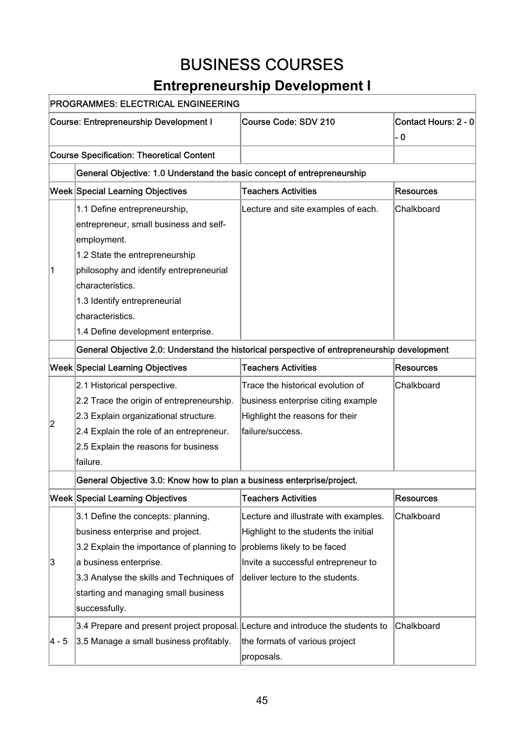## BUSINESS COURSES

## **Entrepreneurship Development I**

|                                                                                              | <u>Elitiebieliedisilip Developilielit i</u> |                                                                                                                                                                                                                                                                            |
|----------------------------------------------------------------------------------------------|---------------------------------------------|----------------------------------------------------------------------------------------------------------------------------------------------------------------------------------------------------------------------------------------------------------------------------|
|                                                                                              |                                             |                                                                                                                                                                                                                                                                            |
| <b>Course: Entrepreneurship Development I</b>                                                | Course Code: SDV 210                        | Contact Hours: 2 - 0                                                                                                                                                                                                                                                       |
|                                                                                              |                                             | - 0                                                                                                                                                                                                                                                                        |
| <b>Course Specification: Theoretical Content</b>                                             |                                             |                                                                                                                                                                                                                                                                            |
|                                                                                              |                                             |                                                                                                                                                                                                                                                                            |
| Week Special Learning Objectives                                                             | <b>Teachers Activities</b>                  | <b>Resources</b>                                                                                                                                                                                                                                                           |
| 1.1 Define entrepreneurship,                                                                 | Lecture and site examples of each.          | Chalkboard                                                                                                                                                                                                                                                                 |
| entrepreneur, small business and self-                                                       |                                             |                                                                                                                                                                                                                                                                            |
| employment.                                                                                  |                                             |                                                                                                                                                                                                                                                                            |
| 1.2 State the entrepreneurship                                                               |                                             |                                                                                                                                                                                                                                                                            |
| philosophy and identify entrepreneurial                                                      |                                             |                                                                                                                                                                                                                                                                            |
| characteristics.                                                                             |                                             |                                                                                                                                                                                                                                                                            |
| 1.3 Identify entrepreneurial                                                                 |                                             |                                                                                                                                                                                                                                                                            |
| characteristics.                                                                             |                                             |                                                                                                                                                                                                                                                                            |
| 1.4 Define development enterprise.                                                           |                                             |                                                                                                                                                                                                                                                                            |
| General Objective 2.0: Understand the historical perspective of entrepreneurship development |                                             |                                                                                                                                                                                                                                                                            |
| Week Special Learning Objectives                                                             | <b>Teachers Activities</b>                  | <b>Resources</b>                                                                                                                                                                                                                                                           |
| 2.1 Historical perspective.                                                                  | Trace the historical evolution of           | Chalkboard                                                                                                                                                                                                                                                                 |
| 2.2 Trace the origin of entrepreneurship.                                                    | business enterprise citing example          |                                                                                                                                                                                                                                                                            |
| 2.3 Explain organizational structure.                                                        | Highlight the reasons for their             |                                                                                                                                                                                                                                                                            |
| 2.4 Explain the role of an entrepreneur.                                                     | failure/success.                            |                                                                                                                                                                                                                                                                            |
| 2.5 Explain the reasons for business                                                         |                                             |                                                                                                                                                                                                                                                                            |
| failure.                                                                                     |                                             |                                                                                                                                                                                                                                                                            |
|                                                                                              |                                             |                                                                                                                                                                                                                                                                            |
| Week Special Learning Objectives                                                             | <b>Teachers Activities</b>                  | <b>Resources</b>                                                                                                                                                                                                                                                           |
| 3.1 Define the concepts: planning,                                                           | Lecture and illustrate with examples.       | Chalkboard                                                                                                                                                                                                                                                                 |
| business enterprise and project.                                                             | Highlight to the students the initial       |                                                                                                                                                                                                                                                                            |
| 3.2 Explain the importance of planning to                                                    | problems likely to be faced                 |                                                                                                                                                                                                                                                                            |
| a business enterprise.                                                                       | Invite a successful entrepreneur to         |                                                                                                                                                                                                                                                                            |
| 3.3 Analyse the skills and Techniques of                                                     | deliver lecture to the students.            |                                                                                                                                                                                                                                                                            |
| starting and managing small business                                                         |                                             |                                                                                                                                                                                                                                                                            |
| successfully.                                                                                |                                             |                                                                                                                                                                                                                                                                            |
|                                                                                              |                                             | Chalkboard                                                                                                                                                                                                                                                                 |
| 3.5 Manage a small business profitably.                                                      | the formats of various project              |                                                                                                                                                                                                                                                                            |
|                                                                                              | proposals.                                  |                                                                                                                                                                                                                                                                            |
|                                                                                              |                                             | PROGRAMMES: ELECTRICAL ENGINEERING<br>General Objective: 1.0 Understand the basic concept of entrepreneurship<br>General Objective 3.0: Know how to plan a business enterprise/project.<br>3.4 Prepare and present project proposal. Lecture and introduce the students to |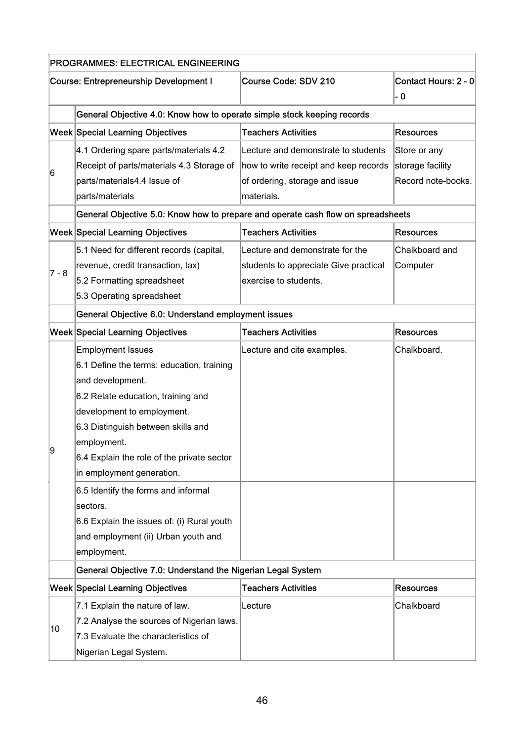|       | <b>PROGRAMMES: ELECTRICAL ENGINEERING</b>                                        |                                       |                             |  |
|-------|----------------------------------------------------------------------------------|---------------------------------------|-----------------------------|--|
|       | <b>Course: Entrepreneurship Development I</b>                                    | Course Code: SDV 210                  | Contact Hours: 2 - 0<br>- 0 |  |
|       | General Objective 4.0: Know how to operate simple stock keeping records          |                                       |                             |  |
|       | Week Special Learning Objectives                                                 | <b>Teachers Activities</b>            | <b>Resources</b>            |  |
|       | 4.1 Ordering spare parts/materials 4.2                                           | Lecture and demonstrate to students   | Store or any                |  |
|       | Receipt of parts/materials 4.3 Storage of                                        | how to write receipt and keep records | storage facility            |  |
| 6     | parts/materials4.4 Issue of                                                      | of ordering, storage and issue        | Record note-books.          |  |
|       | parts/materials                                                                  | materials.                            |                             |  |
|       | General Objective 5.0: Know how to prepare and operate cash flow on spreadsheets |                                       |                             |  |
|       | Week Special Learning Objectives                                                 | <b>Teachers Activities</b>            | <b>Resources</b>            |  |
|       | 5.1 Need for different records (capital,                                         | Lecture and demonstrate for the       | Chalkboard and              |  |
| 7 - 8 | revenue, credit transaction, tax)                                                | students to appreciate Give practical | Computer                    |  |
|       | 5.2 Formatting spreadsheet                                                       | exercise to students.                 |                             |  |
|       | 5.3 Operating spreadsheet                                                        |                                       |                             |  |
|       | General Objective 6.0: Understand employment issues                              |                                       |                             |  |
|       | Week Special Learning Objectives                                                 | <b>Teachers Activities</b>            | <b>Resources</b>            |  |
|       | <b>Employment Issues</b>                                                         | Lecture and cite examples.            | Chalkboard.                 |  |
|       | 6.1 Define the terms: education, training                                        |                                       |                             |  |
|       | and development.                                                                 |                                       |                             |  |
|       | 6.2 Relate education, training and                                               |                                       |                             |  |
|       | development to employment.                                                       |                                       |                             |  |
|       | 6.3 Distinguish between skills and                                               |                                       |                             |  |
|       | employment.                                                                      |                                       |                             |  |
| 9     | 6.4 Explain the role of the private sector                                       |                                       |                             |  |
|       | in employment generation.                                                        |                                       |                             |  |
|       | 6.5 Identify the forms and informal                                              |                                       |                             |  |
|       | sectors.                                                                         |                                       |                             |  |
|       | 6.6 Explain the issues of: (i) Rural youth                                       |                                       |                             |  |
|       | and employment (ii) Urban youth and                                              |                                       |                             |  |
|       | employment.                                                                      |                                       |                             |  |
|       | General Objective 7.0: Understand the Nigerian Legal System                      |                                       |                             |  |
|       | Week Special Learning Objectives                                                 | <b>Teachers Activities</b>            | <b>Resources</b>            |  |
|       | 7.1 Explain the nature of law.                                                   | Lecture                               | Chalkboard                  |  |
|       | 7.2 Analyse the sources of Nigerian laws.                                        |                                       |                             |  |
| 10    | 7.3 Evaluate the characteristics of                                              |                                       |                             |  |
|       | Nigerian Legal System.                                                           |                                       |                             |  |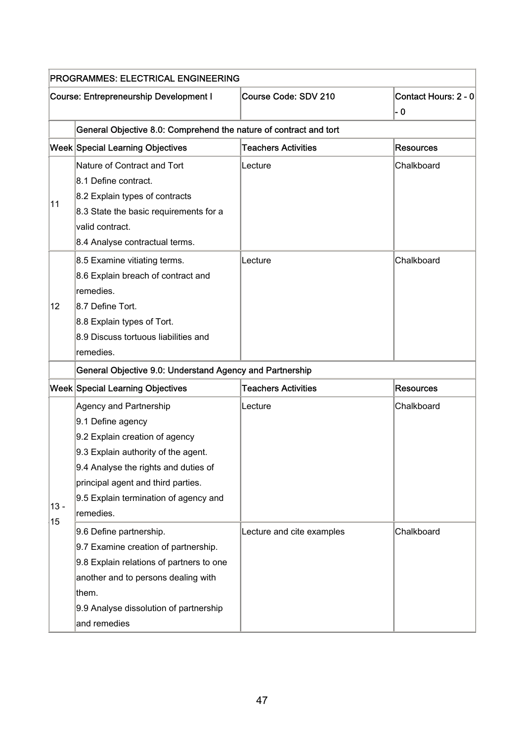| PROGRAMMES: ELECTRICAL ENGINEERING |                                                                                                                                                                                                                                                          |                            |                             |
|------------------------------------|----------------------------------------------------------------------------------------------------------------------------------------------------------------------------------------------------------------------------------------------------------|----------------------------|-----------------------------|
|                                    | <b>Course: Entrepreneurship Development I</b>                                                                                                                                                                                                            | Course Code: SDV 210       | Contact Hours: 2 - 0<br>- 0 |
|                                    | General Objective 8.0: Comprehend the nature of contract and tort                                                                                                                                                                                        |                            |                             |
|                                    | Week Special Learning Objectives                                                                                                                                                                                                                         | <b>Teachers Activities</b> | <b>Resources</b>            |
| 11                                 | Nature of Contract and Tort<br>8.1 Define contract.<br>8.2 Explain types of contracts<br>8.3 State the basic requirements for a<br>valid contract.<br>8.4 Analyse contractual terms.                                                                     | Lecture                    | Chalkboard                  |
| 12 <sub>2</sub>                    | 8.5 Examine vitiating terms.<br>8.6 Explain breach of contract and<br>remedies.<br>8.7 Define Tort.<br>8.8 Explain types of Tort.<br>8.9 Discuss tortuous liabilities and<br>remedies.                                                                   | Lecture                    | Chalkboard                  |
|                                    | General Objective 9.0: Understand Agency and Partnership                                                                                                                                                                                                 |                            |                             |
|                                    | Week Special Learning Objectives                                                                                                                                                                                                                         | <b>Teachers Activities</b> | <b>Resources</b>            |
| $13 -$                             | Agency and Partnership<br>9.1 Define agency<br>9.2 Explain creation of agency<br>9.3 Explain authority of the agent.<br>9.4 Analyse the rights and duties of<br>principal agent and third parties.<br>9.5 Explain termination of agency and<br>remedies. | Lecture                    | Chalkboard                  |
| 15                                 | 9.6 Define partnership.<br>9.7 Examine creation of partnership.<br>9.8 Explain relations of partners to one<br>another and to persons dealing with<br>them.<br>9.9 Analyse dissolution of partnership<br>and remedies                                    | Lecture and cite examples  | Chalkboard                  |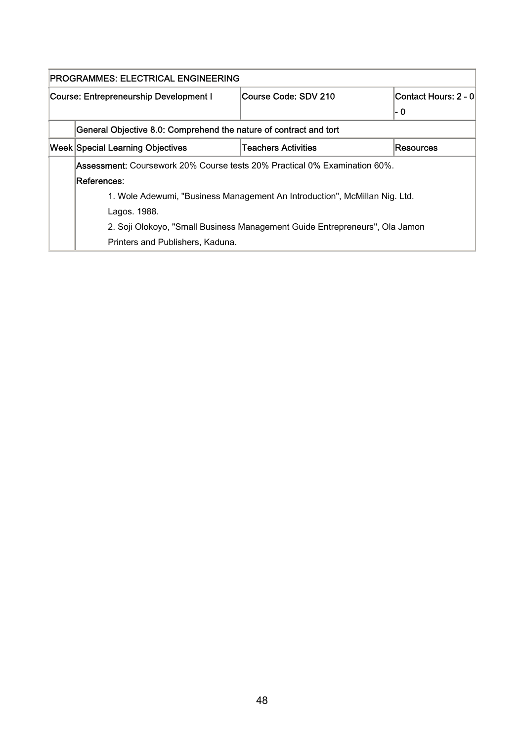|                                         | PROGRAMMES: ELECTRICAL ENGINEERING                                                                         |  |     |  |  |
|-----------------------------------------|------------------------------------------------------------------------------------------------------------|--|-----|--|--|
|                                         | Contact Hours: 2 - 0<br>Course Code: SDV 210<br>Course: Entrepreneurship Development I                     |  |     |  |  |
|                                         |                                                                                                            |  | - 0 |  |  |
|                                         | General Objective 8.0: Comprehend the nature of contract and tort                                          |  |     |  |  |
| <b>Week Special Learning Objectives</b> | Resources                                                                                                  |  |     |  |  |
|                                         | Assessment: Coursework 20% Course tests 20% Practical 0% Examination 60%.                                  |  |     |  |  |
|                                         | lReferences:<br>1. Wole Adewumi, "Business Management An Introduction", McMillan Nig. Ltd.<br>Lagos. 1988. |  |     |  |  |
|                                         |                                                                                                            |  |     |  |  |
|                                         |                                                                                                            |  |     |  |  |
|                                         | 2. Soji Olokoyo, "Small Business Management Guide Entrepreneurs", Ola Jamon                                |  |     |  |  |
|                                         | Printers and Publishers, Kaduna.                                                                           |  |     |  |  |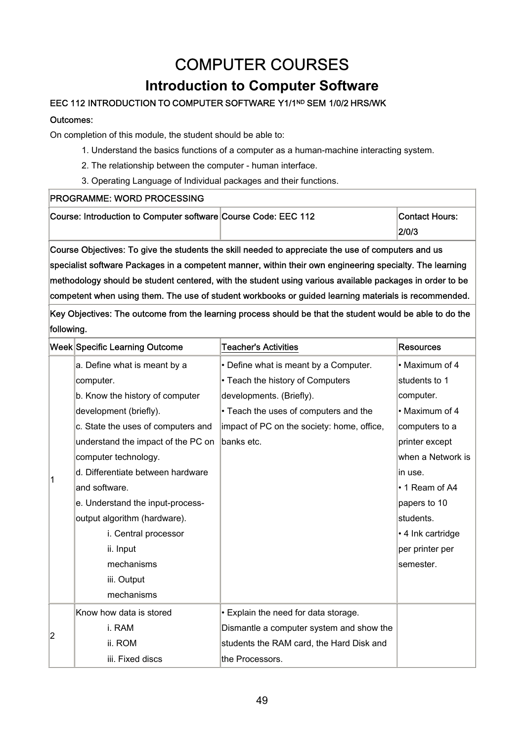# COMPUTER COURSES

## **Introduction to Computer Software**

### EEC 112 INTRODUCTION TO COMPUTER SOFTWARE Y1/1<sup>ND</sup> SEM 1/0/2 HRS/WK

### Outcomes:

On completion of this module, the student should be able to:

- 1. Understand the basics functions of a computer as a human-machine interacting system.
- 2. The relationship between the computer human interface.
- 3. Operating Language of Individual packages and their functions.

### PROGRAMME: WORD PROCESSING

| Course: Introduction to Computer software Course Code: EEC 112 | <b>Contact Hours:</b> |
|----------------------------------------------------------------|-----------------------|
|                                                                | 2/0/3                 |

Course Objectives: To give the students the skill needed to appreciate the use of computers and us specialist software Packages in a competent manner, within their own engineering specialty. The learning methodology should be student centered, with the student using various available packages in order to be competent when using them. The use of student workbooks or guided learning materials is recommended.

|                | <b>Week Specific Learning Outcome</b> | <b>Teacher's Activities</b>                | <b>Resources</b>  |
|----------------|---------------------------------------|--------------------------------------------|-------------------|
|                | a. Define what is meant by a          | • Define what is meant by a Computer.      | • Maximum of 4    |
|                | computer.                             | • Teach the history of Computers           | students to 1     |
|                | b. Know the history of computer       | developments. (Briefly).                   | computer.         |
|                | development (briefly).                | • Teach the uses of computers and the      | • Maximum of 4    |
|                | c. State the uses of computers and    | impact of PC on the society: home, office, | computers to a    |
|                | understand the impact of the PC on    | banks etc.                                 | printer except    |
|                | computer technology.                  |                                            | when a Network is |
|                | d. Differentiate between hardware     |                                            | in use.           |
|                | and software.                         |                                            | • 1 Ream of A4    |
|                | e. Understand the input-process-      |                                            | papers to 10      |
|                | output algorithm (hardware).          |                                            | students.         |
|                | i. Central processor                  |                                            | • 4 Ink cartridge |
|                | ii. Input                             |                                            | per printer per   |
|                | mechanisms                            |                                            | semester.         |
|                | iii. Output                           |                                            |                   |
|                | mechanisms                            |                                            |                   |
|                | Know how data is stored               | • Explain the need for data storage.       |                   |
|                | i. RAM                                | Dismantle a computer system and show the   |                   |
| $\overline{2}$ | ii. ROM                               | students the RAM card, the Hard Disk and   |                   |
|                | iii. Fixed discs                      | the Processors.                            |                   |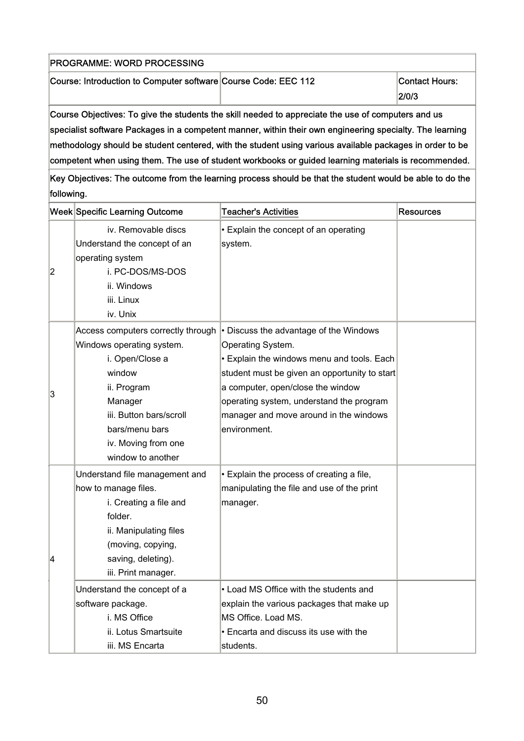| <b>PROGRAMME: WORD PROCESSING</b>                                                                            |  |                          |
|--------------------------------------------------------------------------------------------------------------|--|--------------------------|
| Course: Introduction to Computer software Course Code: EEC 112                                               |  | Contact Hours:<br> 2/0/3 |
| $C_{\alpha}$ uno Objectivos: Te sive the ctudente the cliff needed to conseciete the use of computere and us |  |                          |

Course Objectives: To give the students the skill needed to appreciate the use of computers and us  $|$ specialist software Packages in a competent manner, within their own engineering specialty. The learning methodology should be student centered, with the student using various available packages in order to be competent when using them. The use of student workbooks or guided learning materials is recommended.

|                | <b>Week Specific Learning Outcome</b> | <b>Teacher's Activities</b>                   | <b>Resources</b> |
|----------------|---------------------------------------|-----------------------------------------------|------------------|
|                | iv. Removable discs                   | • Explain the concept of an operating         |                  |
|                | Understand the concept of an          | system.                                       |                  |
|                | operating system                      |                                               |                  |
| $\overline{2}$ | i. PC-DOS/MS-DOS                      |                                               |                  |
|                | ii. Windows                           |                                               |                  |
|                | iii. Linux                            |                                               |                  |
|                | iv. Unix                              |                                               |                  |
|                | Access computers correctly through    | • Discuss the advantage of the Windows        |                  |
|                | Windows operating system.             | Operating System.                             |                  |
|                | i. Open/Close a                       | • Explain the windows menu and tools. Each    |                  |
|                | window                                | student must be given an opportunity to start |                  |
| 3              | ii. Program                           | a computer, open/close the window             |                  |
|                | Manager                               | operating system, understand the program      |                  |
|                | iii. Button bars/scroll               | manager and move around in the windows        |                  |
|                | bars/menu bars                        | environment.                                  |                  |
|                | iv. Moving from one                   |                                               |                  |
|                | window to another                     |                                               |                  |
|                | Understand file management and        | • Explain the process of creating a file,     |                  |
|                | how to manage files.                  | manipulating the file and use of the print    |                  |
|                | i. Creating a file and                | manager.                                      |                  |
|                | folder.                               |                                               |                  |
|                | ii. Manipulating files                |                                               |                  |
|                | (moving, copying,                     |                                               |                  |
| 4              | saving, deleting).                    |                                               |                  |
|                | iii. Print manager.                   |                                               |                  |
|                | Understand the concept of a           | • Load MS Office with the students and        |                  |
|                | software package.                     | explain the various packages that make up     |                  |
|                | i. MS Office                          | MS Office. Load MS.                           |                  |
|                | ii. Lotus Smartsuite                  | • Encarta and discuss its use with the        |                  |
|                | iii. MS Encarta                       | students.                                     |                  |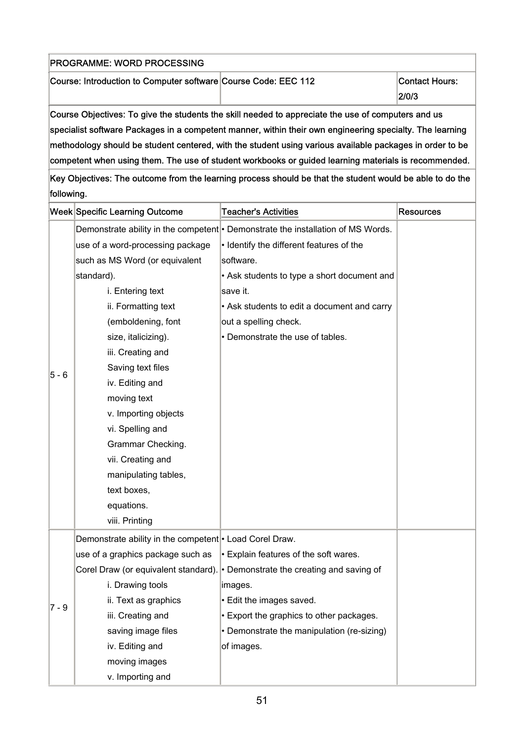| <b>PROGRAMME: WORD PROCESSING</b>                                                                  |  |                          |
|----------------------------------------------------------------------------------------------------|--|--------------------------|
| Course: Introduction to Computer software Course Code: EEC 112                                     |  | Contact Hours:<br> 2/0/3 |
| Course Objectives: To give the students the skill needed to appreciate the use of computers and us |  |                          |

Course Objectives: To give the students the skill needed to appreciate the use of computers and us specialist software Packages in a competent manner, within their own engineering specialty. The learning methodology should be student centered, with the student using various available packages in order to be competent when using them. The use of student workbooks or guided learning materials is recommended.

|         | <b>Week Specific Learning Outcome</b>                                | <b>Teacher's Activities</b>                                                      | <b>Resources</b> |
|---------|----------------------------------------------------------------------|----------------------------------------------------------------------------------|------------------|
|         |                                                                      | Demonstrate ability in the competent   Demonstrate the installation of MS Words. |                  |
|         | use of a word-processing package                                     | • Identify the different features of the                                         |                  |
|         | such as MS Word (or equivalent                                       | software.                                                                        |                  |
|         | standard).                                                           | • Ask students to type a short document and                                      |                  |
|         | i. Entering text                                                     | save it.                                                                         |                  |
|         | ii. Formatting text                                                  | • Ask students to edit a document and carry                                      |                  |
|         | (emboldening, font                                                   | out a spelling check.                                                            |                  |
|         | size, italicizing).                                                  | • Demonstrate the use of tables.                                                 |                  |
|         | iii. Creating and                                                    |                                                                                  |                  |
| $5 - 6$ | Saving text files                                                    |                                                                                  |                  |
|         | iv. Editing and                                                      |                                                                                  |                  |
|         | moving text                                                          |                                                                                  |                  |
|         | v. Importing objects                                                 |                                                                                  |                  |
|         | vi. Spelling and                                                     |                                                                                  |                  |
|         | Grammar Checking.                                                    |                                                                                  |                  |
|         | vii. Creating and                                                    |                                                                                  |                  |
|         | manipulating tables,                                                 |                                                                                  |                  |
|         | text boxes,                                                          |                                                                                  |                  |
|         | equations.                                                           |                                                                                  |                  |
|         | viii. Printing                                                       |                                                                                  |                  |
|         | Demonstrate ability in the competent <sup> </sup> • Load Corel Draw. |                                                                                  |                  |
|         | use of a graphics package such as                                    | $\cdot$ Explain features of the soft wares.                                      |                  |
|         |                                                                      | Corel Draw (or equivalent standard). • Demonstrate the creating and saving of    |                  |
|         | i. Drawing tools                                                     | images.                                                                          |                  |
| $7 - 9$ | ii. Text as graphics                                                 | • Edit the images saved.                                                         |                  |
|         | iii. Creating and                                                    | • Export the graphics to other packages.                                         |                  |
|         | saving image files                                                   | • Demonstrate the manipulation (re-sizing)                                       |                  |
|         | iv. Editing and                                                      | of images.                                                                       |                  |
|         | moving images                                                        |                                                                                  |                  |
|         | v. Importing and                                                     |                                                                                  |                  |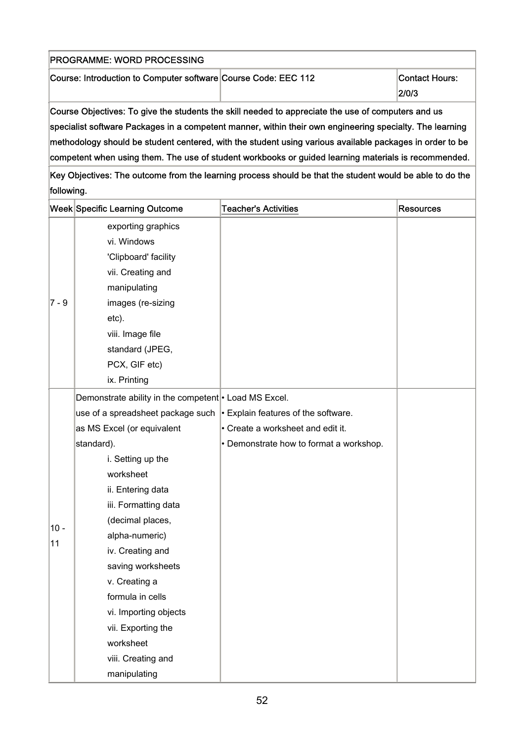| <b>PROGRAMME: WORD PROCESSING</b>                              |  |                          |
|----------------------------------------------------------------|--|--------------------------|
| Course: Introduction to Computer software Course Code: EEC 112 |  | Contact Hours:<br> 2/0/3 |
|                                                                |  |                          |

Course Objectives: To give the students the skill needed to appreciate the use of computers and us specialist software Packages in a competent manner, within their own engineering specialty. The learning methodology should be student centered, with the student using various available packages in order to be competent when using them. The use of student workbooks or guided learning materials is recommended.

|         | <b>Week Specific Learning Outcome</b>                                       | <b>Teacher's Activities</b>             | <b>Resources</b> |
|---------|-----------------------------------------------------------------------------|-----------------------------------------|------------------|
|         | exporting graphics                                                          |                                         |                  |
|         | vi. Windows                                                                 |                                         |                  |
|         | 'Clipboard' facility                                                        |                                         |                  |
|         | vii. Creating and                                                           |                                         |                  |
|         | manipulating                                                                |                                         |                  |
| $7 - 9$ | images (re-sizing                                                           |                                         |                  |
|         | etc).                                                                       |                                         |                  |
|         | viii. Image file                                                            |                                         |                  |
|         | standard (JPEG,                                                             |                                         |                  |
|         | PCX, GIF etc)                                                               |                                         |                  |
|         | ix. Printing                                                                |                                         |                  |
|         | Demonstrate ability in the competent • Load MS Excel.                       |                                         |                  |
|         | use of a spreadsheet package such $\cdot$ Explain features of the software. |                                         |                  |
|         | as MS Excel (or equivalent                                                  | • Create a worksheet and edit it.       |                  |
|         | standard).                                                                  | • Demonstrate how to format a workshop. |                  |
|         | i. Setting up the                                                           |                                         |                  |
|         | worksheet                                                                   |                                         |                  |
|         | ii. Entering data                                                           |                                         |                  |
|         | iii. Formatting data                                                        |                                         |                  |
| $10 -$  | (decimal places,                                                            |                                         |                  |
| 11      | alpha-numeric)                                                              |                                         |                  |
|         | iv. Creating and                                                            |                                         |                  |
|         | saving worksheets                                                           |                                         |                  |
|         | v. Creating a                                                               |                                         |                  |
|         | formula in cells                                                            |                                         |                  |
|         | vi. Importing objects                                                       |                                         |                  |
|         | vii. Exporting the                                                          |                                         |                  |
|         | worksheet                                                                   |                                         |                  |
|         | viii. Creating and                                                          |                                         |                  |
|         | manipulating                                                                |                                         |                  |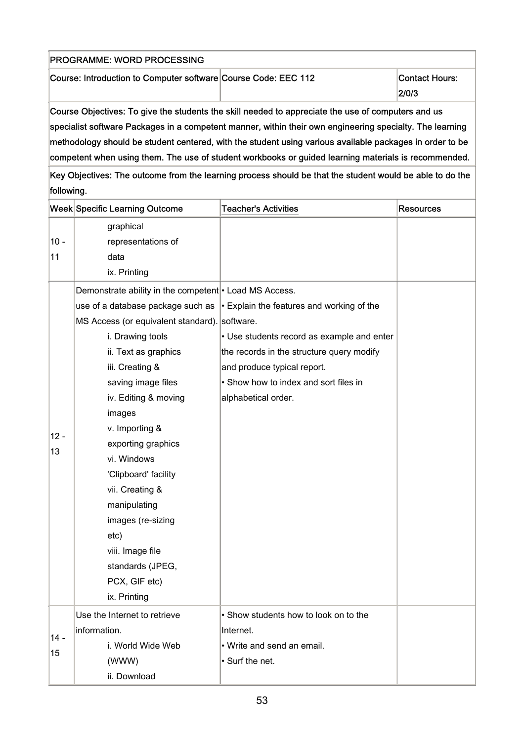| <b>PROGRAMME: WORD PROCESSING</b>                              |                                |
|----------------------------------------------------------------|--------------------------------|
| Course: Introduction to Computer software Course Code: EEC 112 | <b>Contact Hours:</b><br>2/0/3 |
|                                                                |                                |

Course Objectives: To give the students the skill needed to appreciate the use of computers and us specialist software Packages in a competent manner, within their own engineering specialty. The learning methodology should be student centered, with the student using various available packages in order to be competent when using them. The use of student workbooks or guided learning materials is recommended.

|        | <b>Week Specific Learning Outcome</b>                  | <b>Teacher's Activities</b>                                                       | <b>Resources</b> |
|--------|--------------------------------------------------------|-----------------------------------------------------------------------------------|------------------|
|        | graphical                                              |                                                                                   |                  |
| $10 -$ | representations of                                     |                                                                                   |                  |
| 11     | data                                                   |                                                                                   |                  |
|        | ix. Printing                                           |                                                                                   |                  |
|        | Demonstrate ability in the competent • Load MS Access. |                                                                                   |                  |
|        |                                                        | use of a database package such as $\cdot$ Explain the features and working of the |                  |
|        | MS Access (or equivalent standard). software.          |                                                                                   |                  |
|        | i. Drawing tools                                       | • Use students record as example and enter                                        |                  |
|        | ii. Text as graphics                                   | the records in the structure query modify                                         |                  |
|        | iii. Creating &                                        | and produce typical report.                                                       |                  |
|        | saving image files                                     | • Show how to index and sort files in                                             |                  |
|        | iv. Editing & moving                                   | alphabetical order.                                                               |                  |
|        | images                                                 |                                                                                   |                  |
| $12 -$ | v. Importing &                                         |                                                                                   |                  |
| 13     | exporting graphics                                     |                                                                                   |                  |
|        | vi. Windows                                            |                                                                                   |                  |
|        | 'Clipboard' facility                                   |                                                                                   |                  |
|        | vii. Creating &                                        |                                                                                   |                  |
|        | manipulating                                           |                                                                                   |                  |
|        | images (re-sizing                                      |                                                                                   |                  |
|        | etc)                                                   |                                                                                   |                  |
|        | viii. Image file                                       |                                                                                   |                  |
|        | standards (JPEG,                                       |                                                                                   |                  |
|        | PCX, GIF etc)                                          |                                                                                   |                  |
|        | ix. Printing                                           |                                                                                   |                  |
|        | Use the Internet to retrieve                           | • Show students how to look on to the                                             |                  |
| $14 -$ | information.                                           | Internet.                                                                         |                  |
|        | i. World Wide Web                                      | • Write and send an email.                                                        |                  |
| 15     | (WWW)                                                  | Surf the net.                                                                     |                  |
|        | ii. Download                                           |                                                                                   |                  |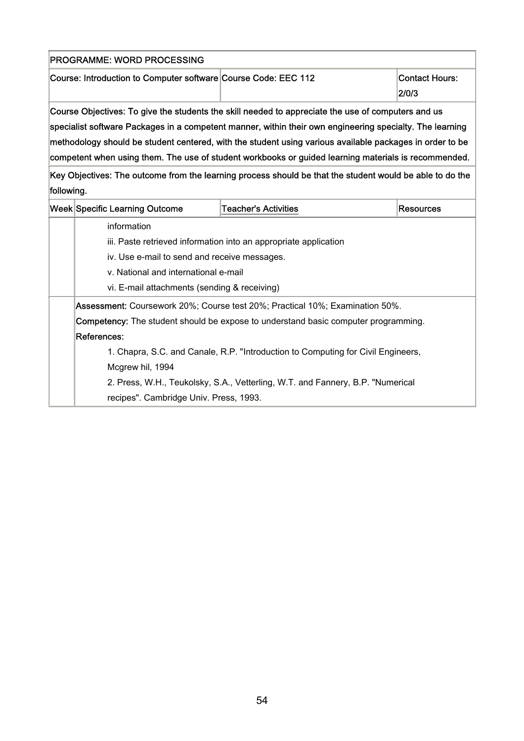| PROGRAMME: WORD PROCESSING                                     |                                                                                                          |                                |  |  |
|----------------------------------------------------------------|----------------------------------------------------------------------------------------------------------|--------------------------------|--|--|
| Course: Introduction to Computer software Course Code: EEC 112 |                                                                                                          | <b>Contact Hours:</b><br>2/0/3 |  |  |
|                                                                | Course Objectives: To give the students the skill needed to appreciate the use of computers and us       |                                |  |  |
|                                                                | specialist software Packages in a competent manner, within their own engineering specialty. The learning |                                |  |  |
|                                                                | methodology should be student centered, with the student using various available packages in order to be |                                |  |  |
|                                                                | competent when using them. The use of student workbooks or guided learning materials is recommended.     |                                |  |  |
|                                                                | Key Objectives: The outcome from the learning process should be that the student would be able to do the |                                |  |  |
| following.                                                     |                                                                                                          |                                |  |  |
| Week Specific Learning Outcome                                 | <b>Teacher's Activities</b>                                                                              | <b>Resources</b>               |  |  |
| information                                                    |                                                                                                          |                                |  |  |
|                                                                | iii. Paste retrieved information into an appropriate application                                         |                                |  |  |
|                                                                | iv. Use e-mail to send and receive messages.                                                             |                                |  |  |
| v. National and international e-mail                           |                                                                                                          |                                |  |  |
| vi. E-mail attachments (sending & receiving)                   |                                                                                                          |                                |  |  |
|                                                                | Assessment: Coursework 20%; Course test 20%; Practical 10%; Examination 50%.                             |                                |  |  |
|                                                                | Competency: The student should be expose to understand basic computer programming.                       |                                |  |  |
| References:                                                    |                                                                                                          |                                |  |  |
|                                                                | 1. Chapra, S.C. and Canale, R.P. "Introduction to Computing for Civil Engineers,                         |                                |  |  |
| Mcgrew hil, 1994                                               |                                                                                                          |                                |  |  |
|                                                                | 2. Press, W.H., Teukolsky, S.A., Vetterling, W.T. and Fannery, B.P. "Numerical                           |                                |  |  |
| recipes". Cambridge Univ. Press, 1993.                         |                                                                                                          |                                |  |  |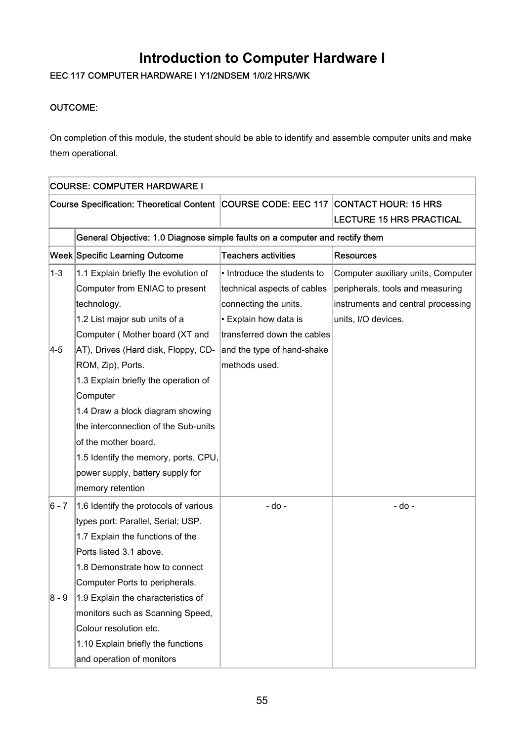## **Introduction to Computer Hardware I**

## EEC 117 COMPUTER HARDWARE I Y1/2NDSEM 1/0/2 HRS/WK

### OUTCOME:

On completion of this module, the student should be able to identify and assemble computer units and make them operational.

|         | <b>COURSE: COMPUTER HARDWARE I</b>                                                  |                             |                                    |  |
|---------|-------------------------------------------------------------------------------------|-----------------------------|------------------------------------|--|
|         | Course Specification: Theoretical Content COURSE CODE: EEC 117 CONTACT HOUR: 15 HRS |                             |                                    |  |
|         |                                                                                     |                             | <b>LECTURE 15 HRS PRACTICAL</b>    |  |
|         | General Objective: 1.0 Diagnose simple faults on a computer and rectify them        |                             |                                    |  |
|         | <b>Week Specific Learning Outcome</b>                                               | <b>Teachers activities</b>  | <b>Resources</b>                   |  |
| $1 - 3$ | 1.1 Explain briefly the evolution of                                                | • Introduce the students to | Computer auxiliary units, Computer |  |
|         | Computer from ENIAC to present                                                      | technical aspects of cables | peripherals, tools and measuring   |  |
|         | technology.                                                                         | connecting the units.       | instruments and central processing |  |
|         | 1.2 List major sub units of a                                                       | • Explain how data is       | units, I/O devices.                |  |
|         | Computer (Mother board (XT and                                                      | transferred down the cables |                                    |  |
| $ 4-5 $ | AT), Drives (Hard disk, Floppy, CD-                                                 | and the type of hand-shake  |                                    |  |
|         | ROM, Zip), Ports.                                                                   | methods used.               |                                    |  |
|         | 1.3 Explain briefly the operation of                                                |                             |                                    |  |
|         | Computer                                                                            |                             |                                    |  |
|         | 1.4 Draw a block diagram showing                                                    |                             |                                    |  |
|         | the interconnection of the Sub-units                                                |                             |                                    |  |
|         | of the mother board.                                                                |                             |                                    |  |
|         | 1.5 Identify the memory, ports, CPU,                                                |                             |                                    |  |
|         | power supply, battery supply for                                                    |                             |                                    |  |
|         | memory retention                                                                    |                             |                                    |  |
| $6 - 7$ | 1.6 Identify the protocols of various                                               | - do -                      | - do -                             |  |
|         | types port: Parallel, Serial; USP.                                                  |                             |                                    |  |
|         | 1.7 Explain the functions of the                                                    |                             |                                    |  |
|         | Ports listed 3.1 above.                                                             |                             |                                    |  |
|         | 1.8 Demonstrate how to connect                                                      |                             |                                    |  |
|         | Computer Ports to peripherals.                                                      |                             |                                    |  |
| 8 - 9   | 1.9 Explain the characteristics of                                                  |                             |                                    |  |
|         | monitors such as Scanning Speed,                                                    |                             |                                    |  |
|         | Colour resolution etc.                                                              |                             |                                    |  |
|         | 1.10 Explain briefly the functions                                                  |                             |                                    |  |
|         | and operation of monitors                                                           |                             |                                    |  |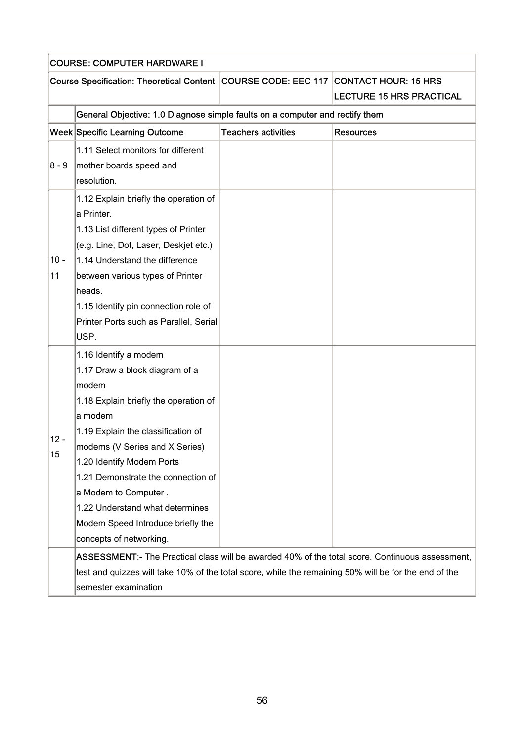|              | <b>COURSE: COMPUTER HARDWARE I</b>                                                                                                                                                                                                                           |                            |                                 |  |  |
|--------------|--------------------------------------------------------------------------------------------------------------------------------------------------------------------------------------------------------------------------------------------------------------|----------------------------|---------------------------------|--|--|
|              | Course Specification: Theoretical Content COURSE CODE: EEC 117 CONTACT HOUR: 15 HRS                                                                                                                                                                          |                            |                                 |  |  |
|              |                                                                                                                                                                                                                                                              |                            | <b>LECTURE 15 HRS PRACTICAL</b> |  |  |
|              | General Objective: 1.0 Diagnose simple faults on a computer and rectify them                                                                                                                                                                                 |                            |                                 |  |  |
|              | <b>Week Specific Learning Outcome</b>                                                                                                                                                                                                                        | <b>Teachers activities</b> | <b>Resources</b>                |  |  |
| $8 - 9$      | 1.11 Select monitors for different<br>mother boards speed and                                                                                                                                                                                                |                            |                                 |  |  |
|              | resolution.                                                                                                                                                                                                                                                  |                            |                                 |  |  |
| $10 -$<br>11 | 1.12 Explain briefly the operation of<br>a Printer.<br>1.13 List different types of Printer<br>(e.g. Line, Dot, Laser, Deskjet etc.)<br>1.14 Understand the difference<br>between various types of Printer<br>heads.<br>1.15 Identify pin connection role of |                            |                                 |  |  |
|              | Printer Ports such as Parallel, Serial<br>USP.<br>1.16 Identify a modem                                                                                                                                                                                      |                            |                                 |  |  |
| $12 -$       | 1.17 Draw a block diagram of a<br>modem<br>1.18 Explain briefly the operation of<br>a modem<br>1.19 Explain the classification of<br>modems (V Series and X Series)                                                                                          |                            |                                 |  |  |
| 15           | 1.20 Identify Modem Ports<br>1.21 Demonstrate the connection of<br>a Modem to Computer.<br>1.22 Understand what determines<br>Modem Speed Introduce briefly the<br>concepts of networking.                                                                   |                            |                                 |  |  |
|              | ASSESSMENT:- The Practical class will be awarded 40% of the total score. Continuous assessment,<br>test and quizzes will take 10% of the total score, while the remaining 50% will be for the end of the<br>semester examination                             |                            |                                 |  |  |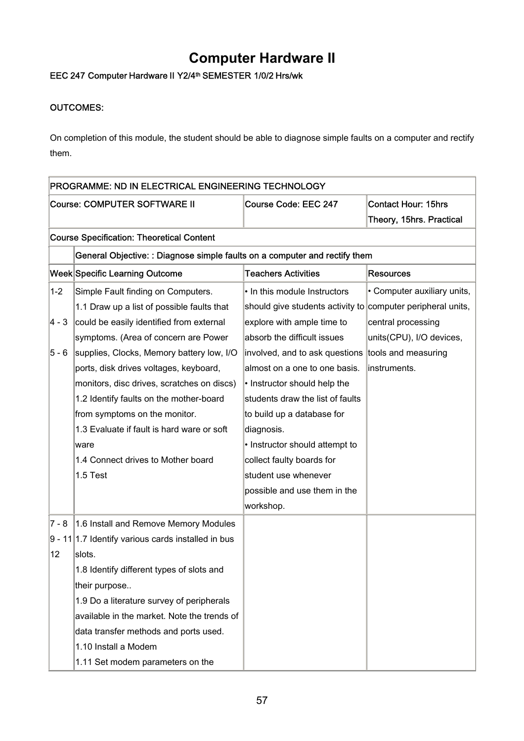## **Computer Hardware II**

## EEC 247 Computer Hardware II Y2/4<sup>th</sup> SEMESTER 1/0/2 Hrs/wk

### OUTCOMES:

On completion of this module, the student should be able to diagnose simple faults on a computer and rectify them.

|         | PROGRAMME: ND IN ELECTRICAL ENGINEERING TECHNOLOGY                         |                                                             |                             |
|---------|----------------------------------------------------------------------------|-------------------------------------------------------------|-----------------------------|
|         | Course: COMPUTER SOFTWARE II                                               | Course Code: EEC 247                                        | <b>Contact Hour: 15hrs</b>  |
|         |                                                                            |                                                             | Theory, 15hrs. Practical    |
|         | <b>Course Specification: Theoretical Content</b>                           |                                                             |                             |
|         | General Objective: : Diagnose simple faults on a computer and rectify them |                                                             |                             |
|         | <b>Week Specific Learning Outcome</b>                                      | <b>Teachers Activities</b>                                  | <b>Resources</b>            |
| $1 - 2$ | Simple Fault finding on Computers.                                         | • In this module Instructors                                | • Computer auxiliary units, |
|         | 1.1 Draw up a list of possible faults that                                 | should give students activity to computer peripheral units, |                             |
| 4 - 3   | could be easily identified from external                                   | explore with ample time to                                  | central processing          |
|         | symptoms. (Area of concern are Power                                       | absorb the difficult issues                                 | units(CPU), I/O devices,    |
| 5 - 6   | supplies, Clocks, Memory battery low, I/O                                  | involved, and to ask questions                              | tools and measuring         |
|         | ports, disk drives voltages, keyboard,                                     | almost on a one to one basis.                               | instruments.                |
|         | monitors, disc drives, scratches on discs)                                 | • Instructor should help the                                |                             |
|         | 1.2 Identify faults on the mother-board                                    | students draw the list of faults                            |                             |
|         | from symptoms on the monitor.                                              | to build up a database for                                  |                             |
|         | 1.3 Evaluate if fault is hard ware or soft                                 | diagnosis.                                                  |                             |
|         | ware                                                                       | • Instructor should attempt to                              |                             |
|         | 1.4 Connect drives to Mother board                                         | collect faulty boards for                                   |                             |
|         | 1.5 Test                                                                   | student use whenever                                        |                             |
|         |                                                                            | possible and use them in the                                |                             |
|         |                                                                            | workshop.                                                   |                             |
| $7 - 8$ | 1.6 Install and Remove Memory Modules                                      |                                                             |                             |
|         | $9 - 11$ 1.7 Identify various cards installed in bus                       |                                                             |                             |
| 12      | slots.                                                                     |                                                             |                             |
|         | 1.8 Identify different types of slots and                                  |                                                             |                             |
|         | their purpose                                                              |                                                             |                             |
|         | 1.9 Do a literature survey of peripherals                                  |                                                             |                             |
|         | available in the market. Note the trends of                                |                                                             |                             |
|         | data transfer methods and ports used.                                      |                                                             |                             |
|         | 1.10 Install a Modem                                                       |                                                             |                             |
|         | 1.11 Set modem parameters on the                                           |                                                             |                             |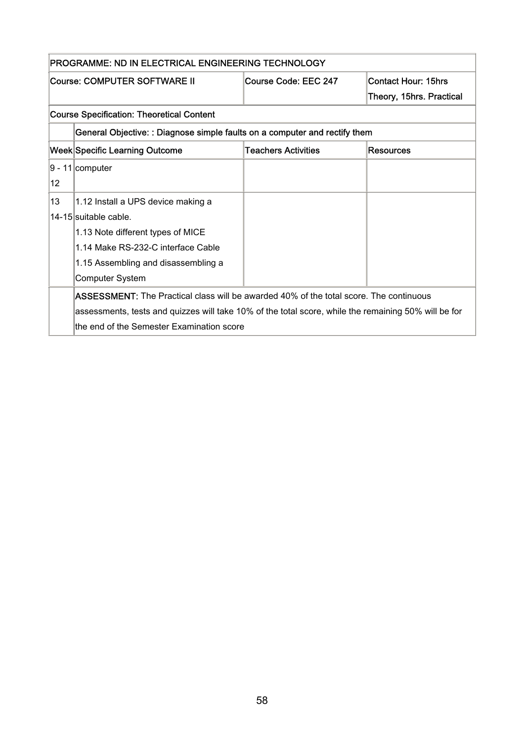|    | PROGRAMME: ND IN ELECTRICAL ENGINEERING TECHNOLOGY                                                   |                            |                            |
|----|------------------------------------------------------------------------------------------------------|----------------------------|----------------------------|
|    | <b>Course: COMPUTER SOFTWARE II</b>                                                                  | Course Code: EEC 247       | <b>Contact Hour: 15hrs</b> |
|    |                                                                                                      |                            | Theory, 15hrs. Practical   |
|    | <b>Course Specification: Theoretical Content</b>                                                     |                            |                            |
|    | General Objective: : Diagnose simple faults on a computer and rectify them                           |                            |                            |
|    | <b>Week Specific Learning Outcome</b>                                                                | <b>Teachers Activities</b> | Resources                  |
|    | $ 9 - 11 $ computer                                                                                  |                            |                            |
| 12 |                                                                                                      |                            |                            |
| 13 | 1.12 Install a UPS device making a                                                                   |                            |                            |
|    | 14-15 suitable cable.                                                                                |                            |                            |
|    | 1.13 Note different types of MICE                                                                    |                            |                            |
|    | 1.14 Make RS-232-C interface Cable                                                                   |                            |                            |
|    | 1.15 Assembling and disassembling a                                                                  |                            |                            |
|    | Computer System                                                                                      |                            |                            |
|    | <b>ASSESSMENT:</b> The Practical class will be awarded 40% of the total score. The continuous        |                            |                            |
|    | assessments, tests and quizzes will take 10% of the total score, while the remaining 50% will be for |                            |                            |
|    | the end of the Semester Examination score                                                            |                            |                            |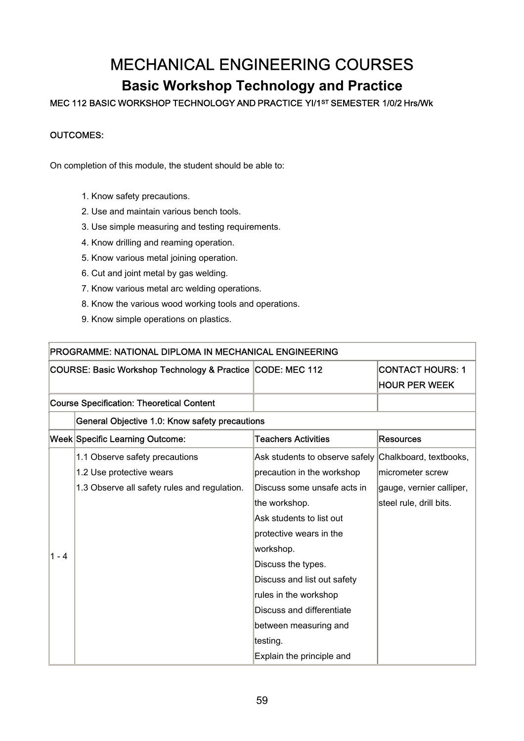## MECHANICAL ENGINEERING COURSES

## **Basic Workshop Technology and Practice**

### MEC 112 BASIC WORKSHOP TECHNOLOGY AND PRACTICE YI/1ST SEMESTER 1/0/2 Hrs/Wk

#### OUTCOMES:

On completion of this module, the student should be able to:

- 1. Know safety precautions.
- 2. Use and maintain various bench tools.
- 3. Use simple measuring and testing requirements.
- 4. Know drilling and reaming operation.
- 5. Know various metal joining operation.
- 6. Cut and joint metal by gas welding.
- 7. Know various metal arc welding operations.
- 8. Know the various wood working tools and operations.
- 9. Know simple operations on plastics.

|         | <b>PROGRAMME: NATIONAL DIPLOMA IN MECHANICAL ENGINEERING</b> |                                |                          |
|---------|--------------------------------------------------------------|--------------------------------|--------------------------|
|         | COURSE: Basic Workshop Technology & Practice CODE: MEC 112   |                                | <b>CONTACT HOURS: 1</b>  |
|         |                                                              |                                | <b>HOUR PER WEEK</b>     |
|         | <b>Course Specification: Theoretical Content</b>             |                                |                          |
|         | General Objective 1.0: Know safety precautions               |                                |                          |
|         | Week Specific Learning Outcome:                              | <b>Teachers Activities</b>     | Resources                |
|         | 1.1 Observe safety precautions                               | Ask students to observe safely | Chalkboard, textbooks,   |
|         | 1.2 Use protective wears                                     | precaution in the workshop     | micrometer screw         |
|         | 1.3 Observe all safety rules and regulation.                 | Discuss some unsafe acts in    | gauge, vernier calliper, |
|         |                                                              | the workshop.                  | steel rule, drill bits.  |
|         |                                                              | Ask students to list out       |                          |
|         |                                                              | protective wears in the        |                          |
| $1 - 4$ |                                                              | workshop.                      |                          |
|         |                                                              | Discuss the types.             |                          |
|         |                                                              | Discuss and list out safety    |                          |
|         |                                                              | rules in the workshop          |                          |
|         |                                                              | Discuss and differentiate      |                          |
|         |                                                              | between measuring and          |                          |
|         |                                                              | testing.                       |                          |
|         |                                                              | Explain the principle and      |                          |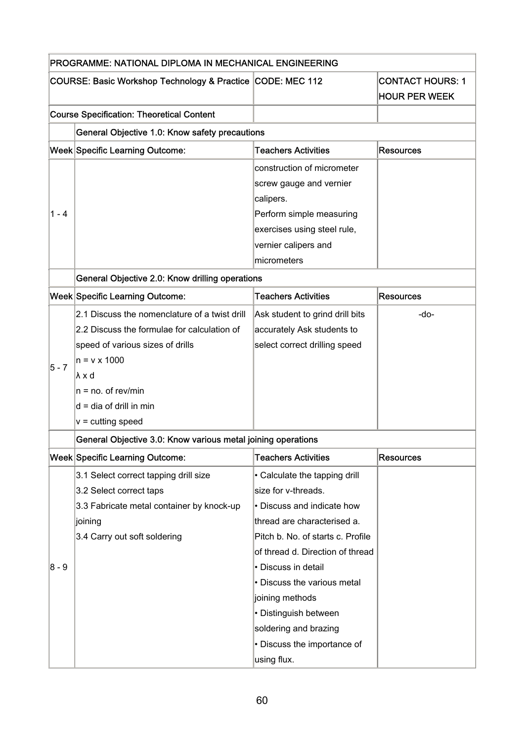|         | PROGRAMME: NATIONAL DIPLOMA IN MECHANICAL ENGINEERING                                                                                                                                                                |                                                                                                                                                                                                                                                                                                                                                                     |                                                 |
|---------|----------------------------------------------------------------------------------------------------------------------------------------------------------------------------------------------------------------------|---------------------------------------------------------------------------------------------------------------------------------------------------------------------------------------------------------------------------------------------------------------------------------------------------------------------------------------------------------------------|-------------------------------------------------|
|         | COURSE: Basic Workshop Technology & Practice CODE: MEC 112                                                                                                                                                           |                                                                                                                                                                                                                                                                                                                                                                     | <b>CONTACT HOURS: 1</b><br><b>HOUR PER WEEK</b> |
|         | <b>Course Specification: Theoretical Content</b>                                                                                                                                                                     |                                                                                                                                                                                                                                                                                                                                                                     |                                                 |
|         | General Objective 1.0: Know safety precautions                                                                                                                                                                       |                                                                                                                                                                                                                                                                                                                                                                     |                                                 |
|         | Week Specific Learning Outcome:                                                                                                                                                                                      | <b>Teachers Activities</b>                                                                                                                                                                                                                                                                                                                                          | <b>Resources</b>                                |
| $1 - 4$ |                                                                                                                                                                                                                      | construction of micrometer<br>screw gauge and vernier<br>calipers.<br>Perform simple measuring<br>exercises using steel rule,<br>vernier calipers and                                                                                                                                                                                                               |                                                 |
|         |                                                                                                                                                                                                                      | micrometers                                                                                                                                                                                                                                                                                                                                                         |                                                 |
|         | General Objective 2.0: Know drilling operations                                                                                                                                                                      |                                                                                                                                                                                                                                                                                                                                                                     |                                                 |
|         | <b>Week Specific Learning Outcome:</b>                                                                                                                                                                               | <b>Teachers Activities</b>                                                                                                                                                                                                                                                                                                                                          | <b>Resources</b>                                |
| $5 - 7$ | 2.1 Discuss the nomenclature of a twist drill<br>2.2 Discuss the formulae for calculation of<br>speed of various sizes of drills<br>$n = v \times 1000$<br>λxd<br>$n = no$ . of rev/min<br>$d = dia of drill in min$ | Ask student to grind drill bits<br>accurately Ask students to<br>select correct drilling speed                                                                                                                                                                                                                                                                      | -do-                                            |
|         | $v =$ cutting speed                                                                                                                                                                                                  |                                                                                                                                                                                                                                                                                                                                                                     |                                                 |
|         | General Objective 3.0: Know various metal joining operations                                                                                                                                                         |                                                                                                                                                                                                                                                                                                                                                                     |                                                 |
|         | Week Specific Learning Outcome:                                                                                                                                                                                      | <b>Teachers Activities</b>                                                                                                                                                                                                                                                                                                                                          | <b>Resources</b>                                |
| 8 - 9   | 3.1 Select correct tapping drill size<br>3.2 Select correct taps<br>3.3 Fabricate metal container by knock-up<br>joining<br>3.4 Carry out soft soldering                                                             | • Calculate the tapping drill<br>size for v-threads.<br>• Discuss and indicate how<br>thread are characterised a.<br>Pitch b. No. of starts c. Profile<br>of thread d. Direction of thread<br>• Discuss in detail<br>• Discuss the various metal<br>joining methods<br>• Distinguish between<br>soldering and brazing<br>• Discuss the importance of<br>using flux. |                                                 |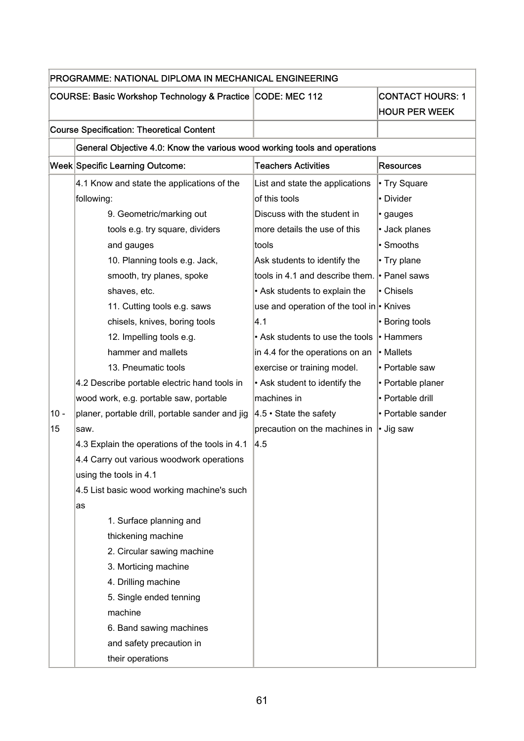|        | PROGRAMME: NATIONAL DIPLOMA IN MECHANICAL ENGINEERING                     |                                           |                                                 |
|--------|---------------------------------------------------------------------------|-------------------------------------------|-------------------------------------------------|
|        | COURSE: Basic Workshop Technology & Practice CODE: MEC 112                |                                           | <b>CONTACT HOURS: 1</b><br><b>HOUR PER WEEK</b> |
|        | <b>Course Specification: Theoretical Content</b>                          |                                           |                                                 |
|        | General Objective 4.0: Know the various wood working tools and operations |                                           |                                                 |
|        | Week Specific Learning Outcome:                                           | <b>Teachers Activities</b>                | <b>Resources</b>                                |
|        | 4.1 Know and state the applications of the                                | List and state the applications           | • Try Square                                    |
|        | following:                                                                | of this tools                             | • Divider                                       |
|        | 9. Geometric/marking out                                                  | Discuss with the student in               | · gauges                                        |
|        | tools e.g. try square, dividers                                           | more details the use of this              | • Jack planes                                   |
|        | and gauges                                                                | tools                                     | • Smooths                                       |
|        | 10. Planning tools e.g. Jack,                                             | Ask students to identify the              | • Try plane                                     |
|        | smooth, try planes, spoke                                                 | tools in 4.1 and describe them.           | • Panel saws                                    |
|        | shaves, etc.                                                              | • Ask students to explain the             | • Chisels                                       |
|        | 11. Cutting tools e.g. saws                                               | use and operation of the tool in • Knives |                                                 |
|        | chisels, knives, boring tools                                             | 4.1                                       | • Boring tools                                  |
|        | 12. Impelling tools e.g.                                                  | • Ask students to use the tools           | • Hammers                                       |
|        | hammer and mallets                                                        | in 4.4 for the operations on an           | • Mallets                                       |
|        | 13. Pneumatic tools                                                       | exercise or training model.               | • Portable saw                                  |
|        | 4.2 Describe portable electric hand tools in                              | • Ask student to identify the             | • Portable planer                               |
|        | wood work, e.g. portable saw, portable                                    | machines in                               | • Portable drill                                |
| $10 -$ | planer, portable drill, portable sander and jig                           | $ 4.5 \cdot \text{State}$ the safety      | • Portable sander                               |
| 15     | saw.                                                                      | precaution on the machines in             | • Jig saw                                       |
|        | 4.3 Explain the operations of the tools in 4.1                            | 4.5                                       |                                                 |
|        | 4.4 Carry out various woodwork operations                                 |                                           |                                                 |
|        | using the tools in 4.1                                                    |                                           |                                                 |
|        | 4.5 List basic wood working machine's such                                |                                           |                                                 |
|        | as                                                                        |                                           |                                                 |
|        | 1. Surface planning and                                                   |                                           |                                                 |
|        | thickening machine                                                        |                                           |                                                 |
|        | 2. Circular sawing machine                                                |                                           |                                                 |
|        | 3. Morticing machine                                                      |                                           |                                                 |
|        | 4. Drilling machine                                                       |                                           |                                                 |
|        | 5. Single ended tenning                                                   |                                           |                                                 |
|        | machine                                                                   |                                           |                                                 |
|        | 6. Band sawing machines                                                   |                                           |                                                 |
|        | and safety precaution in                                                  |                                           |                                                 |
|        | their operations                                                          |                                           |                                                 |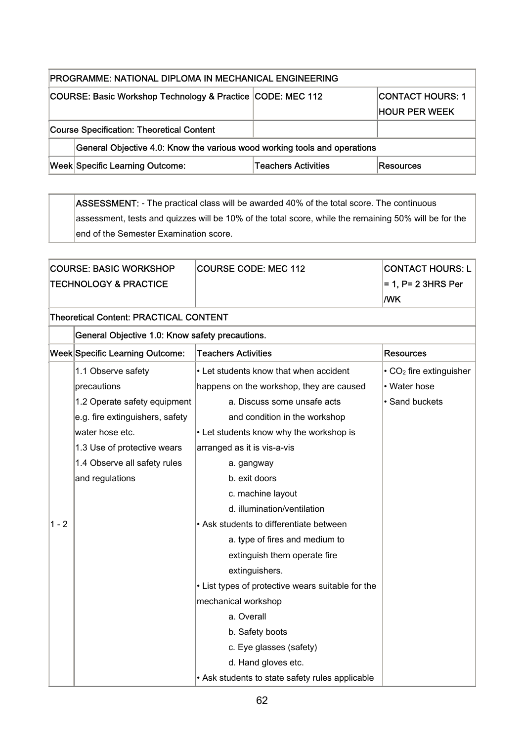| PROGRAMME: NATIONAL DIPLOMA IN MECHANICAL ENGINEERING      |                                                                           |                     |                      |
|------------------------------------------------------------|---------------------------------------------------------------------------|---------------------|----------------------|
| COURSE: Basic Workshop Technology & Practice CODE: MEC 112 |                                                                           |                     | ICONTACT HOURS: 1    |
|                                                            |                                                                           |                     | <b>HOUR PER WEEK</b> |
|                                                            | <b>Course Specification: Theoretical Content</b>                          |                     |                      |
|                                                            | General Objective 4.0: Know the various wood working tools and operations |                     |                      |
|                                                            | <b>Week Specific Learning Outcome:</b>                                    | Teachers Activities | <b>Resources</b>     |

ASSESSMENT: - The practical class will be awarded 40% of the total score. The continuous assessment, tests and quizzes will be 10% of the total score, while the remaining 50% will be for the end of the Semester Examination score.

|                                               | <b>COURSE: BASIC WORKSHOP</b>                   | <b>COURSE CODE: MEC 112</b>                       | <b>CONTACT HOURS: L</b>                   |
|-----------------------------------------------|-------------------------------------------------|---------------------------------------------------|-------------------------------------------|
|                                               | <b>TECHNOLOGY &amp; PRACTICE</b>                |                                                   | = 1, P= 2 3HRS Per                        |
|                                               |                                                 |                                                   | <b>MK</b>                                 |
| <b>Theoretical Content: PRACTICAL CONTENT</b> |                                                 |                                                   |                                           |
|                                               | General Objective 1.0: Know safety precautions. |                                                   |                                           |
|                                               | <b>Week Specific Learning Outcome:</b>          | <b>Teachers Activities</b>                        | <b>Resources</b>                          |
|                                               | 1.1 Observe safety                              | • Let students know that when accident            | $\cdot$ CO <sub>2</sub> fire extinguisher |
|                                               | precautions                                     | happens on the workshop, they are caused          | • Water hose                              |
|                                               | 1.2 Operate safety equipment                    | a. Discuss some unsafe acts                       | · Sand buckets                            |
|                                               | e.g. fire extinguishers, safety                 | and condition in the workshop                     |                                           |
|                                               | water hose etc.                                 | • Let students know why the workshop is           |                                           |
|                                               | 1.3 Use of protective wears                     | arranged as it is vis-a-vis                       |                                           |
|                                               | 1.4 Observe all safety rules                    | a. gangway                                        |                                           |
|                                               | and regulations                                 | b. exit doors                                     |                                           |
|                                               |                                                 | c. machine layout                                 |                                           |
|                                               |                                                 | d. illumination/ventilation                       |                                           |
| $1 - 2$                                       |                                                 | • Ask students to differentiate between           |                                           |
|                                               |                                                 | a. type of fires and medium to                    |                                           |
|                                               |                                                 | extinguish them operate fire                      |                                           |
|                                               |                                                 | extinguishers.                                    |                                           |
|                                               |                                                 | • List types of protective wears suitable for the |                                           |
|                                               |                                                 | mechanical workshop                               |                                           |
|                                               |                                                 | a. Overall                                        |                                           |
|                                               |                                                 | b. Safety boots                                   |                                           |
|                                               |                                                 | c. Eye glasses (safety)                           |                                           |
|                                               |                                                 | d. Hand gloves etc.                               |                                           |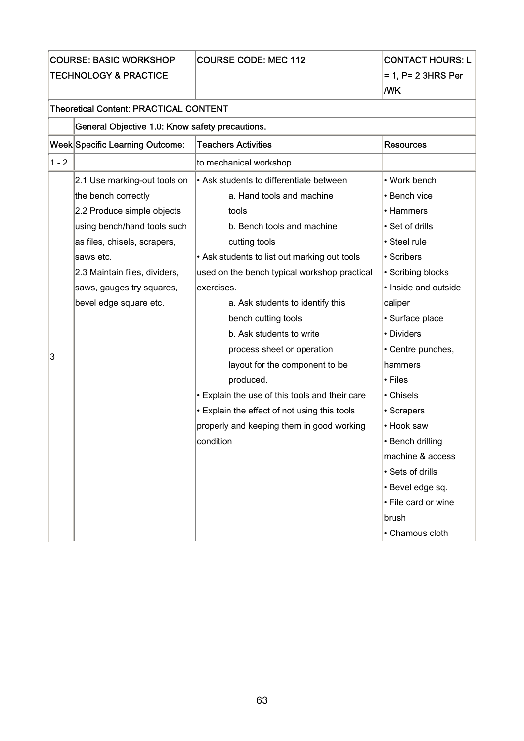COURSE: BASIC WORKSHOP TECHNOLOGY & PRACTICE

## COURSE CODE: MEC 112 CONTACT HOURS: L

 $= 1$ , P= 2 3HRS Per

|       |                                                 |                                                | <b>MK</b>            |
|-------|-------------------------------------------------|------------------------------------------------|----------------------|
|       | <b>Theoretical Content: PRACTICAL CONTENT</b>   |                                                |                      |
|       | General Objective 1.0: Know safety precautions. |                                                |                      |
|       | Week Specific Learning Outcome:                 | <b>Teachers Activities</b>                     | <b>Resources</b>     |
| 1 - 2 |                                                 | to mechanical workshop                         |                      |
|       | 2.1 Use marking-out tools on                    | • Ask students to differentiate between        | • Work bench         |
|       | the bench correctly                             | a. Hand tools and machine                      | • Bench vice         |
|       | 2.2 Produce simple objects                      | tools                                          | • Hammers            |
|       | using bench/hand tools such                     | b. Bench tools and machine                     | • Set of drills      |
|       | as files, chisels, scrapers,                    | cutting tools                                  | • Steel rule         |
|       | saws etc.                                       | • Ask students to list out marking out tools   | • Scribers           |
|       | 2.3 Maintain files, dividers,                   | used on the bench typical workshop practical   | • Scribing blocks    |
|       | saws, gauges try squares,                       | exercises.                                     | • Inside and outside |
|       | bevel edge square etc.                          | a. Ask students to identify this               | caliper              |
|       |                                                 | bench cutting tools                            | · Surface place      |
|       |                                                 | b. Ask students to write                       | • Dividers           |
|       |                                                 | process sheet or operation                     | • Centre punches,    |
| 3     |                                                 | layout for the component to be                 | hammers              |
|       |                                                 | produced.                                      | • Files              |
|       |                                                 | • Explain the use of this tools and their care | • Chisels            |
|       |                                                 | • Explain the effect of not using this tools   | • Scrapers           |
|       |                                                 | properly and keeping them in good working      | • Hook saw           |
|       |                                                 | condition                                      | • Bench drilling     |
|       |                                                 |                                                | machine & access     |
|       |                                                 |                                                | • Sets of drills     |
|       |                                                 |                                                | · Bevel edge sq.     |
|       |                                                 |                                                | • File card or wine  |
|       |                                                 |                                                | brush                |
|       |                                                 |                                                | • Chamous cloth      |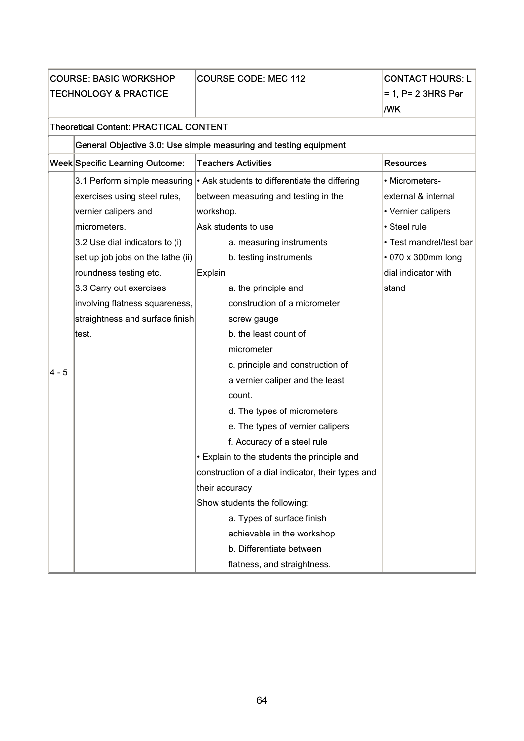|                                               | <b>COURSE: BASIC WORKSHOP</b><br><b>TECHNOLOGY &amp; PRACTICE</b> | <b>COURSE CODE: MEC 112</b>                                       | <b>CONTACT HOURS: L</b><br>$= 1$ , P= 2 3HRS Per<br><b>MK</b> |
|-----------------------------------------------|-------------------------------------------------------------------|-------------------------------------------------------------------|---------------------------------------------------------------|
| <b>Theoretical Content: PRACTICAL CONTENT</b> |                                                                   |                                                                   |                                                               |
|                                               |                                                                   | General Objective 3.0: Use simple measuring and testing equipment |                                                               |
|                                               | Week Specific Learning Outcome:                                   | <b>Teachers Activities</b>                                        | <b>Resources</b>                                              |
|                                               | 3.1 Perform simple measuring                                      | $\cdot$ Ask students to differentiate the differing               | • Micrometers-                                                |
|                                               | exercises using steel rules,                                      | between measuring and testing in the                              | external & internal                                           |
|                                               | vernier calipers and                                              | workshop.                                                         | • Vernier calipers                                            |
|                                               | micrometers.                                                      | Ask students to use                                               | · Steel rule                                                  |
|                                               | 3.2 Use dial indicators to (i)                                    | a. measuring instruments                                          | • Test mandrel/test bar                                       |
|                                               | set up job jobs on the lathe (ii)                                 | b. testing instruments                                            | • 070 x 300mm long                                            |
|                                               | roundness testing etc.                                            | Explain                                                           | dial indicator with                                           |
|                                               | 3.3 Carry out exercises                                           | a. the principle and                                              | stand                                                         |
|                                               | involving flatness squareness,                                    | construction of a micrometer                                      |                                                               |
|                                               | straightness and surface finish                                   | screw gauge                                                       |                                                               |
|                                               | ∣test.                                                            | b. the least count of                                             |                                                               |
|                                               |                                                                   | micrometer                                                        |                                                               |
| 4 - 5                                         |                                                                   | c. principle and construction of                                  |                                                               |
|                                               |                                                                   | a vernier caliper and the least                                   |                                                               |
|                                               |                                                                   | count.                                                            |                                                               |
|                                               |                                                                   | d. The types of micrometers                                       |                                                               |
|                                               |                                                                   | e. The types of vernier calipers                                  |                                                               |
|                                               |                                                                   | f. Accuracy of a steel rule                                       |                                                               |
|                                               |                                                                   | Explain to the students the principle and                         |                                                               |
|                                               |                                                                   | construction of a dial indicator, their types and                 |                                                               |
|                                               |                                                                   | their accuracy                                                    |                                                               |
|                                               |                                                                   | Show students the following:                                      |                                                               |
|                                               |                                                                   | a. Types of surface finish                                        |                                                               |
|                                               |                                                                   | achievable in the workshop                                        |                                                               |
|                                               |                                                                   | b. Differentiate between                                          |                                                               |
|                                               |                                                                   | flatness, and straightness.                                       |                                                               |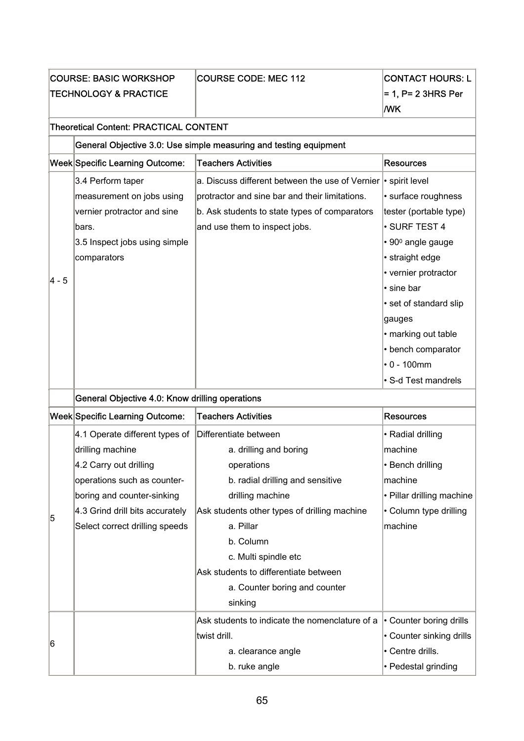| <b>COURSE: BASIC WORKSHOP</b><br><b>TECHNOLOGY &amp; PRACTICE</b> |                                                                                                                                                                                                                | <b>COURSE CODE: MEC 112</b>                                                                                                                                                                                                                                                                                  | <b>CONTACT HOURS: L</b><br>$= 1$ , P= 2 3HRS Per<br><b>MK</b>                                                                                                                                                                                                   |
|-------------------------------------------------------------------|----------------------------------------------------------------------------------------------------------------------------------------------------------------------------------------------------------------|--------------------------------------------------------------------------------------------------------------------------------------------------------------------------------------------------------------------------------------------------------------------------------------------------------------|-----------------------------------------------------------------------------------------------------------------------------------------------------------------------------------------------------------------------------------------------------------------|
|                                                                   | <b>Theoretical Content: PRACTICAL CONTENT</b>                                                                                                                                                                  |                                                                                                                                                                                                                                                                                                              |                                                                                                                                                                                                                                                                 |
|                                                                   |                                                                                                                                                                                                                | General Objective 3.0: Use simple measuring and testing equipment                                                                                                                                                                                                                                            |                                                                                                                                                                                                                                                                 |
|                                                                   | Week Specific Learning Outcome:                                                                                                                                                                                | <b>Teachers Activities</b>                                                                                                                                                                                                                                                                                   | <b>Resources</b>                                                                                                                                                                                                                                                |
| 4 - 5                                                             | 3.4 Perform taper<br>measurement on jobs using<br>vernier protractor and sine<br>bars.<br>3.5 Inspect jobs using simple<br>comparators                                                                         | a. Discuss different between the use of Vernier   · spirit level<br>protractor and sine bar and their limitations.<br>b. Ask students to state types of comparators<br>and use them to inspect jobs.                                                                                                         | · surface roughness<br>tester (portable type)<br>· SURF TEST 4<br>• 90 <sup>0</sup> angle gauge<br>• straight edge<br>• vernier protractor<br>• sine bar<br>• set of standard slip<br>gauges<br>• marking out table<br>• bench comparator<br>$\cdot 0 - 100$ mm |
|                                                                   | General Objective 4.0: Know drilling operations                                                                                                                                                                |                                                                                                                                                                                                                                                                                                              | • S-d Test mandrels                                                                                                                                                                                                                                             |
|                                                                   | Week Specific Learning Outcome:                                                                                                                                                                                | <b>Teachers Activities</b>                                                                                                                                                                                                                                                                                   | <b>Resources</b>                                                                                                                                                                                                                                                |
| 5                                                                 | 4.1 Operate different types of<br>drilling machine<br>4.2 Carry out drilling<br>operations such as counter-<br>boring and counter-sinking<br>4.3 Grind drill bits accurately<br>Select correct drilling speeds | Differentiate between<br>a. drilling and boring<br>operations<br>b. radial drilling and sensitive<br>drilling machine<br>Ask students other types of drilling machine<br>a. Pillar<br>b. Column<br>c. Multi spindle etc<br>Ask students to differentiate between<br>a. Counter boring and counter<br>sinking | • Radial drilling<br>machine<br>• Bench drilling<br>machine<br>• Pillar drilling machine<br>• Column type drilling<br>machine                                                                                                                                   |
| 6                                                                 |                                                                                                                                                                                                                | Ask students to indicate the nomenclature of a<br>twist drill.<br>a. clearance angle<br>b. ruke angle                                                                                                                                                                                                        | • Counter boring drills<br>• Counter sinking drills<br>• Centre drills.<br>• Pedestal grinding                                                                                                                                                                  |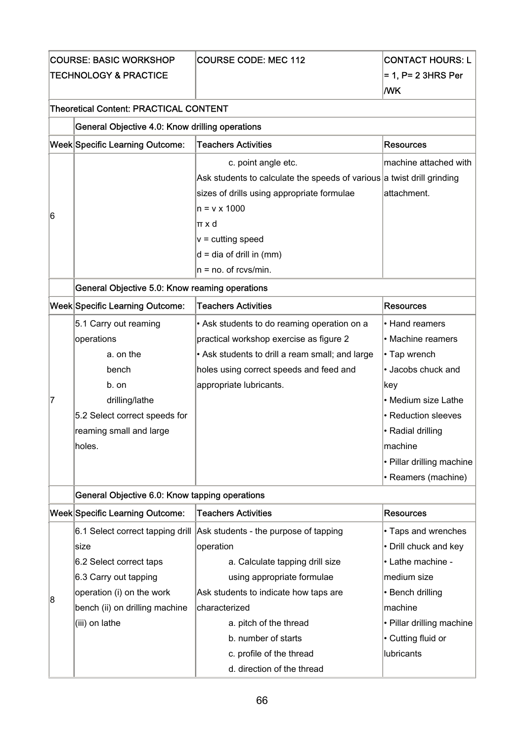| <b>COURSE: BASIC WORKSHOP</b> | <b>COURSE CODE: MEC 112</b> |
|-------------------------------|-----------------------------|
| TECHNOLOGY & PRACTICE         |                             |

## CONTACT HOURS: L  $= 1$ , P= 2 3HRS Per /WK

#### Theoretical Content: PRACTICAL CONTENT

|   | <b>Week Specific Learning Outcome:</b> | <b>Teachers Activities</b>                                             | Resources             |
|---|----------------------------------------|------------------------------------------------------------------------|-----------------------|
| 6 |                                        | c. point angle etc.                                                    | machine attached with |
|   |                                        | Ask students to calculate the speeds of various a twist drill grinding |                       |
|   |                                        | sizes of drills using appropriate formulae                             | attachment.           |
|   |                                        | ln = v x 1000                                                          |                       |
|   |                                        | lπ x d                                                                 |                       |
|   |                                        | $ v = c$ utting speed                                                  |                       |
|   |                                        | $d = dia of drill in (mm)$                                             |                       |
|   |                                        | $ n = no$ . of rcvs/min.                                               |                       |
|   |                                        |                                                                        |                       |

## General Objective 5.0: Know reaming operations

|   | <b>Week Specific Learning Outcome:</b> | <b>Teachers Activities</b>                      | Resources                 |
|---|----------------------------------------|-------------------------------------------------|---------------------------|
|   | 5.1 Carry out reaming                  | • Ask students to do reaming operation on a     | • Hand reamers            |
|   | operations                             | practical workshop exercise as figure 2         | • Machine reamers         |
|   | a, on the                              | • Ask students to drill a ream small; and large | • Tap wrench              |
|   | bench                                  | holes using correct speeds and feed and         | · Jacobs chuck and        |
|   | b. on                                  | appropriate lubricants.                         | ∣key                      |
| 7 | drilling/lathe                         |                                                 | • Medium size Lathe       |
|   | 5.2 Select correct speeds for          |                                                 | • Reduction sleeves       |
|   | reaming small and large                |                                                 | l• Radial drilling        |
|   | holes.                                 |                                                 | machine                   |
|   |                                        |                                                 | • Pillar drilling machine |
|   |                                        |                                                 | • Reamers (machine)       |

General Objective 6.0: Know tapping operations

|   | <b>Week Specific Learning Outcome:</b> | Teachers Activities                                                    | Resources                 |
|---|----------------------------------------|------------------------------------------------------------------------|---------------------------|
|   |                                        | 6.1 Select correct tapping drill Ask students - the purpose of tapping | • Taps and wrenches       |
|   | lsize                                  | operation                                                              | • Drill chuck and key     |
|   | 6.2 Select correct taps                | a. Calculate tapping drill size                                        | l• Lathe machine -        |
|   | 6.3 Carry out tapping                  | using appropriate formulae                                             | lmedium size              |
| 8 | operation (i) on the work              | Ask students to indicate how taps are                                  | • Bench drilling          |
|   | bench (ii) on drilling machine         | Icharacterized                                                         | machine                   |
|   | (iii) on lathe                         | a. pitch of the thread                                                 | • Pillar drilling machine |
|   |                                        | b. number of starts                                                    | $\cdot$ Cutting fluid or  |
|   |                                        | c. profile of the thread                                               | llubricants               |
|   |                                        | d. direction of the thread                                             |                           |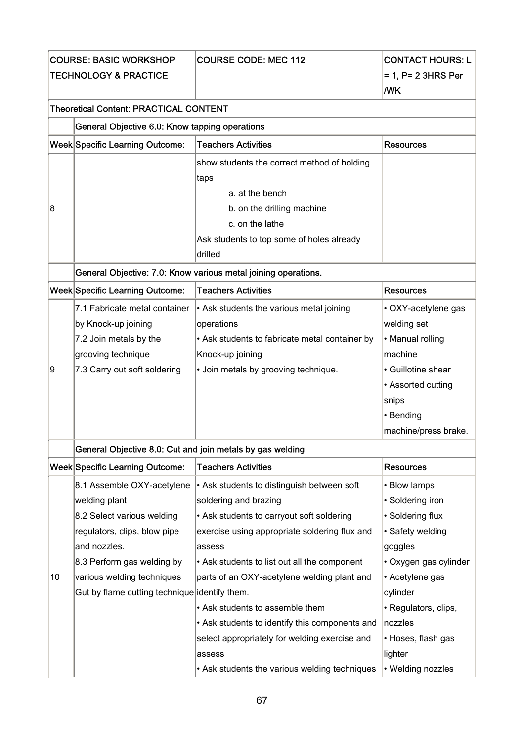COURSE: BASIC WORKSHOP TECHNOLOGY & PRACTICE

## COURSE CODE: MEC 112 CONTACT HOURS: L

 $= 1$ , P= 2 3HRS Per /WK

### Theoretical Content: PRACTICAL CONTENT

|   | General Objective 6.0: Know tapping operations                 |                                             |           |
|---|----------------------------------------------------------------|---------------------------------------------|-----------|
|   | Week Specific Learning Outcome:                                | <b>Teachers Activities</b>                  | Resources |
|   |                                                                | show students the correct method of holding |           |
|   |                                                                | ∣taps                                       |           |
|   |                                                                | a. at the bench                             |           |
| 8 |                                                                | b. on the drilling machine                  |           |
|   |                                                                | c. on the lathe                             |           |
|   |                                                                | Ask students to top some of holes already   |           |
|   |                                                                | ldrilled                                    |           |
|   | General Objective: 7.0: Know various metal joining operations. |                                             |           |
|   | Week Specific Learning Outcome:                                | <b>Teachers Activities</b>                  | Resources |

|    | <b>Treet opective Learning Outcome.</b> | ו ספטווסו א רוסווסט                            | n cauul uga          |
|----|-----------------------------------------|------------------------------------------------|----------------------|
|    | 7.1 Fabricate metal container           | • Ask students the various metal joining       | • OXY-acetylene gas  |
|    | by Knock-up joining                     | operations                                     | welding set          |
|    | 7.2 Join metals by the                  | • Ask students to fabricate metal container by | • Manual rolling     |
|    | grooving technique                      | Knock-up joining                               | machine              |
| 19 | 7.3 Carry out soft soldering            | • Join metals by grooving technique.           | • Guillotine shear   |
|    |                                         |                                                | • Assorted cutting   |
|    |                                         |                                                | snips                |
|    |                                         |                                                | $\cdot$ Bending      |
|    |                                         |                                                | machine/press brake. |

### General Objective 8.0: Cut and join metals by gas welding

|    | Week Specific Learning Outcome:               | Teachers Activities                            | Resources             |
|----|-----------------------------------------------|------------------------------------------------|-----------------------|
|    | 8.1 Assemble OXY-acetylene                    | • Ask students to distinguish between soft     | • Blow lamps          |
|    | welding plant                                 | soldering and brazing                          | • Soldering iron      |
|    | 8.2 Select various welding                    | • Ask students to carryout soft soldering      | • Soldering flux      |
|    | regulators, clips, blow pipe                  | exercise using appropriate soldering flux and  | • Safety welding      |
|    | and nozzles.                                  | assess                                         | goggles               |
|    | 8.3 Perform gas welding by                    | • Ask students to list out all the component   | • Oxygen gas cylinder |
| 10 | various welding techniques                    | parts of an OXY-acetylene welding plant and    | • Acetylene gas       |
|    | Gut by flame cutting technique identify them. |                                                | cylinder              |
|    |                                               | • Ask students to assemble them                | • Regulators, clips,  |
|    |                                               | • Ask students to identify this components and | nozzles               |
|    |                                               | select appropriately for welding exercise and  | • Hoses, flash gas    |
|    |                                               | assess                                         | lighter               |
|    |                                               | • Ask students the various welding techniques  | • Welding nozzles     |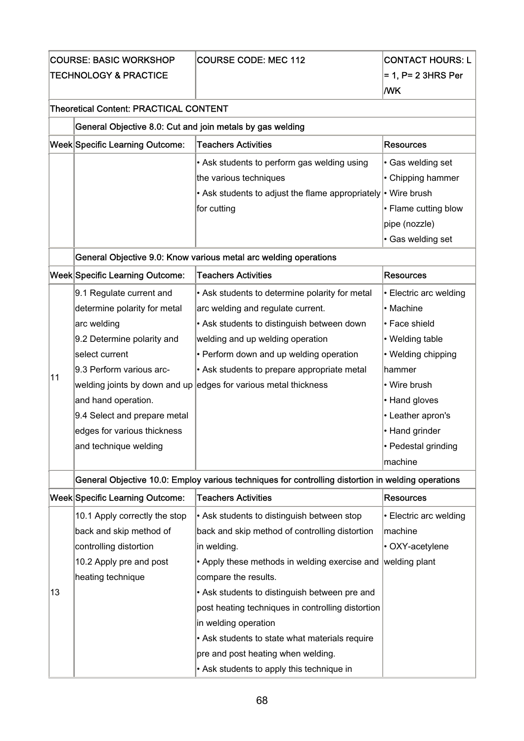| <b>ICOURSE: BASIC WORKSHOP</b>    | <b>COURSE CODE: MEC 112</b> |
|-----------------------------------|-----------------------------|
| <b>ITECHNOLOGY &amp; PRACTICE</b> |                             |

## CONTACT HOURS: L  $\mid$ = 1, P= 2 3HRS Per

#### /WK

| General Objective 8.0: Cut and join metals by gas welding |  |
|-----------------------------------------------------------|--|
|                                                           |  |

| Week Specific Learning Outcome: | <b>Teachers Activities</b>                                    | Resources                  |
|---------------------------------|---------------------------------------------------------------|----------------------------|
|                                 | $\cdot$ Ask students to perform gas welding using             | $\cdot$ Gas welding set    |
|                                 | the various techniques                                        | $\cdot$ Chipping hammer    |
|                                 | • Ask students to adjust the flame appropriately • Wire brush |                            |
|                                 | for cutting                                                   | $\cdot$ Flame cutting blow |
|                                 |                                                               | pipe (nozzle)              |
|                                 |                                                               | $\cdot$ Gas welding set    |

### General Objective 9.0: Know various metal arc welding operations

|    | <b>Week Specific Learning Outcome:</b> | <b>Teachers Activities</b>                                      | Resources                |
|----|----------------------------------------|-----------------------------------------------------------------|--------------------------|
|    | 9.1 Regulate current and               | • Ask students to determine polarity for metal                  | l• Electric arc welding  |
|    | determine polarity for metal           | arc welding and regulate current.                               | • Machine                |
|    | arc welding                            | • Ask students to distinguish between down                      | l• Face shield           |
|    | 9.2 Determine polarity and             | welding and up welding operation                                | • Welding table          |
|    | select current                         | • Perform down and up welding operation                         | $\cdot$ Welding chipping |
|    | 9.3 Perform various arc-               | • Ask students to prepare appropriate metal                     | lhammer                  |
| 11 |                                        | welding joints by down and up edges for various metal thickness | • Wire brush             |
|    | and hand operation.                    |                                                                 | • Hand gloves            |
|    | 9.4 Select and prepare metal           |                                                                 | • Leather apron's        |
|    | edges for various thickness            |                                                                 | l• Hand grinder          |
|    | and technique welding                  |                                                                 | • Pedestal grinding      |
|    |                                        |                                                                 | ∣machine                 |

### General Objective 10.0: Employ various techniques for controlling distortion in welding operations

|    | Week Specific Learning Outcome: | Teachers Activities                                         | Resources                     |
|----|---------------------------------|-------------------------------------------------------------|-------------------------------|
|    | 10.1 Apply correctly the stop   | • Ask students to distinguish between stop                  | $\vdash$ Electric arc welding |
|    | back and skip method of         | back and skip method of controlling distortion              | machine                       |
|    | controlling distortion          | in welding.                                                 | • OXY-acetylene               |
|    | 10.2 Apply pre and post         | • Apply these methods in welding exercise and welding plant |                               |
|    | heating technique               | compare the results.                                        |                               |
| 13 |                                 | • Ask students to distinguish between pre and               |                               |
|    |                                 | post heating techniques in controlling distortion           |                               |
|    |                                 | in welding operation                                        |                               |
|    |                                 | • Ask students to state what materials require              |                               |
|    |                                 | pre and post heating when welding.                          |                               |
|    |                                 | • Ask students to apply this technique in                   |                               |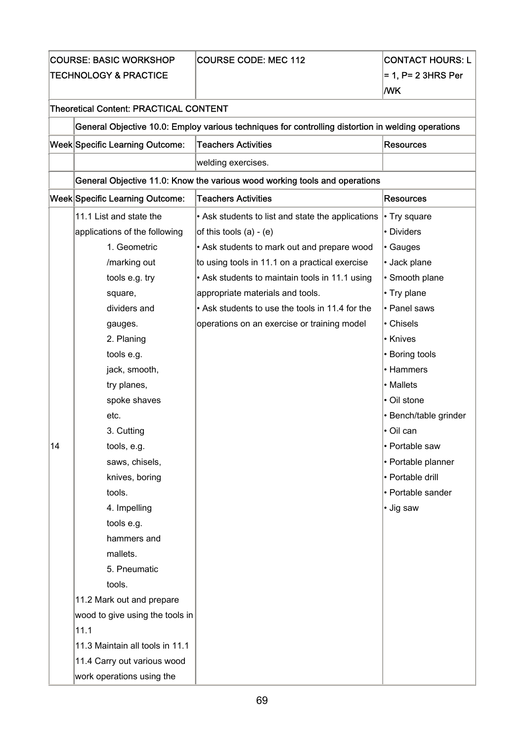|                                  | <b>COURSE: BASIC WORKSHOP</b>                                              | <b>COURSE CODE: MEC 112</b>                                                                        | <b>CONTACT HOURS: L</b> |  |
|----------------------------------|----------------------------------------------------------------------------|----------------------------------------------------------------------------------------------------|-------------------------|--|
| <b>TECHNOLOGY &amp; PRACTICE</b> |                                                                            |                                                                                                    | $= 1$ , P= 2 3HRS Per   |  |
|                                  |                                                                            |                                                                                                    | <b>MK</b>               |  |
|                                  | <b>Theoretical Content: PRACTICAL CONTENT</b>                              |                                                                                                    |                         |  |
|                                  |                                                                            | General Objective 10.0: Employ various techniques for controlling distortion in welding operations |                         |  |
|                                  | <b>Week Specific Learning Outcome:</b>                                     | <b>Teachers Activities</b>                                                                         | <b>Resources</b>        |  |
|                                  |                                                                            | welding exercises.                                                                                 |                         |  |
|                                  | General Objective 11.0: Know the various wood working tools and operations |                                                                                                    |                         |  |
|                                  | <b>Week Specific Learning Outcome:</b>                                     | <b>Teachers Activities</b>                                                                         | <b>Resources</b>        |  |
|                                  | 11.1 List and state the                                                    | • Ask students to list and state the applications                                                  | $\cdot$ Try square      |  |
|                                  | applications of the following                                              | of this tools $(a) - (e)$                                                                          | • Dividers              |  |
|                                  | 1. Geometric                                                               | • Ask students to mark out and prepare wood                                                        | Gauges                  |  |
|                                  | /marking out                                                               | to using tools in 11.1 on a practical exercise                                                     | · Jack plane            |  |
|                                  | tools e.g. try                                                             | • Ask students to maintain tools in 11.1 using                                                     | • Smooth plane          |  |
|                                  | square,                                                                    | appropriate materials and tools.                                                                   | • Try plane             |  |
|                                  | dividers and                                                               | • Ask students to use the tools in 11.4 for the                                                    | • Panel saws            |  |
|                                  | gauges.                                                                    | operations on an exercise or training model                                                        | • Chisels               |  |
|                                  | 2. Planing                                                                 |                                                                                                    | • Knives                |  |
|                                  | tools e.g.                                                                 |                                                                                                    | • Boring tools          |  |
|                                  | jack, smooth,                                                              |                                                                                                    | • Hammers               |  |
|                                  | try planes,                                                                |                                                                                                    | • Mallets               |  |
|                                  | spoke shaves                                                               |                                                                                                    | • Oil stone             |  |
|                                  | etc.                                                                       |                                                                                                    | • Bench/table grinder   |  |
|                                  | 3. Cutting                                                                 |                                                                                                    | l• Oil can              |  |
| 14                               | tools, e.g.                                                                |                                                                                                    | • Portable saw          |  |
|                                  | saws, chisels,                                                             |                                                                                                    | • Portable planner      |  |
|                                  | knives, boring                                                             |                                                                                                    | l• Portable drill       |  |
|                                  | tools.                                                                     |                                                                                                    | • Portable sander       |  |
|                                  | 4. Impelling                                                               |                                                                                                    | • Jig saw               |  |
|                                  | tools e.g.                                                                 |                                                                                                    |                         |  |
|                                  | hammers and                                                                |                                                                                                    |                         |  |
|                                  | mallets.                                                                   |                                                                                                    |                         |  |
|                                  | 5. Pneumatic                                                               |                                                                                                    |                         |  |
|                                  | tools.                                                                     |                                                                                                    |                         |  |
|                                  | 11.2 Mark out and prepare                                                  |                                                                                                    |                         |  |
|                                  | wood to give using the tools in                                            |                                                                                                    |                         |  |
|                                  | 11.1                                                                       |                                                                                                    |                         |  |
|                                  | 11.3 Maintain all tools in 11.1                                            |                                                                                                    |                         |  |
|                                  | 11.4 Carry out various wood                                                |                                                                                                    |                         |  |
|                                  | work operations using the                                                  |                                                                                                    |                         |  |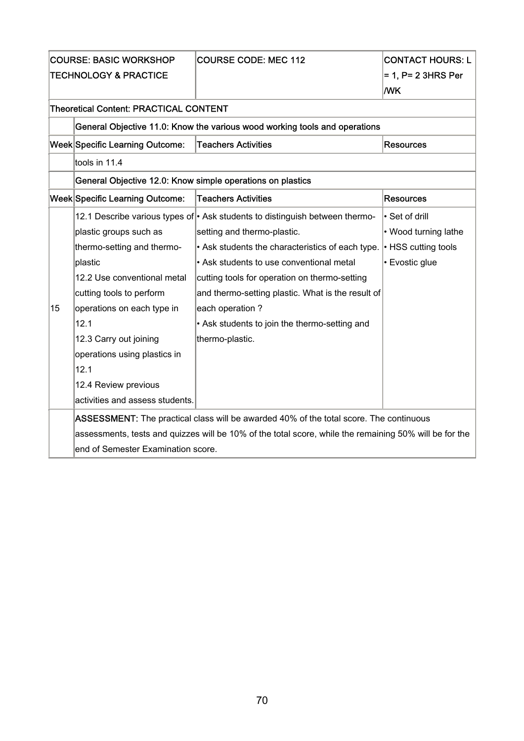| <b>COURSE: BASIC WORKSHOP</b>    |                                                            | <b>COURSE CODE: MEC 112</b>                                                                            | <b>CONTACT HOURS: L</b> |
|----------------------------------|------------------------------------------------------------|--------------------------------------------------------------------------------------------------------|-------------------------|
| <b>TECHNOLOGY &amp; PRACTICE</b> |                                                            |                                                                                                        | = 1, P= 2 3HRS Per      |
|                                  |                                                            |                                                                                                        | <b>MK</b>               |
|                                  | <b>Theoretical Content: PRACTICAL CONTENT</b>              |                                                                                                        |                         |
|                                  |                                                            | General Objective 11.0: Know the various wood working tools and operations                             |                         |
|                                  | Week Specific Learning Outcome:                            | <b>Teachers Activities</b>                                                                             | Resources               |
|                                  | tools in 11.4                                              |                                                                                                        |                         |
|                                  | General Objective 12.0: Know simple operations on plastics |                                                                                                        |                         |
|                                  | Week Specific Learning Outcome:                            | <b>Teachers Activities</b>                                                                             | <b>Resources</b>        |
|                                  |                                                            | 12.1 Describe various types of • Ask students to distinguish between thermo-                           | • Set of drill          |
|                                  | plastic groups such as                                     | setting and thermo-plastic.                                                                            | • Wood turning lathe    |
|                                  | thermo-setting and thermo-                                 | • Ask students the characteristics of each type.                                                       | • HSS cutting tools     |
|                                  | plastic                                                    | • Ask students to use conventional metal                                                               | • Evostic glue          |
|                                  | 12.2 Use conventional metal                                | cutting tools for operation on thermo-setting                                                          |                         |
|                                  | cutting tools to perform                                   | and thermo-setting plastic. What is the result of                                                      |                         |
| 15                               | operations on each type in                                 | each operation?                                                                                        |                         |
|                                  | 12.1                                                       | • Ask students to join the thermo-setting and                                                          |                         |
|                                  | 12.3 Carry out joining                                     | thermo-plastic.                                                                                        |                         |
|                                  | operations using plastics in                               |                                                                                                        |                         |
|                                  | 12.1                                                       |                                                                                                        |                         |
|                                  | 12.4 Review previous                                       |                                                                                                        |                         |
|                                  | activities and assess students.                            |                                                                                                        |                         |
|                                  |                                                            | ASSESSMENT: The practical class will be awarded 40% of the total score. The continuous                 |                         |
|                                  |                                                            | assessments, tests and quizzes will be 10% of the total score, while the remaining 50% will be for the |                         |
|                                  | end of Semester Examination score.                         |                                                                                                        |                         |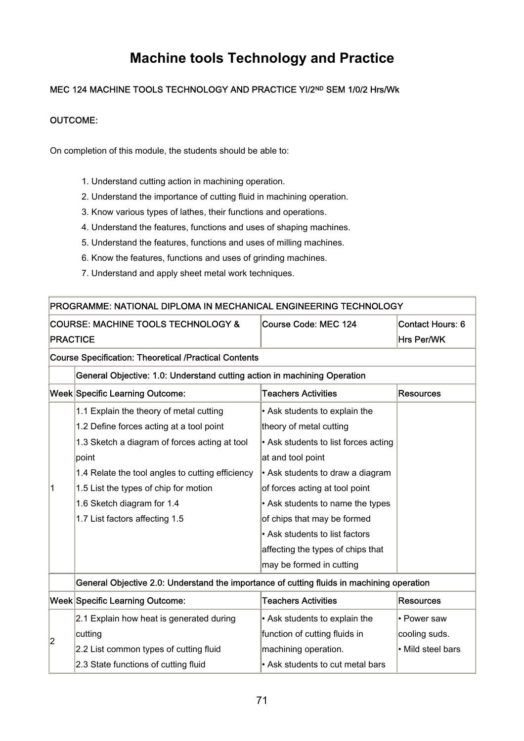## **Machine tools Technology and Practice**

### MEC 124 MACHINE TOOLS TECHNOLOGY AND PRACTICE YI/2ND SEM 1/0/2 Hrs/Wk

#### OUTCOME:

On completion of this module, the students should be able to:

- 1. Understand cutting action in machining operation.
- 2. Understand the importance of cutting fluid in machining operation.
- 3. Know various types of lathes, their functions and operations.
- 4. Understand the features, functions and uses of shaping machines.
- 5. Understand the features, functions and uses of milling machines.
- 6. Know the features, functions and uses of grinding machines.
- 7. Understand and apply sheet metal work techniques.

#### PROGRAMME: NATIONAL DIPLOMA IN MECHANICAL ENGINEERING TECHNOLOGY

| COURSE: MACHINE TOOLS TECHNOLOGY & | Course Code: MEC 124 | Contact Hours: 6  |
|------------------------------------|----------------------|-------------------|
| <b>IPRACTICE</b>                   |                      | <b>Hrs Per/WK</b> |

#### Course Specification: Theoretical /Practical Contents

#### General Objective: 1.0: Understand cutting action in machining Operation

|   | Week Specific Learning Outcome:                  | <b>Teachers Activities</b>             | Resources |
|---|--------------------------------------------------|----------------------------------------|-----------|
|   | 1.1 Explain the theory of metal cutting          | $\cdot$ Ask students to explain the    |           |
|   | 1.2 Define forces acting at a tool point         | theory of metal cutting                |           |
|   | 1.3 Sketch a diagram of forces acting at tool    | • Ask students to list forces acting   |           |
|   | point                                            | at and tool point                      |           |
|   | 1.4 Relate the tool angles to cutting efficiency | $\cdot$ Ask students to draw a diagram |           |
| 1 | 1.5 List the types of chip for motion            | of forces acting at tool point         |           |
|   | 1.6 Sketch diagram for 1.4                       | $\cdot$ Ask students to name the types |           |
|   | 1.7 List factors affecting 1.5                   | of chips that may be formed            |           |
|   |                                                  | • Ask students to list factors         |           |
|   |                                                  | affecting the types of chips that      |           |
|   |                                                  | may be formed in cutting               |           |

### General Objective 2.0: Understand the importance of cutting fluids in machining operation

|  | <b>Week Specific Learning Outcome:</b>   | <b>Teachers Activities</b>          | Resources         |
|--|------------------------------------------|-------------------------------------|-------------------|
|  | 2.1 Explain how heat is generated during | $\cdot$ Ask students to explain the | l• Power saw      |
|  | cutting                                  | function of cutting fluids in       | cooling suds.     |
|  | 2.2 List common types of cutting fluid   | machining operation.                | • Mild steel bars |
|  | 2.3 State functions of cutting fluid     | Ask students to cut metal bars      |                   |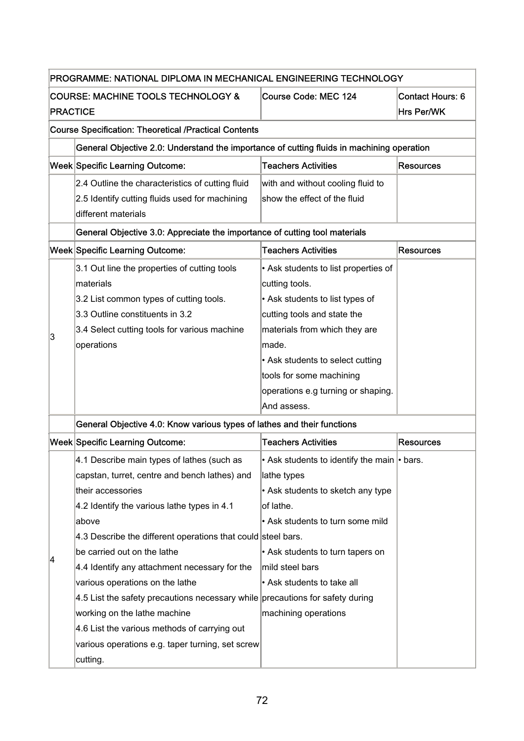| PROGRAMME: NATIONAL DIPLOMA IN MECHANICAL ENGINEERING TECHNOLOGY                                                                                                                                                                                                                                                                                                                        |                                                                                                                                                                                                                                                                                         |                                                                                                                                                                                                                                                                                                                                |  |  |
|-----------------------------------------------------------------------------------------------------------------------------------------------------------------------------------------------------------------------------------------------------------------------------------------------------------------------------------------------------------------------------------------|-----------------------------------------------------------------------------------------------------------------------------------------------------------------------------------------------------------------------------------------------------------------------------------------|--------------------------------------------------------------------------------------------------------------------------------------------------------------------------------------------------------------------------------------------------------------------------------------------------------------------------------|--|--|
| <b>COURSE: MACHINE TOOLS TECHNOLOGY &amp;</b><br><b>PRACTICE</b>                                                                                                                                                                                                                                                                                                                        | Course Code: MEC 124                                                                                                                                                                                                                                                                    | <b>Contact Hours: 6</b><br>Hrs Per/WK                                                                                                                                                                                                                                                                                          |  |  |
| <b>Course Specification: Theoretical /Practical Contents</b>                                                                                                                                                                                                                                                                                                                            |                                                                                                                                                                                                                                                                                         |                                                                                                                                                                                                                                                                                                                                |  |  |
| General Objective 2.0: Understand the importance of cutting fluids in machining operation                                                                                                                                                                                                                                                                                               |                                                                                                                                                                                                                                                                                         |                                                                                                                                                                                                                                                                                                                                |  |  |
| Week Specific Learning Outcome:                                                                                                                                                                                                                                                                                                                                                         | <b>Teachers Activities</b>                                                                                                                                                                                                                                                              | <b>Resources</b>                                                                                                                                                                                                                                                                                                               |  |  |
| 2.4 Outline the characteristics of cutting fluid<br>2.5 Identify cutting fluids used for machining<br>different materials                                                                                                                                                                                                                                                               | with and without cooling fluid to<br>show the effect of the fluid                                                                                                                                                                                                                       |                                                                                                                                                                                                                                                                                                                                |  |  |
|                                                                                                                                                                                                                                                                                                                                                                                         |                                                                                                                                                                                                                                                                                         |                                                                                                                                                                                                                                                                                                                                |  |  |
| Week Specific Learning Outcome:                                                                                                                                                                                                                                                                                                                                                         | <b>Teachers Activities</b>                                                                                                                                                                                                                                                              | <b>Resources</b>                                                                                                                                                                                                                                                                                                               |  |  |
| 3.1 Out line the properties of cutting tools<br>materials<br>3.2 List common types of cutting tools.<br>3.3 Outline constituents in 3.2<br>3.4 Select cutting tools for various machine<br>operations                                                                                                                                                                                   | • Ask students to list properties of<br>cutting tools.<br>• Ask students to list types of<br>cutting tools and state the<br>materials from which they are<br>made.<br>• Ask students to select cutting<br>tools for some machining<br>operations e.g turning or shaping.<br>And assess. |                                                                                                                                                                                                                                                                                                                                |  |  |
| General Objective 4.0: Know various types of lathes and their functions                                                                                                                                                                                                                                                                                                                 |                                                                                                                                                                                                                                                                                         |                                                                                                                                                                                                                                                                                                                                |  |  |
| Week Specific Learning Outcome:                                                                                                                                                                                                                                                                                                                                                         | <b>Teachers Activities</b>                                                                                                                                                                                                                                                              | <b>Resources</b>                                                                                                                                                                                                                                                                                                               |  |  |
| 4.1 Describe main types of lathes (such as<br>capstan, turret, centre and bench lathes) and<br>their accessories<br>4.2 Identify the various lathe types in 4.1<br>above<br>be carried out on the lathe<br>4.4 Identify any attachment necessary for the<br>various operations on the lathe<br>working on the lathe machine<br>4.6 List the various methods of carrying out<br>cutting. | lathe types<br>• Ask students to sketch any type<br>of lathe.<br>• Ask students to turn some mild<br>• Ask students to turn tapers on<br>mild steel bars<br>• Ask students to take all<br>machining operations                                                                          |                                                                                                                                                                                                                                                                                                                                |  |  |
|                                                                                                                                                                                                                                                                                                                                                                                         |                                                                                                                                                                                                                                                                                         | General Objective 3.0: Appreciate the importance of cutting tool materials<br>• Ask students to identify the main • bars.<br>4.3 Describe the different operations that could steel bars.<br>4.5 List the safety precautions necessary while precautions for safety during<br>various operations e.g. taper turning, set screw |  |  |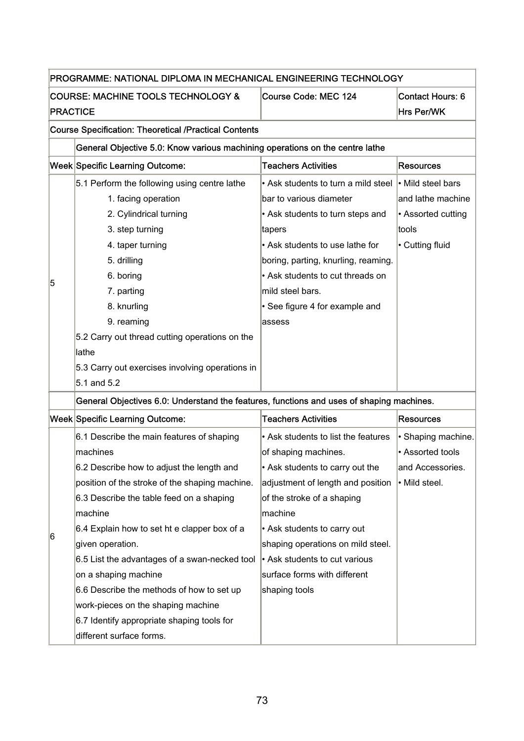|                 | PROGRAMME: NATIONAL DIPLOMA IN MECHANICAL ENGINEERING TECHNOLOGY                         |                                     |                         |  |
|-----------------|------------------------------------------------------------------------------------------|-------------------------------------|-------------------------|--|
|                 | <b>COURSE: MACHINE TOOLS TECHNOLOGY &amp;</b>                                            | <b>Course Code: MEC 124</b>         | <b>Contact Hours: 6</b> |  |
| <b>PRACTICE</b> |                                                                                          |                                     | Hrs Per/WK              |  |
|                 | <b>Course Specification: Theoretical /Practical Contents</b>                             |                                     |                         |  |
|                 | General Objective 5.0: Know various machining operations on the centre lathe             |                                     |                         |  |
|                 | Week Specific Learning Outcome:                                                          | <b>Teachers Activities</b>          | <b>Resources</b>        |  |
|                 | 5.1 Perform the following using centre lathe                                             | • Ask students to turn a mild steel | $\cdot$ Mild steel bars |  |
|                 | 1. facing operation                                                                      | bar to various diameter             | and lathe machine       |  |
|                 | 2. Cylindrical turning                                                                   | • Ask students to turn steps and    | • Assorted cutting      |  |
|                 | 3. step turning                                                                          | tapers                              | tools                   |  |
|                 | 4. taper turning                                                                         | • Ask students to use lathe for     | • Cutting fluid         |  |
|                 | 5. drilling                                                                              | boring, parting, knurling, reaming. |                         |  |
|                 | 6. boring                                                                                | • Ask students to cut threads on    |                         |  |
| 5               | 7. parting                                                                               | mild steel bars.                    |                         |  |
|                 | 8. knurling                                                                              | • See figure 4 for example and      |                         |  |
|                 | 9. reaming                                                                               | assess                              |                         |  |
|                 | 5.2 Carry out thread cutting operations on the                                           |                                     |                         |  |
|                 | lathe                                                                                    |                                     |                         |  |
|                 | 5.3 Carry out exercises involving operations in                                          |                                     |                         |  |
|                 | 5.1 and 5.2                                                                              |                                     |                         |  |
|                 | General Objectives 6.0: Understand the features, functions and uses of shaping machines. |                                     |                         |  |
|                 | Week Specific Learning Outcome:                                                          | <b>Teachers Activities</b>          | <b>Resources</b>        |  |
|                 | 6.1 Describe the main features of shaping                                                | • Ask students to list the features | • Shaping machine.      |  |
|                 | machines                                                                                 | of shaping machines.                | • Assorted tools        |  |
|                 | 6.2 Describe how to adjust the length and                                                | • Ask students to carry out the     | and Accessories.        |  |
|                 | position of the stroke of the shaping machine.                                           | adjustment of length and position   | · Mild steel.           |  |
|                 | 6.3 Describe the table feed on a shaping                                                 | of the stroke of a shaping          |                         |  |
|                 | machine                                                                                  | machine                             |                         |  |
|                 | 6.4 Explain how to set ht e clapper box of a                                             | • Ask students to carry out         |                         |  |
| 16              | given operation.                                                                         | shaping operations on mild steel.   |                         |  |
|                 | 6.5 List the advantages of a swan-necked tool                                            | • Ask students to cut various       |                         |  |
|                 | on a shaping machine                                                                     | surface forms with different        |                         |  |
|                 | 6.6 Describe the methods of how to set up                                                | shaping tools                       |                         |  |
|                 | work-pieces on the shaping machine                                                       |                                     |                         |  |
|                 | 6.7 Identify appropriate shaping tools for                                               |                                     |                         |  |
|                 | different surface forms.                                                                 |                                     |                         |  |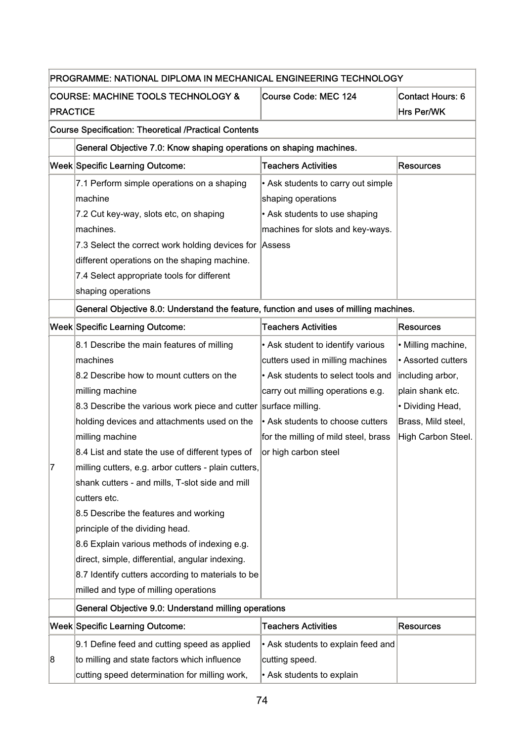|                                                                  | PROGRAMME: NATIONAL DIPLOMA IN MECHANICAL ENGINEERING TECHNOLOGY                      |                                      |                                       |  |
|------------------------------------------------------------------|---------------------------------------------------------------------------------------|--------------------------------------|---------------------------------------|--|
| <b>COURSE: MACHINE TOOLS TECHNOLOGY &amp;</b><br><b>PRACTICE</b> |                                                                                       | Course Code: MEC 124                 | <b>Contact Hours: 6</b><br>Hrs Per/WK |  |
| <b>Course Specification: Theoretical /Practical Contents</b>     |                                                                                       |                                      |                                       |  |
|                                                                  | General Objective 7.0: Know shaping operations on shaping machines.                   |                                      |                                       |  |
|                                                                  | Week Specific Learning Outcome:                                                       | <b>Teachers Activities</b>           | <b>Resources</b>                      |  |
|                                                                  | 7.1 Perform simple operations on a shaping                                            | • Ask students to carry out simple   |                                       |  |
|                                                                  | machine                                                                               | shaping operations                   |                                       |  |
|                                                                  | 7.2 Cut key-way, slots etc, on shaping                                                | • Ask students to use shaping        |                                       |  |
|                                                                  | machines.                                                                             | machines for slots and key-ways.     |                                       |  |
|                                                                  | 7.3 Select the correct work holding devices for Assess                                |                                      |                                       |  |
|                                                                  | different operations on the shaping machine.                                          |                                      |                                       |  |
|                                                                  | 7.4 Select appropriate tools for different                                            |                                      |                                       |  |
|                                                                  | shaping operations                                                                    |                                      |                                       |  |
|                                                                  | General Objective 8.0: Understand the feature, function and uses of milling machines. |                                      |                                       |  |
|                                                                  | Week Specific Learning Outcome:                                                       | <b>Teachers Activities</b>           | <b>Resources</b>                      |  |
|                                                                  | 8.1 Describe the main features of milling                                             | • Ask student to identify various    | • Milling machine,                    |  |
|                                                                  | machines                                                                              | cutters used in milling machines     | • Assorted cutters                    |  |
|                                                                  | 8.2 Describe how to mount cutters on the                                              | • Ask students to select tools and   | including arbor,                      |  |
|                                                                  | milling machine                                                                       | carry out milling operations e.g.    | plain shank etc.                      |  |
|                                                                  | 8.3 Describe the various work piece and cutter surface milling.                       |                                      | • Dividing Head,                      |  |
|                                                                  | holding devices and attachments used on the                                           | • Ask students to choose cutters     | Brass, Mild steel,                    |  |
|                                                                  | milling machine                                                                       | for the milling of mild steel, brass | High Carbon Steel.                    |  |
|                                                                  | 8.4 List and state the use of different types of                                      | or high carbon steel                 |                                       |  |
| 7                                                                | milling cutters, e.g. arbor cutters - plain cutters,                                  |                                      |                                       |  |
|                                                                  | shank cutters - and mills, T-slot side and mill                                       |                                      |                                       |  |
|                                                                  | cutters etc.                                                                          |                                      |                                       |  |
|                                                                  | 8.5 Describe the features and working                                                 |                                      |                                       |  |
|                                                                  | principle of the dividing head.                                                       |                                      |                                       |  |
|                                                                  | 8.6 Explain various methods of indexing e.g.                                          |                                      |                                       |  |
|                                                                  | direct, simple, differential, angular indexing.                                       |                                      |                                       |  |
|                                                                  | 8.7 Identify cutters according to materials to be                                     |                                      |                                       |  |
|                                                                  | milled and type of milling operations                                                 |                                      |                                       |  |
|                                                                  | General Objective 9.0: Understand milling operations                                  |                                      |                                       |  |
|                                                                  | Week Specific Learning Outcome:                                                       | <b>Teachers Activities</b>           | <b>Resources</b>                      |  |
|                                                                  | 9.1 Define feed and cutting speed as applied                                          | • Ask students to explain feed and   |                                       |  |
| 8                                                                | to milling and state factors which influence                                          | cutting speed.                       |                                       |  |
|                                                                  | cutting speed determination for milling work,                                         | • Ask students to explain            |                                       |  |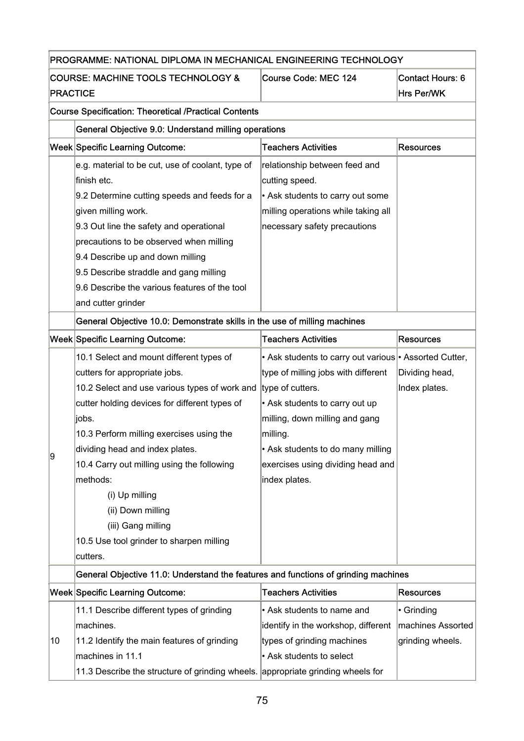| PROGRAMME: NATIONAL DIPLOMA IN MECHANICAL ENGINEERING TECHNOLOGY |                                                                                    |                                                        |                         |  |
|------------------------------------------------------------------|------------------------------------------------------------------------------------|--------------------------------------------------------|-------------------------|--|
|                                                                  | <b>COURSE: MACHINE TOOLS TECHNOLOGY &amp;</b>                                      | Course Code: MEC 124                                   | <b>Contact Hours: 6</b> |  |
| <b>PRACTICE</b>                                                  |                                                                                    |                                                        | Hrs Per/WK              |  |
|                                                                  | <b>Course Specification: Theoretical /Practical Contents</b>                       |                                                        |                         |  |
|                                                                  | General Objective 9.0: Understand milling operations                               |                                                        |                         |  |
|                                                                  | <b>Week Specific Learning Outcome:</b>                                             | <b>Teachers Activities</b>                             | <b>Resources</b>        |  |
|                                                                  | e.g. material to be cut, use of coolant, type of                                   | relationship between feed and                          |                         |  |
|                                                                  | finish etc.                                                                        | cutting speed.                                         |                         |  |
|                                                                  | 9.2 Determine cutting speeds and feeds for a                                       | • Ask students to carry out some                       |                         |  |
|                                                                  | given milling work.                                                                | milling operations while taking all                    |                         |  |
|                                                                  | 9.3 Out line the safety and operational                                            | necessary safety precautions                           |                         |  |
|                                                                  | precautions to be observed when milling                                            |                                                        |                         |  |
|                                                                  | 9.4 Describe up and down milling                                                   |                                                        |                         |  |
|                                                                  | 9.5 Describe straddle and gang milling                                             |                                                        |                         |  |
|                                                                  | 9.6 Describe the various features of the tool                                      |                                                        |                         |  |
|                                                                  | and cutter grinder                                                                 |                                                        |                         |  |
|                                                                  | General Objective 10.0: Demonstrate skills in the use of milling machines          |                                                        |                         |  |
|                                                                  | <b>Week Specific Learning Outcome:</b>                                             | <b>Teachers Activities</b>                             | <b>Resources</b>        |  |
|                                                                  | 10.1 Select and mount different types of                                           | • Ask students to carry out various • Assorted Cutter, |                         |  |
|                                                                  | cutters for appropriate jobs.                                                      | type of milling jobs with different                    | Dividing head,          |  |
|                                                                  | 10.2 Select and use various types of work and type of cutters.                     |                                                        | Index plates.           |  |
|                                                                  | cutter holding devices for different types of                                      | • Ask students to carry out up                         |                         |  |
|                                                                  | liobs.                                                                             | milling, down milling and gang                         |                         |  |
|                                                                  | 10.3 Perform milling exercises using the                                           | milling.                                               |                         |  |
| 9                                                                | dividing head and index plates.                                                    | • Ask students to do many milling                      |                         |  |
|                                                                  | 10.4 Carry out milling using the following                                         | exercises using dividing head and                      |                         |  |
|                                                                  | methods:                                                                           | index plates.                                          |                         |  |
|                                                                  | (i) Up milling                                                                     |                                                        |                         |  |
|                                                                  | (ii) Down milling                                                                  |                                                        |                         |  |
|                                                                  | (iii) Gang milling                                                                 |                                                        |                         |  |
|                                                                  | 10.5 Use tool grinder to sharpen milling                                           |                                                        |                         |  |
|                                                                  | cutters.                                                                           |                                                        |                         |  |
|                                                                  | General Objective 11.0: Understand the features and functions of grinding machines |                                                        |                         |  |
|                                                                  | <b>Week Specific Learning Outcome:</b>                                             | <b>Teachers Activities</b>                             | <b>Resources</b>        |  |
|                                                                  | 11.1 Describe different types of grinding                                          | • Ask students to name and                             | • Grinding              |  |
|                                                                  | machines.                                                                          | identify in the workshop, different                    | machines Assorted       |  |
| 10                                                               | 11.2 Identify the main features of grinding                                        | types of grinding machines                             | grinding wheels.        |  |
|                                                                  | machines in 11.1                                                                   | • Ask students to select                               |                         |  |
|                                                                  | 11.3 Describe the structure of grinding wheels. appropriate grinding wheels for    |                                                        |                         |  |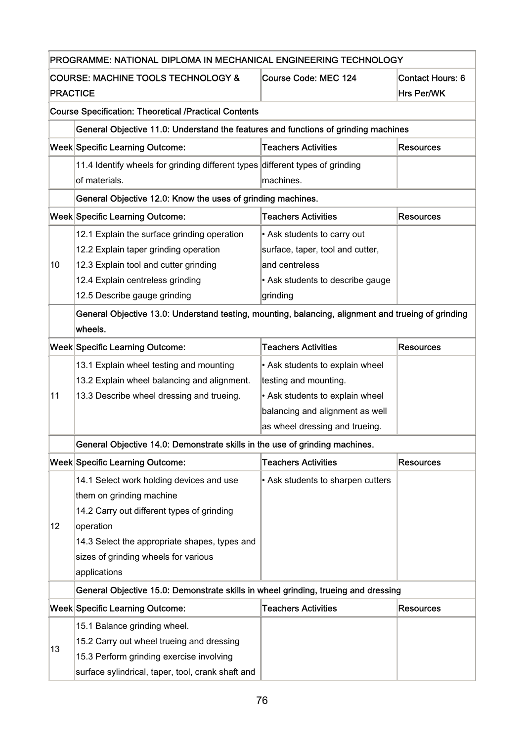|                 | PROGRAMME: NATIONAL DIPLOMA IN MECHANICAL ENGINEERING TECHNOLOGY                                   |                                   |                                       |  |  |
|-----------------|----------------------------------------------------------------------------------------------------|-----------------------------------|---------------------------------------|--|--|
| <b>PRACTICE</b> | <b>COURSE: MACHINE TOOLS TECHNOLOGY &amp;</b>                                                      | <b>Course Code: MEC 124</b>       | <b>Contact Hours: 6</b><br>Hrs Per/WK |  |  |
|                 | <b>Course Specification: Theoretical /Practical Contents</b>                                       |                                   |                                       |  |  |
|                 | General Objective 11.0: Understand the features and functions of grinding machines                 |                                   |                                       |  |  |
|                 | <b>Week Specific Learning Outcome:</b>                                                             | <b>Teachers Activities</b>        | <b>Resources</b>                      |  |  |
|                 | 11.4 Identify wheels for grinding different types different types of grinding                      |                                   |                                       |  |  |
|                 | of materials.                                                                                      | machines.                         |                                       |  |  |
|                 | General Objective 12.0: Know the uses of grinding machines.                                        |                                   |                                       |  |  |
|                 | <b>Week Specific Learning Outcome:</b>                                                             | <b>Teachers Activities</b>        | <b>Resources</b>                      |  |  |
|                 | 12.1 Explain the surface grinding operation                                                        | • Ask students to carry out       |                                       |  |  |
|                 | 12.2 Explain taper grinding operation                                                              | surface, taper, tool and cutter,  |                                       |  |  |
| 10              | 12.3 Explain tool and cutter grinding                                                              | and centreless                    |                                       |  |  |
|                 | 12.4 Explain centreless grinding                                                                   | • Ask students to describe gauge  |                                       |  |  |
|                 | 12.5 Describe gauge grinding                                                                       | grinding                          |                                       |  |  |
|                 | General Objective 13.0: Understand testing, mounting, balancing, alignment and trueing of grinding |                                   |                                       |  |  |
| wheels.         |                                                                                                    |                                   |                                       |  |  |
|                 | <b>Week Specific Learning Outcome:</b>                                                             | <b>Teachers Activities</b>        | <b>Resources</b>                      |  |  |
|                 | 13.1 Explain wheel testing and mounting                                                            | • Ask students to explain wheel   |                                       |  |  |
|                 | 13.2 Explain wheel balancing and alignment.                                                        | testing and mounting.             |                                       |  |  |
| 11              | 13.3 Describe wheel dressing and trueing.                                                          | • Ask students to explain wheel   |                                       |  |  |
|                 |                                                                                                    | balancing and alignment as well   |                                       |  |  |
|                 |                                                                                                    | as wheel dressing and trueing.    |                                       |  |  |
|                 | General Objective 14.0: Demonstrate skills in the use of grinding machines.                        |                                   |                                       |  |  |
|                 | <b>Week Specific Learning Outcome:</b>                                                             | <b>Teachers Activities</b>        | <b>Resources</b>                      |  |  |
|                 | 14.1 Select work holding devices and use                                                           | • Ask students to sharpen cutters |                                       |  |  |
|                 | them on grinding machine                                                                           |                                   |                                       |  |  |
|                 | 14.2 Carry out different types of grinding                                                         |                                   |                                       |  |  |
| 12 <sub>2</sub> | operation                                                                                          |                                   |                                       |  |  |
|                 | 14.3 Select the appropriate shapes, types and                                                      |                                   |                                       |  |  |
|                 | sizes of grinding wheels for various                                                               |                                   |                                       |  |  |
|                 | applications                                                                                       |                                   |                                       |  |  |
|                 | General Objective 15.0: Demonstrate skills in wheel grinding, trueing and dressing                 |                                   |                                       |  |  |
|                 | <b>Week Specific Learning Outcome:</b>                                                             | <b>Teachers Activities</b>        | <b>Resources</b>                      |  |  |
|                 | 15.1 Balance grinding wheel.                                                                       |                                   |                                       |  |  |
|                 | 15.2 Carry out wheel trueing and dressing                                                          |                                   |                                       |  |  |
| 13              | 15.3 Perform grinding exercise involving                                                           |                                   |                                       |  |  |
|                 | surface sylindrical, taper, tool, crank shaft and                                                  |                                   |                                       |  |  |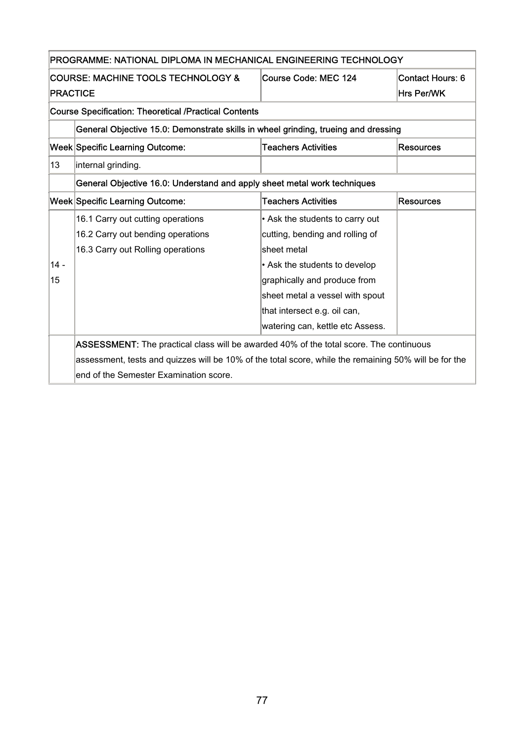|                                                              | Course Code: MEC 124<br>COURSE: MACHINE TOOLS TECHNOLOGY &<br><b>Contact Hours: 6</b> |                                 |                  |  |  |
|--------------------------------------------------------------|---------------------------------------------------------------------------------------|---------------------------------|------------------|--|--|
| <b>PRACTICE</b>                                              |                                                                                       |                                 | Hrs Per/WK       |  |  |
| <b>Course Specification: Theoretical /Practical Contents</b> |                                                                                       |                                 |                  |  |  |
|                                                              | General Objective 15.0: Demonstrate skills in wheel grinding, trueing and dressing    |                                 |                  |  |  |
|                                                              | <b>Week Specific Learning Outcome:</b>                                                | <b>Teachers Activities</b>      | <b>Resources</b> |  |  |
| 13                                                           | internal grinding.                                                                    |                                 |                  |  |  |
|                                                              | General Objective 16.0: Understand and apply sheet metal work techniques              |                                 |                  |  |  |
|                                                              | <b>Week Specific Learning Outcome:</b>                                                | <b>Teachers Activities</b>      | <b>Resources</b> |  |  |
|                                                              | 16.1 Carry out cutting operations                                                     | • Ask the students to carry out |                  |  |  |
|                                                              | 16.2 Carry out bending operations                                                     | cutting, bending and rolling of |                  |  |  |
|                                                              | 16.3 Carry out Rolling operations                                                     | sheet metal                     |                  |  |  |
|                                                              |                                                                                       | • Ask the students to develop   |                  |  |  |
| $14 -$                                                       |                                                                                       |                                 |                  |  |  |
| 15                                                           |                                                                                       | graphically and produce from    |                  |  |  |
|                                                              |                                                                                       | sheet metal a vessel with spout |                  |  |  |
|                                                              |                                                                                       | that intersect e.g. oil can,    |                  |  |  |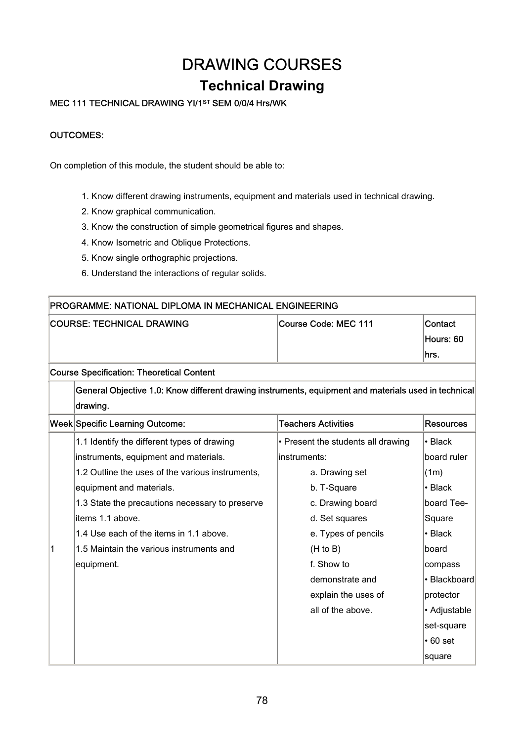# DRAWING COURSES

### **Technical Drawing**

### MEC 111 TECHNICAL DRAWING YI/1ST SEM 0/0/4 Hrs/WK

#### OUTCOMES:

On completion of this module, the student should be able to:

- 1. Know different drawing instruments, equipment and materials used in technical drawing.
- 2. Know graphical communication.
- 3. Know the construction of simple geometrical figures and shapes.
- 4. Know Isometric and Oblique Protections.
- 5. Know single orthographic projections.
- 6. Understand the interactions of regular solids.

|   | PROGRAMME: NATIONAL DIPLOMA IN MECHANICAL ENGINEERING                                                |                                    |                  |  |  |
|---|------------------------------------------------------------------------------------------------------|------------------------------------|------------------|--|--|
|   | <b>COURSE: TECHNICAL DRAWING</b>                                                                     | Course Code: MEC 111               | Contact          |  |  |
|   |                                                                                                      |                                    | Hours: 60        |  |  |
|   |                                                                                                      |                                    | hrs.             |  |  |
|   | <b>Course Specification: Theoretical Content</b>                                                     |                                    |                  |  |  |
|   | General Objective 1.0: Know different drawing instruments, equipment and materials used in technical |                                    |                  |  |  |
|   | drawing.                                                                                             |                                    |                  |  |  |
|   | <b>Week Specific Learning Outcome:</b>                                                               | <b>Teachers Activities</b>         | <b>Resources</b> |  |  |
|   | 1.1 Identify the different types of drawing                                                          | • Present the students all drawing | $\cdot$ Black    |  |  |
|   | instruments, equipment and materials.                                                                | instruments:                       | board ruler      |  |  |
|   | 1.2 Outline the uses of the various instruments.                                                     | a. Drawing set                     | (1m)             |  |  |
|   | equipment and materials.                                                                             | b. T-Square                        | $\cdot$ Black    |  |  |
|   | 1.3 State the precautions necessary to preserve                                                      | c. Drawing board                   | board Tee-       |  |  |
|   | items 1.1 above.                                                                                     | d. Set squares                     | Square           |  |  |
|   | 1.4 Use each of the items in 1.1 above.                                                              | e. Types of pencils                | • Black          |  |  |
| 1 | 1.5 Maintain the various instruments and                                                             | (H to B)                           | board            |  |  |
|   | equipment.                                                                                           | f. Show to                         | compass          |  |  |
|   |                                                                                                      | demonstrate and                    | • Blackboard     |  |  |
|   |                                                                                                      | explain the uses of                | protector        |  |  |
|   |                                                                                                      | all of the above.                  | • Adjustable     |  |  |
|   |                                                                                                      |                                    | set-square       |  |  |
|   |                                                                                                      |                                    | $\cdot$ 60 set   |  |  |
|   |                                                                                                      |                                    | square           |  |  |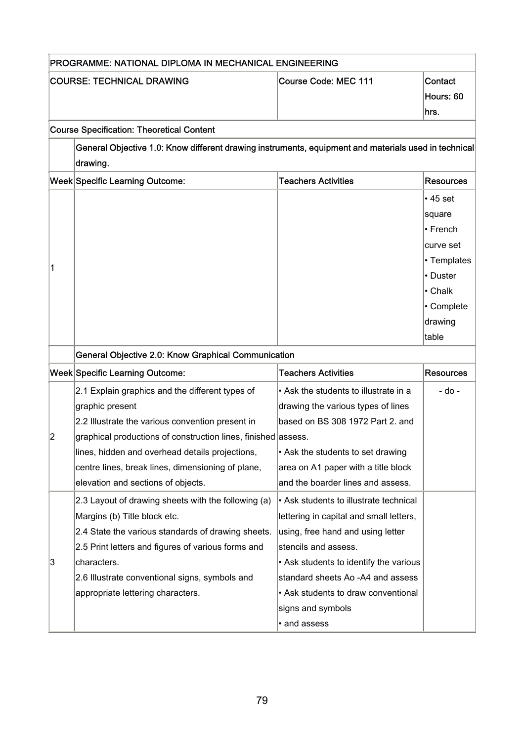|                | PROGRAMME: NATIONAL DIPLOMA IN MECHANICAL ENGINEERING                                                            |                                         |                  |  |
|----------------|------------------------------------------------------------------------------------------------------------------|-----------------------------------------|------------------|--|
|                | <b>COURSE: TECHNICAL DRAWING</b>                                                                                 | <b>Course Code: MEC 111</b>             | Contact          |  |
|                |                                                                                                                  |                                         | Hours: 60        |  |
|                |                                                                                                                  |                                         | hrs.             |  |
|                | <b>Course Specification: Theoretical Content</b>                                                                 |                                         |                  |  |
|                | General Objective 1.0: Know different drawing instruments, equipment and materials used in technical<br>drawing. |                                         |                  |  |
|                | Week Specific Learning Outcome:                                                                                  | <b>Teachers Activities</b>              | <b>Resources</b> |  |
|                |                                                                                                                  |                                         | $\cdot$ 45 set   |  |
|                |                                                                                                                  |                                         | square           |  |
|                |                                                                                                                  |                                         | • French         |  |
|                |                                                                                                                  |                                         | curve set        |  |
|                |                                                                                                                  |                                         | • Templates      |  |
| 1              |                                                                                                                  |                                         | • Duster         |  |
|                |                                                                                                                  |                                         | • Chalk          |  |
|                |                                                                                                                  |                                         | • Complete       |  |
|                |                                                                                                                  |                                         | drawing          |  |
|                |                                                                                                                  |                                         | table            |  |
|                | General Objective 2.0: Know Graphical Communication                                                              |                                         |                  |  |
|                | Week Specific Learning Outcome:                                                                                  | <b>Teachers Activities</b>              | <b>Resources</b> |  |
|                | 2.1 Explain graphics and the different types of                                                                  | • Ask the students to illustrate in a   | - do -           |  |
|                | graphic present                                                                                                  | drawing the various types of lines      |                  |  |
|                | 2.2 Illustrate the various convention present in                                                                 | based on BS 308 1972 Part 2. and        |                  |  |
| $\overline{2}$ | graphical productions of construction lines, finished assess.                                                    |                                         |                  |  |
|                | lines, hidden and overhead details projections,                                                                  | • Ask the students to set drawing       |                  |  |
|                | centre lines, break lines, dimensioning of plane,                                                                | area on A1 paper with a title block     |                  |  |
|                | elevation and sections of objects.                                                                               | and the boarder lines and assess.       |                  |  |
|                | 2.3 Layout of drawing sheets with the following (a)                                                              | • Ask students to illustrate technical  |                  |  |
|                | Margins (b) Title block etc.                                                                                     | lettering in capital and small letters, |                  |  |
|                | 2.4 State the various standards of drawing sheets.                                                               | using, free hand and using letter       |                  |  |
|                | 2.5 Print letters and figures of various forms and                                                               | stencils and assess.                    |                  |  |
| 3              | characters.                                                                                                      | • Ask students to identify the various  |                  |  |
|                | 2.6 Illustrate conventional signs, symbols and                                                                   | standard sheets Ao -A4 and assess       |                  |  |
|                | appropriate lettering characters.                                                                                | • Ask students to draw conventional     |                  |  |
|                |                                                                                                                  | signs and symbols                       |                  |  |
|                |                                                                                                                  | • and assess                            |                  |  |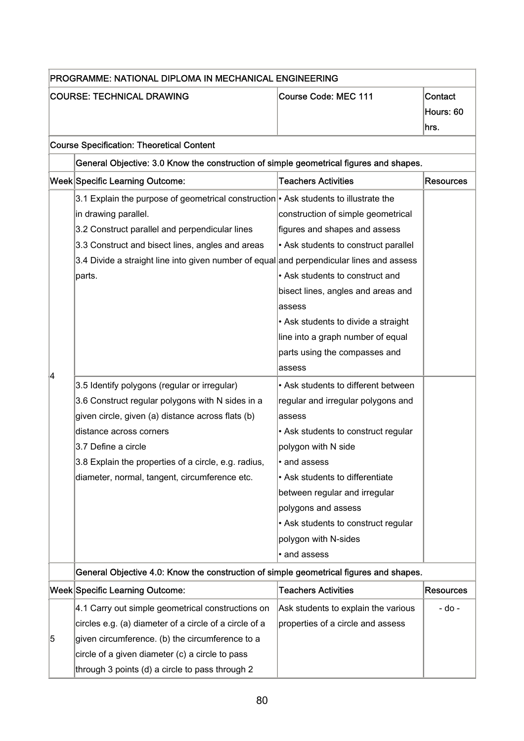| PROGRAMME: NATIONAL DIPLOMA IN MECHANICAL ENGINEERING |                                                                                          |                                      |                  |  |  |
|-------------------------------------------------------|------------------------------------------------------------------------------------------|--------------------------------------|------------------|--|--|
|                                                       | <b>COURSE: TECHNICAL DRAWING</b>                                                         | <b>Course Code: MEC 111</b>          | Contact          |  |  |
|                                                       |                                                                                          |                                      | Hours: 60        |  |  |
|                                                       |                                                                                          |                                      | hrs.             |  |  |
|                                                       | <b>Course Specification: Theoretical Content</b>                                         |                                      |                  |  |  |
|                                                       | General Objective: 3.0 Know the construction of simple geometrical figures and shapes.   |                                      |                  |  |  |
|                                                       | Week Specific Learning Outcome:                                                          | <b>Teachers Activities</b>           | <b>Resources</b> |  |  |
|                                                       | 3.1 Explain the purpose of geometrical construction • Ask students to illustrate the     |                                      |                  |  |  |
|                                                       | in drawing parallel.                                                                     | construction of simple geometrical   |                  |  |  |
|                                                       | 3.2 Construct parallel and perpendicular lines                                           | figures and shapes and assess        |                  |  |  |
|                                                       | 3.3 Construct and bisect lines, angles and areas                                         | • Ask students to construct parallel |                  |  |  |
|                                                       | 3.4 Divide a straight line into given number of equal and perpendicular lines and assess |                                      |                  |  |  |
|                                                       | parts.                                                                                   | • Ask students to construct and      |                  |  |  |
|                                                       |                                                                                          | bisect lines, angles and areas and   |                  |  |  |
|                                                       |                                                                                          | assess                               |                  |  |  |
|                                                       |                                                                                          | • Ask students to divide a straight  |                  |  |  |
|                                                       |                                                                                          | line into a graph number of equal    |                  |  |  |
|                                                       |                                                                                          | parts using the compasses and        |                  |  |  |
| 14                                                    |                                                                                          | assess                               |                  |  |  |
|                                                       | 3.5 Identify polygons (regular or irregular)                                             | • Ask students to different between  |                  |  |  |
|                                                       | 3.6 Construct regular polygons with N sides in a                                         | regular and irregular polygons and   |                  |  |  |
|                                                       | given circle, given (a) distance across flats (b)                                        | assess                               |                  |  |  |
|                                                       | distance across corners                                                                  | • Ask students to construct regular  |                  |  |  |
|                                                       | 3.7 Define a circle                                                                      | polygon with N side                  |                  |  |  |
|                                                       | 3.8 Explain the properties of a circle, e.g. radius,                                     | • and assess                         |                  |  |  |
|                                                       | diameter, normal, tangent, circumference etc.                                            | • Ask students to differentiate      |                  |  |  |
|                                                       |                                                                                          | between regular and irregular        |                  |  |  |
|                                                       |                                                                                          | polygons and assess                  |                  |  |  |
|                                                       |                                                                                          | • Ask students to construct regular  |                  |  |  |
|                                                       |                                                                                          | polygon with N-sides                 |                  |  |  |
|                                                       |                                                                                          | • and assess                         |                  |  |  |
|                                                       | General Objective 4.0: Know the construction of simple geometrical figures and shapes.   |                                      |                  |  |  |
|                                                       | <b>Week Specific Learning Outcome:</b>                                                   | <b>Teachers Activities</b>           | <b>Resources</b> |  |  |
|                                                       | 4.1 Carry out simple geometrical constructions on                                        | Ask students to explain the various  | - do -           |  |  |
|                                                       | circles e.g. (a) diameter of a circle of a circle of a                                   | properties of a circle and assess    |                  |  |  |
| 5                                                     | given circumference. (b) the circumference to a                                          |                                      |                  |  |  |
|                                                       | circle of a given diameter (c) a circle to pass                                          |                                      |                  |  |  |
|                                                       | through 3 points (d) a circle to pass through 2                                          |                                      |                  |  |  |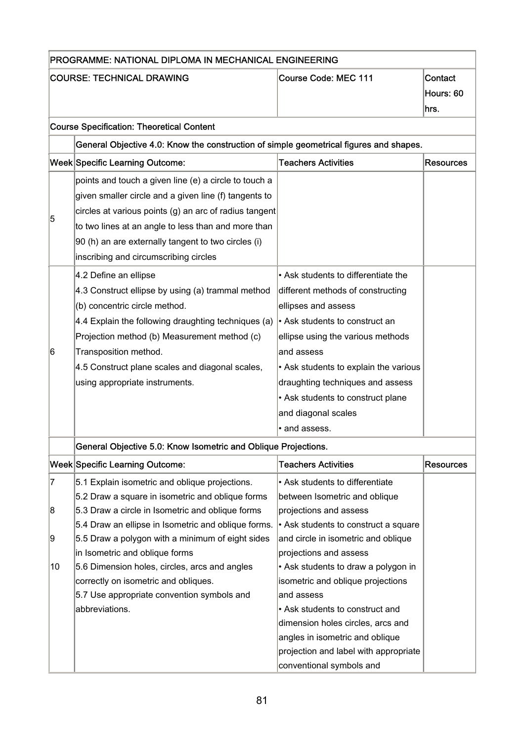|        | PROGRAMME: NATIONAL DIPLOMA IN MECHANICAL ENGINEERING                                                                                                                                                                                                                                                                                                                     |                                                                                                                                                                                                                                                                                                                                              |                              |  |
|--------|---------------------------------------------------------------------------------------------------------------------------------------------------------------------------------------------------------------------------------------------------------------------------------------------------------------------------------------------------------------------------|----------------------------------------------------------------------------------------------------------------------------------------------------------------------------------------------------------------------------------------------------------------------------------------------------------------------------------------------|------------------------------|--|
|        | <b>COURSE: TECHNICAL DRAWING</b>                                                                                                                                                                                                                                                                                                                                          | <b>Course Code: MEC 111</b>                                                                                                                                                                                                                                                                                                                  | Contact<br>Hours: 60<br>hrs. |  |
|        | <b>Course Specification: Theoretical Content</b>                                                                                                                                                                                                                                                                                                                          |                                                                                                                                                                                                                                                                                                                                              |                              |  |
|        | General Objective 4.0: Know the construction of simple geometrical figures and shapes.                                                                                                                                                                                                                                                                                    |                                                                                                                                                                                                                                                                                                                                              |                              |  |
|        | <b>Week Specific Learning Outcome:</b>                                                                                                                                                                                                                                                                                                                                    | <b>Teachers Activities</b>                                                                                                                                                                                                                                                                                                                   | <b>Resources</b>             |  |
| 5      | points and touch a given line (e) a circle to touch a<br>given smaller circle and a given line (f) tangents to<br>circles at various points (g) an arc of radius tangent<br>to two lines at an angle to less than and more than<br>90 (h) an are externally tangent to two circles (i)                                                                                    |                                                                                                                                                                                                                                                                                                                                              |                              |  |
| 6      | inscribing and circumscribing circles<br>4.2 Define an ellipse<br>4.3 Construct ellipse by using (a) trammal method<br>(b) concentric circle method.<br>4.4 Explain the following draughting techniques (a)<br>Projection method (b) Measurement method (c)<br>Transposition method.<br>4.5 Construct plane scales and diagonal scales,<br>using appropriate instruments. | • Ask students to differentiate the<br>different methods of constructing<br>ellipses and assess<br>Ask students to construct an<br>ellipse using the various methods<br>and assess<br>• Ask students to explain the various<br>draughting techniques and assess<br>• Ask students to construct plane<br>and diagonal scales<br>· and assess. |                              |  |
|        | General Objective 5.0: Know Isometric and Oblique Projections.                                                                                                                                                                                                                                                                                                            |                                                                                                                                                                                                                                                                                                                                              |                              |  |
|        | <b>Week Specific Learning Outcome:</b>                                                                                                                                                                                                                                                                                                                                    | <b>Teachers Activities</b>                                                                                                                                                                                                                                                                                                                   | <b>Resources</b>             |  |
| 7<br>8 | 5.1 Explain isometric and oblique projections.<br>5.2 Draw a square in isometric and oblique forms<br>5.3 Draw a circle in Isometric and oblique forms                                                                                                                                                                                                                    | • Ask students to differentiate<br>between Isometric and oblique<br>projections and assess                                                                                                                                                                                                                                                   |                              |  |
| 9      | 5.4 Draw an ellipse in Isometric and oblique forms.<br>5.5 Draw a polygon with a minimum of eight sides<br>in Isometric and oblique forms                                                                                                                                                                                                                                 | • Ask students to construct a square<br>and circle in isometric and oblique<br>projections and assess                                                                                                                                                                                                                                        |                              |  |
| 10     | 5.6 Dimension holes, circles, arcs and angles<br>correctly on isometric and obliques.<br>5.7 Use appropriate convention symbols and<br>abbreviations.                                                                                                                                                                                                                     | • Ask students to draw a polygon in<br>isometric and oblique projections<br>and assess<br>• Ask students to construct and<br>dimension holes circles, arcs and<br>angles in isometric and oblique<br>projection and label with appropriate<br>conventional symbols and                                                                       |                              |  |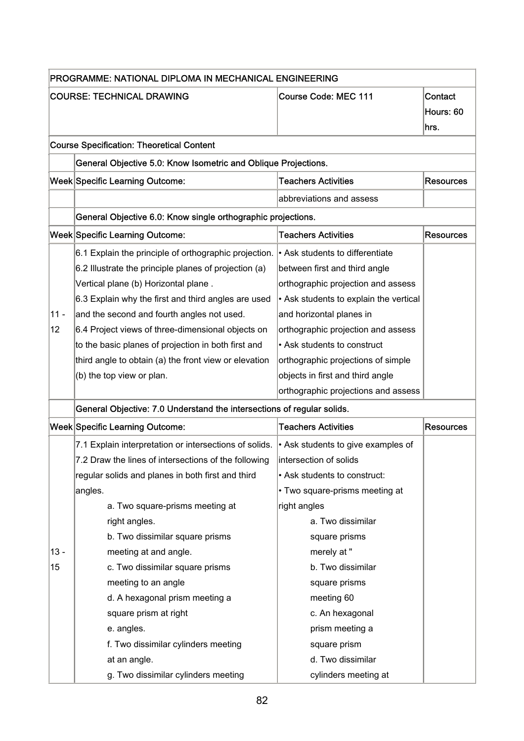|        | PROGRAMME: NATIONAL DIPLOMA IN MECHANICAL ENGINEERING                  |                                        |                  |  |
|--------|------------------------------------------------------------------------|----------------------------------------|------------------|--|
|        | <b>COURSE: TECHNICAL DRAWING</b>                                       | Course Code: MEC 111                   | Contact          |  |
|        |                                                                        |                                        | Hours: 60        |  |
|        |                                                                        |                                        | hrs.             |  |
|        | <b>Course Specification: Theoretical Content</b>                       |                                        |                  |  |
|        | General Objective 5.0: Know Isometric and Oblique Projections.         |                                        |                  |  |
|        | Week Specific Learning Outcome:                                        | <b>Teachers Activities</b>             | <b>Resources</b> |  |
|        |                                                                        | abbreviations and assess               |                  |  |
|        | General Objective 6.0: Know single orthographic projections.           |                                        |                  |  |
|        | <b>Week Specific Learning Outcome:</b>                                 | <b>Teachers Activities</b>             | <b>Resources</b> |  |
|        | 6.1 Explain the principle of orthographic projection.                  | • Ask students to differentiate        |                  |  |
|        | 6.2 Illustrate the principle planes of projection (a)                  | between first and third angle          |                  |  |
|        | Vertical plane (b) Horizontal plane.                                   | orthographic projection and assess     |                  |  |
|        | 6.3 Explain why the first and third angles are used                    | • Ask students to explain the vertical |                  |  |
| $11 -$ | and the second and fourth angles not used.                             | and horizontal planes in               |                  |  |
| 12     | 6.4 Project views of three-dimensional objects on                      | orthographic projection and assess     |                  |  |
|        | to the basic planes of projection in both first and                    | • Ask students to construct            |                  |  |
|        | third angle to obtain (a) the front view or elevation                  | orthographic projections of simple     |                  |  |
|        | (b) the top view or plan.                                              | objects in first and third angle       |                  |  |
|        |                                                                        | orthographic projections and assess    |                  |  |
|        | General Objective: 7.0 Understand the intersections of regular solids. |                                        |                  |  |
|        | <b>Week Specific Learning Outcome:</b>                                 | <b>Teachers Activities</b>             | <b>Resources</b> |  |
|        | 7.1 Explain interpretation or intersections of solids.                 | • Ask students to give examples of     |                  |  |
|        | 7.2 Draw the lines of intersections of the following                   | intersection of solids                 |                  |  |
|        | regular solids and planes in both first and third                      | • Ask students to construct:           |                  |  |
|        | angles.                                                                | • Two square-prisms meeting at         |                  |  |
|        | a. Two square-prisms meeting at                                        | right angles                           |                  |  |
|        | right angles.                                                          | a. Two dissimilar                      |                  |  |
|        | b. Two dissimilar square prisms                                        | square prisms                          |                  |  |
| $13 -$ | meeting at and angle.                                                  | merely at "                            |                  |  |
| 15     | c. Two dissimilar square prisms                                        | b. Two dissimilar                      |                  |  |
|        | meeting to an angle                                                    | square prisms                          |                  |  |
|        | d. A hexagonal prism meeting a                                         | meeting 60                             |                  |  |
|        | square prism at right                                                  | c. An hexagonal                        |                  |  |
|        | e. angles.                                                             | prism meeting a                        |                  |  |
|        | f. Two dissimilar cylinders meeting                                    | square prism                           |                  |  |
|        | at an angle.                                                           | d. Two dissimilar                      |                  |  |
|        | g. Two dissimilar cylinders meeting                                    | cylinders meeting at                   |                  |  |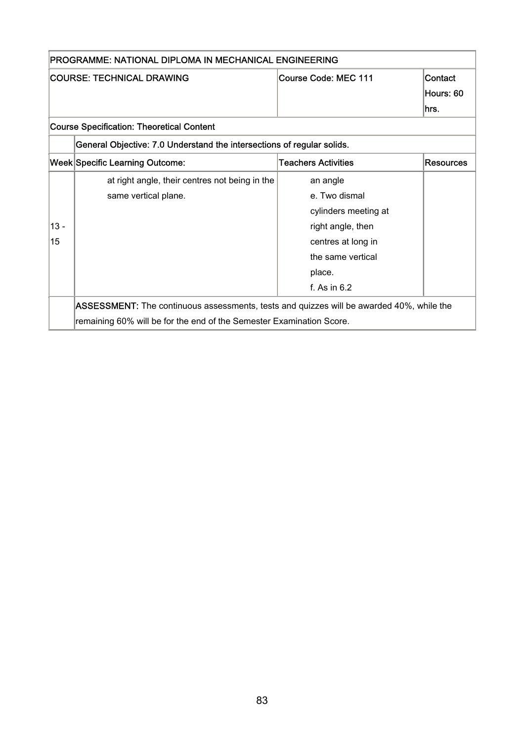|        | PROGRAMME: NATIONAL DIPLOMA IN MECHANICAL ENGINEERING                                    |                            |                  |  |
|--------|------------------------------------------------------------------------------------------|----------------------------|------------------|--|
|        | <b>COURSE: TECHNICAL DRAWING</b>                                                         | Course Code: MEC 111       | Contact          |  |
|        |                                                                                          |                            | Hours: 60        |  |
|        |                                                                                          |                            | lhrs.            |  |
|        | <b>Course Specification: Theoretical Content</b>                                         |                            |                  |  |
|        | General Objective: 7.0 Understand the intersections of regular solids.                   |                            |                  |  |
|        | <b>Week Specific Learning Outcome:</b>                                                   | <b>Teachers Activities</b> | <b>Resources</b> |  |
|        | at right angle, their centres not being in the                                           | an angle                   |                  |  |
|        | same vertical plane.                                                                     | e. Two dismal              |                  |  |
|        |                                                                                          | cylinders meeting at       |                  |  |
| $13 -$ |                                                                                          | right angle, then          |                  |  |
| 15     |                                                                                          | centres at long in         |                  |  |
|        |                                                                                          | the same vertical          |                  |  |
|        |                                                                                          | place.                     |                  |  |
|        |                                                                                          | f. As in $6.2$             |                  |  |
|        | ASSESSMENT: The continuous assessments, tests and quizzes will be awarded 40%, while the |                            |                  |  |
|        | remaining 60% will be for the end of the Semester Examination Score.                     |                            |                  |  |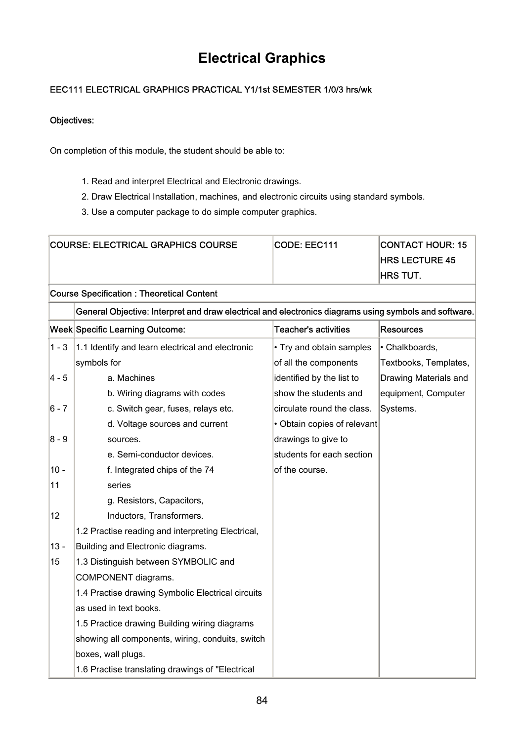## **Electrical Graphics**

### EEC111 ELECTRICAL GRAPHICS PRACTICAL Y1/1st SEMESTER 1/0/3 hrs/wk

#### Objectives:

On completion of this module, the student should be able to:

- 1. Read and interpret Electrical and Electronic drawings.
- 2. Draw Electrical Installation, machines, and electronic circuits using standard symbols.
- 3. Use a computer package to do simple computer graphics.

|         | <b>COURSE: ELECTRICAL GRAPHICS COURSE</b>                                                             | CODE: EEC111                | <b>CONTACT HOUR: 15</b> |  |  |
|---------|-------------------------------------------------------------------------------------------------------|-----------------------------|-------------------------|--|--|
|         |                                                                                                       |                             | <b>HRS LECTURE 45</b>   |  |  |
|         |                                                                                                       |                             | <b>HRS TUT.</b>         |  |  |
|         | <b>Course Specification: Theoretical Content</b>                                                      |                             |                         |  |  |
|         | General Objective: Interpret and draw electrical and electronics diagrams using symbols and software. |                             |                         |  |  |
|         | Week Specific Learning Outcome:                                                                       | <b>Teacher's activities</b> | <b>Resources</b>        |  |  |
| $1 - 3$ | 1.1 Identify and learn electrical and electronic                                                      | • Try and obtain samples    | · Chalkboards,          |  |  |
|         | symbols for                                                                                           | of all the components       | Textbooks, Templates,   |  |  |
| 4 - 5   | a. Machines                                                                                           | identified by the list to   | Drawing Materials and   |  |  |
|         | b. Wiring diagrams with codes                                                                         | show the students and       | equipment, Computer     |  |  |
| 6 - 7   | c. Switch gear, fuses, relays etc.                                                                    | circulate round the class.  | Systems.                |  |  |
|         | d. Voltage sources and current                                                                        | · Obtain copies of relevant |                         |  |  |
| 8 - 9   | sources.                                                                                              | drawings to give to         |                         |  |  |
|         | e. Semi-conductor devices.                                                                            | students for each section   |                         |  |  |
| 10 -    | f. Integrated chips of the 74                                                                         | of the course.              |                         |  |  |
| 11      | series                                                                                                |                             |                         |  |  |
|         | g. Resistors, Capacitors,                                                                             |                             |                         |  |  |
| 12      | Inductors, Transformers.                                                                              |                             |                         |  |  |
|         | 1.2 Practise reading and interpreting Electrical,                                                     |                             |                         |  |  |
| $13 -$  | Building and Electronic diagrams.                                                                     |                             |                         |  |  |
| 15      | 1.3 Distinguish between SYMBOLIC and                                                                  |                             |                         |  |  |
|         | COMPONENT diagrams.                                                                                   |                             |                         |  |  |
|         | 1.4 Practise drawing Symbolic Electrical circuits                                                     |                             |                         |  |  |
|         | as used in text books.                                                                                |                             |                         |  |  |
|         | 1.5 Practice drawing Building wiring diagrams                                                         |                             |                         |  |  |
|         | showing all components, wiring, conduits, switch                                                      |                             |                         |  |  |
|         | boxes, wall plugs.                                                                                    |                             |                         |  |  |
|         | 1.6 Practise translating drawings of "Electrical                                                      |                             |                         |  |  |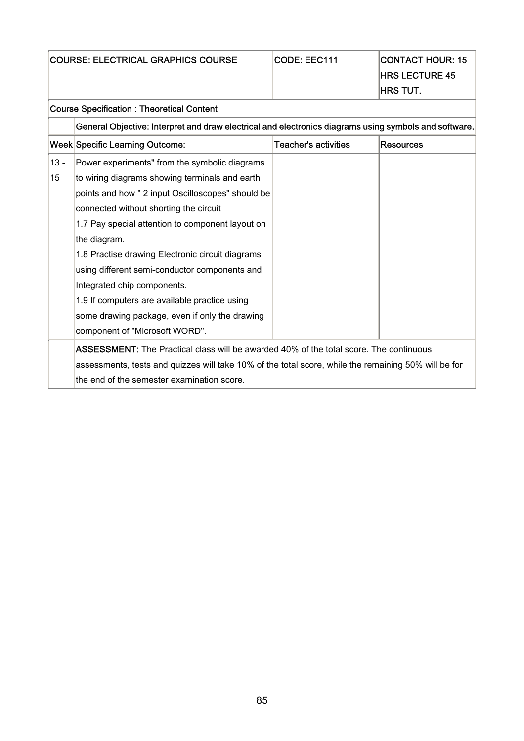|  |  | <b>COURSE: ELECTRICAL GRAPHICS COURSE</b> |  |  |
|--|--|-------------------------------------------|--|--|
|--|--|-------------------------------------------|--|--|

|  | <b>CODE: EEC111</b> |  |
|--|---------------------|--|
|  |                     |  |

 $\vert$ CODE: EEC111  $\vert$ CONTACT HOUR: 15 **HRS LECTURE 45**  $\ln$  $\sigma$  TUT.

|        |                                                                                                       |                      | HRS IUI.         |  |  |
|--------|-------------------------------------------------------------------------------------------------------|----------------------|------------------|--|--|
|        | <b>Course Specification: Theoretical Content</b>                                                      |                      |                  |  |  |
|        | General Objective: Interpret and draw electrical and electronics diagrams using symbols and software. |                      |                  |  |  |
|        | Week Specific Learning Outcome:                                                                       | Teacher's activities | <b>Resources</b> |  |  |
| $13 -$ | Power experiments" from the symbolic diagrams                                                         |                      |                  |  |  |
| 15     | to wiring diagrams showing terminals and earth                                                        |                      |                  |  |  |
|        | points and how " 2 input Oscilloscopes" should be                                                     |                      |                  |  |  |
|        | connected without shorting the circuit                                                                |                      |                  |  |  |
|        | 1.7 Pay special attention to component layout on                                                      |                      |                  |  |  |
|        | the diagram.                                                                                          |                      |                  |  |  |
|        | 1.8 Practise drawing Electronic circuit diagrams                                                      |                      |                  |  |  |
|        | using different semi-conductor components and                                                         |                      |                  |  |  |
|        | Integrated chip components.                                                                           |                      |                  |  |  |
|        | 1.9 If computers are available practice using                                                         |                      |                  |  |  |
|        | some drawing package, even if only the drawing                                                        |                      |                  |  |  |
|        | component of "Microsoft WORD".                                                                        |                      |                  |  |  |
|        | <b>ASSESSMENT:</b> The Practical class will be awarded 40% of the total score. The continuous         |                      |                  |  |  |
|        | assessments, tests and quizzes will take 10% of the total score, while the remaining 50% will be for  |                      |                  |  |  |
|        | the end of the semester examination score.                                                            |                      |                  |  |  |
|        |                                                                                                       |                      |                  |  |  |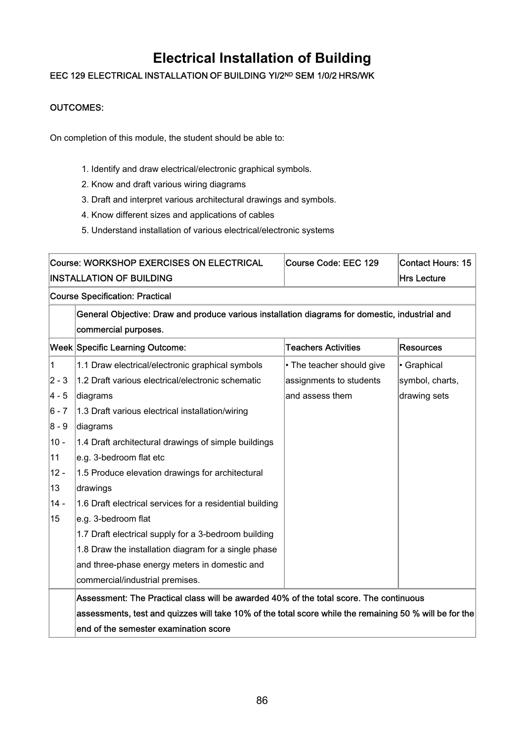## **Electrical Installation of Building**

### EEC 129 ELECTRICAL INSTALLATION OF BUILDING YI/2ND SEM 1/0/2 HRS/WK

#### OUTCOMES:

On completion of this module, the student should be able to:

- 1. Identify and draw electrical/electronic graphical symbols.
- 2. Know and draft various wiring diagrams
- 3. Draft and interpret various architectural drawings and symbols.
- 4. Know different sizes and applications of cables
- 5. Understand installation of various electrical/electronic systems

|                | <b>Course: WORKSHOP EXERCISES ON ELECTRICAL</b>                                                                        | Course Code: EEC 129       | <b>Contact Hours: 15</b> |
|----------------|------------------------------------------------------------------------------------------------------------------------|----------------------------|--------------------------|
|                | <b>INSTALLATION OF BUILDING</b>                                                                                        |                            | <b>Hrs Lecture</b>       |
|                | <b>Course Specification: Practical</b>                                                                                 |                            |                          |
|                | General Objective: Draw and produce various installation diagrams for domestic, industrial and<br>commercial purposes. |                            |                          |
|                | <b>Week Specific Learning Outcome:</b>                                                                                 | <b>Teachers Activities</b> | Resources                |
| $\overline{1}$ | 1.1 Draw electrical/electronic graphical symbols                                                                       | • The teacher should give  | · Graphical              |
| $2 - 3$        | 1.2 Draft various electrical/electronic schematic                                                                      | assignments to students    | symbol, charts,          |
| $4 - 5$        | diagrams                                                                                                               | and assess them            | drawing sets             |
| $6 - 7$        | 1.3 Draft various electrical installation/wiring                                                                       |                            |                          |
| $8 - 9$        | diagrams                                                                                                               |                            |                          |
| $10 -$         | 1.4 Draft architectural drawings of simple buildings                                                                   |                            |                          |
| 11             | e.g. 3-bedroom flat etc                                                                                                |                            |                          |
| $12 -$         | 1.5 Produce elevation drawings for architectural                                                                       |                            |                          |
| 13             | drawings                                                                                                               |                            |                          |
| $14 -$         | 1.6 Draft electrical services for a residential building                                                               |                            |                          |
| 15             | e.g. 3-bedroom flat                                                                                                    |                            |                          |
|                | 1.7 Draft electrical supply for a 3-bedroom building                                                                   |                            |                          |
|                | 1.8 Draw the installation diagram for a single phase                                                                   |                            |                          |
|                | and three-phase energy meters in domestic and                                                                          |                            |                          |
|                | commercial/industrial premises.                                                                                        |                            |                          |
|                | Assessment: The Practical class will be awarded 40% of the total score. The continuous                                 |                            |                          |
|                | assessments, test and quizzes will take 10% of the total score while the remaining 50 % will be for the                |                            |                          |
|                | end of the semester examination score                                                                                  |                            |                          |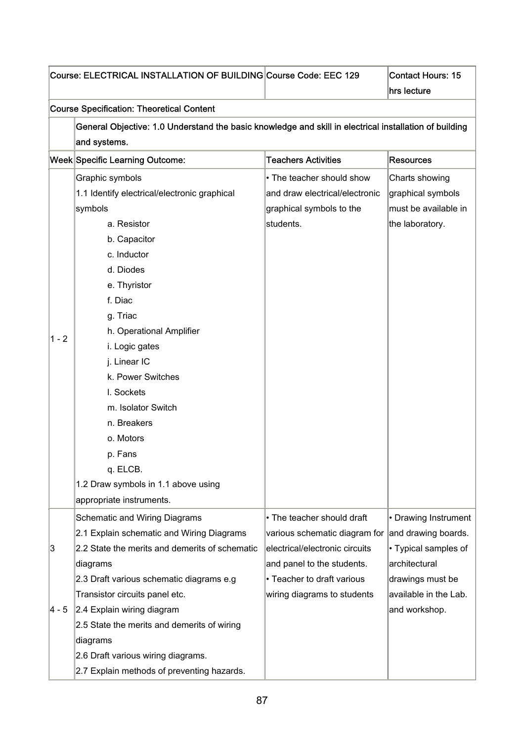|         | Course: ELECTRICAL INSTALLATION OF BUILDING Course Code: EEC 129                                       |                                | <b>Contact Hours: 15</b> |
|---------|--------------------------------------------------------------------------------------------------------|--------------------------------|--------------------------|
|         |                                                                                                        |                                | hrs lecture              |
|         | <b>Course Specification: Theoretical Content</b>                                                       |                                |                          |
|         | General Objective: 1.0 Understand the basic knowledge and skill in electrical installation of building |                                |                          |
|         | and systems.                                                                                           |                                |                          |
|         | Week Specific Learning Outcome:                                                                        | <b>Teachers Activities</b>     | <b>Resources</b>         |
|         | Graphic symbols                                                                                        | • The teacher should show      | Charts showing           |
|         | 1.1 Identify electrical/electronic graphical                                                           | and draw electrical/electronic | graphical symbols        |
|         | symbols                                                                                                | graphical symbols to the       | must be available in     |
|         | a. Resistor                                                                                            | students.                      | the laboratory.          |
|         | b. Capacitor                                                                                           |                                |                          |
|         | c. Inductor                                                                                            |                                |                          |
|         | d. Diodes                                                                                              |                                |                          |
|         | e. Thyristor                                                                                           |                                |                          |
|         | f. Diac                                                                                                |                                |                          |
|         | g. Triac                                                                                               |                                |                          |
|         | h. Operational Amplifier                                                                               |                                |                          |
| $1 - 2$ | i. Logic gates                                                                                         |                                |                          |
|         | j. Linear IC                                                                                           |                                |                          |
|         | k. Power Switches                                                                                      |                                |                          |
|         | I. Sockets                                                                                             |                                |                          |
|         | m. Isolator Switch                                                                                     |                                |                          |
|         | n. Breakers                                                                                            |                                |                          |
|         | o. Motors                                                                                              |                                |                          |
|         | p. Fans                                                                                                |                                |                          |
|         | q. ELCB.                                                                                               |                                |                          |
|         | 1.2 Draw symbols in 1.1 above using                                                                    |                                |                          |
|         | appropriate instruments.                                                                               |                                |                          |
|         | <b>Schematic and Wiring Diagrams</b>                                                                   | • The teacher should draft     | • Drawing Instrument     |
|         | 2.1 Explain schematic and Wiring Diagrams                                                              | various schematic diagram for  | and drawing boards.      |
| 3       | 2.2 State the merits and demerits of schematic                                                         | electrical/electronic circuits | • Typical samples of     |
|         | diagrams                                                                                               | and panel to the students.     | architectural            |
|         | 2.3 Draft various schematic diagrams e.g                                                               | • Teacher to draft various     | drawings must be         |
|         | Transistor circuits panel etc.                                                                         | wiring diagrams to students    | available in the Lab.    |
| 4 - 5   | 2.4 Explain wiring diagram                                                                             |                                | and workshop.            |
|         | 2.5 State the merits and demerits of wiring                                                            |                                |                          |
|         | diagrams                                                                                               |                                |                          |
|         | 2.6 Draft various wiring diagrams.                                                                     |                                |                          |
|         | 2.7 Explain methods of preventing hazards.                                                             |                                |                          |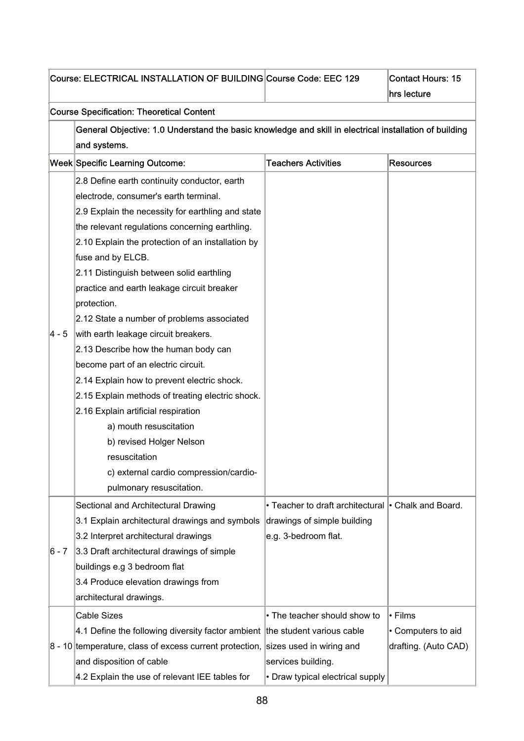|         | Course: ELECTRICAL INSTALLATION OF BUILDING Course Code: EEC 129                                       |                                                     | <b>Contact Hours: 15</b> |
|---------|--------------------------------------------------------------------------------------------------------|-----------------------------------------------------|--------------------------|
|         |                                                                                                        |                                                     | hrs lecture              |
|         | <b>Course Specification: Theoretical Content</b>                                                       |                                                     |                          |
|         | General Objective: 1.0 Understand the basic knowledge and skill in electrical installation of building |                                                     |                          |
|         | and systems.                                                                                           |                                                     |                          |
|         | Week Specific Learning Outcome:                                                                        | <b>Teachers Activities</b>                          | <b>Resources</b>         |
|         | 2.8 Define earth continuity conductor, earth                                                           |                                                     |                          |
|         | electrode, consumer's earth terminal.                                                                  |                                                     |                          |
|         | 2.9 Explain the necessity for earthling and state                                                      |                                                     |                          |
|         | the relevant regulations concerning earthling.                                                         |                                                     |                          |
|         | 2.10 Explain the protection of an installation by                                                      |                                                     |                          |
|         | fuse and by ELCB.                                                                                      |                                                     |                          |
|         | 2.11 Distinguish between solid earthling                                                               |                                                     |                          |
|         | practice and earth leakage circuit breaker                                                             |                                                     |                          |
|         | protection.                                                                                            |                                                     |                          |
|         | 2.12 State a number of problems associated                                                             |                                                     |                          |
| 4 - 5   | with earth leakage circuit breakers.                                                                   |                                                     |                          |
|         | 2.13 Describe how the human body can                                                                   |                                                     |                          |
|         | become part of an electric circuit.                                                                    |                                                     |                          |
|         | 2.14 Explain how to prevent electric shock.                                                            |                                                     |                          |
|         | 2.15 Explain methods of treating electric shock.                                                       |                                                     |                          |
|         | 2.16 Explain artificial respiration                                                                    |                                                     |                          |
|         | a) mouth resuscitation                                                                                 |                                                     |                          |
|         | b) revised Holger Nelson                                                                               |                                                     |                          |
|         | resuscitation                                                                                          |                                                     |                          |
|         | c) external cardio compression/cardio-                                                                 |                                                     |                          |
|         | pulmonary resuscitation.                                                                               |                                                     |                          |
|         | Sectional and Architectural Drawing                                                                    | • Teacher to draft architectural • Chalk and Board. |                          |
|         | 3.1 Explain architectural drawings and symbols                                                         | drawings of simple building                         |                          |
|         | 3.2 Interpret architectural drawings                                                                   | e.g. 3-bedroom flat.                                |                          |
| $6 - 7$ | 3.3 Draft architectural drawings of simple                                                             |                                                     |                          |
|         | buildings e.g 3 bedroom flat                                                                           |                                                     |                          |
|         | 3.4 Produce elevation drawings from                                                                    |                                                     |                          |
|         | architectural drawings.                                                                                |                                                     |                          |
|         | <b>Cable Sizes</b>                                                                                     | • The teacher should show to                        | • Films                  |
|         | 4.1 Define the following diversity factor ambient the student various cable                            |                                                     | • Computers to aid       |
|         | 8 - 10 temperature, class of excess current protection, sizes used in wiring and                       |                                                     | drafting. (Auto CAD)     |
|         | and disposition of cable                                                                               | services building.                                  |                          |
|         | 4.2 Explain the use of relevant IEE tables for                                                         | • Draw typical electrical supply                    |                          |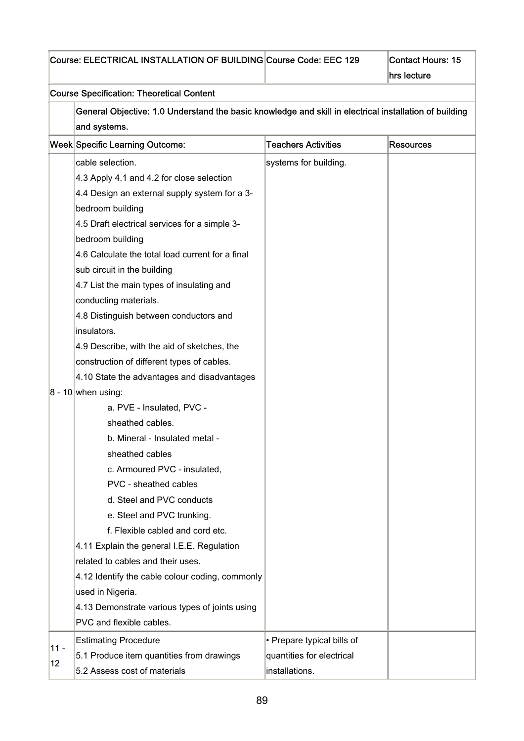|        | Course: ELECTRICAL INSTALLATION OF BUILDING Course Code: EEC 129                                       |                            | <b>Contact Hours: 15</b> |
|--------|--------------------------------------------------------------------------------------------------------|----------------------------|--------------------------|
|        |                                                                                                        |                            | hrs lecture              |
|        | <b>Course Specification: Theoretical Content</b>                                                       |                            |                          |
|        | General Objective: 1.0 Understand the basic knowledge and skill in electrical installation of building |                            |                          |
|        | and systems.                                                                                           |                            |                          |
|        | <b>Week Specific Learning Outcome:</b>                                                                 | <b>Teachers Activities</b> | <b>Resources</b>         |
|        | cable selection.                                                                                       | systems for building.      |                          |
|        | 4.3 Apply 4.1 and 4.2 for close selection                                                              |                            |                          |
|        | 4.4 Design an external supply system for a 3-                                                          |                            |                          |
|        | bedroom building                                                                                       |                            |                          |
|        | 4.5 Draft electrical services for a simple 3-                                                          |                            |                          |
|        | bedroom building                                                                                       |                            |                          |
|        | 4.6 Calculate the total load current for a final                                                       |                            |                          |
|        | sub circuit in the building                                                                            |                            |                          |
|        | 4.7 List the main types of insulating and                                                              |                            |                          |
|        | conducting materials.                                                                                  |                            |                          |
|        | 4.8 Distinguish between conductors and                                                                 |                            |                          |
|        | insulators.                                                                                            |                            |                          |
|        | 4.9 Describe, with the aid of sketches, the                                                            |                            |                          |
|        | construction of different types of cables.                                                             |                            |                          |
|        | 4.10 State the advantages and disadvantages                                                            |                            |                          |
|        | $8 - 10$ when using:                                                                                   |                            |                          |
|        | a. PVE - Insulated, PVC -                                                                              |                            |                          |
|        | sheathed cables.                                                                                       |                            |                          |
|        | b. Mineral - Insulated metal -                                                                         |                            |                          |
|        | sheathed cables                                                                                        |                            |                          |
|        | c. Armoured PVC - insulated,                                                                           |                            |                          |
|        | PVC - sheathed cables                                                                                  |                            |                          |
|        | d. Steel and PVC conducts                                                                              |                            |                          |
|        | e. Steel and PVC trunking.                                                                             |                            |                          |
|        | f. Flexible cabled and cord etc.                                                                       |                            |                          |
|        | 4.11 Explain the general I.E.E. Regulation                                                             |                            |                          |
|        | related to cables and their uses.                                                                      |                            |                          |
|        | 4.12 Identify the cable colour coding, commonly                                                        |                            |                          |
|        | used in Nigeria.                                                                                       |                            |                          |
|        | 4.13 Demonstrate various types of joints using                                                         |                            |                          |
|        | PVC and flexible cables.                                                                               |                            |                          |
|        | <b>Estimating Procedure</b>                                                                            | • Prepare typical bills of |                          |
| $11 -$ | 5.1 Produce item quantities from drawings                                                              | quantities for electrical  |                          |
| 12     | 5.2 Assess cost of materials                                                                           | installations.             |                          |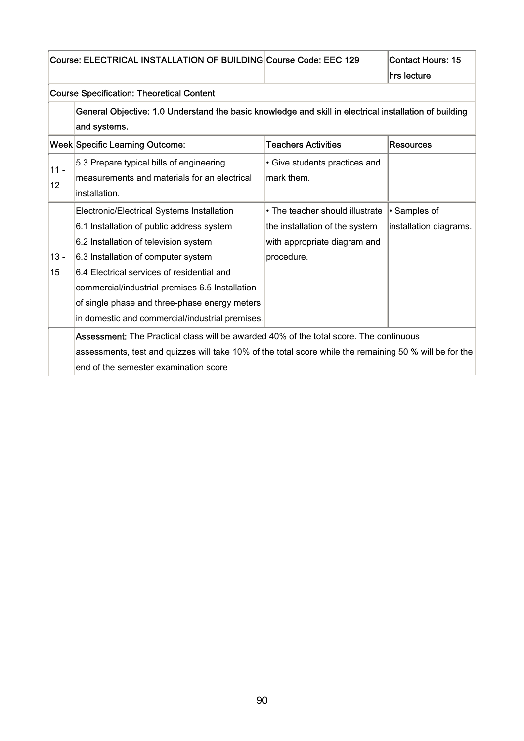| Course: ELECTRICAL INSTALLATION OF BUILDING Course Code: EEC 129 |
|------------------------------------------------------------------|
|------------------------------------------------------------------|

### Course Specification: Theoretical Content

| General Objective: 1.0 Understand the basic knowledge and skill in electrical installation of building |
|--------------------------------------------------------------------------------------------------------|
| and systems.                                                                                           |

|                 | Week Specific Learning Outcome:                                                                         | <b>Teachers Activities</b>      | <b>Resources</b>       |
|-----------------|---------------------------------------------------------------------------------------------------------|---------------------------------|------------------------|
| $11 -$          | 5.3 Prepare typical bills of engineering                                                                | • Give students practices and   |                        |
| 12 <sub>2</sub> | measurements and materials for an electrical                                                            | mark them.                      |                        |
|                 | installation.                                                                                           |                                 |                        |
|                 | Electronic/Electrical Systems Installation                                                              | • The teacher should illustrate | • Samples of           |
|                 | 6.1 Installation of public address system                                                               | the installation of the system  | installation diagrams. |
|                 | 6.2 Installation of television system                                                                   | with appropriate diagram and    |                        |
| $13 -$          | 6.3 Installation of computer system                                                                     | procedure.                      |                        |
| 15              | 6.4 Electrical services of residential and                                                              |                                 |                        |
|                 | commercial/industrial premises 6.5 Installation                                                         |                                 |                        |
|                 | of single phase and three-phase energy meters                                                           |                                 |                        |
|                 | in domestic and commercial/industrial premises.                                                         |                                 |                        |
|                 | <b>Assessment:</b> The Practical class will be awarded 40% of the total score. The continuous           |                                 |                        |
|                 | assessments, test and quizzes will take 10% of the total score while the remaining 50 % will be for the |                                 |                        |
|                 | lend of the semester examination score                                                                  |                                 |                        |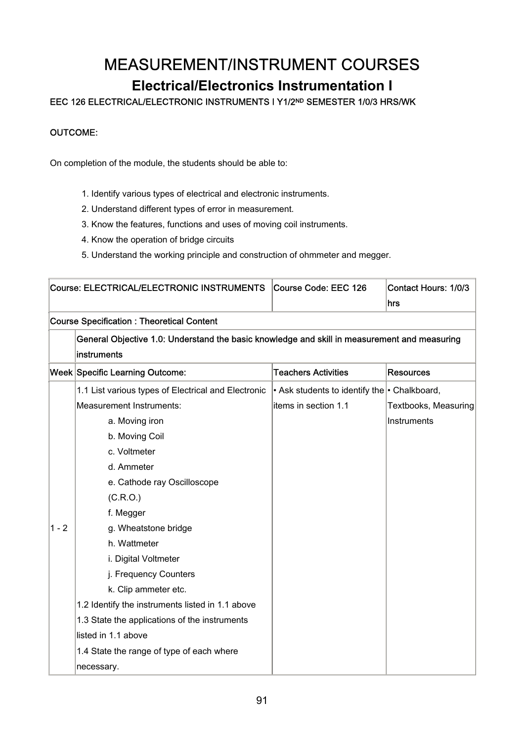## MEASUREMENT/INSTRUMENT COURSES

### **Electrical/Electronics Instrumentation I**

EEC 126 ELECTRICAL/ELECTRONIC INSTRUMENTS I Y1/2ND SEMESTER 1/0/3 HRS/WK

#### OUTCOME:

On completion of the module, the students should be able to:

- 1. Identify various types of electrical and electronic instruments.
- 2. Understand different types of error in measurement.
- 3. Know the features, functions and uses of moving coil instruments.
- 4. Know the operation of bridge circuits
- 5. Understand the working principle and construction of ohmmeter and megger.

|         | Course: ELECTRICAL/ELECTRONIC INSTRUMENTS                                                    | Course Code: EEC 126                                     | Contact Hours: 1/0/3<br>hrs |
|---------|----------------------------------------------------------------------------------------------|----------------------------------------------------------|-----------------------------|
|         | <b>Course Specification: Theoretical Content</b>                                             |                                                          |                             |
|         | General Objective 1.0: Understand the basic knowledge and skill in measurement and measuring |                                                          |                             |
|         | instruments                                                                                  |                                                          |                             |
|         | <b>Week Specific Learning Outcome:</b>                                                       | <b>Teachers Activities</b>                               | <b>Resources</b>            |
|         | 1.1 List various types of Electrical and Electronic                                          | $\cdot$ Ask students to identify the $\cdot$ Chalkboard, |                             |
|         | <b>Measurement Instruments:</b>                                                              | items in section 1.1                                     | Textbooks, Measuring        |
|         | a. Moving iron                                                                               |                                                          | Instruments                 |
|         | b. Moving Coil                                                                               |                                                          |                             |
|         | c. Voltmeter                                                                                 |                                                          |                             |
|         | d. Ammeter                                                                                   |                                                          |                             |
|         | e. Cathode ray Oscilloscope                                                                  |                                                          |                             |
|         | (C.R.O.)                                                                                     |                                                          |                             |
|         | f. Megger                                                                                    |                                                          |                             |
| $1 - 2$ | g. Wheatstone bridge                                                                         |                                                          |                             |
|         | h. Wattmeter                                                                                 |                                                          |                             |
|         | i. Digital Voltmeter                                                                         |                                                          |                             |
|         | j. Frequency Counters                                                                        |                                                          |                             |
|         | k. Clip ammeter etc.                                                                         |                                                          |                             |
|         | 1.2 Identify the instruments listed in 1.1 above                                             |                                                          |                             |
|         | 1.3 State the applications of the instruments                                                |                                                          |                             |
|         | listed in 1.1 above                                                                          |                                                          |                             |
|         | 1.4 State the range of type of each where                                                    |                                                          |                             |
|         | necessary.                                                                                   |                                                          |                             |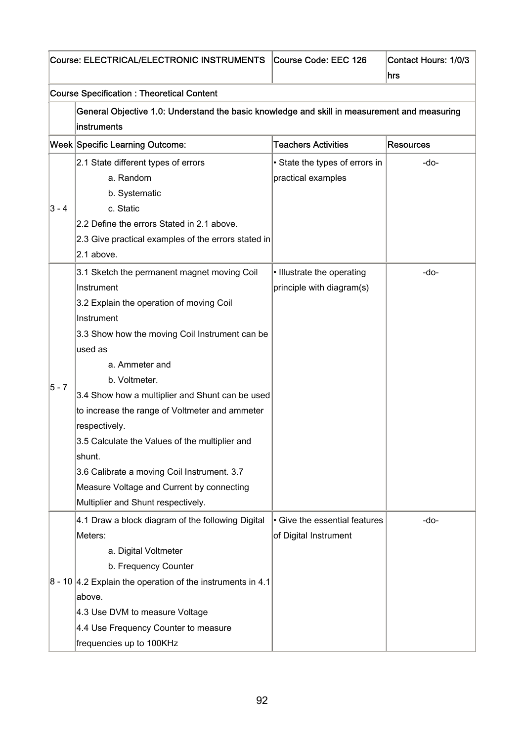|         | Course: ELECTRICAL/ELECTRONIC INSTRUMENTS                                                    | Course Code: EEC 126           | Contact Hours: 1/0/3 |  |  |
|---------|----------------------------------------------------------------------------------------------|--------------------------------|----------------------|--|--|
|         |                                                                                              |                                | hrs                  |  |  |
|         | <b>Course Specification: Theoretical Content</b>                                             |                                |                      |  |  |
|         | General Objective 1.0: Understand the basic knowledge and skill in measurement and measuring |                                |                      |  |  |
|         | instruments                                                                                  |                                |                      |  |  |
|         | Week Specific Learning Outcome:                                                              | <b>Teachers Activities</b>     | <b>Resources</b>     |  |  |
|         | 2.1 State different types of errors                                                          | • State the types of errors in | -do-                 |  |  |
|         | a. Random                                                                                    | practical examples             |                      |  |  |
|         | b. Systematic                                                                                |                                |                      |  |  |
| $3 - 4$ | c. Static                                                                                    |                                |                      |  |  |
|         | 2.2 Define the errors Stated in 2.1 above.                                                   |                                |                      |  |  |
|         | 2.3 Give practical examples of the errors stated in                                          |                                |                      |  |  |
|         | 2.1 above.                                                                                   |                                |                      |  |  |
|         | 3.1 Sketch the permanent magnet moving Coil                                                  | • Illustrate the operating     | -do-                 |  |  |
|         | Instrument                                                                                   | principle with diagram(s)      |                      |  |  |
|         | 3.2 Explain the operation of moving Coil                                                     |                                |                      |  |  |
|         | Instrument                                                                                   |                                |                      |  |  |
|         | 3.3 Show how the moving Coil Instrument can be                                               |                                |                      |  |  |
|         | used as                                                                                      |                                |                      |  |  |
|         | a. Ammeter and                                                                               |                                |                      |  |  |
|         | b. Voltmeter.                                                                                |                                |                      |  |  |
| $5 - 7$ | 3.4 Show how a multiplier and Shunt can be used                                              |                                |                      |  |  |
|         | to increase the range of Voltmeter and ammeter                                               |                                |                      |  |  |
|         | respectively.                                                                                |                                |                      |  |  |
|         | 3.5 Calculate the Values of the multiplier and                                               |                                |                      |  |  |
|         | shunt.                                                                                       |                                |                      |  |  |
|         | 3.6 Calibrate a moving Coil Instrument. 3.7                                                  |                                |                      |  |  |
|         | Measure Voltage and Current by connecting                                                    |                                |                      |  |  |
|         | Multiplier and Shunt respectively.                                                           |                                |                      |  |  |
|         | 4.1 Draw a block diagram of the following Digital                                            | • Give the essential features  | -do-                 |  |  |
|         | Meters:                                                                                      | of Digital Instrument          |                      |  |  |
|         | a. Digital Voltmeter                                                                         |                                |                      |  |  |
|         | b. Frequency Counter                                                                         |                                |                      |  |  |
|         | $\vert$ 8 - 10 4.2 Explain the operation of the instruments in 4.1                           |                                |                      |  |  |
|         | above.                                                                                       |                                |                      |  |  |
|         | 4.3 Use DVM to measure Voltage                                                               |                                |                      |  |  |
|         | 4.4 Use Frequency Counter to measure                                                         |                                |                      |  |  |
|         | frequencies up to 100KHz                                                                     |                                |                      |  |  |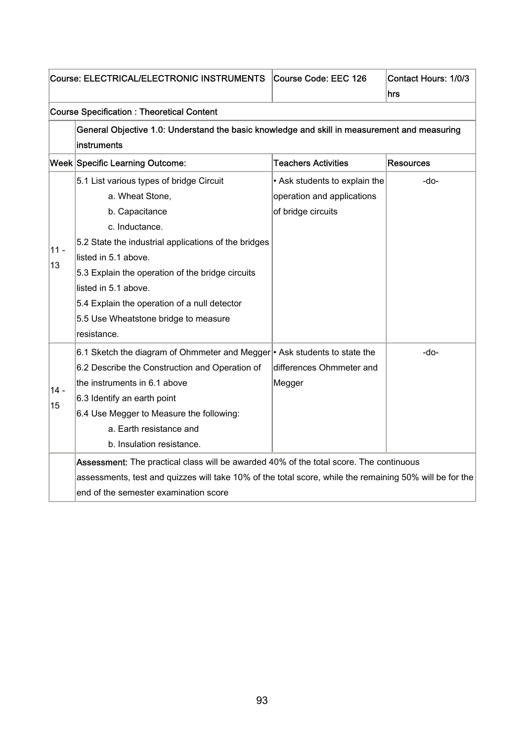| Course: ELECTRICAL/ELECTRONIC INSTRUMENTS |                                                                                                         | Course Code: EEC 126          | Contact Hours: 1/0/3<br>hrs |  |  |  |
|-------------------------------------------|---------------------------------------------------------------------------------------------------------|-------------------------------|-----------------------------|--|--|--|
|                                           | <b>Course Specification: Theoretical Content</b>                                                        |                               |                             |  |  |  |
|                                           | General Objective 1.0: Understand the basic knowledge and skill in measurement and measuring            |                               |                             |  |  |  |
|                                           | instruments                                                                                             |                               |                             |  |  |  |
|                                           | <b>Week Specific Learning Outcome:</b>                                                                  | <b>Teachers Activities</b>    | <b>Resources</b>            |  |  |  |
|                                           | 5.1 List various types of bridge Circuit                                                                | • Ask students to explain the | -do-                        |  |  |  |
|                                           | a. Wheat Stone,                                                                                         | operation and applications    |                             |  |  |  |
|                                           | b. Capacitance                                                                                          | of bridge circuits            |                             |  |  |  |
|                                           | c. Inductance.                                                                                          |                               |                             |  |  |  |
| $11 -$                                    | 5.2 State the industrial applications of the bridges                                                    |                               |                             |  |  |  |
| 13                                        | listed in 5.1 above.                                                                                    |                               |                             |  |  |  |
|                                           | 5.3 Explain the operation of the bridge circuits                                                        |                               |                             |  |  |  |
|                                           | listed in 5.1 above.                                                                                    |                               |                             |  |  |  |
|                                           | 5.4 Explain the operation of a null detector                                                            |                               |                             |  |  |  |
|                                           | 5.5 Use Wheatstone bridge to measure                                                                    |                               |                             |  |  |  |
|                                           | resistance.                                                                                             |                               |                             |  |  |  |
|                                           | 6.1 Sketch the diagram of Ohmmeter and Megger <sup></sup> Ask students to state the                     |                               | -do-                        |  |  |  |
|                                           | 6.2 Describe the Construction and Operation of                                                          | differences Ohmmeter and      |                             |  |  |  |
| $14 -$                                    | the instruments in 6.1 above                                                                            | Megger                        |                             |  |  |  |
| 15                                        | 6.3 Identify an earth point                                                                             |                               |                             |  |  |  |
|                                           | 6.4 Use Megger to Measure the following:                                                                |                               |                             |  |  |  |
|                                           | a. Earth resistance and                                                                                 |                               |                             |  |  |  |
|                                           | b. Insulation resistance.                                                                               |                               |                             |  |  |  |
|                                           | Assessment: The practical class will be awarded 40% of the total score. The continuous                  |                               |                             |  |  |  |
|                                           | assessments, test and quizzes will take 10% of the total score, while the remaining 50% will be for the |                               |                             |  |  |  |
|                                           | end of the semester examination score                                                                   |                               |                             |  |  |  |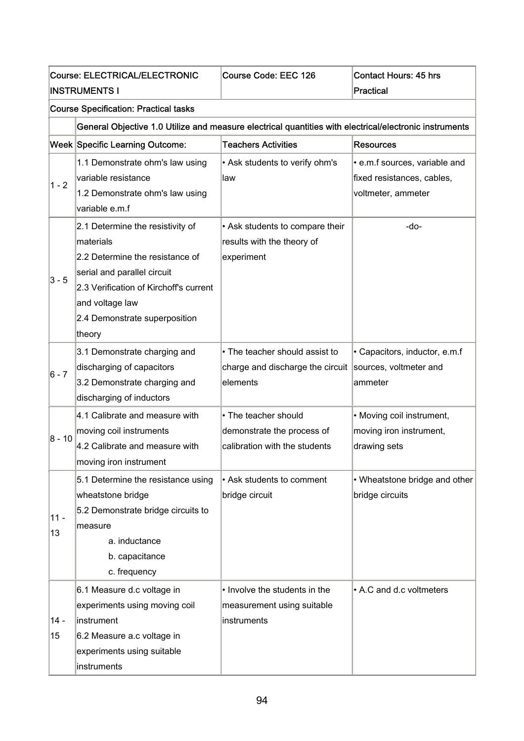|              | Course: ELECTRICAL/ELECTRONIC<br><b>INSTRUMENTS I</b>                                                                                                                                                                   | Course Code: EEC 126                                                                | <b>Contact Hours: 45 hrs</b><br><b>Practical</b>                                  |  |  |  |
|--------------|-------------------------------------------------------------------------------------------------------------------------------------------------------------------------------------------------------------------------|-------------------------------------------------------------------------------------|-----------------------------------------------------------------------------------|--|--|--|
|              | <b>Course Specification: Practical tasks</b>                                                                                                                                                                            |                                                                                     |                                                                                   |  |  |  |
|              | General Objective 1.0 Utilize and measure electrical quantities with electrical/electronic instruments                                                                                                                  |                                                                                     |                                                                                   |  |  |  |
|              | <b>Week Specific Learning Outcome:</b>                                                                                                                                                                                  | <b>Teachers Activities</b>                                                          | <b>Resources</b>                                                                  |  |  |  |
| $1 - 2$      | 1.1 Demonstrate ohm's law using<br>variable resistance<br>1.2 Demonstrate ohm's law using<br>variable e.m.f                                                                                                             | • Ask students to verify ohm's<br>law                                               | · e.m.f sources, variable and<br>fixed resistances, cables,<br>voltmeter, ammeter |  |  |  |
| $3 - 5$      | 2.1 Determine the resistivity of<br>materials<br>2.2 Determine the resistance of<br>serial and parallel circuit<br>2.3 Verification of Kirchoff's current<br>and voltage law<br>2.4 Demonstrate superposition<br>theory | • Ask students to compare their<br>results with the theory of<br>experiment         | -do-                                                                              |  |  |  |
| $6 - 7$      | 3.1 Demonstrate charging and<br>discharging of capacitors<br>3.2 Demonstrate charging and<br>discharging of inductors                                                                                                   | • The teacher should assist to<br>charge and discharge the circuit<br>elements      | • Capacitors, inductor, e.m.f<br>sources, voltmeter and<br>ammeter                |  |  |  |
| $8 - 10$     | 4.1 Calibrate and measure with<br>moving coil instruments<br>4.2 Calibrate and measure with<br>moving iron instrument                                                                                                   | • The teacher should<br>demonstrate the process of<br>calibration with the students | • Moving coil instrument,<br>moving iron instrument,<br>drawing sets              |  |  |  |
| $11 -$<br>13 | 5.1 Determine the resistance using<br>wheatstone bridge<br>5.2 Demonstrate bridge circuits to<br>measure<br>a. inductance<br>b. capacitance<br>c. frequency                                                             | • Ask students to comment<br>bridge circuit                                         | • Wheatstone bridge and other<br>bridge circuits                                  |  |  |  |
| $14 -$<br>15 | 6.1 Measure d.c voltage in<br>experiments using moving coil<br>instrument<br>6.2 Measure a.c voltage in<br>experiments using suitable<br>instruments                                                                    | • Involve the students in the<br>measurement using suitable<br>instruments          | • A.C and d.c voltmeters                                                          |  |  |  |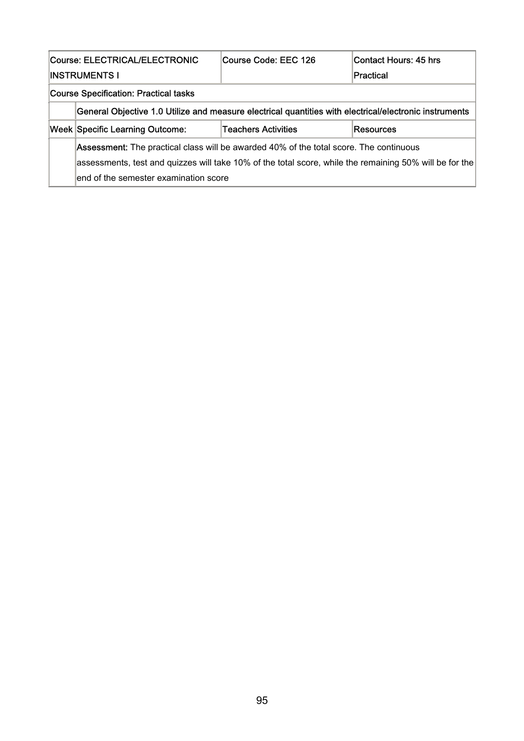| Course: ELECTRICAL/ELECTRONIC                |                                                                                                         | Course Code: EEC 126       | lContact Hours: 45 hrs |  |
|----------------------------------------------|---------------------------------------------------------------------------------------------------------|----------------------------|------------------------|--|
|                                              | INSTRUMENTS I                                                                                           |                            | lPractical             |  |
| <b>Course Specification: Practical tasks</b> |                                                                                                         |                            |                        |  |
|                                              | General Objective 1.0 Utilize and measure electrical quantities with electrical/electronic instruments  |                            |                        |  |
|                                              | <b>Week Specific Learning Outcome:</b>                                                                  | <b>Teachers Activities</b> | Resources              |  |
|                                              | <b>Assessment:</b> The practical class will be awarded 40% of the total score. The continuous           |                            |                        |  |
|                                              | assessments, test and quizzes will take 10% of the total score, while the remaining 50% will be for the |                            |                        |  |
|                                              | end of the semester examination score                                                                   |                            |                        |  |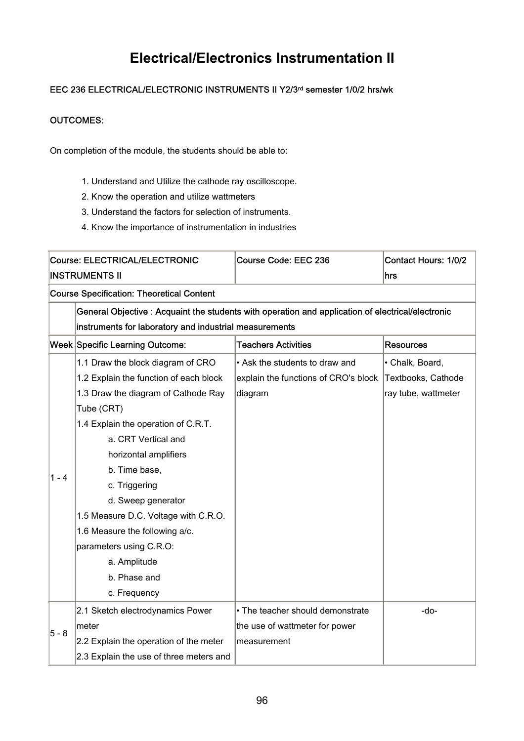## **Electrical/Electronics Instrumentation II**

### EEC 236 ELECTRICAL/ELECTRONIC INSTRUMENTS II Y2/3<sup>rd</sup> semester 1/0/2 hrs/wk

#### OUTCOMES:

On completion of the module, the students should be able to:

- 1. Understand and Utilize the cathode ray oscilloscope.
- 2. Know the operation and utilize wattmeters
- 3. Understand the factors for selection of instruments.
- 4. Know the importance of instrumentation in industries

| Course: ELECTRICAL/ELECTRONIC |                                                                                                   | Course Code: EEC 236                 | <b>Contact Hours: 1/0/2</b> |
|-------------------------------|---------------------------------------------------------------------------------------------------|--------------------------------------|-----------------------------|
|                               | <b>INSTRUMENTS II</b>                                                                             |                                      | hrs                         |
|                               | <b>Course Specification: Theoretical Content</b>                                                  |                                      |                             |
|                               | General Objective : Acquaint the students with operation and application of electrical/electronic |                                      |                             |
|                               | instruments for laboratory and industrial measurements                                            |                                      |                             |
|                               | Week Specific Learning Outcome:                                                                   | <b>Teachers Activities</b>           | <b>Resources</b>            |
|                               | 1.1 Draw the block diagram of CRO                                                                 | • Ask the students to draw and       | • Chalk, Board,             |
|                               | 1.2 Explain the function of each block                                                            | explain the functions of CRO's block | Textbooks, Cathode          |
|                               | 1.3 Draw the diagram of Cathode Ray                                                               | diagram                              | ray tube, wattmeter         |
|                               | Tube (CRT)                                                                                        |                                      |                             |
|                               | 1.4 Explain the operation of C.R.T.                                                               |                                      |                             |
|                               | a. CRT Vertical and                                                                               |                                      |                             |
|                               | horizontal amplifiers                                                                             |                                      |                             |
| 1 - 4                         | b. Time base,                                                                                     |                                      |                             |
|                               | c. Triggering                                                                                     |                                      |                             |
|                               | d. Sweep generator                                                                                |                                      |                             |
|                               | 1.5 Measure D.C. Voltage with C.R.O.                                                              |                                      |                             |
|                               | 1.6 Measure the following a/c.                                                                    |                                      |                             |
|                               | parameters using C.R.O:                                                                           |                                      |                             |
|                               | a. Amplitude                                                                                      |                                      |                             |
|                               | b. Phase and                                                                                      |                                      |                             |
|                               | c. Frequency                                                                                      |                                      |                             |
|                               | 2.1 Sketch electrodynamics Power                                                                  | • The teacher should demonstrate     | -do-                        |
| $5 - 8$                       | meter                                                                                             | the use of wattmeter for power       |                             |
|                               | 2.2 Explain the operation of the meter                                                            | measurement                          |                             |
|                               | 2.3 Explain the use of three meters and                                                           |                                      |                             |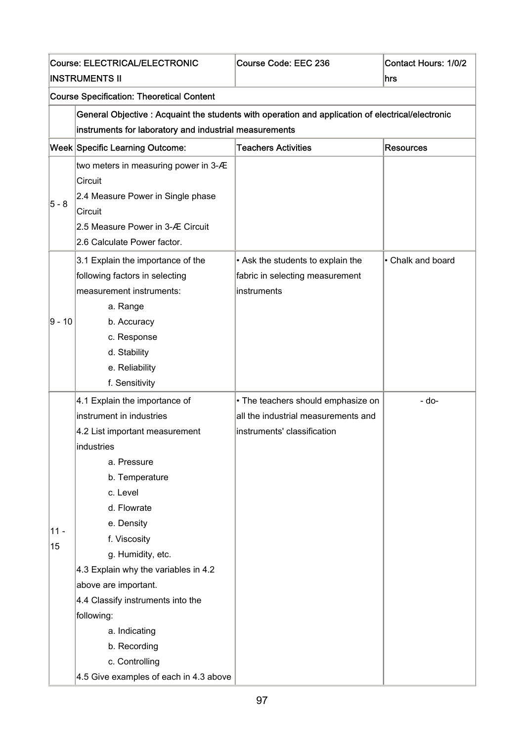|        | <b>Course: ELECTRICAL/ELECTRONIC</b>                                                              | Course Code: EEC 236                | <b>Contact Hours: 1/0/2</b> |  |  |
|--------|---------------------------------------------------------------------------------------------------|-------------------------------------|-----------------------------|--|--|
|        | <b>INSTRUMENTS II</b>                                                                             |                                     | hrs                         |  |  |
|        | <b>Course Specification: Theoretical Content</b>                                                  |                                     |                             |  |  |
|        | General Objective : Acquaint the students with operation and application of electrical/electronic |                                     |                             |  |  |
|        | instruments for laboratory and industrial measurements                                            |                                     |                             |  |  |
|        | <b>Week Specific Learning Outcome:</b>                                                            | <b>Teachers Activities</b>          | <b>Resources</b>            |  |  |
|        | two meters in measuring power in 3-Æ                                                              |                                     |                             |  |  |
|        | Circuit                                                                                           |                                     |                             |  |  |
| 5 - 8  | 2.4 Measure Power in Single phase                                                                 |                                     |                             |  |  |
|        | Circuit                                                                                           |                                     |                             |  |  |
|        | 2.5 Measure Power in 3-Æ Circuit                                                                  |                                     |                             |  |  |
|        | 2.6 Calculate Power factor.                                                                       |                                     |                             |  |  |
|        | 3.1 Explain the importance of the                                                                 | • Ask the students to explain the   | • Chalk and board           |  |  |
| 9 - 10 | following factors in selecting                                                                    | fabric in selecting measurement     |                             |  |  |
|        | measurement instruments:                                                                          | instruments                         |                             |  |  |
|        | a. Range                                                                                          |                                     |                             |  |  |
|        | b. Accuracy                                                                                       |                                     |                             |  |  |
|        | c. Response                                                                                       |                                     |                             |  |  |
|        | d. Stability                                                                                      |                                     |                             |  |  |
|        | e. Reliability                                                                                    |                                     |                             |  |  |
|        | f. Sensitivity                                                                                    |                                     |                             |  |  |
|        | 4.1 Explain the importance of                                                                     | • The teachers should emphasize on  | - do-                       |  |  |
|        | instrument in industries                                                                          | all the industrial measurements and |                             |  |  |
|        | 4.2 List important measurement                                                                    | instruments' classification         |                             |  |  |
|        | industries                                                                                        |                                     |                             |  |  |
|        | a. Pressure                                                                                       |                                     |                             |  |  |
|        | b. Temperature                                                                                    |                                     |                             |  |  |
|        | c. Level                                                                                          |                                     |                             |  |  |
|        | d. Flowrate                                                                                       |                                     |                             |  |  |
| $11 -$ | e. Density                                                                                        |                                     |                             |  |  |
| 15     | f. Viscosity                                                                                      |                                     |                             |  |  |
|        | g. Humidity, etc.                                                                                 |                                     |                             |  |  |
|        | 4.3 Explain why the variables in 4.2                                                              |                                     |                             |  |  |
|        | above are important.                                                                              |                                     |                             |  |  |
|        | 4.4 Classify instruments into the                                                                 |                                     |                             |  |  |
|        | following:                                                                                        |                                     |                             |  |  |
|        | a. Indicating                                                                                     |                                     |                             |  |  |
|        | b. Recording                                                                                      |                                     |                             |  |  |
|        | c. Controlling                                                                                    |                                     |                             |  |  |
|        | 4.5 Give examples of each in 4.3 above                                                            |                                     |                             |  |  |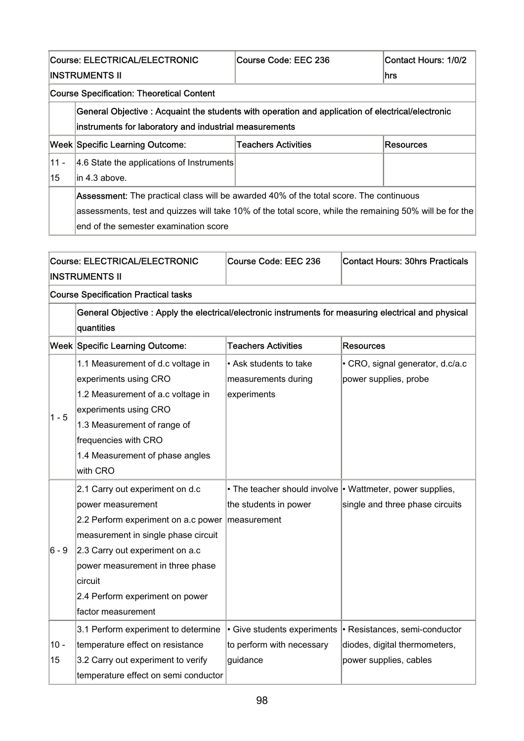|                                      | <b>Course: ELECTRICAL/ELECTRONIC</b>                                                                                                                                                                                                       | Course Code: EEC 236       |  | <b>Contact Hours: 1/0/2</b>            |  |
|--------------------------------------|--------------------------------------------------------------------------------------------------------------------------------------------------------------------------------------------------------------------------------------------|----------------------------|--|----------------------------------------|--|
|                                      | <b>INSTRUMENTS II</b>                                                                                                                                                                                                                      |                            |  | hrs                                    |  |
|                                      | <b>Course Specification: Theoretical Content</b>                                                                                                                                                                                           |                            |  |                                        |  |
|                                      | General Objective : Acquaint the students with operation and application of electrical/electronic<br>instruments for laboratory and industrial measurements                                                                                |                            |  |                                        |  |
|                                      | Week Specific Learning Outcome:                                                                                                                                                                                                            | <b>Teachers Activities</b> |  | <b>Resources</b>                       |  |
| $11 -$<br>15                         | 4.6 State the applications of Instruments<br>lin 4.3 above.                                                                                                                                                                                |                            |  |                                        |  |
|                                      | Assessment: The practical class will be awarded 40% of the total score. The continuous<br>assessments, test and quizzes will take 10% of the total score, while the remaining 50% will be for the<br>end of the semester examination score |                            |  |                                        |  |
| <b>Course: ELECTRICAL/ELECTRONIC</b> |                                                                                                                                                                                                                                            | Course Code: EEC 236       |  | <b>Contact Hours: 30hrs Practicals</b> |  |

| <b>INSTRUMENTS II</b> |                                                                                                       |                             |                                                                 |  |  |
|-----------------------|-------------------------------------------------------------------------------------------------------|-----------------------------|-----------------------------------------------------------------|--|--|
|                       | <b>Course Specification Practical tasks</b>                                                           |                             |                                                                 |  |  |
|                       | General Objective : Apply the electrical/electronic instruments for measuring electrical and physical |                             |                                                                 |  |  |
|                       | quantities                                                                                            |                             |                                                                 |  |  |
|                       | Week Specific Learning Outcome:                                                                       | <b>Teachers Activities</b>  | <b>Resources</b>                                                |  |  |
|                       | 1.1 Measurement of d.c voltage in                                                                     | • Ask students to take      | • CRO, signal generator, d.c/a.c                                |  |  |
|                       | experiments using CRO                                                                                 | measurements during         | power supplies, probe                                           |  |  |
|                       | 1.2 Measurement of a.c voltage in                                                                     | experiments                 |                                                                 |  |  |
| $1 - 5$               | experiments using CRO                                                                                 |                             |                                                                 |  |  |
|                       | 1.3 Measurement of range of                                                                           |                             |                                                                 |  |  |
|                       | frequencies with CRO                                                                                  |                             |                                                                 |  |  |
|                       | 1.4 Measurement of phase angles                                                                       |                             |                                                                 |  |  |
|                       | with CRO                                                                                              |                             |                                                                 |  |  |
|                       | 2.1 Carry out experiment on d.c                                                                       |                             | • The teacher should involve $\cdot$ Wattmeter, power supplies, |  |  |
|                       | power measurement                                                                                     | the students in power       | single and three phase circuits                                 |  |  |
|                       | 2.2 Perform experiment on a.c power   measurement                                                     |                             |                                                                 |  |  |
|                       | measurement in single phase circuit                                                                   |                             |                                                                 |  |  |
| $6 - 9$               | 2.3 Carry out experiment on a.c                                                                       |                             |                                                                 |  |  |
|                       | power measurement in three phase                                                                      |                             |                                                                 |  |  |
|                       | circuit                                                                                               |                             |                                                                 |  |  |
|                       | 2.4 Perform experiment on power                                                                       |                             |                                                                 |  |  |
|                       | factor measurement                                                                                    |                             |                                                                 |  |  |
|                       | 3.1 Perform experiment to determine                                                                   | • Give students experiments | • Resistances, semi-conductor                                   |  |  |
| $10 -$                | temperature effect on resistance                                                                      | to perform with necessary   | diodes, digital thermometers,                                   |  |  |
| 15                    | 3.2 Carry out experiment to verify                                                                    | guidance                    | power supplies, cables                                          |  |  |
|                       | temperature effect on semi conductor                                                                  |                             |                                                                 |  |  |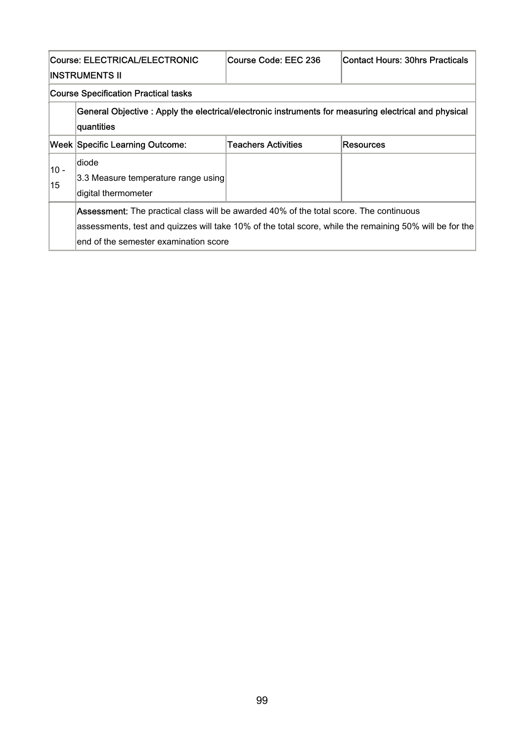| Course: ELECTRICAL/ELECTRONIC<br>INSTRUMENTS II                                                                                                                                                                                                   |                                                                      | Course Code: EEC 236 | <b>Contact Hours: 30hrs Practicals</b> |
|---------------------------------------------------------------------------------------------------------------------------------------------------------------------------------------------------------------------------------------------------|----------------------------------------------------------------------|----------------------|----------------------------------------|
|                                                                                                                                                                                                                                                   | <b>Course Specification Practical tasks</b>                          |                      |                                        |
| General Objective : Apply the electrical/electronic instruments for measuring electrical and physical<br>quantities                                                                                                                               |                                                                      |                      |                                        |
|                                                                                                                                                                                                                                                   | <b>Week Specific Learning Outcome:</b>                               | Teachers Activities  | <b>Resources</b>                       |
| $10 -$<br>15                                                                                                                                                                                                                                      | ldiode<br>3.3 Measure temperature range using<br>digital thermometer |                      |                                        |
| <b>Assessment:</b> The practical class will be awarded 40% of the total score. The continuous<br>assessments, test and quizzes will take 10% of the total score, while the remaining 50% will be for the<br>end of the semester examination score |                                                                      |                      |                                        |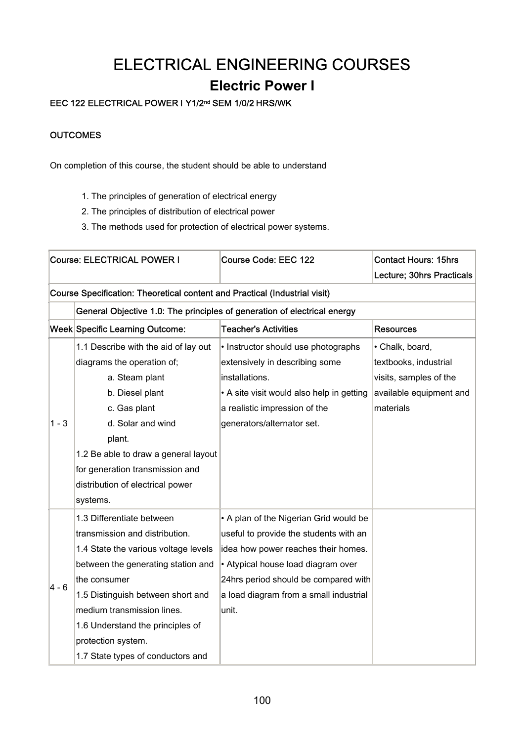## ELECTRICAL ENGINEERING COURSES

### **Electric Power I**

### EEC 122 ELECTRICAL POWER I Y1/2nd SEM 1/0/2 HRS/WK

#### **OUTCOMES**

On completion of this course, the student should be able to understand

- 1. The principles of generation of electrical energy
- 2. The principles of distribution of electrical power
- 3. The methods used for protection of electrical power systems.

| Course: ELECTRICAL POWER I                                                 |                                                                          | <b>Course Code: EEC 122</b>               | <b>Contact Hours: 15hrs</b> |  |
|----------------------------------------------------------------------------|--------------------------------------------------------------------------|-------------------------------------------|-----------------------------|--|
|                                                                            |                                                                          |                                           | Lecture; 30hrs Practicals   |  |
| Course Specification: Theoretical content and Practical (Industrial visit) |                                                                          |                                           |                             |  |
|                                                                            | General Objective 1.0: The principles of generation of electrical energy |                                           |                             |  |
|                                                                            | Week Specific Learning Outcome:                                          | <b>Teacher's Activities</b>               | <b>Resources</b>            |  |
|                                                                            | 1.1 Describe with the aid of lay out                                     | • Instructor should use photographs       | • Chalk, board,             |  |
|                                                                            | diagrams the operation of;                                               | extensively in describing some            | textbooks, industrial       |  |
|                                                                            | a. Steam plant                                                           | installations.                            | visits, samples of the      |  |
|                                                                            | b. Diesel plant                                                          | • A site visit would also help in getting | available equipment and     |  |
|                                                                            | c. Gas plant                                                             | a realistic impression of the             | materials                   |  |
| $1 - 3$                                                                    | d. Solar and wind                                                        | generators/alternator set.                |                             |  |
|                                                                            | plant.                                                                   |                                           |                             |  |
|                                                                            | 1.2 Be able to draw a general layout                                     |                                           |                             |  |
|                                                                            | for generation transmission and                                          |                                           |                             |  |
|                                                                            | distribution of electrical power                                         |                                           |                             |  |
|                                                                            | systems.                                                                 |                                           |                             |  |
|                                                                            | 1.3 Differentiate between                                                | • A plan of the Nigerian Grid would be    |                             |  |
|                                                                            | transmission and distribution.                                           | useful to provide the students with an    |                             |  |
|                                                                            | 1.4 State the various voltage levels                                     | idea how power reaches their homes.       |                             |  |
|                                                                            | between the generating station and                                       | • Atypical house load diagram over        |                             |  |
| 4 - 6                                                                      | the consumer                                                             | 24hrs period should be compared with      |                             |  |
|                                                                            | 1.5 Distinguish between short and                                        | a load diagram from a small industrial    |                             |  |
|                                                                            | medium transmission lines.                                               | lunit.                                    |                             |  |
|                                                                            | 1.6 Understand the principles of                                         |                                           |                             |  |
|                                                                            | protection system.                                                       |                                           |                             |  |
|                                                                            | 1.7 State types of conductors and                                        |                                           |                             |  |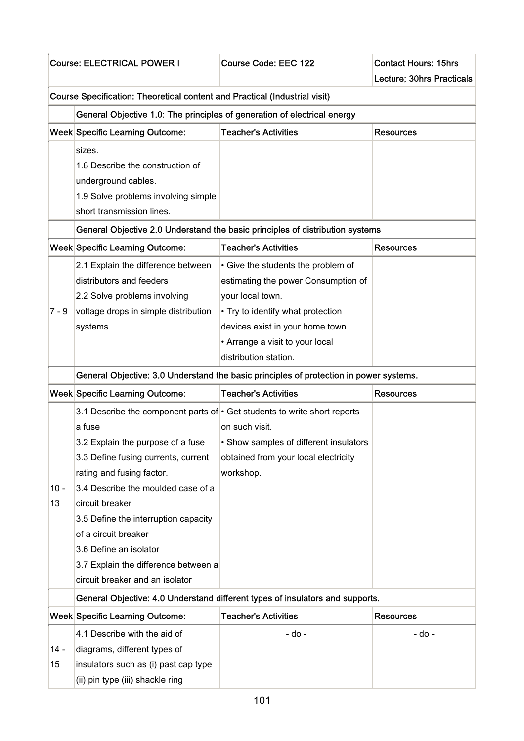|         | Course: ELECTRICAL POWER I                                                      | <b>Course Code: EEC 122</b>                                                            | <b>Contact Hours: 15hrs</b> |  |  |
|---------|---------------------------------------------------------------------------------|----------------------------------------------------------------------------------------|-----------------------------|--|--|
|         |                                                                                 |                                                                                        | Lecture; 30hrs Practicals   |  |  |
|         | Course Specification: Theoretical content and Practical (Industrial visit)      |                                                                                        |                             |  |  |
|         | General Objective 1.0: The principles of generation of electrical energy        |                                                                                        |                             |  |  |
|         | <b>Week Specific Learning Outcome:</b>                                          | <b>Teacher's Activities</b>                                                            | <b>Resources</b>            |  |  |
|         | sizes.                                                                          |                                                                                        |                             |  |  |
|         | 1.8 Describe the construction of                                                |                                                                                        |                             |  |  |
|         | underground cables.                                                             |                                                                                        |                             |  |  |
|         | 1.9 Solve problems involving simple                                             |                                                                                        |                             |  |  |
|         | short transmission lines.                                                       |                                                                                        |                             |  |  |
|         |                                                                                 | General Objective 2.0 Understand the basic principles of distribution systems          |                             |  |  |
|         | <b>Week Specific Learning Outcome:</b>                                          | <b>Teacher's Activities</b>                                                            | <b>Resources</b>            |  |  |
|         | 2.1 Explain the difference between                                              | • Give the students the problem of                                                     |                             |  |  |
|         | distributors and feeders                                                        | estimating the power Consumption of                                                    |                             |  |  |
|         | 2.2 Solve problems involving                                                    | your local town.                                                                       |                             |  |  |
| $7 - 9$ | voltage drops in simple distribution                                            | • Try to identify what protection                                                      |                             |  |  |
|         | systems.                                                                        | devices exist in your home town.                                                       |                             |  |  |
|         |                                                                                 | • Arrange a visit to your local                                                        |                             |  |  |
|         |                                                                                 | distribution station.                                                                  |                             |  |  |
|         |                                                                                 | General Objective: 3.0 Understand the basic principles of protection in power systems. |                             |  |  |
|         | <b>Week Specific Learning Outcome:</b>                                          | <b>Teacher's Activities</b>                                                            | <b>Resources</b>            |  |  |
|         | 3.1 Describe the component parts of $\cdot$ Get students to write short reports |                                                                                        |                             |  |  |
|         | a fuse                                                                          | on such visit.                                                                         |                             |  |  |
|         | 3.2 Explain the purpose of a fuse                                               | • Show samples of different insulators                                                 |                             |  |  |
|         | 3.3 Define fusing currents, current                                             | obtained from your local electricity                                                   |                             |  |  |
|         | rating and fusing factor.                                                       | workshop.                                                                              |                             |  |  |
| $10 -$  | 3.4 Describe the moulded case of a                                              |                                                                                        |                             |  |  |
| 13      | circuit breaker                                                                 |                                                                                        |                             |  |  |
|         | 3.5 Define the interruption capacity                                            |                                                                                        |                             |  |  |
|         | of a circuit breaker                                                            |                                                                                        |                             |  |  |
|         | 3.6 Define an isolator                                                          |                                                                                        |                             |  |  |
|         | 3.7 Explain the difference between a                                            |                                                                                        |                             |  |  |
|         | circuit breaker and an isolator                                                 |                                                                                        |                             |  |  |
|         |                                                                                 | General Objective: 4.0 Understand different types of insulators and supports.          |                             |  |  |
|         | <b>Week Specific Learning Outcome:</b>                                          | <b>Teacher's Activities</b>                                                            | <b>Resources</b>            |  |  |
|         | 4.1 Describe with the aid of                                                    | - do -                                                                                 | - do -                      |  |  |
| $14 -$  | diagrams, different types of                                                    |                                                                                        |                             |  |  |
| 15      | insulators such as (i) past cap type                                            |                                                                                        |                             |  |  |
|         | (ii) pin type (iii) shackle ring                                                |                                                                                        |                             |  |  |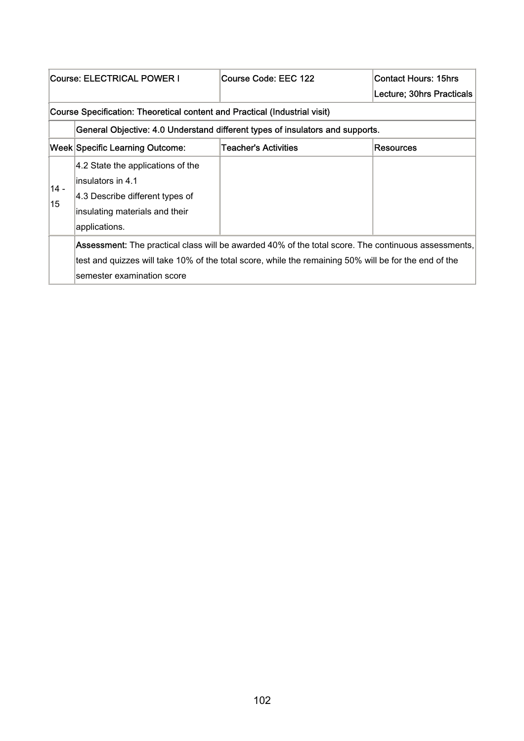| Course: ELECTRICAL POWER I |                                                                                                                                     | Course Code: EEC 122                                                          | <b>Contact Hours: 15hrs</b> |  |  |
|----------------------------|-------------------------------------------------------------------------------------------------------------------------------------|-------------------------------------------------------------------------------|-----------------------------|--|--|
|                            |                                                                                                                                     |                                                                               | Lecture; 30hrs Practicals   |  |  |
|                            | Course Specification: Theoretical content and Practical (Industrial visit)                                                          |                                                                               |                             |  |  |
|                            |                                                                                                                                     | General Objective: 4.0 Understand different types of insulators and supports. |                             |  |  |
|                            | Week Specific Learning Outcome:                                                                                                     | <b>Teacher's Activities</b>                                                   | <b>Resources</b>            |  |  |
|                            | 4.2 State the applications of the                                                                                                   |                                                                               |                             |  |  |
| $14 -$                     | linsulators in 4.1                                                                                                                  |                                                                               |                             |  |  |
| 15                         | 4.3 Describe different types of                                                                                                     |                                                                               |                             |  |  |
|                            | insulating materials and their                                                                                                      |                                                                               |                             |  |  |
|                            | applications.                                                                                                                       |                                                                               |                             |  |  |
|                            | Assessment: The practical class will be awarded 40% of the total score. The continuous assessments,                                 |                                                                               |                             |  |  |
|                            | test and quizzes will take 10% of the total score, while the remaining 50% will be for the end of the<br>semester examination score |                                                                               |                             |  |  |
|                            |                                                                                                                                     |                                                                               |                             |  |  |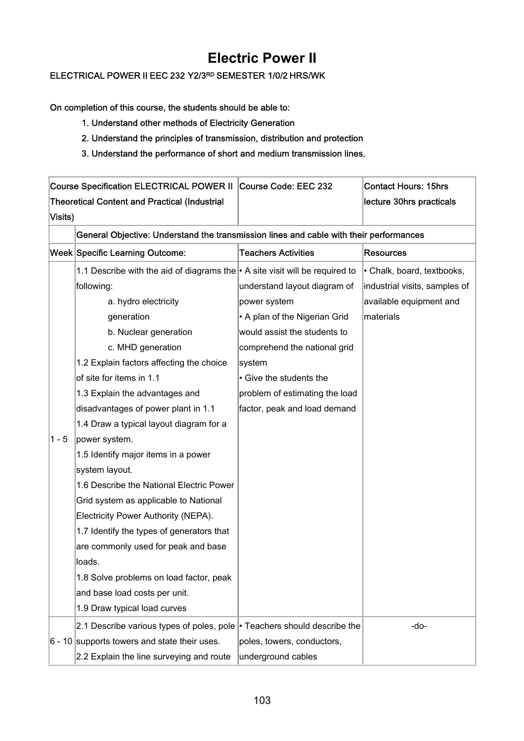### **Electric Power II**

### ELECTRICAL POWER II EEC 232 Y2/3RD SEMESTER 1/0/2 HRS/WK

On completion of this course, the students should be able to:

- 1. Understand other methods of Electricity Generation
- 2. Understand the principles of transmission, distribution and protection
- 3. Understand the performance of short and medium transmission lines.

|         | Course Specification ELECTRICAL POWER II Course Code: EEC 232                          |                                | <b>Contact Hours: 15hrs</b>   |
|---------|----------------------------------------------------------------------------------------|--------------------------------|-------------------------------|
|         | <b>Theoretical Content and Practical (Industrial</b>                                   |                                | lecture 30hrs practicals      |
| Visits) |                                                                                        |                                |                               |
|         | General Objective: Understand the transmission lines and cable with their performances |                                |                               |
|         | <b>Week Specific Learning Outcome:</b>                                                 | <b>Teachers Activities</b>     | <b>Resources</b>              |
|         | 1.1 Describe with the aid of diagrams the $\cdot$ A site visit will be required to     |                                | • Chalk, board, textbooks,    |
|         | following:                                                                             | understand layout diagram of   | industrial visits, samples of |
|         | a. hydro electricity                                                                   | power system                   | available equipment and       |
|         | generation                                                                             | • A plan of the Nigerian Grid  | materials                     |
|         | b. Nuclear generation                                                                  | would assist the students to   |                               |
|         | c. MHD generation                                                                      | comprehend the national grid   |                               |
|         | 1.2 Explain factors affecting the choice                                               | system                         |                               |
|         | of site for items in 1.1                                                               | • Give the students the        |                               |
|         | 1.3 Explain the advantages and                                                         | problem of estimating the load |                               |
|         | disadvantages of power plant in 1.1                                                    | factor, peak and load demand   |                               |
|         | 1.4 Draw a typical layout diagram for a                                                |                                |                               |
| $1 - 5$ | power system.                                                                          |                                |                               |
|         | 1.5 Identify major items in a power                                                    |                                |                               |
|         | system layout.                                                                         |                                |                               |
|         | 1.6 Describe the National Electric Power                                               |                                |                               |
|         | Grid system as applicable to National                                                  |                                |                               |
|         | Electricity Power Authority (NEPA).                                                    |                                |                               |
|         | 1.7 Identify the types of generators that                                              |                                |                               |
|         | are commonly used for peak and base                                                    |                                |                               |
|         | loads.                                                                                 |                                |                               |
|         | 1.8 Solve problems on load factor, peak                                                |                                |                               |
|         | and base load costs per unit.                                                          |                                |                               |
|         | 1.9 Draw typical load curves                                                           |                                |                               |
|         | 2.1 Describe various types of poles, pole $\cdot$ Teachers should describe the         |                                | -do-                          |
|         | $6 - 10$ supports towers and state their uses.                                         | poles, towers, conductors,     |                               |
|         | 2.2 Explain the line surveying and route                                               | underground cables             |                               |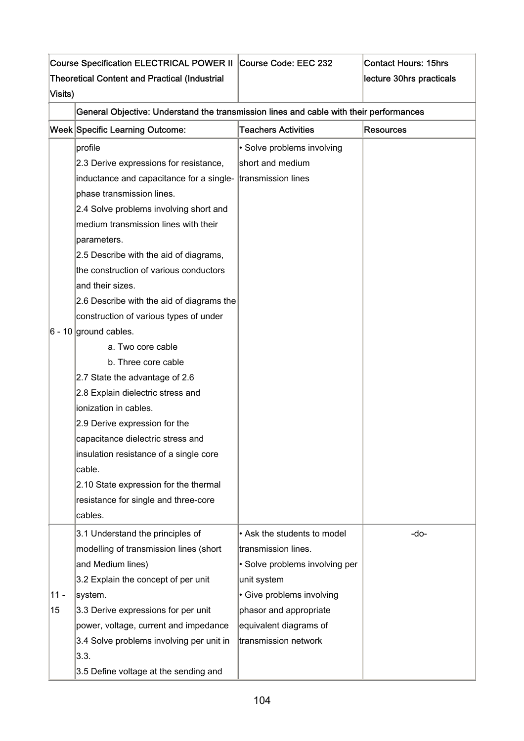| Visits) | Course Specification ELECTRICAL POWER II Course Code: EEC 232<br><b>Theoretical Content and Practical (Industrial</b> |                                | <b>Contact Hours: 15hrs</b><br>lecture 30hrs practicals |
|---------|-----------------------------------------------------------------------------------------------------------------------|--------------------------------|---------------------------------------------------------|
|         | General Objective: Understand the transmission lines and cable with their performances                                |                                |                                                         |
|         | Week Specific Learning Outcome:                                                                                       | <b>Teachers Activities</b>     | <b>Resources</b>                                        |
|         | profile                                                                                                               | • Solve problems involving     |                                                         |
|         | 2.3 Derive expressions for resistance,                                                                                | short and medium               |                                                         |
|         | inductance and capacitance for a single-                                                                              | transmission lines             |                                                         |
|         | phase transmission lines.                                                                                             |                                |                                                         |
|         | 2.4 Solve problems involving short and                                                                                |                                |                                                         |
|         | medium transmission lines with their                                                                                  |                                |                                                         |
|         | parameters.                                                                                                           |                                |                                                         |
|         | 2.5 Describe with the aid of diagrams,                                                                                |                                |                                                         |
|         | the construction of various conductors                                                                                |                                |                                                         |
|         | and their sizes.                                                                                                      |                                |                                                         |
|         | 2.6 Describe with the aid of diagrams the                                                                             |                                |                                                         |
|         | construction of various types of under                                                                                |                                |                                                         |
|         | $6 - 10$ ground cables.                                                                                               |                                |                                                         |
|         | a. Two core cable                                                                                                     |                                |                                                         |
|         | b. Three core cable                                                                                                   |                                |                                                         |
|         | 2.7 State the advantage of 2.6                                                                                        |                                |                                                         |
|         | 2.8 Explain dielectric stress and                                                                                     |                                |                                                         |
|         | ionization in cables.                                                                                                 |                                |                                                         |
|         | 2.9 Derive expression for the                                                                                         |                                |                                                         |
|         | capacitance dielectric stress and                                                                                     |                                |                                                         |
|         | insulation resistance of a single core                                                                                |                                |                                                         |
|         | cable.                                                                                                                |                                |                                                         |
|         | 2.10 State expression for the thermal                                                                                 |                                |                                                         |
|         | resistance for single and three-core                                                                                  |                                |                                                         |
|         | cables.                                                                                                               |                                |                                                         |
|         | 3.1 Understand the principles of                                                                                      | • Ask the students to model    | -do-                                                    |
|         | modelling of transmission lines (short                                                                                | transmission lines.            |                                                         |
|         | and Medium lines)                                                                                                     | • Solve problems involving per |                                                         |
|         | 3.2 Explain the concept of per unit                                                                                   | unit system                    |                                                         |
| $11 -$  | system.                                                                                                               | • Give problems involving      |                                                         |
| 15      | 3.3 Derive expressions for per unit                                                                                   | phasor and appropriate         |                                                         |
|         | power, voltage, current and impedance                                                                                 | equivalent diagrams of         |                                                         |
|         | 3.4 Solve problems involving per unit in                                                                              | transmission network           |                                                         |
|         | 3.3.                                                                                                                  |                                |                                                         |
|         | 3.5 Define voltage at the sending and                                                                                 |                                |                                                         |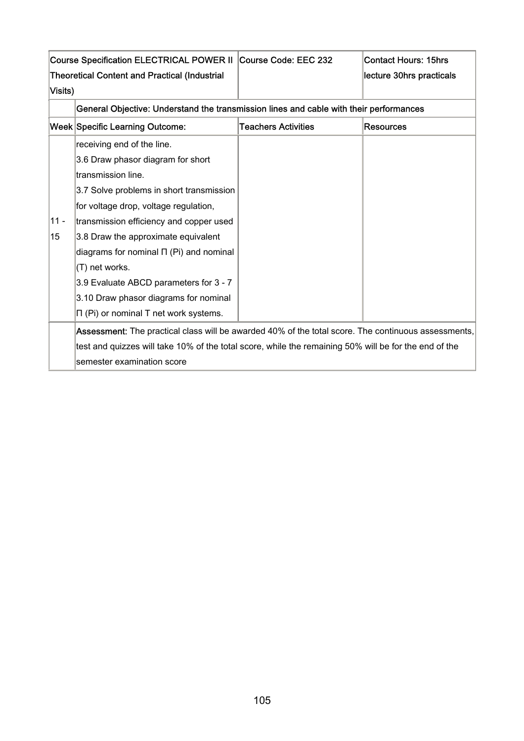|         | Course Specification ELECTRICAL POWER II Course Code: EEC 232                                         |                            | <b>Contact Hours: 15hrs</b> |
|---------|-------------------------------------------------------------------------------------------------------|----------------------------|-----------------------------|
| Visits) | <b>Theoretical Content and Practical (Industrial</b>                                                  |                            | lecture 30hrs practicals    |
|         |                                                                                                       |                            |                             |
|         | General Objective: Understand the transmission lines and cable with their performances                |                            |                             |
|         | <b>Week Specific Learning Outcome:</b>                                                                | <b>Teachers Activities</b> | <b>Resources</b>            |
|         | receiving end of the line.                                                                            |                            |                             |
|         | 3.6 Draw phasor diagram for short                                                                     |                            |                             |
|         | transmission line.                                                                                    |                            |                             |
|         | 3.7 Solve problems in short transmission                                                              |                            |                             |
|         | for voltage drop, voltage regulation,                                                                 |                            |                             |
| $11 -$  | transmission efficiency and copper used                                                               |                            |                             |
| 15      | 3.8 Draw the approximate equivalent                                                                   |                            |                             |
|         | diagrams for nominal $\Pi$ (Pi) and nominal                                                           |                            |                             |
|         | (T) net works.                                                                                        |                            |                             |
|         | 3.9 Evaluate ABCD parameters for 3 - 7                                                                |                            |                             |
|         | 3.10 Draw phasor diagrams for nominal                                                                 |                            |                             |
|         | $\Pi$ (Pi) or nominal $T$ net work systems.                                                           |                            |                             |
|         | Assessment: The practical class will be awarded 40% of the total score. The continuous assessments,   |                            |                             |
|         | test and quizzes will take 10% of the total score, while the remaining 50% will be for the end of the |                            |                             |
|         | semester examination score                                                                            |                            |                             |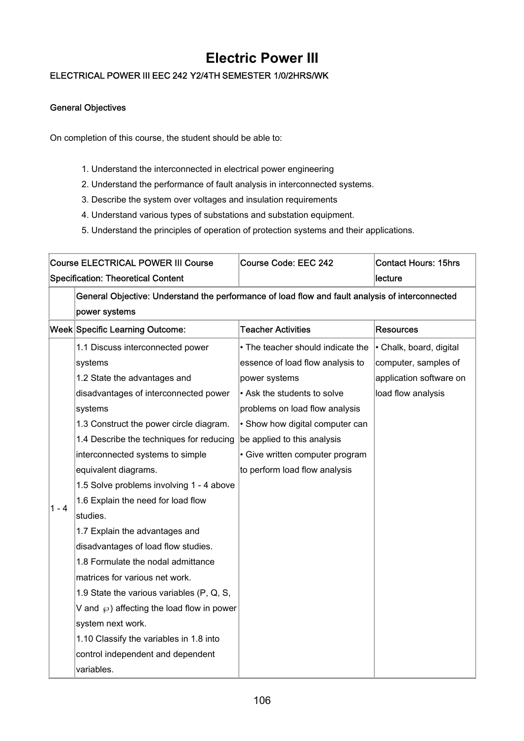### **Electric Power III**

### ELECTRICAL POWER III EEC 242 Y2/4TH SEMESTER 1/0/2HRS/WK

#### General Objectives

On completion of this course, the student should be able to:

- 1. Understand the interconnected in electrical power engineering
- 2. Understand the performance of fault analysis in interconnected systems.
- 3. Describe the system over voltages and insulation requirements
- 4. Understand various types of substations and substation equipment.
- 5. Understand the principles of operation of protection systems and their applications.

| <b>Course ELECTRICAL POWER III Course</b> |                                                                                                 | Course Code: EEC 242              | <b>Contact Hours: 15hrs</b> |  |
|-------------------------------------------|-------------------------------------------------------------------------------------------------|-----------------------------------|-----------------------------|--|
|                                           | <b>Specification: Theoretical Content</b>                                                       |                                   | lecture                     |  |
|                                           | General Objective: Understand the performance of load flow and fault analysis of interconnected |                                   |                             |  |
|                                           | power systems                                                                                   |                                   |                             |  |
|                                           | Week Specific Learning Outcome:                                                                 | <b>Teacher Activities</b>         | <b>Resources</b>            |  |
|                                           | 1.1 Discuss interconnected power                                                                | • The teacher should indicate the | • Chalk, board, digital     |  |
|                                           | systems                                                                                         | essence of load flow analysis to  | computer, samples of        |  |
|                                           | 1.2 State the advantages and                                                                    | power systems                     | application software on     |  |
|                                           | disadvantages of interconnected power                                                           | • Ask the students to solve       | load flow analysis          |  |
|                                           | systems                                                                                         | problems on load flow analysis    |                             |  |
|                                           | 1.3 Construct the power circle diagram.                                                         | • Show how digital computer can   |                             |  |
|                                           | 1.4 Describe the techniques for reducing                                                        | be applied to this analysis       |                             |  |
|                                           | interconnected systems to simple                                                                | • Give written computer program   |                             |  |
|                                           | equivalent diagrams.                                                                            | to perform load flow analysis     |                             |  |
|                                           | 1.5 Solve problems involving 1 - 4 above                                                        |                                   |                             |  |
| 1 - 4                                     | 1.6 Explain the need for load flow                                                              |                                   |                             |  |
|                                           | studies.                                                                                        |                                   |                             |  |
|                                           | 1.7 Explain the advantages and                                                                  |                                   |                             |  |
|                                           | disadvantages of load flow studies.                                                             |                                   |                             |  |
|                                           | 1.8 Formulate the nodal admittance                                                              |                                   |                             |  |
|                                           | matrices for various net work.                                                                  |                                   |                             |  |
|                                           | 1.9 State the various variables (P, Q, S,                                                       |                                   |                             |  |
|                                           | V and $\wp$ ) affecting the load flow in power                                                  |                                   |                             |  |
|                                           | system next work.                                                                               |                                   |                             |  |
|                                           | 1.10 Classify the variables in 1.8 into                                                         |                                   |                             |  |
|                                           | control independent and dependent                                                               |                                   |                             |  |
|                                           | variables.                                                                                      |                                   |                             |  |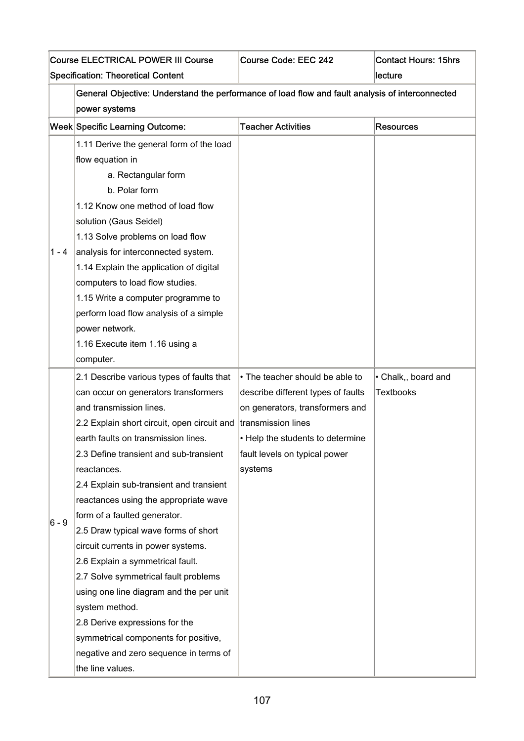| <b>Course ELECTRICAL POWER III Course</b> |                                                                                                 | Course Code: EEC 242               | <b>Contact Hours: 15hrs</b> |  |
|-------------------------------------------|-------------------------------------------------------------------------------------------------|------------------------------------|-----------------------------|--|
|                                           | <b>Specification: Theoretical Content</b>                                                       |                                    | lecture                     |  |
|                                           | General Objective: Understand the performance of load flow and fault analysis of interconnected |                                    |                             |  |
|                                           | power systems                                                                                   |                                    |                             |  |
|                                           | <b>Week Specific Learning Outcome:</b>                                                          | <b>Teacher Activities</b>          | <b>Resources</b>            |  |
|                                           | 1.11 Derive the general form of the load<br>flow equation in                                    |                                    |                             |  |
|                                           | a. Rectangular form                                                                             |                                    |                             |  |
|                                           | b. Polar form                                                                                   |                                    |                             |  |
|                                           | 1.12 Know one method of load flow                                                               |                                    |                             |  |
|                                           | solution (Gaus Seidel)                                                                          |                                    |                             |  |
|                                           | 1.13 Solve problems on load flow                                                                |                                    |                             |  |
| $1 - 4$                                   | analysis for interconnected system.                                                             |                                    |                             |  |
|                                           | 1.14 Explain the application of digital                                                         |                                    |                             |  |
|                                           | computers to load flow studies.                                                                 |                                    |                             |  |
|                                           | 1.15 Write a computer programme to                                                              |                                    |                             |  |
|                                           | perform load flow analysis of a simple                                                          |                                    |                             |  |
|                                           | power network.                                                                                  |                                    |                             |  |
|                                           | 1.16 Execute item 1.16 using a                                                                  |                                    |                             |  |
|                                           | computer.                                                                                       |                                    |                             |  |
|                                           | 2.1 Describe various types of faults that                                                       | • The teacher should be able to    | · Chalk,, board and         |  |
|                                           | can occur on generators transformers                                                            | describe different types of faults | <b>Textbooks</b>            |  |
|                                           | and transmission lines.                                                                         | on generators, transformers and    |                             |  |
|                                           | 2.2 Explain short circuit, open circuit and                                                     | transmission lines                 |                             |  |
|                                           | earth faults on transmission lines.                                                             | • Help the students to determine   |                             |  |
|                                           | 2.3 Define transient and sub-transient                                                          | fault levels on typical power      |                             |  |
|                                           | reactances.                                                                                     | systems                            |                             |  |
|                                           | 2.4 Explain sub-transient and transient                                                         |                                    |                             |  |
|                                           | reactances using the appropriate wave                                                           |                                    |                             |  |
| $6 - 9$                                   | form of a faulted generator.                                                                    |                                    |                             |  |
|                                           | 2.5 Draw typical wave forms of short                                                            |                                    |                             |  |
|                                           | circuit currents in power systems.                                                              |                                    |                             |  |
|                                           | 2.6 Explain a symmetrical fault.                                                                |                                    |                             |  |
|                                           | 2.7 Solve symmetrical fault problems                                                            |                                    |                             |  |
|                                           | using one line diagram and the per unit                                                         |                                    |                             |  |
|                                           | system method.                                                                                  |                                    |                             |  |
|                                           | 2.8 Derive expressions for the                                                                  |                                    |                             |  |
|                                           | symmetrical components for positive,                                                            |                                    |                             |  |
|                                           | negative and zero sequence in terms of                                                          |                                    |                             |  |
|                                           | the line values.                                                                                |                                    |                             |  |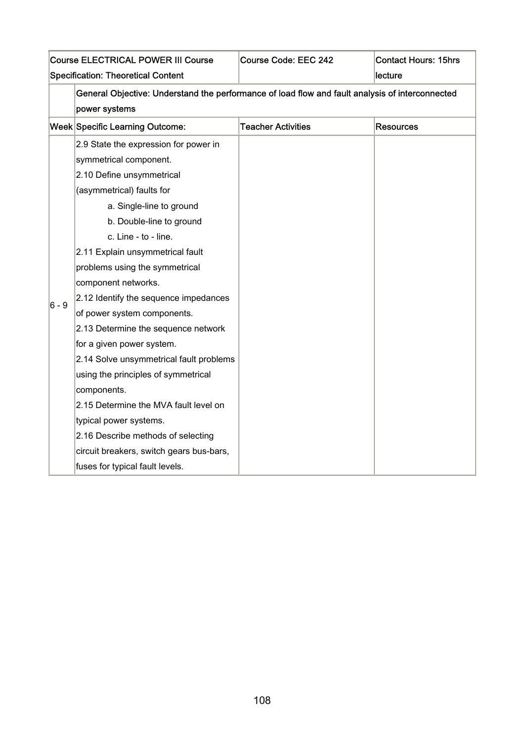| <b>Course ELECTRICAL POWER III Course</b> |                                                                                                 | Course Code: EEC 242      | <b>Contact Hours: 15hrs</b> |  |
|-------------------------------------------|-------------------------------------------------------------------------------------------------|---------------------------|-----------------------------|--|
| <b>Specification: Theoretical Content</b> |                                                                                                 |                           | lecture                     |  |
|                                           | General Objective: Understand the performance of load flow and fault analysis of interconnected |                           |                             |  |
|                                           | power systems                                                                                   |                           |                             |  |
|                                           | Week Specific Learning Outcome:                                                                 | <b>Teacher Activities</b> | <b>Resources</b>            |  |
|                                           | 2.9 State the expression for power in                                                           |                           |                             |  |
|                                           | symmetrical component.                                                                          |                           |                             |  |
|                                           | 2.10 Define unsymmetrical                                                                       |                           |                             |  |
|                                           | (asymmetrical) faults for                                                                       |                           |                             |  |
|                                           | a. Single-line to ground                                                                        |                           |                             |  |
|                                           | b. Double-line to ground                                                                        |                           |                             |  |
|                                           | c. Line - to - line.                                                                            |                           |                             |  |
|                                           | 2.11 Explain unsymmetrical fault                                                                |                           |                             |  |
|                                           | problems using the symmetrical                                                                  |                           |                             |  |
|                                           | component networks.                                                                             |                           |                             |  |
| 6 - 9                                     | 2.12 Identify the sequence impedances                                                           |                           |                             |  |
|                                           | of power system components.                                                                     |                           |                             |  |
|                                           | 2.13 Determine the sequence network                                                             |                           |                             |  |
|                                           | for a given power system.                                                                       |                           |                             |  |
|                                           | 2.14 Solve unsymmetrical fault problems                                                         |                           |                             |  |
|                                           | using the principles of symmetrical                                                             |                           |                             |  |
|                                           | components.                                                                                     |                           |                             |  |
|                                           | 2.15 Determine the MVA fault level on                                                           |                           |                             |  |
|                                           | typical power systems.                                                                          |                           |                             |  |
|                                           | 2.16 Describe methods of selecting                                                              |                           |                             |  |
|                                           | circuit breakers, switch gears bus-bars,                                                        |                           |                             |  |
|                                           | fuses for typical fault levels.                                                                 |                           |                             |  |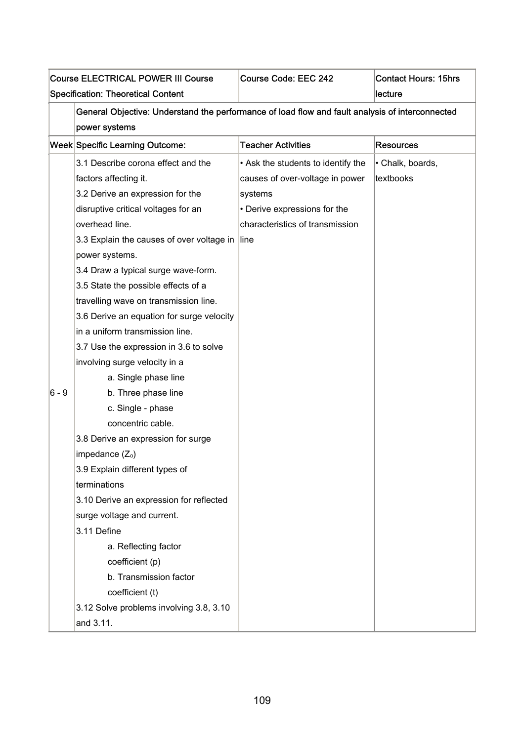|       | <b>Course ELECTRICAL POWER III Course</b><br><b>Specification: Theoretical Content</b>                           | Course Code: EEC 242               | <b>Contact Hours: 15hrs</b><br>lecture |
|-------|------------------------------------------------------------------------------------------------------------------|------------------------------------|----------------------------------------|
|       | General Objective: Understand the performance of load flow and fault analysis of interconnected<br>power systems |                                    |                                        |
|       | Week Specific Learning Outcome:                                                                                  | <b>Teacher Activities</b>          | <b>Resources</b>                       |
|       | 3.1 Describe corona effect and the                                                                               | • Ask the students to identify the | • Chalk, boards,                       |
|       | factors affecting it.                                                                                            | causes of over-voltage in power    | textbooks                              |
|       | 3.2 Derive an expression for the                                                                                 | systems                            |                                        |
|       | disruptive critical voltages for an                                                                              | • Derive expressions for the       |                                        |
|       | overhead line.                                                                                                   | characteristics of transmission    |                                        |
|       | 3.3 Explain the causes of over voltage in                                                                        | line                               |                                        |
|       | power systems.                                                                                                   |                                    |                                        |
|       | 3.4 Draw a typical surge wave-form.                                                                              |                                    |                                        |
|       | 3.5 State the possible effects of a                                                                              |                                    |                                        |
|       | travelling wave on transmission line.                                                                            |                                    |                                        |
|       | 3.6 Derive an equation for surge velocity                                                                        |                                    |                                        |
|       | in a uniform transmission line.                                                                                  |                                    |                                        |
|       | 3.7 Use the expression in 3.6 to solve                                                                           |                                    |                                        |
|       | involving surge velocity in a                                                                                    |                                    |                                        |
|       | a. Single phase line                                                                                             |                                    |                                        |
| 6 - 9 | b. Three phase line                                                                                              |                                    |                                        |
|       | c. Single - phase                                                                                                |                                    |                                        |
|       | concentric cable.                                                                                                |                                    |                                        |
|       | 3.8 Derive an expression for surge                                                                               |                                    |                                        |
|       | impedance $(Z_0)$                                                                                                |                                    |                                        |
|       | 3.9 Explain different types of                                                                                   |                                    |                                        |
|       | terminations                                                                                                     |                                    |                                        |
|       | 3.10 Derive an expression for reflected                                                                          |                                    |                                        |
|       | surge voltage and current.                                                                                       |                                    |                                        |
|       | 3.11 Define                                                                                                      |                                    |                                        |
|       | a. Reflecting factor                                                                                             |                                    |                                        |
|       | coefficient (p)                                                                                                  |                                    |                                        |
|       | b. Transmission factor                                                                                           |                                    |                                        |
|       | coefficient (t)                                                                                                  |                                    |                                        |
|       | 3.12 Solve problems involving 3.8, 3.10                                                                          |                                    |                                        |
|       | and 3.11.                                                                                                        |                                    |                                        |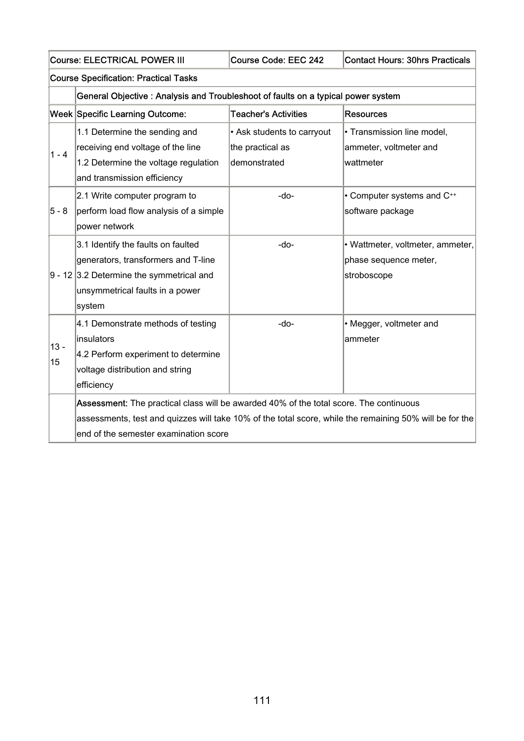|              | <b>Course: ELECTRICAL POWER III</b><br>Course Code: EEC 242<br><b>Contact Hours: 30hrs Practicals</b>                                                                                                                                      |                                                                |                                                                          |  |  |
|--------------|--------------------------------------------------------------------------------------------------------------------------------------------------------------------------------------------------------------------------------------------|----------------------------------------------------------------|--------------------------------------------------------------------------|--|--|
|              | <b>Course Specification: Practical Tasks</b>                                                                                                                                                                                               |                                                                |                                                                          |  |  |
|              | General Objective: Analysis and Troubleshoot of faults on a typical power system                                                                                                                                                           |                                                                |                                                                          |  |  |
|              | <b>Week Specific Learning Outcome:</b>                                                                                                                                                                                                     | <b>Teacher's Activities</b>                                    | <b>Resources</b>                                                         |  |  |
| $1 - 4$      | 1.1 Determine the sending and<br>receiving end voltage of the line<br>1.2 Determine the voltage regulation<br>and transmission efficiency                                                                                                  | • Ask students to carryout<br>the practical as<br>demonstrated | · Transmission line model,<br>ammeter, voltmeter and<br>wattmeter        |  |  |
| 5 - 8        | 2.1 Write computer program to<br>perform load flow analysis of a simple<br>power network                                                                                                                                                   | $-do-$                                                         | • Computer systems and C++<br>software package                           |  |  |
|              | 3.1 Identify the faults on faulted<br>generators, transformers and T-line<br>$9 - 12$ 3.2 Determine the symmetrical and<br>unsymmetrical faults in a power<br>system                                                                       | -do-                                                           | • Wattmeter, voltmeter, ammeter,<br>phase sequence meter,<br>stroboscope |  |  |
| $13 -$<br>15 | 4.1 Demonstrate methods of testing<br>linsulators<br>4.2 Perform experiment to determine<br>voltage distribution and string<br>efficiency                                                                                                  | $-do-$                                                         | • Megger, voltmeter and<br>ammeter                                       |  |  |
|              | Assessment: The practical class will be awarded 40% of the total score. The continuous<br>assessments, test and quizzes will take 10% of the total score, while the remaining 50% will be for the<br>end of the semester examination score |                                                                |                                                                          |  |  |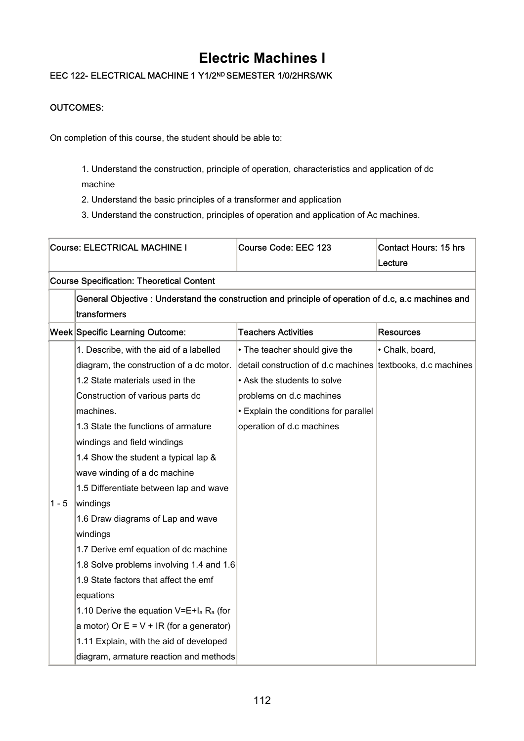## **Electric Machines I**

### EEC 122- ELECTRICAL MACHINE 1 Y1/2ND SEMESTER 1/0/2HRS/WK

### OUTCOMES:

On completion of this course, the student should be able to:

1. Understand the construction, principle of operation, characteristics and application of dc machine

2. Understand the basic principles of a transformer and application

3. Understand the construction, principles of operation and application of Ac machines.

|         | <b>Course: ELECTRICAL MACHINE I</b>                                                                                | Course Code: EEC 123                                        | <b>Contact Hours: 15 hrs</b><br>Lecture |
|---------|--------------------------------------------------------------------------------------------------------------------|-------------------------------------------------------------|-----------------------------------------|
|         | <b>Course Specification: Theoretical Content</b>                                                                   |                                                             |                                         |
|         | General Objective: Understand the construction and principle of operation of d.c, a.c machines and<br>transformers |                                                             |                                         |
|         | Week Specific Learning Outcome:                                                                                    | <b>Teachers Activities</b>                                  | <b>Resources</b>                        |
|         | 1. Describe, with the aid of a labelled                                                                            | • The teacher should give the                               | • Chalk, board,                         |
|         | diagram, the construction of a dc motor.                                                                           | detail construction of d.c machines textbooks, d.c machines |                                         |
|         | 1.2 State materials used in the                                                                                    | • Ask the students to solve                                 |                                         |
|         | Construction of various parts dc                                                                                   | problems on d.c machines                                    |                                         |
|         | machines.                                                                                                          | • Explain the conditions for parallel                       |                                         |
|         | 1.3 State the functions of armature                                                                                | operation of d.c machines                                   |                                         |
|         | windings and field windings                                                                                        |                                                             |                                         |
|         | 1.4 Show the student a typical lap &                                                                               |                                                             |                                         |
|         | wave winding of a dc machine                                                                                       |                                                             |                                         |
|         | 1.5 Differentiate between lap and wave                                                                             |                                                             |                                         |
| $1 - 5$ | windings                                                                                                           |                                                             |                                         |
|         | 1.6 Draw diagrams of Lap and wave                                                                                  |                                                             |                                         |
|         | windings                                                                                                           |                                                             |                                         |
|         | 1.7 Derive emf equation of dc machine                                                                              |                                                             |                                         |
|         | 1.8 Solve problems involving 1.4 and 1.6                                                                           |                                                             |                                         |
|         | 1.9 State factors that affect the emf                                                                              |                                                             |                                         |
|         | equations                                                                                                          |                                                             |                                         |
|         | 1.10 Derive the equation $V=E+I_a R_a$ (for                                                                        |                                                             |                                         |
|         | a motor) Or $E = V + IR$ (for a generator)                                                                         |                                                             |                                         |
|         | 1.11 Explain, with the aid of developed                                                                            |                                                             |                                         |
|         | diagram, armature reaction and methods                                                                             |                                                             |                                         |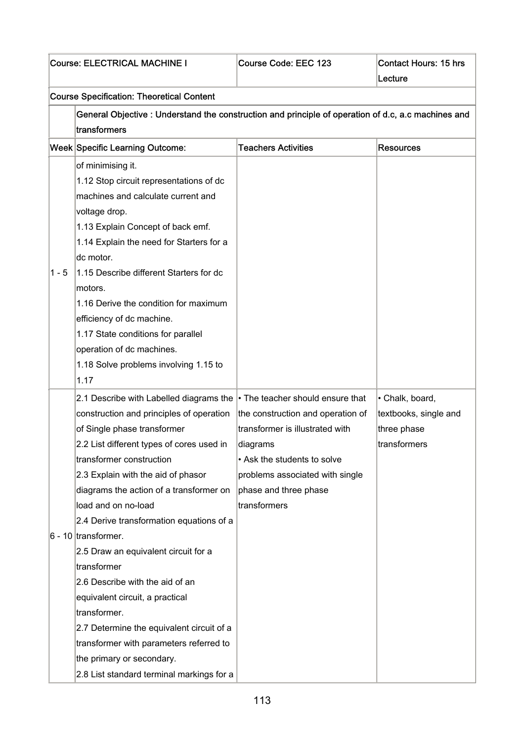| <b>Course: ELECTRICAL MACHINE I</b> |                                                                                                     | Course Code: EEC 123              | <b>Contact Hours: 15 hrs</b><br>Lecture |
|-------------------------------------|-----------------------------------------------------------------------------------------------------|-----------------------------------|-----------------------------------------|
|                                     |                                                                                                     |                                   |                                         |
|                                     | <b>Course Specification: Theoretical Content</b>                                                    |                                   |                                         |
|                                     | General Objective : Understand the construction and principle of operation of d.c, a.c machines and |                                   |                                         |
|                                     | transformers                                                                                        |                                   |                                         |
|                                     | Week Specific Learning Outcome:                                                                     | <b>Teachers Activities</b>        | <b>Resources</b>                        |
|                                     | of minimising it.                                                                                   |                                   |                                         |
|                                     | 1.12 Stop circuit representations of dc                                                             |                                   |                                         |
|                                     | machines and calculate current and                                                                  |                                   |                                         |
|                                     | voltage drop.                                                                                       |                                   |                                         |
|                                     | 1.13 Explain Concept of back emf.                                                                   |                                   |                                         |
|                                     | 1.14 Explain the need for Starters for a                                                            |                                   |                                         |
|                                     | dc motor.                                                                                           |                                   |                                         |
| $1 - 5$                             | 1.15 Describe different Starters for dc                                                             |                                   |                                         |
|                                     | motors.                                                                                             |                                   |                                         |
|                                     | 1.16 Derive the condition for maximum                                                               |                                   |                                         |
|                                     | efficiency of dc machine.                                                                           |                                   |                                         |
|                                     | 1.17 State conditions for parallel                                                                  |                                   |                                         |
|                                     | operation of dc machines.                                                                           |                                   |                                         |
|                                     | 1.18 Solve problems involving 1.15 to                                                               |                                   |                                         |
|                                     | 1.17                                                                                                |                                   |                                         |
|                                     | 2.1 Describe with Labelled diagrams the $\cdot$ The teacher should ensure that                      |                                   | • Chalk, board,                         |
|                                     | construction and principles of operation                                                            | the construction and operation of | textbooks, single and                   |
|                                     | of Single phase transformer                                                                         | transformer is illustrated with   | three phase                             |
|                                     | 2.2 List different types of cores used in                                                           | diagrams                          | transformers                            |
|                                     | transformer construction                                                                            | • Ask the students to solve       |                                         |
|                                     | 2.3 Explain with the aid of phasor                                                                  | problems associated with single   |                                         |
|                                     | diagrams the action of a transformer on                                                             | phase and three phase             |                                         |
|                                     | load and on no-load                                                                                 | transformers                      |                                         |
|                                     | 2.4 Derive transformation equations of a                                                            |                                   |                                         |
|                                     | $6 - 10$ transformer.                                                                               |                                   |                                         |
|                                     | 2.5 Draw an equivalent circuit for a                                                                |                                   |                                         |
|                                     | transformer                                                                                         |                                   |                                         |
|                                     | 2.6 Describe with the aid of an                                                                     |                                   |                                         |
|                                     | equivalent circuit, a practical<br>transformer.                                                     |                                   |                                         |
|                                     |                                                                                                     |                                   |                                         |
|                                     | 2.7 Determine the equivalent circuit of a<br>transformer with parameters referred to                |                                   |                                         |
|                                     | the primary or secondary.                                                                           |                                   |                                         |
|                                     | 2.8 List standard terminal markings for a                                                           |                                   |                                         |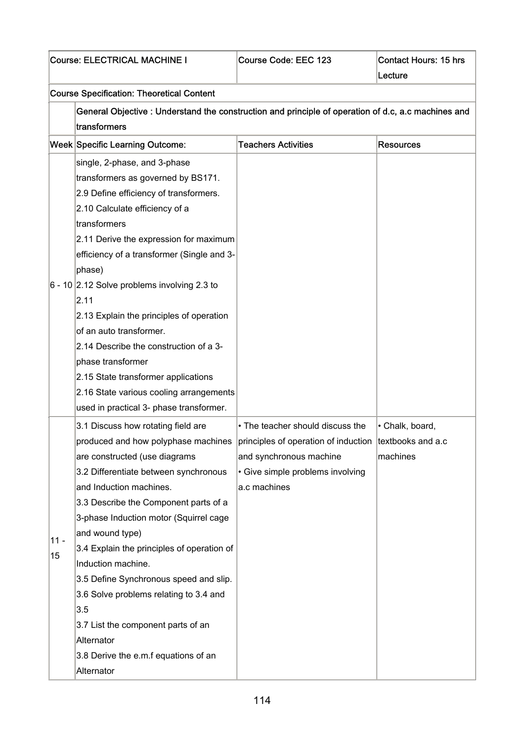|              | Course: ELECTRICAL MACHINE I                                                                                                                                                                                                                                                                                                                                                                                                                                                                                                                                                                                           | Course Code: EEC 123                                                                                            | <b>Contact Hours: 15 hrs</b><br>Lecture |  |  |
|--------------|------------------------------------------------------------------------------------------------------------------------------------------------------------------------------------------------------------------------------------------------------------------------------------------------------------------------------------------------------------------------------------------------------------------------------------------------------------------------------------------------------------------------------------------------------------------------------------------------------------------------|-----------------------------------------------------------------------------------------------------------------|-----------------------------------------|--|--|
|              | <b>Course Specification: Theoretical Content</b>                                                                                                                                                                                                                                                                                                                                                                                                                                                                                                                                                                       |                                                                                                                 |                                         |  |  |
|              | General Objective : Understand the construction and principle of operation of d.c, a.c machines and<br>transformers                                                                                                                                                                                                                                                                                                                                                                                                                                                                                                    |                                                                                                                 |                                         |  |  |
|              | Week Specific Learning Outcome:                                                                                                                                                                                                                                                                                                                                                                                                                                                                                                                                                                                        | <b>Teachers Activities</b>                                                                                      | Resources                               |  |  |
|              | single, 2-phase, and 3-phase<br>transformers as governed by BS171.<br>2.9 Define efficiency of transformers.<br>2.10 Calculate efficiency of a<br>transformers<br>2.11 Derive the expression for maximum<br>efficiency of a transformer (Single and 3-<br>phase)<br>6 - 10 $\vert$ 2.12 Solve problems involving 2.3 to<br>2.11<br>2.13 Explain the principles of operation<br>of an auto transformer.<br>2.14 Describe the construction of a 3-<br>phase transformer<br>2.15 State transformer applications<br>2.16 State various cooling arrangements<br>used in practical 3- phase transformer.                     |                                                                                                                 |                                         |  |  |
| $11 -$<br>15 | 3.1 Discuss how rotating field are<br>produced and how polyphase machines  principles of operation of induction  textbooks and a.c<br>are constructed (use diagrams<br>3.2 Differentiate between synchronous<br>and Induction machines.<br>3.3 Describe the Component parts of a<br>3-phase Induction motor (Squirrel cage<br>and wound type)<br>3.4 Explain the principles of operation of<br>Induction machine.<br>3.5 Define Synchronous speed and slip.<br>3.6 Solve problems relating to 3.4 and<br>3.5<br>3.7 List the component parts of an<br>Alternator<br>3.8 Derive the e.m.f equations of an<br>Alternator | • The teacher should discuss the<br>and synchronous machine<br>• Give simple problems involving<br>a.c machines | Chalk, board,<br>machines               |  |  |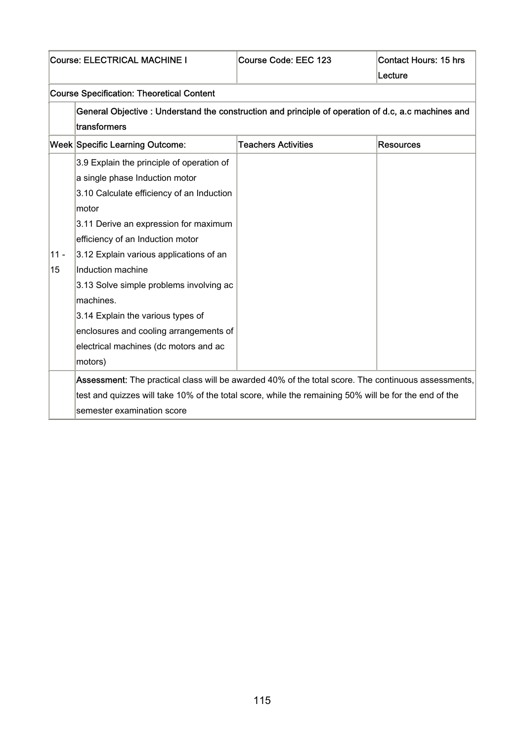| <b>Course: ELECTRICAL MACHINE I</b> |                                                                                                                                                                                                                                                                                                                                                                                                                                                                                                                                                                                                                                                                                                                         | Course Code: EEC 123       | <b>Contact Hours: 15 hrs</b><br>Lecture |
|-------------------------------------|-------------------------------------------------------------------------------------------------------------------------------------------------------------------------------------------------------------------------------------------------------------------------------------------------------------------------------------------------------------------------------------------------------------------------------------------------------------------------------------------------------------------------------------------------------------------------------------------------------------------------------------------------------------------------------------------------------------------------|----------------------------|-----------------------------------------|
|                                     | <b>Course Specification: Theoretical Content</b>                                                                                                                                                                                                                                                                                                                                                                                                                                                                                                                                                                                                                                                                        |                            |                                         |
|                                     | General Objective : Understand the construction and principle of operation of d.c, a.c machines and<br>transformers                                                                                                                                                                                                                                                                                                                                                                                                                                                                                                                                                                                                     |                            |                                         |
|                                     | <b>Week Specific Learning Outcome:</b>                                                                                                                                                                                                                                                                                                                                                                                                                                                                                                                                                                                                                                                                                  | <b>Teachers Activities</b> | <b>Resources</b>                        |
| $11 -$<br>15                        | 3.9 Explain the principle of operation of<br>a single phase Induction motor<br>3.10 Calculate efficiency of an Induction<br>motor<br>3.11 Derive an expression for maximum<br>efficiency of an Induction motor<br>3.12 Explain various applications of an<br>Induction machine<br>3.13 Solve simple problems involving ac<br>machines.<br>3.14 Explain the various types of<br>enclosures and cooling arrangements of<br>electrical machines (dc motors and ac<br>motors)<br>Assessment: The practical class will be awarded 40% of the total score. The continuous assessments,<br>test and quizzes will take 10% of the total score, while the remaining 50% will be for the end of the<br>semester examination score |                            |                                         |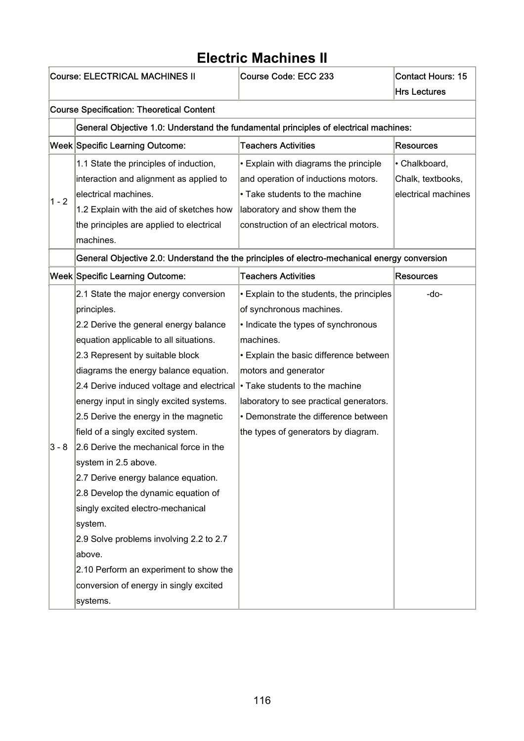#### Course: ELECTRICAL MACHINES II Course Code: ECC 233 Contact Hours: 15 Hrs Lectures Course Specification: Theoretical Content General Objective 1.0: Understand the fundamental principles of electrical machines: Week Specific Learning Outcome: Teachers Activities Resources  $1 - 2$ 1.1 State the principles of induction, interaction and alignment as applied to electrical machines. 1.2 Explain with the aid of sketches how the principles are applied to electrical machines. • Explain with diagrams the principle and operation of inductions motors. • Take students to the machine laboratory and show them the construction of an electrical motors. • Chalkboard, Chalk, textbooks, electrical machines General Objective 2.0: Understand the the principles of electro-mechanical energy conversion Week Specific Learning Outcome: Teachers Activities Resources 3 - 8 2.1 State the major energy conversion principles. 2.2 Derive the general energy balance equation applicable to all situations. 2.3 Represent by suitable block diagrams the energy balance equation. 2.4 Derive induced voltage and electrical • Take students to the machine energy input in singly excited systems. 2.5 Derive the energy in the magnetic field of a singly excited system. 2.6 Derive the mechanical force in the system in 2.5 above. 2.7 Derive energy balance equation. 2.8 Develop the dynamic equation of singly excited electro-mechanical system. 2.9 Solve problems involving 2.2 to 2.7 above. 2.10 Perform an experiment to show the conversion of energy in singly excited systems. • Explain to the students, the principles of synchronous machines. • Indicate the types of synchronous machines. • Explain the basic difference between motors and generator laboratory to see practical generators. • Demonstrate the difference between the types of generators by diagram. -do-

# **Electric Machines II**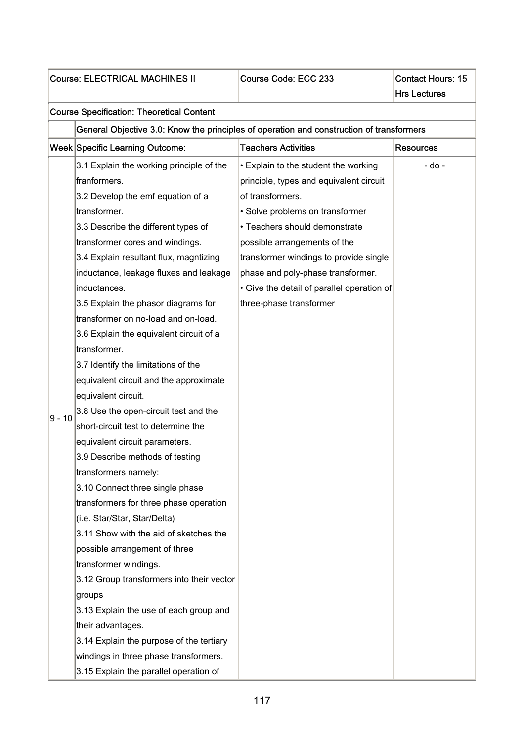| <b>Course: ELECTRICAL MACHINES II</b> |                                                                                          | Course Code: ECC 233                       | <b>Contact Hours: 15</b><br><b>Hrs Lectures</b> |  |  |
|---------------------------------------|------------------------------------------------------------------------------------------|--------------------------------------------|-------------------------------------------------|--|--|
|                                       |                                                                                          |                                            |                                                 |  |  |
|                                       | <b>Course Specification: Theoretical Content</b>                                         |                                            |                                                 |  |  |
|                                       | General Objective 3.0: Know the principles of operation and construction of transformers |                                            |                                                 |  |  |
|                                       | Week Specific Learning Outcome:                                                          | <b>Teachers Activities</b>                 | <b>Resources</b>                                |  |  |
|                                       | 3.1 Explain the working principle of the                                                 | • Explain to the student the working       | - do -                                          |  |  |
|                                       | franformers.                                                                             | principle, types and equivalent circuit    |                                                 |  |  |
|                                       | 3.2 Develop the emf equation of a                                                        | of transformers.                           |                                                 |  |  |
|                                       | transformer.                                                                             | • Solve problems on transformer            |                                                 |  |  |
|                                       | 3.3 Describe the different types of                                                      | • Teachers should demonstrate              |                                                 |  |  |
|                                       | transformer cores and windings.                                                          | possible arrangements of the               |                                                 |  |  |
|                                       | 3.4 Explain resultant flux, magntizing                                                   | transformer windings to provide single     |                                                 |  |  |
|                                       | inductance, leakage fluxes and leakage                                                   | phase and poly-phase transformer.          |                                                 |  |  |
|                                       | inductances.                                                                             | • Give the detail of parallel operation of |                                                 |  |  |
|                                       | 3.5 Explain the phasor diagrams for                                                      | three-phase transformer                    |                                                 |  |  |
|                                       | transformer on no-load and on-load.                                                      |                                            |                                                 |  |  |
|                                       | 3.6 Explain the equivalent circuit of a                                                  |                                            |                                                 |  |  |
|                                       | transformer.                                                                             |                                            |                                                 |  |  |
|                                       | 3.7 Identify the limitations of the                                                      |                                            |                                                 |  |  |
|                                       | equivalent circuit and the approximate                                                   |                                            |                                                 |  |  |
|                                       | equivalent circuit.                                                                      |                                            |                                                 |  |  |
| 9 - 10                                | 3.8 Use the open-circuit test and the                                                    |                                            |                                                 |  |  |
|                                       | short-circuit test to determine the                                                      |                                            |                                                 |  |  |
|                                       | equivalent circuit parameters.                                                           |                                            |                                                 |  |  |
|                                       | 3.9 Describe methods of testing                                                          |                                            |                                                 |  |  |
|                                       | transformers namely:                                                                     |                                            |                                                 |  |  |
|                                       | 3.10 Connect three single phase                                                          |                                            |                                                 |  |  |
|                                       | transformers for three phase operation                                                   |                                            |                                                 |  |  |
|                                       | (i.e. Star/Star, Star/Delta)                                                             |                                            |                                                 |  |  |
|                                       | 3.11 Show with the aid of sketches the                                                   |                                            |                                                 |  |  |
|                                       | possible arrangement of three                                                            |                                            |                                                 |  |  |
|                                       | transformer windings.                                                                    |                                            |                                                 |  |  |
|                                       | 3.12 Group transformers into their vector                                                |                                            |                                                 |  |  |
|                                       | groups                                                                                   |                                            |                                                 |  |  |
|                                       | 3.13 Explain the use of each group and                                                   |                                            |                                                 |  |  |
|                                       | their advantages.                                                                        |                                            |                                                 |  |  |
|                                       | 3.14 Explain the purpose of the tertiary                                                 |                                            |                                                 |  |  |
|                                       | windings in three phase transformers.                                                    |                                            |                                                 |  |  |
|                                       | 3.15 Explain the parallel operation of                                                   |                                            |                                                 |  |  |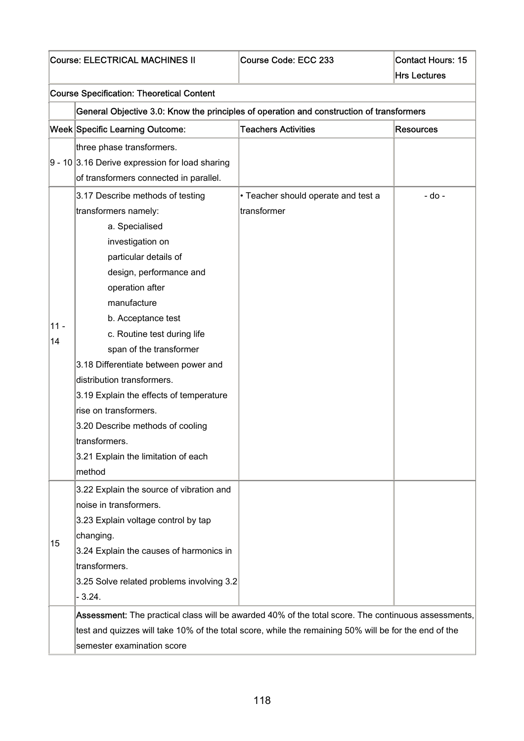|              | <b>Course: ELECTRICAL MACHINES II</b>                                                                                                                                                                                                                                                                                                                                                                                                                                                                                | Course Code: ECC 233                               | <b>Contact Hours: 15</b><br><b>Hrs Lectures</b> |
|--------------|----------------------------------------------------------------------------------------------------------------------------------------------------------------------------------------------------------------------------------------------------------------------------------------------------------------------------------------------------------------------------------------------------------------------------------------------------------------------------------------------------------------------|----------------------------------------------------|-------------------------------------------------|
|              | <b>Course Specification: Theoretical Content</b>                                                                                                                                                                                                                                                                                                                                                                                                                                                                     |                                                    |                                                 |
|              | General Objective 3.0: Know the principles of operation and construction of transformers                                                                                                                                                                                                                                                                                                                                                                                                                             |                                                    |                                                 |
|              | Week Specific Learning Outcome:                                                                                                                                                                                                                                                                                                                                                                                                                                                                                      | <b>Teachers Activities</b>                         | <b>Resources</b>                                |
|              | three phase transformers.<br>$9 - 10$ 3.16 Derive expression for load sharing<br>of transformers connected in parallel.                                                                                                                                                                                                                                                                                                                                                                                              |                                                    |                                                 |
| $11 -$<br>14 | 3.17 Describe methods of testing<br>transformers namely:<br>a. Specialised<br>investigation on<br>particular details of<br>design, performance and<br>operation after<br>manufacture<br>b. Acceptance test<br>c. Routine test during life<br>span of the transformer<br>3.18 Differentiate between power and<br>distribution transformers.<br>3.19 Explain the effects of temperature<br>rise on transformers.<br>3.20 Describe methods of cooling<br>transformers.<br>3.21 Explain the limitation of each<br>method | • Teacher should operate and test a<br>transformer | - do -                                          |
| 15           | 3.22 Explain the source of vibration and<br>noise in transformers.<br>3.23 Explain voltage control by tap<br>changing.<br>3.24 Explain the causes of harmonics in<br>transformers.<br>3.25 Solve related problems involving 3.2<br>$-3.24.$                                                                                                                                                                                                                                                                          |                                                    |                                                 |
|              | Assessment: The practical class will be awarded 40% of the total score. The continuous assessments,<br>test and quizzes will take 10% of the total score, while the remaining 50% will be for the end of the<br>semester examination score                                                                                                                                                                                                                                                                           |                                                    |                                                 |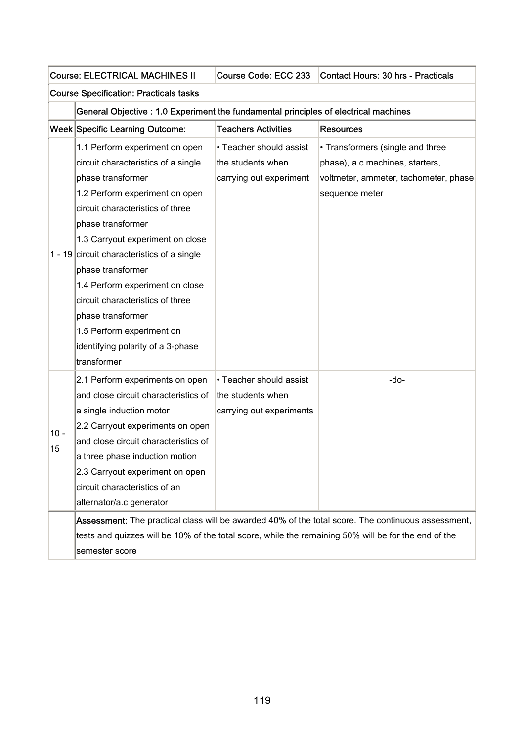|        | <b>Course: ELECTRICAL MACHINES II</b>                                                | Course Code: ECC 233       | Contact Hours: 30 hrs - Practicals                                                                   |  |  |
|--------|--------------------------------------------------------------------------------------|----------------------------|------------------------------------------------------------------------------------------------------|--|--|
|        | <b>Course Specification: Practicals tasks</b>                                        |                            |                                                                                                      |  |  |
|        | General Objective : 1.0 Experiment the fundamental principles of electrical machines |                            |                                                                                                      |  |  |
|        | Week Specific Learning Outcome:                                                      | <b>Teachers Activities</b> | <b>Resources</b>                                                                                     |  |  |
|        | 1.1 Perform experiment on open                                                       | • Teacher should assist    | • Transformers (single and three                                                                     |  |  |
|        | circuit characteristics of a single                                                  | the students when          | phase), a.c machines, starters,                                                                      |  |  |
|        | phase transformer                                                                    | carrying out experiment    | voltmeter, ammeter, tachometer, phase                                                                |  |  |
|        | 1.2 Perform experiment on open                                                       |                            | sequence meter                                                                                       |  |  |
|        | circuit characteristics of three                                                     |                            |                                                                                                      |  |  |
|        | phase transformer                                                                    |                            |                                                                                                      |  |  |
|        | 1.3 Carryout experiment on close                                                     |                            |                                                                                                      |  |  |
|        | 1 - 19 circuit characteristics of a single                                           |                            |                                                                                                      |  |  |
|        | phase transformer                                                                    |                            |                                                                                                      |  |  |
|        | 1.4 Perform experiment on close                                                      |                            |                                                                                                      |  |  |
|        | circuit characteristics of three                                                     |                            |                                                                                                      |  |  |
|        | phase transformer                                                                    |                            |                                                                                                      |  |  |
|        | 1.5 Perform experiment on                                                            |                            |                                                                                                      |  |  |
|        | identifying polarity of a 3-phase                                                    |                            |                                                                                                      |  |  |
|        | transformer                                                                          |                            |                                                                                                      |  |  |
|        | 2.1 Perform experiments on open                                                      | • Teacher should assist    | -do-                                                                                                 |  |  |
|        | and close circuit characteristics of                                                 | the students when          |                                                                                                      |  |  |
|        | a single induction motor                                                             | carrying out experiments   |                                                                                                      |  |  |
| $10 -$ | 2.2 Carryout experiments on open                                                     |                            |                                                                                                      |  |  |
| 15     | and close circuit characteristics of                                                 |                            |                                                                                                      |  |  |
|        | a three phase induction motion                                                       |                            |                                                                                                      |  |  |
|        | 2.3 Carryout experiment on open                                                      |                            |                                                                                                      |  |  |
|        | circuit characteristics of an                                                        |                            |                                                                                                      |  |  |
|        | alternator/a.c generator                                                             |                            |                                                                                                      |  |  |
|        |                                                                                      |                            | Assessment: The practical class will be awarded 40% of the total score. The continuous assessment,   |  |  |
|        |                                                                                      |                            | tests and quizzes will be 10% of the total score, while the remaining 50% will be for the end of the |  |  |
|        | semester score                                                                       |                            |                                                                                                      |  |  |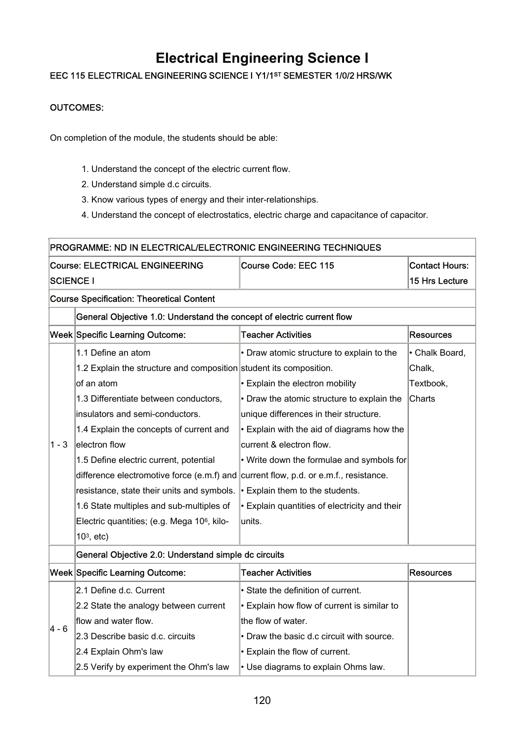## **Electrical Engineering Science I**

### EEC 115 ELECTRICAL ENGINEERING SCIENCE I Y1/1ST SEMESTER 1/0/2 HRS/WK

### OUTCOMES:

On completion of the module, the students should be able:

- 1. Understand the concept of the electric current flow.
- 2. Understand simple d.c circuits.
- 3. Know various types of energy and their inter-relationships.
- 4. Understand the concept of electrostatics, electric charge and capacitance of capacitor.

|                                                  | PROGRAMME: ND IN ELECTRICAL/ELECTRONIC ENGINEERING TECHNIQUES                        |                                               |                       |  |  |
|--------------------------------------------------|--------------------------------------------------------------------------------------|-----------------------------------------------|-----------------------|--|--|
|                                                  | <b>Course: ELECTRICAL ENGINEERING</b>                                                | Course Code: EEC 115                          | <b>Contact Hours:</b> |  |  |
| <b>SCIENCE I</b>                                 |                                                                                      |                                               | 15 Hrs Lecture        |  |  |
| <b>Course Specification: Theoretical Content</b> |                                                                                      |                                               |                       |  |  |
|                                                  | General Objective 1.0: Understand the concept of electric current flow               |                                               |                       |  |  |
|                                                  | Week Specific Learning Outcome:                                                      | <b>Teacher Activities</b>                     | <b>Resources</b>      |  |  |
|                                                  | 1.1 Define an atom                                                                   | • Draw atomic structure to explain to the     | • Chalk Board,        |  |  |
|                                                  | 1.2 Explain the structure and composition student its composition.                   |                                               | Chalk,                |  |  |
|                                                  | of an atom                                                                           | • Explain the electron mobility               | Textbook,             |  |  |
|                                                  | 1.3 Differentiate between conductors,                                                | • Draw the atomic structure to explain the    | Charts                |  |  |
|                                                  | insulators and semi-conductors.                                                      | unique differences in their structure.        |                       |  |  |
|                                                  | 1.4 Explain the concepts of current and                                              | • Explain with the aid of diagrams how the    |                       |  |  |
| $1 - 3$                                          | electron flow                                                                        | current & electron flow.                      |                       |  |  |
|                                                  | 1.5 Define electric current, potential                                               | • Write down the formulae and symbols for     |                       |  |  |
|                                                  | difference electromotive force (e.m.f) and current flow, p.d. or e.m.f., resistance. |                                               |                       |  |  |
|                                                  | resistance, state their units and symbols.                                           | $\cdot$ Explain them to the students.         |                       |  |  |
|                                                  | 1.6 State multiples and sub-multiples of                                             | • Explain quantities of electricity and their |                       |  |  |
|                                                  | Electric quantities; (e.g. Mega 106, kilo-                                           | units.                                        |                       |  |  |
|                                                  | $103$ , etc)                                                                         |                                               |                       |  |  |
|                                                  | General Objective 2.0: Understand simple dc circuits                                 |                                               |                       |  |  |
|                                                  | Week Specific Learning Outcome:                                                      | <b>Teacher Activities</b>                     | <b>Resources</b>      |  |  |
|                                                  | 2.1 Define d.c. Current                                                              | State the definition of current.              |                       |  |  |
|                                                  | 2.2 State the analogy between current                                                | • Explain how flow of current is similar to   |                       |  |  |
| $4 - 6$                                          | flow and water flow.                                                                 | the flow of water.                            |                       |  |  |
|                                                  | 2.3 Describe basic d.c. circuits                                                     | • Draw the basic d.c circuit with source.     |                       |  |  |
|                                                  | 2.4 Explain Ohm's law                                                                | Explain the flow of current.                  |                       |  |  |
|                                                  | 2.5 Verify by experiment the Ohm's law                                               | • Use diagrams to explain Ohms law.           |                       |  |  |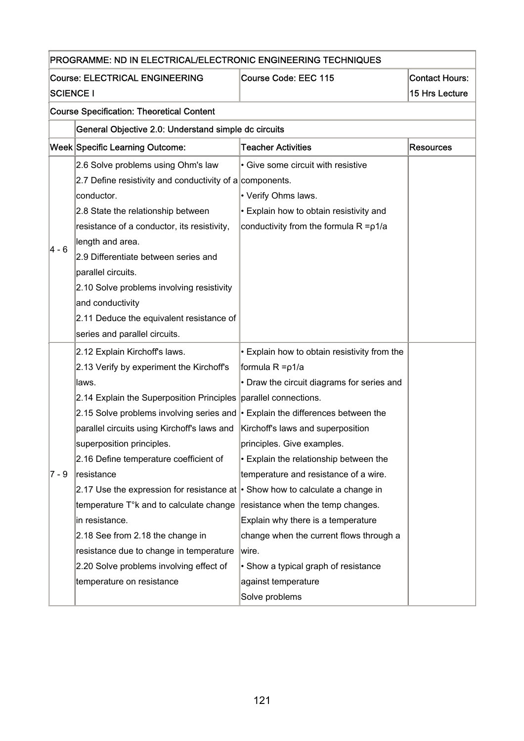|                  | PROGRAMME: ND IN ELECTRICAL/ELECTRONIC ENGINEERING TECHNIQUES                          |                                              |                  |  |  |
|------------------|----------------------------------------------------------------------------------------|----------------------------------------------|------------------|--|--|
|                  | <b>Course: ELECTRICAL ENGINEERING</b><br>Course Code: EEC 115<br><b>Contact Hours:</b> |                                              |                  |  |  |
| <b>SCIENCE I</b> |                                                                                        |                                              | 15 Hrs Lecture   |  |  |
|                  | <b>Course Specification: Theoretical Content</b>                                       |                                              |                  |  |  |
|                  | General Objective 2.0: Understand simple dc circuits                                   |                                              |                  |  |  |
|                  | Week Specific Learning Outcome:                                                        | <b>Teacher Activities</b>                    | <b>Resources</b> |  |  |
|                  | 2.6 Solve problems using Ohm's law                                                     | • Give some circuit with resistive           |                  |  |  |
|                  | 2.7 Define resistivity and conductivity of a components.                               |                                              |                  |  |  |
|                  | conductor.                                                                             | • Verify Ohms laws.                          |                  |  |  |
|                  | 2.8 State the relationship between                                                     | • Explain how to obtain resistivity and      |                  |  |  |
|                  | resistance of a conductor, its resistivity,                                            | conductivity from the formula R = p1/a       |                  |  |  |
|                  | length and area.                                                                       |                                              |                  |  |  |
| 4 - 6            | 2.9 Differentiate between series and                                                   |                                              |                  |  |  |
|                  | parallel circuits.                                                                     |                                              |                  |  |  |
|                  | 2.10 Solve problems involving resistivity                                              |                                              |                  |  |  |
|                  | and conductivity                                                                       |                                              |                  |  |  |
|                  | 2.11 Deduce the equivalent resistance of                                               |                                              |                  |  |  |
|                  | series and parallel circuits.                                                          |                                              |                  |  |  |
|                  | 2.12 Explain Kirchoff's laws.                                                          | • Explain how to obtain resistivity from the |                  |  |  |
|                  | 2.13 Verify by experiment the Kirchoff's                                               | formula R = p1/a                             |                  |  |  |
|                  | laws.                                                                                  | • Draw the circuit diagrams for series and   |                  |  |  |
|                  | 2.14 Explain the Superposition Principles                                              | parallel connections.                        |                  |  |  |
|                  | 2.15 Solve problems involving series and $\cdot$ Explain the differences between the   |                                              |                  |  |  |
|                  | parallel circuits using Kirchoff's laws and                                            | Kirchoff's laws and superposition            |                  |  |  |
|                  | superposition principles.                                                              | principles. Give examples.                   |                  |  |  |
|                  | 2.16 Define temperature coefficient of                                                 | • Explain the relationship between the       |                  |  |  |
| 7 - 9            | resistance                                                                             | temperature and resistance of a wire.        |                  |  |  |
|                  | 2.17 Use the expression for resistance at $\cdot$ Show how to calculate a change in    |                                              |                  |  |  |
|                  | temperature T°k and to calculate change                                                | resistance when the temp changes.            |                  |  |  |
|                  | in resistance.                                                                         | Explain why there is a temperature           |                  |  |  |
|                  | 2.18 See from 2.18 the change in                                                       | change when the current flows through a      |                  |  |  |
|                  | resistance due to change in temperature                                                | wire.                                        |                  |  |  |
|                  | 2.20 Solve problems involving effect of                                                | • Show a typical graph of resistance         |                  |  |  |
|                  | temperature on resistance                                                              | against temperature                          |                  |  |  |
|                  |                                                                                        | Solve problems                               |                  |  |  |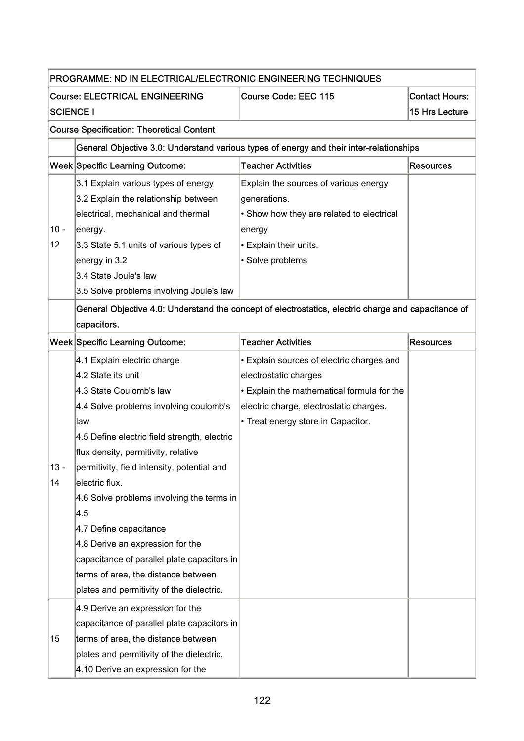|                  | PROGRAMME: ND IN ELECTRICAL/ELECTRONIC ENGINEERING TECHNIQUES |                                                                                                     |                       |  |  |
|------------------|---------------------------------------------------------------|-----------------------------------------------------------------------------------------------------|-----------------------|--|--|
|                  | <b>Course: ELECTRICAL ENGINEERING</b>                         | Course Code: EEC 115                                                                                | <b>Contact Hours:</b> |  |  |
| <b>SCIENCE I</b> |                                                               |                                                                                                     | 15 Hrs Lecture        |  |  |
|                  | <b>Course Specification: Theoretical Content</b>              |                                                                                                     |                       |  |  |
|                  |                                                               | General Objective 3.0: Understand various types of energy and their inter-relationships             |                       |  |  |
|                  | Week Specific Learning Outcome:                               | <b>Teacher Activities</b>                                                                           | Resources             |  |  |
|                  | 3.1 Explain various types of energy                           | Explain the sources of various energy                                                               |                       |  |  |
|                  | 3.2 Explain the relationship between                          | generations.                                                                                        |                       |  |  |
|                  | electrical, mechanical and thermal                            | • Show how they are related to electrical                                                           |                       |  |  |
| $10 -$           | energy.                                                       | energy                                                                                              |                       |  |  |
| 12 <sub>2</sub>  | 3.3 State 5.1 units of various types of                       | • Explain their units.                                                                              |                       |  |  |
|                  | energy in 3.2                                                 | · Solve problems                                                                                    |                       |  |  |
|                  | 3.4 State Joule's law                                         |                                                                                                     |                       |  |  |
|                  | 3.5 Solve problems involving Joule's law                      |                                                                                                     |                       |  |  |
|                  |                                                               | General Objective 4.0: Understand the concept of electrostatics, electric charge and capacitance of |                       |  |  |
|                  | capacitors.                                                   |                                                                                                     |                       |  |  |
|                  | Week Specific Learning Outcome:                               | <b>Teacher Activities</b>                                                                           | <b>Resources</b>      |  |  |
|                  | 4.1 Explain electric charge                                   | • Explain sources of electric charges and                                                           |                       |  |  |
|                  | 4.2 State its unit                                            | electrostatic charges                                                                               |                       |  |  |
|                  | 4.3 State Coulomb's law                                       | • Explain the mathematical formula for the                                                          |                       |  |  |
|                  | 4.4 Solve problems involving coulomb's                        | electric charge, electrostatic charges.                                                             |                       |  |  |
|                  | law                                                           | • Treat energy store in Capacitor.                                                                  |                       |  |  |
|                  | 4.5 Define electric field strength, electric                  |                                                                                                     |                       |  |  |
|                  | flux density, permitivity, relative                           |                                                                                                     |                       |  |  |
| $13 -$           | permitivity, field intensity, potential and                   |                                                                                                     |                       |  |  |
| 14               | electric flux.                                                |                                                                                                     |                       |  |  |
|                  | 4.6 Solve problems involving the terms in                     |                                                                                                     |                       |  |  |
|                  | 4.5                                                           |                                                                                                     |                       |  |  |
|                  | 4.7 Define capacitance                                        |                                                                                                     |                       |  |  |
|                  | 4.8 Derive an expression for the                              |                                                                                                     |                       |  |  |
|                  | capacitance of parallel plate capacitors in                   |                                                                                                     |                       |  |  |
|                  | terms of area, the distance between                           |                                                                                                     |                       |  |  |
|                  | plates and permitivity of the dielectric.                     |                                                                                                     |                       |  |  |
|                  | 4.9 Derive an expression for the                              |                                                                                                     |                       |  |  |
|                  | capacitance of parallel plate capacitors in                   |                                                                                                     |                       |  |  |
| 15               | terms of area, the distance between                           |                                                                                                     |                       |  |  |
|                  | plates and permitivity of the dielectric.                     |                                                                                                     |                       |  |  |
|                  | 4.10 Derive an expression for the                             |                                                                                                     |                       |  |  |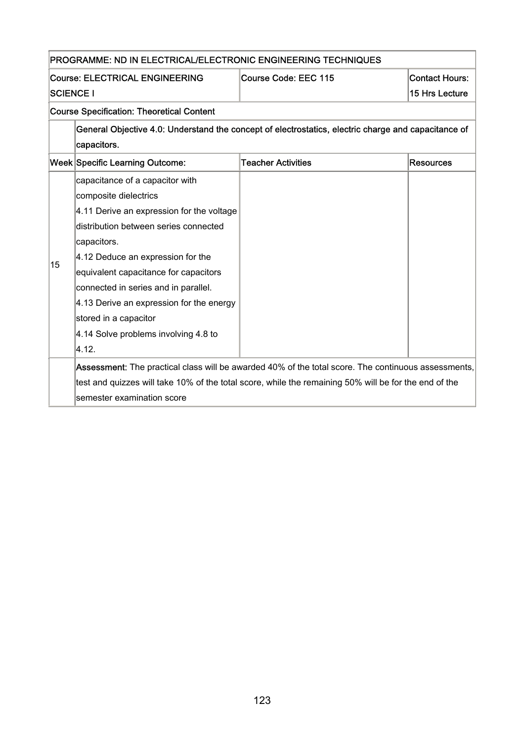|                  | PROGRAMME: ND IN ELECTRICAL/ELECTRONIC ENGINEERING TECHNIQUES |                                                                                                       |                       |  |  |
|------------------|---------------------------------------------------------------|-------------------------------------------------------------------------------------------------------|-----------------------|--|--|
|                  | <b>Course: ELECTRICAL ENGINEERING</b>                         | Course Code: EEC 115                                                                                  | <b>Contact Hours:</b> |  |  |
| <b>SCIENCE I</b> |                                                               |                                                                                                       | 15 Hrs Lecture        |  |  |
|                  | <b>Course Specification: Theoretical Content</b>              |                                                                                                       |                       |  |  |
|                  |                                                               | General Objective 4.0: Understand the concept of electrostatics, electric charge and capacitance of   |                       |  |  |
|                  | capacitors.                                                   |                                                                                                       |                       |  |  |
|                  | <b>Week Specific Learning Outcome:</b>                        | <b>Teacher Activities</b>                                                                             | <b>Resources</b>      |  |  |
|                  | capacitance of a capacitor with                               |                                                                                                       |                       |  |  |
|                  | composite dielectrics                                         |                                                                                                       |                       |  |  |
|                  | 4.11 Derive an expression for the voltage                     |                                                                                                       |                       |  |  |
|                  | distribution between series connected                         |                                                                                                       |                       |  |  |
|                  | capacitors.                                                   |                                                                                                       |                       |  |  |
| 15               | 4.12 Deduce an expression for the                             |                                                                                                       |                       |  |  |
|                  | equivalent capacitance for capacitors                         |                                                                                                       |                       |  |  |
|                  | connected in series and in parallel.                          |                                                                                                       |                       |  |  |
|                  | 4.13 Derive an expression for the energy                      |                                                                                                       |                       |  |  |
|                  | stored in a capacitor                                         |                                                                                                       |                       |  |  |
|                  | 4.14 Solve problems involving 4.8 to                          |                                                                                                       |                       |  |  |
|                  | 4.12.                                                         |                                                                                                       |                       |  |  |
|                  |                                                               | Assessment: The practical class will be awarded 40% of the total score. The continuous assessments,   |                       |  |  |
|                  |                                                               | test and quizzes will take 10% of the total score, while the remaining 50% will be for the end of the |                       |  |  |
|                  | semester examination score                                    |                                                                                                       |                       |  |  |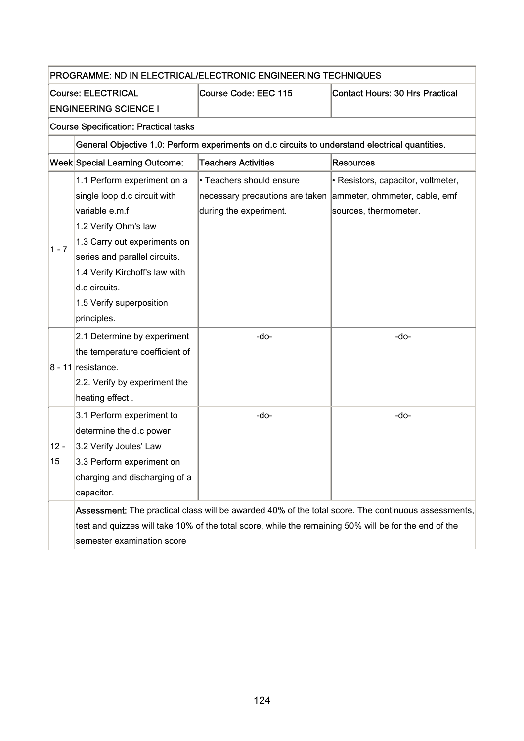| PROGRAMME: ND IN ELECTRICAL/ELECTRONIC ENGINEERING TECHNIQUES |                                                                                             |                                                                                                       |                                                                                                     |  |  |
|---------------------------------------------------------------|---------------------------------------------------------------------------------------------|-------------------------------------------------------------------------------------------------------|-----------------------------------------------------------------------------------------------------|--|--|
|                                                               | <b>Course: ELECTRICAL</b><br>Course Code: EEC 115<br><b>Contact Hours: 30 Hrs Practical</b> |                                                                                                       |                                                                                                     |  |  |
|                                                               | <b>ENGINEERING SCIENCE I</b>                                                                |                                                                                                       |                                                                                                     |  |  |
|                                                               | <b>Course Specification: Practical tasks</b>                                                |                                                                                                       |                                                                                                     |  |  |
|                                                               |                                                                                             | General Objective 1.0: Perform experiments on d.c circuits to understand electrical quantities.       |                                                                                                     |  |  |
|                                                               | Week Special Learning Outcome:                                                              | <b>Teachers Activities</b>                                                                            | <b>Resources</b>                                                                                    |  |  |
|                                                               | 1.1 Perform experiment on a                                                                 | • Teachers should ensure                                                                              | • Resistors, capacitor, voltmeter,                                                                  |  |  |
|                                                               | single loop d.c circuit with                                                                | necessary precautions are taken ammeter, ohmmeter, cable, emf                                         |                                                                                                     |  |  |
|                                                               | variable e.m.f                                                                              | during the experiment.                                                                                | sources, thermometer.                                                                               |  |  |
|                                                               | 1.2 Verify Ohm's law                                                                        |                                                                                                       |                                                                                                     |  |  |
|                                                               | 1.3 Carry out experiments on                                                                |                                                                                                       |                                                                                                     |  |  |
| $1 - 7$                                                       | series and parallel circuits.                                                               |                                                                                                       |                                                                                                     |  |  |
|                                                               | 1.4 Verify Kirchoff's law with                                                              |                                                                                                       |                                                                                                     |  |  |
|                                                               | d.c circuits.                                                                               |                                                                                                       |                                                                                                     |  |  |
|                                                               | 1.5 Verify superposition                                                                    |                                                                                                       |                                                                                                     |  |  |
|                                                               | principles.                                                                                 |                                                                                                       |                                                                                                     |  |  |
|                                                               | 2.1 Determine by experiment                                                                 | -do-                                                                                                  | -do-                                                                                                |  |  |
|                                                               | the temperature coefficient of                                                              |                                                                                                       |                                                                                                     |  |  |
|                                                               | $8 - 11$ resistance.                                                                        |                                                                                                       |                                                                                                     |  |  |
|                                                               | 2.2. Verify by experiment the                                                               |                                                                                                       |                                                                                                     |  |  |
|                                                               | heating effect.                                                                             |                                                                                                       |                                                                                                     |  |  |
|                                                               | 3.1 Perform experiment to                                                                   | -do-                                                                                                  | -do-                                                                                                |  |  |
|                                                               | determine the d.c power                                                                     |                                                                                                       |                                                                                                     |  |  |
| $12 -$                                                        | 3.2 Verify Joules' Law                                                                      |                                                                                                       |                                                                                                     |  |  |
| 15                                                            | 3.3 Perform experiment on                                                                   |                                                                                                       |                                                                                                     |  |  |
|                                                               | charging and discharging of a                                                               |                                                                                                       |                                                                                                     |  |  |
|                                                               | capacitor.                                                                                  |                                                                                                       |                                                                                                     |  |  |
|                                                               |                                                                                             |                                                                                                       | Assessment: The practical class will be awarded 40% of the total score. The continuous assessments, |  |  |
|                                                               |                                                                                             | test and quizzes will take 10% of the total score, while the remaining 50% will be for the end of the |                                                                                                     |  |  |
|                                                               | semester examination score                                                                  |                                                                                                       |                                                                                                     |  |  |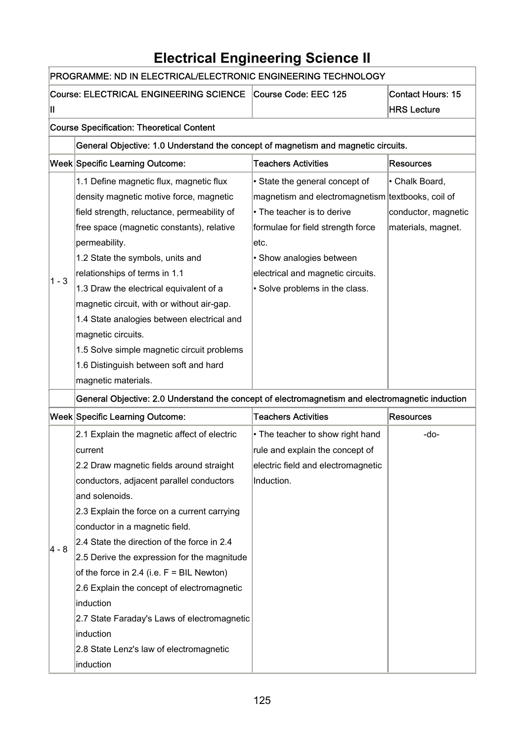# **Electrical Engineering Science II**

|         | PROGRAMME: ND IN ELECTRICAL/ELECTRONIC ENGINEERING TECHNOLOGY                                   |                                                   |                                                |  |  |
|---------|-------------------------------------------------------------------------------------------------|---------------------------------------------------|------------------------------------------------|--|--|
| н       | <b>Course: ELECTRICAL ENGINEERING SCIENCE</b>                                                   | Course Code: EEC 125                              | <b>Contact Hours: 15</b><br><b>HRS Lecture</b> |  |  |
|         | <b>Course Specification: Theoretical Content</b>                                                |                                                   |                                                |  |  |
|         | General Objective: 1.0 Understand the concept of magnetism and magnetic circuits.               |                                                   |                                                |  |  |
|         |                                                                                                 | <b>Teachers Activities</b>                        |                                                |  |  |
|         | <b>Week Specific Learning Outcome:</b>                                                          |                                                   | <b>Resources</b>                               |  |  |
|         | 1.1 Define magnetic flux, magnetic flux                                                         | • State the general concept of                    | • Chalk Board,                                 |  |  |
|         | density magnetic motive force, magnetic                                                         | magnetism and electromagnetism textbooks, coil of |                                                |  |  |
|         | field strength, reluctance, permeability of                                                     | • The teacher is to derive                        | conductor, magnetic                            |  |  |
|         | free space (magnetic constants), relative                                                       | formulae for field strength force                 | materials, magnet.                             |  |  |
|         | permeability.                                                                                   | letc.                                             |                                                |  |  |
|         | 1.2 State the symbols, units and                                                                | • Show analogies between                          |                                                |  |  |
| $1 - 3$ | relationships of terms in 1.1                                                                   | electrical and magnetic circuits.                 |                                                |  |  |
|         | 1.3 Draw the electrical equivalent of a                                                         | • Solve problems in the class.                    |                                                |  |  |
|         | magnetic circuit, with or without air-gap.                                                      |                                                   |                                                |  |  |
|         | 1.4 State analogies between electrical and                                                      |                                                   |                                                |  |  |
|         | magnetic circuits.                                                                              |                                                   |                                                |  |  |
|         | 1.5 Solve simple magnetic circuit problems                                                      |                                                   |                                                |  |  |
|         | 1.6 Distinguish between soft and hard                                                           |                                                   |                                                |  |  |
|         | magnetic materials.                                                                             |                                                   |                                                |  |  |
|         | General Objective: 2.0 Understand the concept of electromagnetism and electromagnetic induction |                                                   |                                                |  |  |
|         | Week Specific Learning Outcome:                                                                 | <b>Teachers Activities</b>                        | <b>Resources</b>                               |  |  |
|         | 2.1 Explain the magnetic affect of electric                                                     | • The teacher to show right hand                  | -do-                                           |  |  |
|         | current                                                                                         | rule and explain the concept of                   |                                                |  |  |
|         | 2.2 Draw magnetic fields around straight                                                        | electric field and electromagnetic                |                                                |  |  |
|         | conductors, adjacent parallel conductors                                                        | Induction.                                        |                                                |  |  |
|         | and solenoids.                                                                                  |                                                   |                                                |  |  |
|         | 2.3 Explain the force on a current carrying                                                     |                                                   |                                                |  |  |
|         | conductor in a magnetic field.                                                                  |                                                   |                                                |  |  |
| 4 - 8   | 2.4 State the direction of the force in 2.4                                                     |                                                   |                                                |  |  |
|         | 2.5 Derive the expression for the magnitude                                                     |                                                   |                                                |  |  |
|         | of the force in 2.4 (i.e. $F = BIL$ Newton)                                                     |                                                   |                                                |  |  |
|         | 2.6 Explain the concept of electromagnetic                                                      |                                                   |                                                |  |  |
|         | induction                                                                                       |                                                   |                                                |  |  |
|         | 2.7 State Faraday's Laws of electromagnetic                                                     |                                                   |                                                |  |  |
|         | induction                                                                                       |                                                   |                                                |  |  |
|         | 2.8 State Lenz's law of electromagnetic<br>induction                                            |                                                   |                                                |  |  |
|         |                                                                                                 |                                                   |                                                |  |  |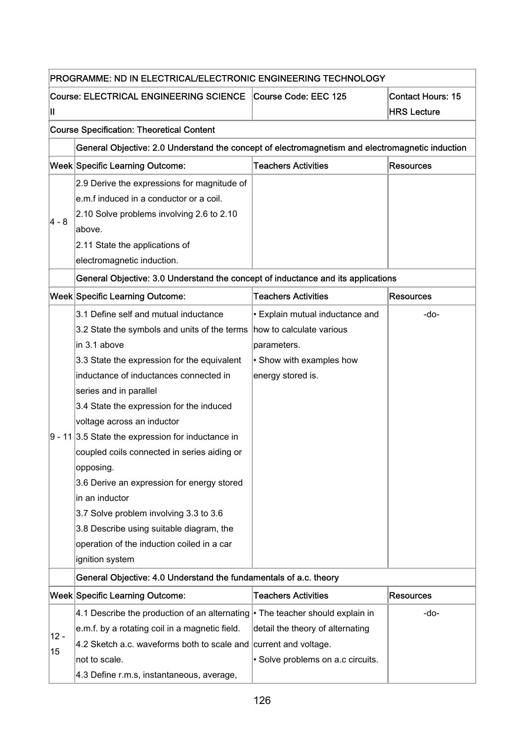|              | PROGRAMME: ND IN ELECTRICAL/ELECTRONIC ENGINEERING TECHNOLOGY                                                                                                                                                                                                                                                                                                                                                                                                                                                                                                                                                             |                                                                                                                             |                                                |
|--------------|---------------------------------------------------------------------------------------------------------------------------------------------------------------------------------------------------------------------------------------------------------------------------------------------------------------------------------------------------------------------------------------------------------------------------------------------------------------------------------------------------------------------------------------------------------------------------------------------------------------------------|-----------------------------------------------------------------------------------------------------------------------------|------------------------------------------------|
| Ш            | Course: ELECTRICAL ENGINEERING SCIENCE Course Code: EEC 125                                                                                                                                                                                                                                                                                                                                                                                                                                                                                                                                                               |                                                                                                                             | <b>Contact Hours: 15</b><br><b>HRS Lecture</b> |
|              | <b>Course Specification: Theoretical Content</b>                                                                                                                                                                                                                                                                                                                                                                                                                                                                                                                                                                          |                                                                                                                             |                                                |
|              | General Objective: 2.0 Understand the concept of electromagnetism and electromagnetic induction                                                                                                                                                                                                                                                                                                                                                                                                                                                                                                                           |                                                                                                                             |                                                |
|              | Week Specific Learning Outcome:                                                                                                                                                                                                                                                                                                                                                                                                                                                                                                                                                                                           | <b>Teachers Activities</b>                                                                                                  | <b>Resources</b>                               |
| 4 - 8        | 2.9 Derive the expressions for magnitude of<br>e.m.f induced in a conductor or a coil.<br>2.10 Solve problems involving 2.6 to 2.10<br>labove.<br>2.11 State the applications of<br>electromagnetic induction.                                                                                                                                                                                                                                                                                                                                                                                                            |                                                                                                                             |                                                |
|              | General Objective: 3.0 Understand the concept of inductance and its applications                                                                                                                                                                                                                                                                                                                                                                                                                                                                                                                                          |                                                                                                                             |                                                |
|              | Week Specific Learning Outcome:                                                                                                                                                                                                                                                                                                                                                                                                                                                                                                                                                                                           | <b>Teachers Activities</b>                                                                                                  | <b>Resources</b>                               |
|              | 3.1 Define self and mutual inductance<br>3.2 State the symbols and units of the terms<br>in 3.1 above<br>3.3 State the expression for the equivalent<br>inductance of inductances connected in<br>series and in parallel<br>3.4 State the expression for the induced<br>voltage across an inductor<br>$9 - 11$ 3.5 State the expression for inductance in<br>coupled coils connected in series aiding or<br>opposing.<br>3.6 Derive an expression for energy stored<br>in an inductor<br>3.7 Solve problem involving 3.3 to 3.6<br>3.8 Describe using suitable diagram, the<br>operation of the induction coiled in a car | · Explain mutual inductance and<br>how to calculate various<br>parameters.<br>• Show with examples how<br>energy stored is. | -do-                                           |
|              | ignition system                                                                                                                                                                                                                                                                                                                                                                                                                                                                                                                                                                                                           |                                                                                                                             |                                                |
|              | General Objective: 4.0 Understand the fundamentals of a.c. theory                                                                                                                                                                                                                                                                                                                                                                                                                                                                                                                                                         |                                                                                                                             |                                                |
|              | Week Specific Learning Outcome:                                                                                                                                                                                                                                                                                                                                                                                                                                                                                                                                                                                           | <b>Teachers Activities</b>                                                                                                  | <b>Resources</b>                               |
| $12 -$<br>15 | 4.1 Describe the production of an alternating • The teacher should explain in<br>e.m.f. by a rotating coil in a magnetic field.<br>4.2 Sketch a.c. waveforms both to scale and<br>not to scale.                                                                                                                                                                                                                                                                                                                                                                                                                           | detail the theory of alternating<br>current and voltage.<br>· Solve problems on a.c circuits.                               | -do-                                           |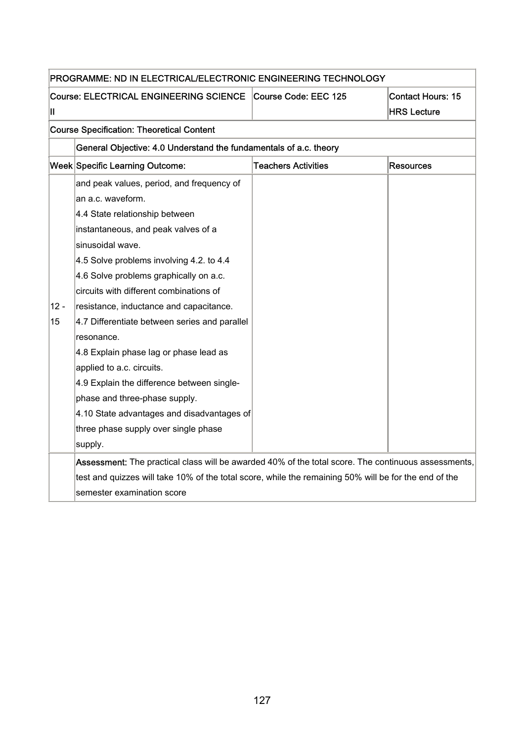| PROGRAMME: ND IN ELECTRICAL/ELECTRONIC ENGINEERING TECHNOLOGY |                                                                                                       |                            |                          |  |
|---------------------------------------------------------------|-------------------------------------------------------------------------------------------------------|----------------------------|--------------------------|--|
|                                                               | <b>Course: ELECTRICAL ENGINEERING SCIENCE</b>                                                         | Course Code: EEC 125       | <b>Contact Hours: 15</b> |  |
| н                                                             |                                                                                                       |                            | <b>HRS Lecture</b>       |  |
|                                                               | <b>Course Specification: Theoretical Content</b>                                                      |                            |                          |  |
|                                                               | General Objective: 4.0 Understand the fundamentals of a.c. theory                                     |                            |                          |  |
|                                                               | Week Specific Learning Outcome:                                                                       | <b>Teachers Activities</b> | <b>Resources</b>         |  |
|                                                               | and peak values, period, and frequency of                                                             |                            |                          |  |
|                                                               | an a.c. waveform.                                                                                     |                            |                          |  |
|                                                               | 4.4 State relationship between                                                                        |                            |                          |  |
|                                                               | instantaneous, and peak valves of a                                                                   |                            |                          |  |
|                                                               | sinusoidal wave.                                                                                      |                            |                          |  |
|                                                               | 4.5 Solve problems involving 4.2. to 4.4                                                              |                            |                          |  |
|                                                               | 4.6 Solve problems graphically on a.c.                                                                |                            |                          |  |
|                                                               | circuits with different combinations of                                                               |                            |                          |  |
| $12 -$                                                        | resistance, inductance and capacitance.                                                               |                            |                          |  |
| 15                                                            | 4.7 Differentiate between series and parallel                                                         |                            |                          |  |
|                                                               | resonance.                                                                                            |                            |                          |  |
|                                                               | 4.8 Explain phase lag or phase lead as                                                                |                            |                          |  |
|                                                               | applied to a.c. circuits.                                                                             |                            |                          |  |
|                                                               | 4.9 Explain the difference between single-                                                            |                            |                          |  |
|                                                               | phase and three-phase supply.                                                                         |                            |                          |  |
|                                                               | 4.10 State advantages and disadvantages of                                                            |                            |                          |  |
|                                                               | three phase supply over single phase                                                                  |                            |                          |  |
|                                                               | supply.                                                                                               |                            |                          |  |
|                                                               | Assessment: The practical class will be awarded 40% of the total score. The continuous assessments,   |                            |                          |  |
|                                                               | test and quizzes will take 10% of the total score, while the remaining 50% will be for the end of the |                            |                          |  |
|                                                               | semester examination score                                                                            |                            |                          |  |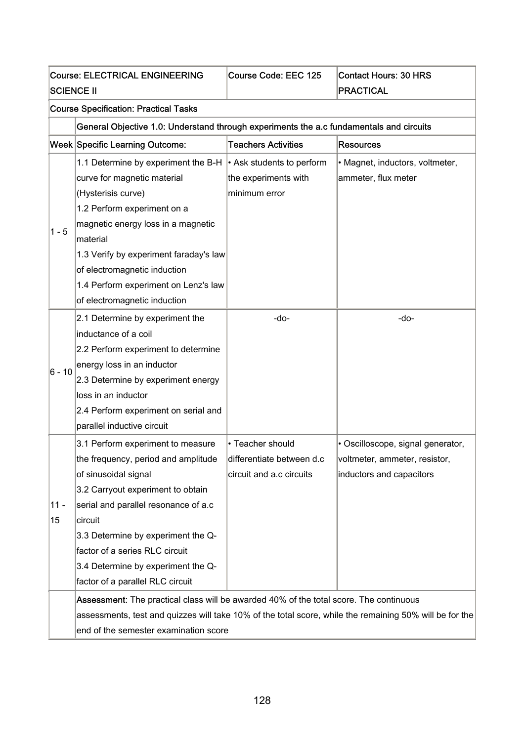| <b>Course: ELECTRICAL ENGINEERING</b> |                                                                                                                                                                                                                                                                                                                                            | Course Code: EEC 125                                                      | <b>Contact Hours: 30 HRS</b>                                                                   |  |  |
|---------------------------------------|--------------------------------------------------------------------------------------------------------------------------------------------------------------------------------------------------------------------------------------------------------------------------------------------------------------------------------------------|---------------------------------------------------------------------------|------------------------------------------------------------------------------------------------|--|--|
| <b>SCIENCE II</b>                     |                                                                                                                                                                                                                                                                                                                                            |                                                                           | <b>PRACTICAL</b>                                                                               |  |  |
|                                       | <b>Course Specification: Practical Tasks</b>                                                                                                                                                                                                                                                                                               |                                                                           |                                                                                                |  |  |
|                                       | General Objective 1.0: Understand through experiments the a.c fundamentals and circuits                                                                                                                                                                                                                                                    |                                                                           |                                                                                                |  |  |
|                                       | <b>Week Specific Learning Outcome:</b>                                                                                                                                                                                                                                                                                                     | <b>Teachers Activities</b>                                                | <b>Resources</b>                                                                               |  |  |
| $1 - 5$                               | 1.1 Determine by experiment the B-H<br>curve for magnetic material<br>(Hysterisis curve)<br>1.2 Perform experiment on a<br>magnetic energy loss in a magnetic<br>material<br>1.3 Verify by experiment faraday's law<br>of electromagnetic induction                                                                                        | $\cdot$ Ask students to perform<br>the experiments with<br>minimum error  | • Magnet, inductors, voltmeter,<br>ammeter, flux meter                                         |  |  |
|                                       | 1.4 Perform experiment on Lenz's law<br>of electromagnetic induction                                                                                                                                                                                                                                                                       |                                                                           |                                                                                                |  |  |
| 6 - 10                                | 2.1 Determine by experiment the<br>inductance of a coil<br>2.2 Perform experiment to determine<br>energy loss in an inductor<br>2.3 Determine by experiment energy<br>loss in an inductor<br>2.4 Perform experiment on serial and<br>parallel inductive circuit                                                                            | -do-                                                                      | -do-                                                                                           |  |  |
| $11 -$<br>15                          | 3.1 Perform experiment to measure<br>the frequency, period and amplitude<br>of sinusoidal signal<br>3.2 Carryout experiment to obtain<br>serial and parallel resonance of a.c<br>circuit<br>3.3 Determine by experiment the Q-<br>factor of a series RLC circuit<br>3.4 Determine by experiment the Q-<br>factor of a parallel RLC circuit | • Teacher should<br>differentiate between d.c<br>circuit and a.c circuits | • Oscilloscope, signal generator,<br>voltmeter, ammeter, resistor,<br>inductors and capacitors |  |  |
|                                       | Assessment: The practical class will be awarded 40% of the total score. The continuous<br>assessments, test and quizzes will take 10% of the total score, while the remaining 50% will be for the<br>end of the semester examination score                                                                                                 |                                                                           |                                                                                                |  |  |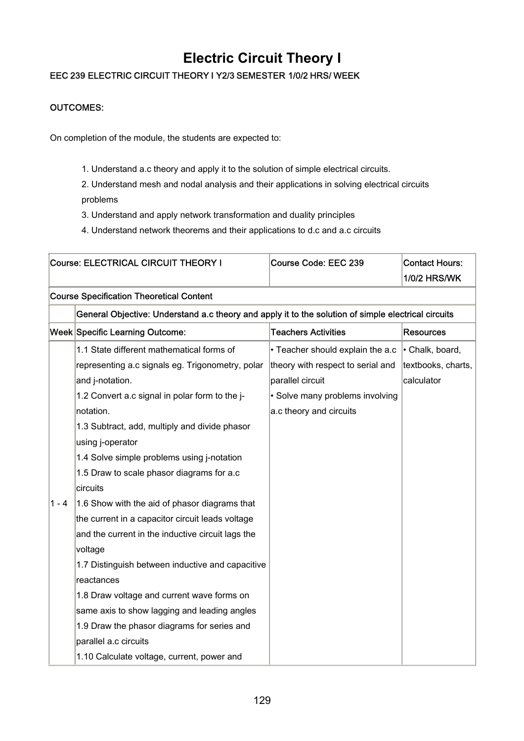## **Electric Circuit Theory I**

### EEC 239 ELECTRIC CIRCUIT THEORY I Y2/3 SEMESTER 1/0/2 HRS/ WEEK

### OUTCOMES:

On completion of the module, the students are expected to:

1. Understand a.c theory and apply it to the solution of simple electrical circuits.

2. Understand mesh and nodal analysis and their applications in solving electrical circuits problems

- 3. Understand and apply network transformation and duality principles
- 4. Understand network theorems and their applications to d.c and a.c circuits

|       | Course: ELECTRICAL CIRCUIT THEORY I                                                                 | Course Code: EEC 239              | <b>Contact Hours:</b><br><b>1/0/2 HRS/WK</b> |
|-------|-----------------------------------------------------------------------------------------------------|-----------------------------------|----------------------------------------------|
|       | <b>Course Specification Theoretical Content</b>                                                     |                                   |                                              |
|       | General Objective: Understand a.c theory and apply it to the solution of simple electrical circuits |                                   |                                              |
|       | Week Specific Learning Outcome:                                                                     | <b>Teachers Activities</b>        | <b>Resources</b>                             |
|       | 1.1 State different mathematical forms of                                                           | • Teacher should explain the a.c  | • Chalk, board,                              |
|       | representing a.c signals eg. Trigonometry, polar                                                    | theory with respect to serial and | textbooks, charts,                           |
|       | and j-notation.                                                                                     | parallel circuit                  | calculator                                   |
|       | 1.2 Convert a.c signal in polar form to the j-                                                      | • Solve many problems involving   |                                              |
|       | notation.                                                                                           | a.c theory and circuits           |                                              |
|       | 1.3 Subtract, add, multiply and divide phasor                                                       |                                   |                                              |
|       | using j-operator                                                                                    |                                   |                                              |
|       | 1.4 Solve simple problems using j-notation                                                          |                                   |                                              |
|       | 1.5 Draw to scale phasor diagrams for a.c                                                           |                                   |                                              |
|       | circuits                                                                                            |                                   |                                              |
| 1 - 4 | 1.6 Show with the aid of phasor diagrams that                                                       |                                   |                                              |
|       | the current in a capacitor circuit leads voltage                                                    |                                   |                                              |
|       | and the current in the inductive circuit lags the                                                   |                                   |                                              |
|       | voltage                                                                                             |                                   |                                              |
|       | 1.7 Distinguish between inductive and capacitive                                                    |                                   |                                              |
|       | reactances                                                                                          |                                   |                                              |
|       | 1.8 Draw voltage and current wave forms on                                                          |                                   |                                              |
|       | same axis to show lagging and leading angles                                                        |                                   |                                              |
|       | 1.9 Draw the phasor diagrams for series and                                                         |                                   |                                              |
|       | parallel a.c circuits                                                                               |                                   |                                              |
|       | 1.10 Calculate voltage, current, power and                                                          |                                   |                                              |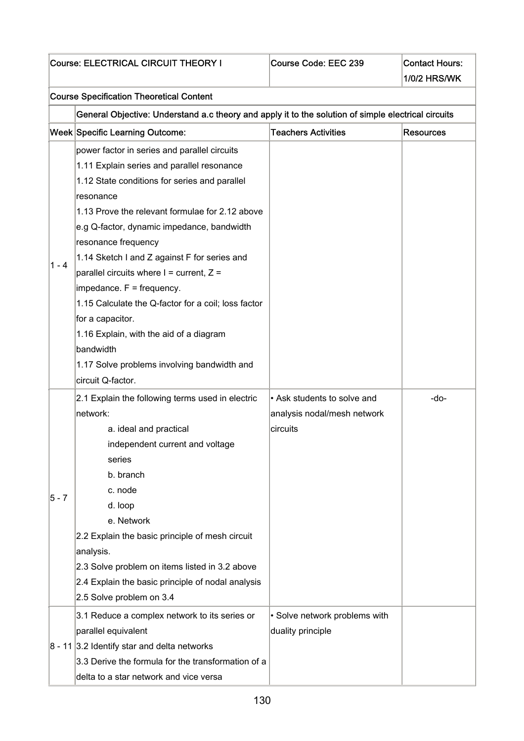|         | Course: ELECTRICAL CIRCUIT THEORY I                                                                 | Course Code: EEC 239          | <b>Contact Hours:</b><br><b>1/0/2 HRS/WK</b> |  |  |
|---------|-----------------------------------------------------------------------------------------------------|-------------------------------|----------------------------------------------|--|--|
|         |                                                                                                     |                               |                                              |  |  |
|         | <b>Course Specification Theoretical Content</b>                                                     |                               |                                              |  |  |
|         | General Objective: Understand a.c theory and apply it to the solution of simple electrical circuits |                               |                                              |  |  |
|         | Week Specific Learning Outcome:                                                                     | <b>Teachers Activities</b>    | <b>Resources</b>                             |  |  |
|         | power factor in series and parallel circuits                                                        |                               |                                              |  |  |
|         | 1.11 Explain series and parallel resonance                                                          |                               |                                              |  |  |
|         | 1.12 State conditions for series and parallel                                                       |                               |                                              |  |  |
|         | resonance                                                                                           |                               |                                              |  |  |
|         | 1.13 Prove the relevant formulae for 2.12 above                                                     |                               |                                              |  |  |
|         | e.g Q-factor, dynamic impedance, bandwidth                                                          |                               |                                              |  |  |
|         | resonance frequency                                                                                 |                               |                                              |  |  |
| $1 - 4$ | 1.14 Sketch I and Z against F for series and                                                        |                               |                                              |  |  |
|         | parallel circuits where $I =$ current, $Z =$                                                        |                               |                                              |  |  |
|         | impedance. F = frequency.                                                                           |                               |                                              |  |  |
|         | 1.15 Calculate the Q-factor for a coil; loss factor                                                 |                               |                                              |  |  |
|         | for a capacitor.                                                                                    |                               |                                              |  |  |
|         | 1.16 Explain, with the aid of a diagram                                                             |                               |                                              |  |  |
|         | bandwidth                                                                                           |                               |                                              |  |  |
|         | 1.17 Solve problems involving bandwidth and                                                         |                               |                                              |  |  |
|         | circuit Q-factor.                                                                                   |                               |                                              |  |  |
|         | 2.1 Explain the following terms used in electric                                                    | • Ask students to solve and   | -do-                                         |  |  |
|         | network:                                                                                            | analysis nodal/mesh network   |                                              |  |  |
|         | a. ideal and practical                                                                              | circuits                      |                                              |  |  |
|         | independent current and voltage                                                                     |                               |                                              |  |  |
|         | series                                                                                              |                               |                                              |  |  |
|         | b. branch                                                                                           |                               |                                              |  |  |
| $5 - 7$ | c. node                                                                                             |                               |                                              |  |  |
|         | d. loop                                                                                             |                               |                                              |  |  |
|         | e. Network                                                                                          |                               |                                              |  |  |
|         | 2.2 Explain the basic principle of mesh circuit                                                     |                               |                                              |  |  |
|         | analysis.                                                                                           |                               |                                              |  |  |
|         | 2.3 Solve problem on items listed in 3.2 above                                                      |                               |                                              |  |  |
|         | 2.4 Explain the basic principle of nodal analysis                                                   |                               |                                              |  |  |
|         | 2.5 Solve problem on 3.4                                                                            |                               |                                              |  |  |
|         | 3.1 Reduce a complex network to its series or                                                       | • Solve network problems with |                                              |  |  |
|         | parallel equivalent                                                                                 | duality principle             |                                              |  |  |
|         | $8 - 11$ 3.2 Identify star and delta networks                                                       |                               |                                              |  |  |
|         | 3.3 Derive the formula for the transformation of a                                                  |                               |                                              |  |  |
|         | delta to a star network and vice versa                                                              |                               |                                              |  |  |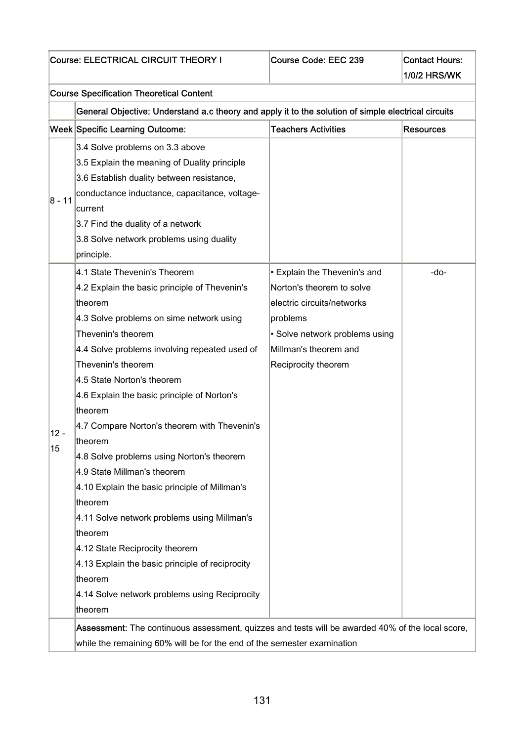|            | <b>Course Specification Theoretical Content</b>                                                                                                                                                                                                                                                                                                                                                                                                                                                                                                                                                                                                                                                                                                                  |                                                                                                                                                                                       |                  |
|------------|------------------------------------------------------------------------------------------------------------------------------------------------------------------------------------------------------------------------------------------------------------------------------------------------------------------------------------------------------------------------------------------------------------------------------------------------------------------------------------------------------------------------------------------------------------------------------------------------------------------------------------------------------------------------------------------------------------------------------------------------------------------|---------------------------------------------------------------------------------------------------------------------------------------------------------------------------------------|------------------|
|            |                                                                                                                                                                                                                                                                                                                                                                                                                                                                                                                                                                                                                                                                                                                                                                  |                                                                                                                                                                                       |                  |
|            | General Objective: Understand a.c theory and apply it to the solution of simple electrical circuits                                                                                                                                                                                                                                                                                                                                                                                                                                                                                                                                                                                                                                                              |                                                                                                                                                                                       |                  |
|            | <b>Week Specific Learning Outcome:</b>                                                                                                                                                                                                                                                                                                                                                                                                                                                                                                                                                                                                                                                                                                                           | <b>Teachers Activities</b>                                                                                                                                                            | <b>Resources</b> |
| 8 - 11     | 3.4 Solve problems on 3.3 above<br>3.5 Explain the meaning of Duality principle<br>3.6 Establish duality between resistance,<br>conductance inductance, capacitance, voltage-<br>current<br>3.7 Find the duality of a network<br>3.8 Solve network problems using duality                                                                                                                                                                                                                                                                                                                                                                                                                                                                                        |                                                                                                                                                                                       |                  |
| 12 -<br>15 | principle.<br>4.1 State Thevenin's Theorem<br>4.2 Explain the basic principle of Thevenin's<br>theorem<br>4.3 Solve problems on sime network using<br>Thevenin's theorem<br>4.4 Solve problems involving repeated used of<br>Thevenin's theorem<br>4.5 State Norton's theorem<br>4.6 Explain the basic principle of Norton's<br>theorem<br>4.7 Compare Norton's theorem with Thevenin's<br>theorem<br>4.8 Solve problems using Norton's theorem<br>4.9 State Millman's theorem<br>4.10 Explain the basic principle of Millman's<br>theorem<br>4.11 Solve network problems using Millman's<br>theorem<br>4.12 State Reciprocity theorem<br>4.13 Explain the basic principle of reciprocity<br>theorem<br>4.14 Solve network problems using Reciprocity<br>theorem | • Explain the Thevenin's and<br>Norton's theorem to solve<br>electric circuits/networks<br>problems<br>• Solve network problems using<br>Millman's theorem and<br>Reciprocity theorem | -do-             |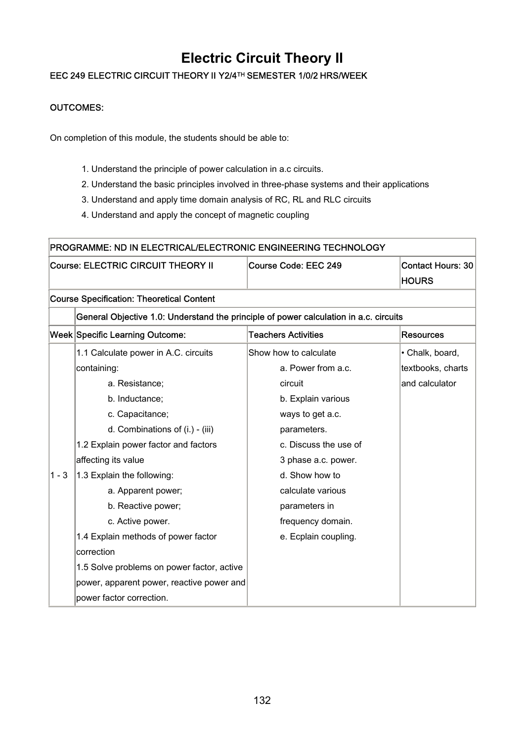## **Electric Circuit Theory II**

### EEC 249 ELECTRIC CIRCUIT THEORY II Y2/4TH SEMESTER 1/0/2 HRS/WEEK

### OUTCOMES:

On completion of this module, the students should be able to:

- 1. Understand the principle of power calculation in a.c circuits.
- 2. Understand the basic principles involved in three-phase systems and their applications
- 3. Understand and apply time domain analysis of RC, RL and RLC circuits
- 4. Understand and apply the concept of magnetic coupling

| PROGRAMME: ND IN ELECTRICAL/ELECTRONIC ENGINEERING TECHNOLOGY |                                                                                       |                            |                          |  |  |
|---------------------------------------------------------------|---------------------------------------------------------------------------------------|----------------------------|--------------------------|--|--|
|                                                               | Course: ELECTRIC CIRCUIT THEORY II                                                    | Course Code: EEC 249       | <b>Contact Hours: 30</b> |  |  |
|                                                               |                                                                                       |                            | <b>HOURS</b>             |  |  |
|                                                               | <b>Course Specification: Theoretical Content</b>                                      |                            |                          |  |  |
|                                                               | General Objective 1.0: Understand the principle of power calculation in a.c. circuits |                            |                          |  |  |
|                                                               | Week Specific Learning Outcome:                                                       | <b>Teachers Activities</b> | <b>Resources</b>         |  |  |
|                                                               | 1.1 Calculate power in A.C. circuits                                                  | Show how to calculate      | • Chalk, board,          |  |  |
|                                                               | containing:                                                                           | a. Power from a.c.         | textbooks, charts        |  |  |
|                                                               | a. Resistance;                                                                        | circuit                    | and calculator           |  |  |
|                                                               | b. Inductance;                                                                        | b. Explain various         |                          |  |  |
|                                                               | c. Capacitance;                                                                       | ways to get a.c.           |                          |  |  |
|                                                               | d. Combinations of (i.) - (iii)                                                       | parameters.                |                          |  |  |
|                                                               | 1.2 Explain power factor and factors                                                  | c. Discuss the use of      |                          |  |  |
|                                                               | affecting its value                                                                   | 3 phase a.c. power.        |                          |  |  |
| $1 - 3$                                                       | 1.3 Explain the following:                                                            | d. Show how to             |                          |  |  |
|                                                               | a. Apparent power;                                                                    | calculate various          |                          |  |  |
|                                                               | b. Reactive power;                                                                    | parameters in              |                          |  |  |
|                                                               | c. Active power.                                                                      | frequency domain.          |                          |  |  |
|                                                               | 1.4 Explain methods of power factor                                                   | e. Ecplain coupling.       |                          |  |  |
|                                                               | correction                                                                            |                            |                          |  |  |
|                                                               | 1.5 Solve problems on power factor, active                                            |                            |                          |  |  |
|                                                               | power, apparent power, reactive power and                                             |                            |                          |  |  |
|                                                               | power factor correction.                                                              |                            |                          |  |  |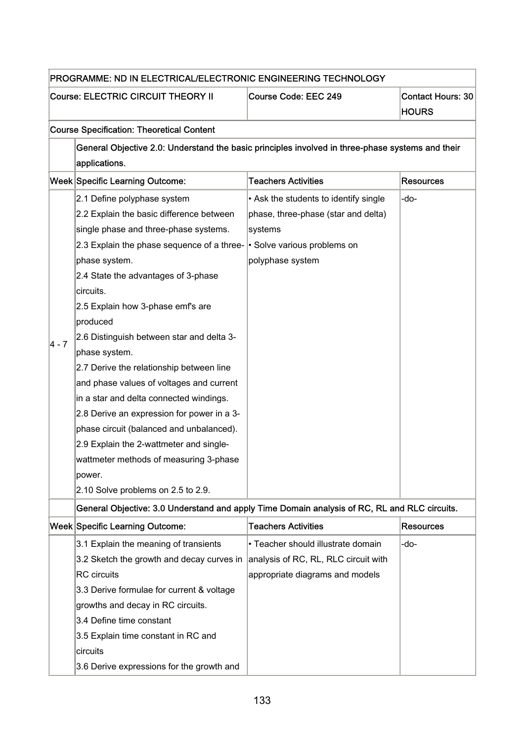|         |                                                                                                  | PROGRAMME: ND IN ELECTRICAL/ELECTRONIC ENGINEERING TECHNOLOGY |                                          |  |  |  |
|---------|--------------------------------------------------------------------------------------------------|---------------------------------------------------------------|------------------------------------------|--|--|--|
|         | <b>Course: ELECTRIC CIRCUIT THEORY II</b>                                                        | Course Code: EEC 249                                          | <b>Contact Hours: 30</b><br><b>HOURS</b> |  |  |  |
|         | <b>Course Specification: Theoretical Content</b>                                                 |                                                               |                                          |  |  |  |
|         | General Objective 2.0: Understand the basic principles involved in three-phase systems and their |                                                               |                                          |  |  |  |
|         | applications.                                                                                    |                                                               |                                          |  |  |  |
|         | Week Specific Learning Outcome:                                                                  | <b>Teachers Activities</b>                                    | <b>Resources</b>                         |  |  |  |
|         | 2.1 Define polyphase system                                                                      | • Ask the students to identify single                         | -do-                                     |  |  |  |
|         | 2.2 Explain the basic difference between                                                         | phase, three-phase (star and delta)                           |                                          |  |  |  |
|         | single phase and three-phase systems.                                                            | systems                                                       |                                          |  |  |  |
|         | 2.3 Explain the phase sequence of a three-                                                       | · Solve various problems on                                   |                                          |  |  |  |
|         | phase system.                                                                                    | polyphase system                                              |                                          |  |  |  |
|         | 2.4 State the advantages of 3-phase                                                              |                                                               |                                          |  |  |  |
|         | circuits.                                                                                        |                                                               |                                          |  |  |  |
|         | 2.5 Explain how 3-phase emf's are                                                                |                                                               |                                          |  |  |  |
|         | produced                                                                                         |                                                               |                                          |  |  |  |
| $4 - 7$ | 2.6 Distinguish between star and delta 3-                                                        |                                                               |                                          |  |  |  |
|         | phase system.                                                                                    |                                                               |                                          |  |  |  |
|         | 2.7 Derive the relationship between line                                                         |                                                               |                                          |  |  |  |
|         | and phase values of voltages and current                                                         |                                                               |                                          |  |  |  |
|         | in a star and delta connected windings.                                                          |                                                               |                                          |  |  |  |
|         | 2.8 Derive an expression for power in a 3-                                                       |                                                               |                                          |  |  |  |
|         | phase circuit (balanced and unbalanced).                                                         |                                                               |                                          |  |  |  |
|         | 2.9 Explain the 2-wattmeter and single-                                                          |                                                               |                                          |  |  |  |
|         | wattmeter methods of measuring 3-phase                                                           |                                                               |                                          |  |  |  |
|         | power.                                                                                           |                                                               |                                          |  |  |  |
|         | 2.10 Solve problems on 2.5 to 2.9.                                                               |                                                               |                                          |  |  |  |
|         | General Objective: 3.0 Understand and apply Time Domain analysis of RC, RL and RLC circuits.     |                                                               |                                          |  |  |  |
|         | Week Specific Learning Outcome:                                                                  | <b>Teachers Activities</b>                                    | <b>Resources</b>                         |  |  |  |
|         | 3.1 Explain the meaning of transients                                                            | • Teacher should illustrate domain                            | -do-                                     |  |  |  |
|         | 3.2 Sketch the growth and decay curves in                                                        | analysis of RC, RL, RLC circuit with                          |                                          |  |  |  |
|         | <b>RC</b> circuits                                                                               | appropriate diagrams and models                               |                                          |  |  |  |
|         | 3.3 Derive formulae for current & voltage                                                        |                                                               |                                          |  |  |  |
|         | growths and decay in RC circuits.                                                                |                                                               |                                          |  |  |  |
|         | 3.4 Define time constant                                                                         |                                                               |                                          |  |  |  |
|         | 3.5 Explain time constant in RC and                                                              |                                                               |                                          |  |  |  |
|         | circuits                                                                                         |                                                               |                                          |  |  |  |
|         | 3.6 Derive expressions for the growth and                                                        |                                                               |                                          |  |  |  |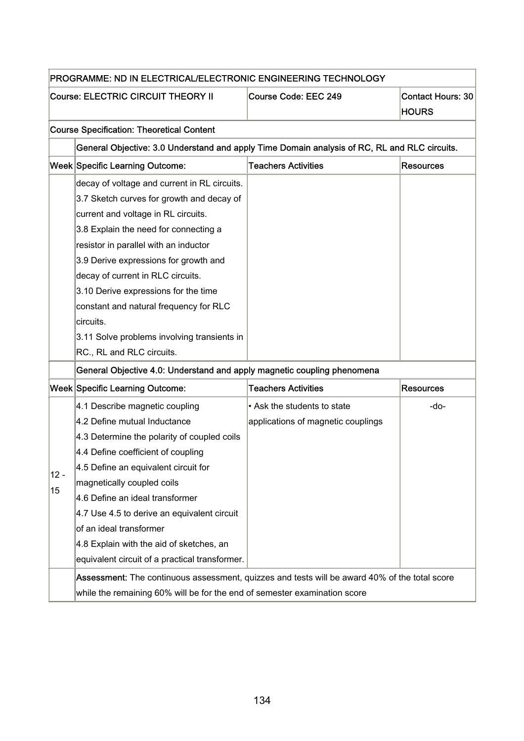|        | PROGRAMME: ND IN ELECTRICAL/ELECTRONIC ENGINEERING TECHNOLOGY                                 |                                    |                          |  |  |
|--------|-----------------------------------------------------------------------------------------------|------------------------------------|--------------------------|--|--|
|        | <b>Course: ELECTRIC CIRCUIT THEORY II</b>                                                     | Course Code: EEC 249               | <b>Contact Hours: 30</b> |  |  |
|        |                                                                                               |                                    | <b>HOURS</b>             |  |  |
|        | <b>Course Specification: Theoretical Content</b>                                              |                                    |                          |  |  |
|        | General Objective: 3.0 Understand and apply Time Domain analysis of RC, RL and RLC circuits.  |                                    |                          |  |  |
|        | <b>Week Specific Learning Outcome:</b>                                                        | <b>Teachers Activities</b>         | <b>Resources</b>         |  |  |
|        | decay of voltage and current in RL circuits.                                                  |                                    |                          |  |  |
|        | 3.7 Sketch curves for growth and decay of                                                     |                                    |                          |  |  |
|        | current and voltage in RL circuits.                                                           |                                    |                          |  |  |
|        | 3.8 Explain the need for connecting a                                                         |                                    |                          |  |  |
|        | resistor in parallel with an inductor                                                         |                                    |                          |  |  |
|        | 3.9 Derive expressions for growth and                                                         |                                    |                          |  |  |
|        | decay of current in RLC circuits.                                                             |                                    |                          |  |  |
|        | 3.10 Derive expressions for the time                                                          |                                    |                          |  |  |
|        | constant and natural frequency for RLC                                                        |                                    |                          |  |  |
|        | circuits.                                                                                     |                                    |                          |  |  |
|        | 3.11 Solve problems involving transients in                                                   |                                    |                          |  |  |
|        | RC., RL and RLC circuits.                                                                     |                                    |                          |  |  |
|        | General Objective 4.0: Understand and apply magnetic coupling phenomena                       |                                    |                          |  |  |
|        | <b>Week Specific Learning Outcome:</b>                                                        | <b>Teachers Activities</b>         | <b>Resources</b>         |  |  |
|        | 4.1 Describe magnetic coupling                                                                | • Ask the students to state        | -do-                     |  |  |
|        | 4.2 Define mutual Inductance                                                                  | applications of magnetic couplings |                          |  |  |
|        | 4.3 Determine the polarity of coupled coils                                                   |                                    |                          |  |  |
|        | 4.4 Define coefficient of coupling                                                            |                                    |                          |  |  |
|        | 4.5 Define an equivalent circuit for                                                          |                                    |                          |  |  |
| $12 -$ | magnetically coupled coils                                                                    |                                    |                          |  |  |
| 15     | 4.6 Define an ideal transformer                                                               |                                    |                          |  |  |
|        | 4.7 Use 4.5 to derive an equivalent circuit                                                   |                                    |                          |  |  |
|        | of an ideal transformer                                                                       |                                    |                          |  |  |
|        | 4.8 Explain with the aid of sketches, an                                                      |                                    |                          |  |  |
|        | equivalent circuit of a practical transformer.                                                |                                    |                          |  |  |
|        | Assessment: The continuous assessment, quizzes and tests will be award 40% of the total score |                                    |                          |  |  |
|        | while the remaining 60% will be for the end of semester examination score                     |                                    |                          |  |  |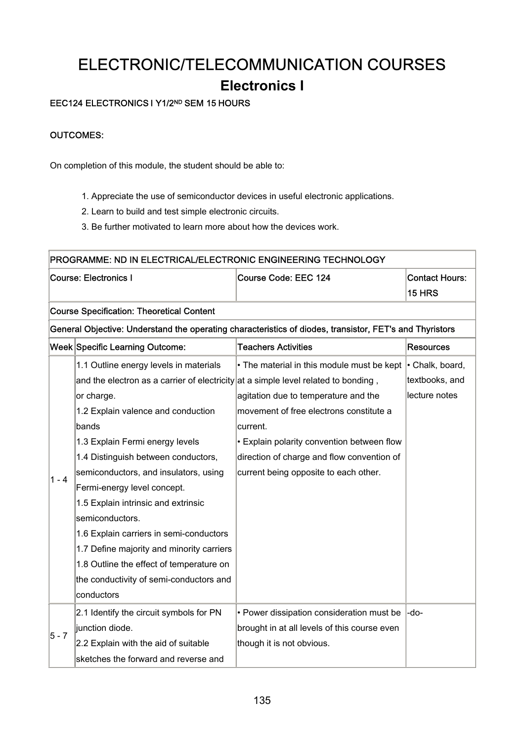# ELECTRONIC/TELECOMMUNICATION COURSES **Electronics I**

### EEC124 ELECTRONICS I Y1/2ND SEM 15 HOURS

### OUTCOMES:

On completion of this module, the student should be able to:

- 1. Appreciate the use of semiconductor devices in useful electronic applications.
- 2. Learn to build and test simple electronic circuits.
- 3. Be further motivated to learn more about how the devices work.

| PROGRAMME: ND IN ELECTRICAL/ELECTRONIC ENGINEERING TECHNOLOGY |                                                                                                         |                                              |                       |  |  |
|---------------------------------------------------------------|---------------------------------------------------------------------------------------------------------|----------------------------------------------|-----------------------|--|--|
| <b>Course: Electronics I</b>                                  |                                                                                                         | <b>Course Code: EEC 124</b>                  | <b>Contact Hours:</b> |  |  |
|                                                               |                                                                                                         |                                              | <b>15 HRS</b>         |  |  |
|                                                               | <b>Course Specification: Theoretical Content</b>                                                        |                                              |                       |  |  |
|                                                               | General Objective: Understand the operating characteristics of diodes, transistor, FET's and Thyristors |                                              |                       |  |  |
| Week Specific Learning Outcome:                               |                                                                                                         | <b>Teachers Activities</b>                   | <b>Resources</b>      |  |  |
|                                                               | 1.1 Outline energy levels in materials                                                                  | • The material in this module must be kept   | • Chalk, board,       |  |  |
|                                                               | and the electron as a carrier of electricity at a simple level related to bonding,                      |                                              | textbooks, and        |  |  |
|                                                               | or charge.                                                                                              | agitation due to temperature and the         | lecture notes         |  |  |
|                                                               | 1.2 Explain valence and conduction                                                                      | movement of free electrons constitute a      |                       |  |  |
|                                                               | bands                                                                                                   | current.                                     |                       |  |  |
|                                                               | 1.3 Explain Fermi energy levels                                                                         | • Explain polarity convention between flow   |                       |  |  |
|                                                               | 1.4 Distinguish between conductors,                                                                     | direction of charge and flow convention of   |                       |  |  |
| 1 - 4                                                         | semiconductors, and insulators, using                                                                   | current being opposite to each other.        |                       |  |  |
|                                                               | Fermi-energy level concept.                                                                             |                                              |                       |  |  |
|                                                               | 1.5 Explain intrinsic and extrinsic                                                                     |                                              |                       |  |  |
|                                                               | semiconductors.                                                                                         |                                              |                       |  |  |
|                                                               | 1.6 Explain carriers in semi-conductors                                                                 |                                              |                       |  |  |
|                                                               | 1.7 Define majority and minority carriers                                                               |                                              |                       |  |  |
|                                                               | 1.8 Outline the effect of temperature on                                                                |                                              |                       |  |  |
|                                                               | the conductivity of semi-conductors and                                                                 |                                              |                       |  |  |
|                                                               | conductors                                                                                              |                                              |                       |  |  |
|                                                               | 2.1 Identify the circuit symbols for PN                                                                 | • Power dissipation consideration must be    | -do-                  |  |  |
|                                                               | junction diode.                                                                                         | brought in at all levels of this course even |                       |  |  |
| 5 - 7                                                         | 2.2 Explain with the aid of suitable                                                                    | though it is not obvious.                    |                       |  |  |
|                                                               | sketches the forward and reverse and                                                                    |                                              |                       |  |  |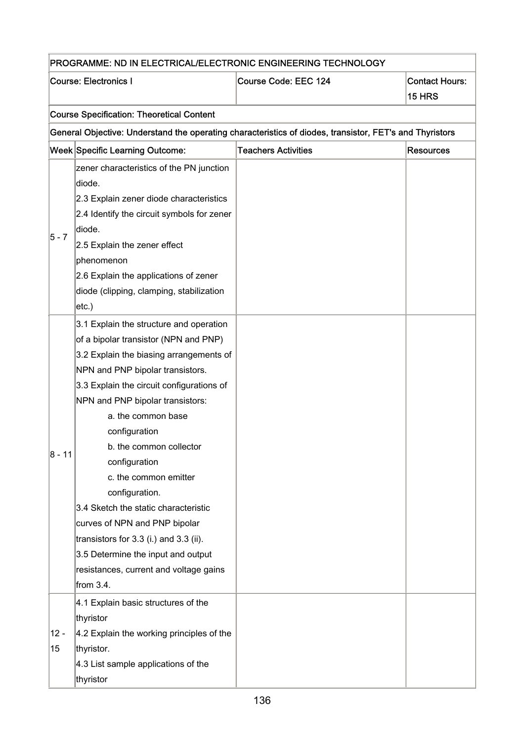| PROGRAMME: ND IN ELECTRICAL/ELECTRONIC ENGINEERING TECHNOLOGY |                                                                                                                                                                                                                                                                                                                                                                                                                                                                                                                                                                                                                   |                                                                                                         |                                 |  |
|---------------------------------------------------------------|-------------------------------------------------------------------------------------------------------------------------------------------------------------------------------------------------------------------------------------------------------------------------------------------------------------------------------------------------------------------------------------------------------------------------------------------------------------------------------------------------------------------------------------------------------------------------------------------------------------------|---------------------------------------------------------------------------------------------------------|---------------------------------|--|
|                                                               | <b>Course: Electronics I</b>                                                                                                                                                                                                                                                                                                                                                                                                                                                                                                                                                                                      | Course Code: EEC 124                                                                                    | <b>Contact Hours:</b><br>15 HRS |  |
|                                                               | <b>Course Specification: Theoretical Content</b>                                                                                                                                                                                                                                                                                                                                                                                                                                                                                                                                                                  |                                                                                                         |                                 |  |
|                                                               |                                                                                                                                                                                                                                                                                                                                                                                                                                                                                                                                                                                                                   | General Objective: Understand the operating characteristics of diodes, transistor, FET's and Thyristors |                                 |  |
|                                                               | Week Specific Learning Outcome:                                                                                                                                                                                                                                                                                                                                                                                                                                                                                                                                                                                   | <b>Teachers Activities</b>                                                                              | <b>Resources</b>                |  |
| $5 - 7$                                                       | zener characteristics of the PN junction<br>diode.<br>2.3 Explain zener diode characteristics<br>2.4 Identify the circuit symbols for zener<br>diode.<br>2.5 Explain the zener effect<br>phenomenon<br>2.6 Explain the applications of zener<br>diode (clipping, clamping, stabilization                                                                                                                                                                                                                                                                                                                          |                                                                                                         |                                 |  |
| $ 8 - 11 $                                                    | $etc.$ )<br>3.1 Explain the structure and operation<br>of a bipolar transistor (NPN and PNP)<br>3.2 Explain the biasing arrangements of<br>NPN and PNP bipolar transistors.<br>3.3 Explain the circuit configurations of<br>NPN and PNP bipolar transistors:<br>a. the common base<br>configuration<br>b. the common collector<br>configuration<br>c. the common emitter<br>configuration.<br>3.4 Sketch the static characteristic<br>curves of NPN and PNP bipolar<br>transistors for $3.3$ (i.) and $3.3$ (ii).<br>3.5 Determine the input and output<br>resistances, current and voltage gains<br>from $3.4$ . |                                                                                                         |                                 |  |
| $12 -$<br>15                                                  | 4.1 Explain basic structures of the<br>thyristor<br>4.2 Explain the working principles of the<br>thyristor.<br>4.3 List sample applications of the<br>thyristor                                                                                                                                                                                                                                                                                                                                                                                                                                                   |                                                                                                         |                                 |  |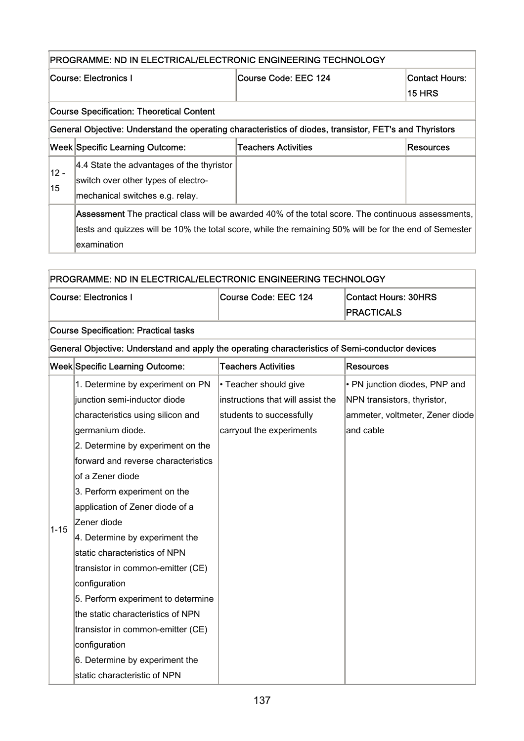## PROGRAMME: ND IN ELECTRICAL/ELECTRONIC ENGINEERING TECHNOLOGY

| Course: Electronics I                                                                                   |                                                                                                        | Course Code: EEC 124       | Contact Hours:   |  |  |  |
|---------------------------------------------------------------------------------------------------------|--------------------------------------------------------------------------------------------------------|----------------------------|------------------|--|--|--|
|                                                                                                         |                                                                                                        |                            | <b>15 HRS</b>    |  |  |  |
|                                                                                                         | <b>Course Specification: Theoretical Content</b>                                                       |                            |                  |  |  |  |
| General Objective: Understand the operating characteristics of diodes, transistor, FET's and Thyristors |                                                                                                        |                            |                  |  |  |  |
|                                                                                                         | Week Specific Learning Outcome:                                                                        | <b>Teachers Activities</b> | <b>Resources</b> |  |  |  |
| 12 -                                                                                                    | 4.4 State the advantages of the thyristor                                                              |                            |                  |  |  |  |
| 15                                                                                                      | switch over other types of electro-                                                                    |                            |                  |  |  |  |
|                                                                                                         | mechanical switches e.g. relay.                                                                        |                            |                  |  |  |  |
|                                                                                                         | Assessment The practical class will be awarded 40% of the total score. The continuous assessments,     |                            |                  |  |  |  |
|                                                                                                         | tests and quizzes will be 10% the total score, while the remaining 50% will be for the end of Semester |                            |                  |  |  |  |
| examination                                                                                             |                                                                                                        |                            |                  |  |  |  |

|          | PROGRAMME: ND IN ELECTRICAL/ELECTRONIC ENGINEERING TECHNOLOGY                                   |                                   |                                 |  |  |
|----------|-------------------------------------------------------------------------------------------------|-----------------------------------|---------------------------------|--|--|
|          | <b>Course: Electronics I</b>                                                                    | Course Code: EEC 124              | <b>Contact Hours: 30HRS</b>     |  |  |
|          |                                                                                                 |                                   | <b>PRACTICALS</b>               |  |  |
|          | <b>Course Specification: Practical tasks</b>                                                    |                                   |                                 |  |  |
|          | General Objective: Understand and apply the operating characteristics of Semi-conductor devices |                                   |                                 |  |  |
|          | Week Specific Learning Outcome:                                                                 | <b>Teachers Activities</b>        | <b>Resources</b>                |  |  |
|          | 1. Determine by experiment on PN                                                                | • Teacher should give             | • PN junction diodes, PNP and   |  |  |
|          | junction semi-inductor diode                                                                    | instructions that will assist the | NPN transistors, thyristor,     |  |  |
|          | characteristics using silicon and                                                               | students to successfully          | ammeter, voltmeter, Zener diode |  |  |
|          | germanium diode.                                                                                | carryout the experiments          | and cable                       |  |  |
|          | 2. Determine by experiment on the                                                               |                                   |                                 |  |  |
|          | forward and reverse characteristics                                                             |                                   |                                 |  |  |
|          | of a Zener diode                                                                                |                                   |                                 |  |  |
|          | 3. Perform experiment on the                                                                    |                                   |                                 |  |  |
|          | application of Zener diode of a                                                                 |                                   |                                 |  |  |
| $1 - 15$ | Zener diode                                                                                     |                                   |                                 |  |  |
|          | 4. Determine by experiment the                                                                  |                                   |                                 |  |  |
|          | static characteristics of NPN                                                                   |                                   |                                 |  |  |
|          | transistor in common-emitter (CE)                                                               |                                   |                                 |  |  |
|          | configuration                                                                                   |                                   |                                 |  |  |
|          | 5. Perform experiment to determine                                                              |                                   |                                 |  |  |
|          | the static characteristics of NPN                                                               |                                   |                                 |  |  |
|          | transistor in common-emitter (CE)                                                               |                                   |                                 |  |  |
|          | configuration                                                                                   |                                   |                                 |  |  |

6. Determine by experiment the

static characteristic of NPN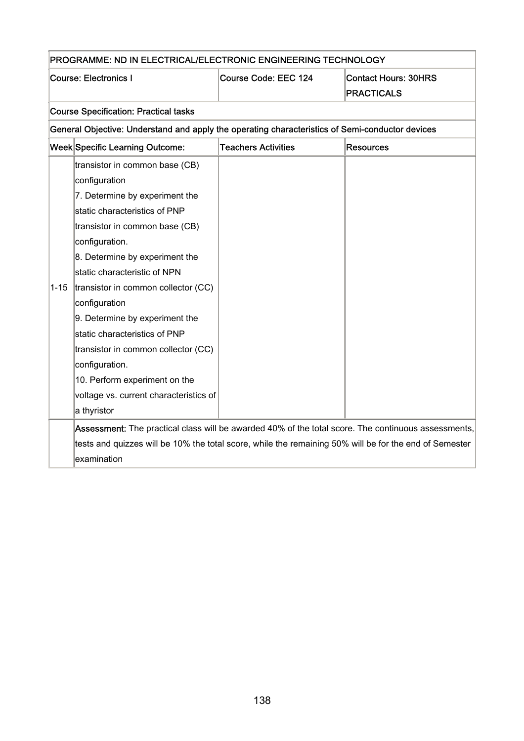|          | PROGRAMME: ND IN ELECTRICAL/ELECTRONIC ENGINEERING TECHNOLOGY                                          |                            |                             |  |
|----------|--------------------------------------------------------------------------------------------------------|----------------------------|-----------------------------|--|
|          | <b>Course: Electronics I</b>                                                                           | Course Code: EEC 124       | <b>Contact Hours: 30HRS</b> |  |
|          |                                                                                                        |                            | <b>PRACTICALS</b>           |  |
|          | <b>Course Specification: Practical tasks</b>                                                           |                            |                             |  |
|          | General Objective: Understand and apply the operating characteristics of Semi-conductor devices        |                            |                             |  |
|          | Week Specific Learning Outcome:                                                                        | <b>Teachers Activities</b> | <b>Resources</b>            |  |
|          | transistor in common base (CB)                                                                         |                            |                             |  |
|          | configuration                                                                                          |                            |                             |  |
|          | 7. Determine by experiment the                                                                         |                            |                             |  |
|          | static characteristics of PNP                                                                          |                            |                             |  |
|          | transistor in common base (CB)                                                                         |                            |                             |  |
|          | configuration.                                                                                         |                            |                             |  |
|          | 8. Determine by experiment the                                                                         |                            |                             |  |
|          | static characteristic of NPN                                                                           |                            |                             |  |
| $1 - 15$ | transistor in common collector (CC)                                                                    |                            |                             |  |
|          | configuration                                                                                          |                            |                             |  |
|          | 9. Determine by experiment the                                                                         |                            |                             |  |
|          | static characteristics of PNP                                                                          |                            |                             |  |
|          | transistor in common collector (CC)                                                                    |                            |                             |  |
|          | configuration.                                                                                         |                            |                             |  |
|          | 10. Perform experiment on the                                                                          |                            |                             |  |
|          | voltage vs. current characteristics of                                                                 |                            |                             |  |
|          | a thyristor                                                                                            |                            |                             |  |
|          | Assessment: The practical class will be awarded 40% of the total score. The continuous assessments,    |                            |                             |  |
|          | tests and quizzes will be 10% the total score, while the remaining 50% will be for the end of Semester |                            |                             |  |
|          | examination                                                                                            |                            |                             |  |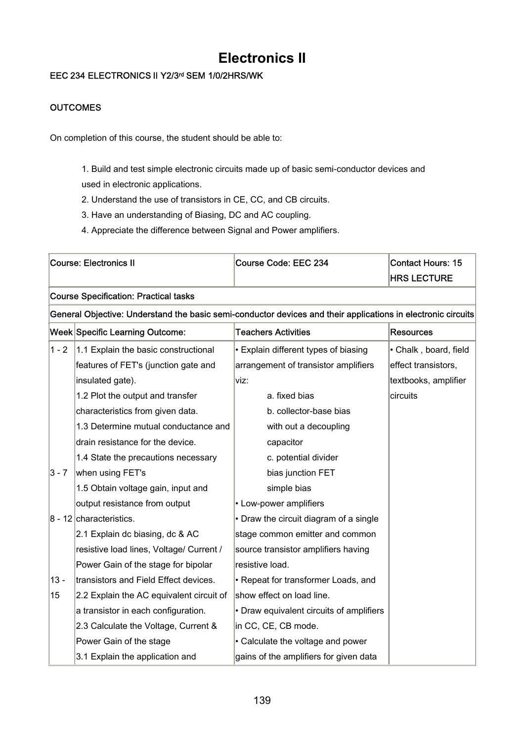## **Electronics II**

### EEC 234 ELECTRONICS II Y2/3rd SEM 1/0/2HRS/WK

### **OUTCOMES**

On completion of this course, the student should be able to:

1. Build and test simple electronic circuits made up of basic semi-conductor devices and used in electronic applications.

- 2. Understand the use of transistors in CE, CC, and CB circuits.
- 3. Have an understanding of Biasing, DC and AC coupling.
- 4. Appreciate the difference between Signal and Power amplifiers.

| <b>Course: Electronics II</b>                                                                                |                                              | Course Code: EEC 234                     | <b>Contact Hours: 15</b><br><b>HRS LECTURE</b> |  |  |
|--------------------------------------------------------------------------------------------------------------|----------------------------------------------|------------------------------------------|------------------------------------------------|--|--|
|                                                                                                              | <b>Course Specification: Practical tasks</b> |                                          |                                                |  |  |
| General Objective: Understand the basic semi-conductor devices and their applications in electronic circuits |                                              |                                          |                                                |  |  |
|                                                                                                              | <b>Week Specific Learning Outcome:</b>       | <b>Teachers Activities</b>               | <b>Resources</b>                               |  |  |
| $1 - 2$                                                                                                      | 1.1 Explain the basic constructional         | • Explain different types of biasing     | · Chalk, board, field                          |  |  |
|                                                                                                              | features of FET's (junction gate and         | arrangement of transistor amplifiers     | effect transistors,                            |  |  |
|                                                                                                              | insulated gate).                             | viz:                                     | textbooks, amplifier                           |  |  |
|                                                                                                              | 1.2 Plot the output and transfer             | a. fixed bias                            | circuits                                       |  |  |
|                                                                                                              | characteristics from given data.             | b. collector-base bias                   |                                                |  |  |
|                                                                                                              | 1.3 Determine mutual conductance and         | with out a decoupling                    |                                                |  |  |
|                                                                                                              | drain resistance for the device.             | capacitor                                |                                                |  |  |
|                                                                                                              | 1.4 State the precautions necessary          | c. potential divider                     |                                                |  |  |
| $3 - 7$                                                                                                      | when using FET's                             | bias junction FET                        |                                                |  |  |
|                                                                                                              | 1.5 Obtain voltage gain, input and           | simple bias                              |                                                |  |  |
|                                                                                                              | output resistance from output                | • Low-power amplifiers                   |                                                |  |  |
|                                                                                                              | $8 - 12$ characteristics.                    | • Draw the circuit diagram of a single   |                                                |  |  |
|                                                                                                              | 2.1 Explain dc biasing, dc & AC              | stage common emitter and common          |                                                |  |  |
|                                                                                                              | resistive load lines, Voltage/ Current /     | source transistor amplifiers having      |                                                |  |  |
|                                                                                                              | Power Gain of the stage for bipolar          | resistive load.                          |                                                |  |  |
| $13 -$                                                                                                       | transistors and Field Effect devices.        | • Repeat for transformer Loads, and      |                                                |  |  |
| 15                                                                                                           | 2.2 Explain the AC equivalent circuit of     | show effect on load line.                |                                                |  |  |
|                                                                                                              | a transistor in each configuration.          | • Draw equivalent circuits of amplifiers |                                                |  |  |
|                                                                                                              | 2.3 Calculate the Voltage, Current &         | in CC, CE, CB mode.                      |                                                |  |  |
|                                                                                                              | Power Gain of the stage                      | • Calculate the voltage and power        |                                                |  |  |
|                                                                                                              | 3.1 Explain the application and              | gains of the amplifiers for given data   |                                                |  |  |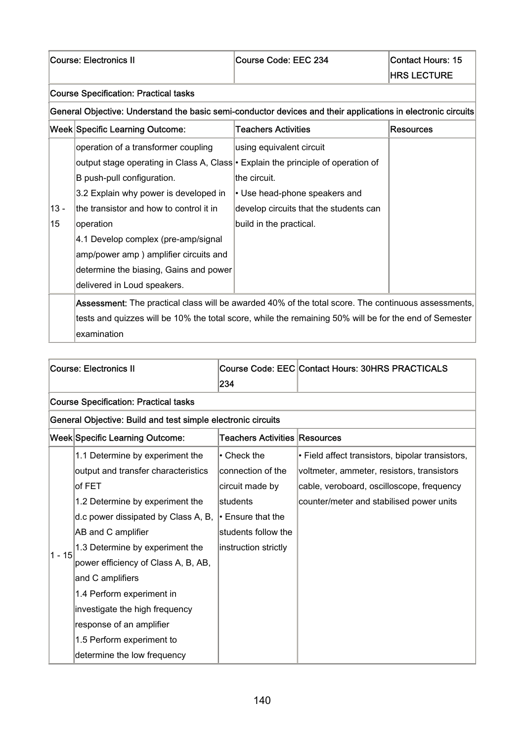#### Course Specification: Practical tasks

General Objective: Understand the basic semi-conductor devices and their applications in electronic circuits

|        | <b>Week Specific Learning Outcome:</b>                                                                 | <b>Teachers Activities</b>             | Resources |
|--------|--------------------------------------------------------------------------------------------------------|----------------------------------------|-----------|
|        | operation of a transformer coupling                                                                    | using equivalent circuit               |           |
|        | output stage operating in Class A, Class • Explain the principle of operation of                       |                                        |           |
|        | B push-pull configuration.                                                                             | the circuit.                           |           |
|        | 3.2 Explain why power is developed in                                                                  | • Use head-phone speakers and          |           |
| $13 -$ | the transistor and how to control it in                                                                | develop circuits that the students can |           |
| 15     | operation                                                                                              | build in the practical.                |           |
|        | 4.1 Develop complex (pre-amp/signal                                                                    |                                        |           |
|        | amp/power amp) amplifier circuits and                                                                  |                                        |           |
|        | determine the biasing, Gains and power                                                                 |                                        |           |
|        | delivered in Loud speakers.                                                                            |                                        |           |
|        | Assessment: The practical class will be awarded 40% of the total score. The continuous assessments,    |                                        |           |
|        | tests and quizzes will be 10% the total score, while the remaining 50% will be for the end of Semester |                                        |           |
|        | examination                                                                                            |                                        |           |

|                                 | <b>Course: Electronics II</b>                                |                               | <b>Course Code: EEC Contact Hours: 30HRS PRACTICALS</b> |  |  |
|---------------------------------|--------------------------------------------------------------|-------------------------------|---------------------------------------------------------|--|--|
|                                 |                                                              | 234                           |                                                         |  |  |
|                                 | <b>Course Specification: Practical tasks</b>                 |                               |                                                         |  |  |
|                                 | General Objective: Build and test simple electronic circuits |                               |                                                         |  |  |
| Week Specific Learning Outcome: |                                                              | Teachers Activities Resources |                                                         |  |  |
|                                 | 1.1 Determine by experiment the                              | $\cdot$ Check the             | • Field affect transistors, bipolar transistors,        |  |  |
|                                 | output and transfer characteristics                          | connection of the             | voltmeter, ammeter, resistors, transistors              |  |  |
|                                 | of $FET$                                                     | circuit made by               | cable, veroboard, oscilloscope, frequency               |  |  |
|                                 | 1.2 Determine by experiment the                              | students                      | counter/meter and stabilised power units                |  |  |
|                                 | d.c power dissipated by Class A, B,                          | $\cdot$ Ensure that the       |                                                         |  |  |
|                                 | AB and C amplifier                                           | students follow the           |                                                         |  |  |
| $1 - 15$                        | 1.3 Determine by experiment the                              | instruction strictly          |                                                         |  |  |
|                                 | power efficiency of Class A, B, AB,                          |                               |                                                         |  |  |
|                                 | and C amplifiers                                             |                               |                                                         |  |  |
|                                 | 1.4 Perform experiment in                                    |                               |                                                         |  |  |
|                                 | investigate the high frequency                               |                               |                                                         |  |  |
|                                 | response of an amplifier                                     |                               |                                                         |  |  |
|                                 | 1.5 Perform experiment to                                    |                               |                                                         |  |  |
|                                 | determine the low frequency                                  |                               |                                                         |  |  |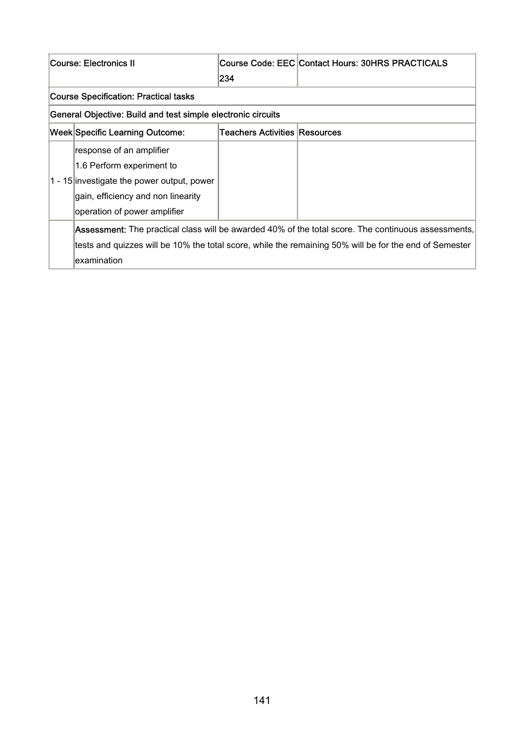| <b>Course: Electronics II</b> |                                                                                                        |                               | Course Code: EEC Contact Hours: 30HRS PRACTICALS |
|-------------------------------|--------------------------------------------------------------------------------------------------------|-------------------------------|--------------------------------------------------|
|                               |                                                                                                        | 234                           |                                                  |
|                               | <b>Course Specification: Practical tasks</b>                                                           |                               |                                                  |
|                               | General Objective: Build and test simple electronic circuits                                           |                               |                                                  |
|                               | Week Specific Learning Outcome:                                                                        | Teachers Activities Resources |                                                  |
|                               | response of an amplifier                                                                               |                               |                                                  |
|                               | 1.6 Perform experiment to                                                                              |                               |                                                  |
|                               | 1 - 15 investigate the power output, power                                                             |                               |                                                  |
|                               | gain, efficiency and non linearity                                                                     |                               |                                                  |
|                               | operation of power amplifier                                                                           |                               |                                                  |
|                               | Assessment: The practical class will be awarded 40% of the total score. The continuous assessments,    |                               |                                                  |
|                               | tests and quizzes will be 10% the total score, while the remaining 50% will be for the end of Semester |                               |                                                  |
|                               | lexamination                                                                                           |                               |                                                  |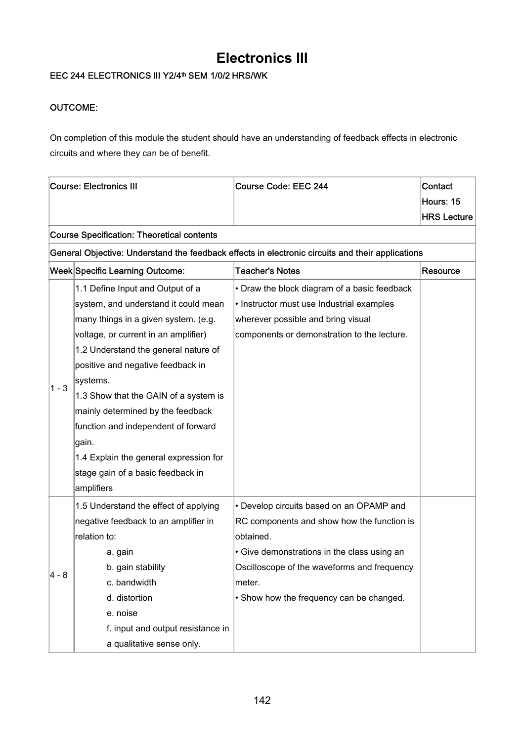## **Electronics III**

### EEC 244 ELECTRONICS III Y2/4<sup>th</sup> SEM 1/0/2 HRS/WK

### OUTCOME:

On completion of this module the student should have an understanding of feedback effects in electronic circuits and where they can be of benefit.

| <b>Course: Electronics III</b> |                                                   | Course Code: EEC 244                                                                             | Contact            |
|--------------------------------|---------------------------------------------------|--------------------------------------------------------------------------------------------------|--------------------|
|                                |                                                   |                                                                                                  | Hours: 15          |
|                                |                                                   |                                                                                                  | <b>HRS Lecture</b> |
|                                | <b>Course Specification: Theoretical contents</b> |                                                                                                  |                    |
|                                |                                                   | General Objective: Understand the feedback effects in electronic circuits and their applications |                    |
|                                | Week Specific Learning Outcome:                   | <b>Teacher's Notes</b>                                                                           | Resource           |
|                                | 1.1 Define Input and Output of a                  | • Draw the block diagram of a basic feedback                                                     |                    |
|                                | system, and understand it could mean              | • Instructor must use Industrial examples                                                        |                    |
|                                | many things in a given system. (e.g.              | wherever possible and bring visual                                                               |                    |
|                                | voltage, or current in an amplifier)              | components or demonstration to the lecture.                                                      |                    |
|                                | 1.2 Understand the general nature of              |                                                                                                  |                    |
|                                | positive and negative feedback in                 |                                                                                                  |                    |
| $1 - 3$                        | systems.                                          |                                                                                                  |                    |
|                                | 1.3 Show that the GAIN of a system is             |                                                                                                  |                    |
|                                | mainly determined by the feedback                 |                                                                                                  |                    |
|                                | function and independent of forward               |                                                                                                  |                    |
|                                | gain.                                             |                                                                                                  |                    |
|                                | 1.4 Explain the general expression for            |                                                                                                  |                    |
|                                | stage gain of a basic feedback in                 |                                                                                                  |                    |
|                                | amplifiers                                        |                                                                                                  |                    |
|                                | 1.5 Understand the effect of applying             | • Develop circuits based on an OPAMP and                                                         |                    |
|                                | negative feedback to an amplifier in              | RC components and show how the function is                                                       |                    |
|                                | relation to:                                      | obtained.                                                                                        |                    |
|                                | a. gain                                           | • Give demonstrations in the class using an                                                      |                    |
| $4 - 8$                        | b. gain stability                                 | Oscilloscope of the waveforms and frequency                                                      |                    |
|                                | c. bandwidth                                      | meter.                                                                                           |                    |
|                                | d. distortion                                     | • Show how the frequency can be changed.                                                         |                    |
|                                | e. noise                                          |                                                                                                  |                    |
|                                | f. input and output resistance in                 |                                                                                                  |                    |
|                                | a qualitative sense only.                         |                                                                                                  |                    |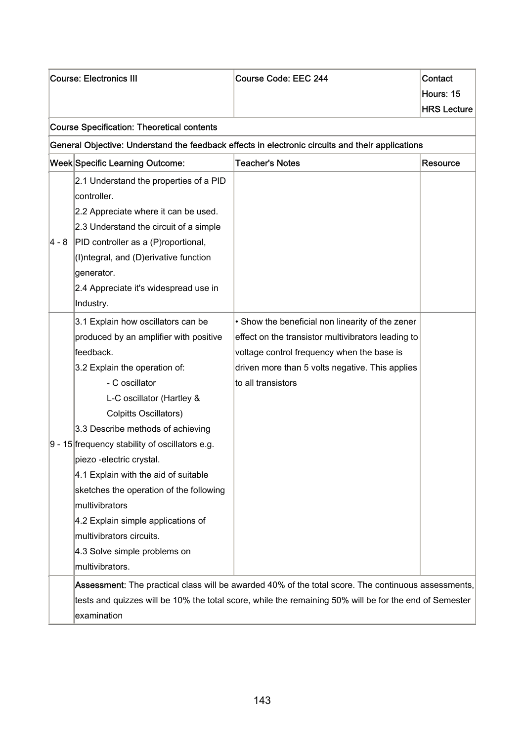| <b>Course: Electronics III</b>                            |                                                   | Course Code: EEC 244                                                                                   | Contact<br>Hours: 15 |
|-----------------------------------------------------------|---------------------------------------------------|--------------------------------------------------------------------------------------------------------|----------------------|
|                                                           |                                                   |                                                                                                        | <b>HRS Lecture</b>   |
|                                                           | <b>Course Specification: Theoretical contents</b> |                                                                                                        |                      |
|                                                           |                                                   | General Objective: Understand the feedback effects in electronic circuits and their applications       |                      |
| Week Specific Learning Outcome:<br><b>Teacher's Notes</b> |                                                   |                                                                                                        | Resource             |
|                                                           | 2.1 Understand the properties of a PID            |                                                                                                        |                      |
|                                                           | controller.                                       |                                                                                                        |                      |
|                                                           | 2.2 Appreciate where it can be used.              |                                                                                                        |                      |
|                                                           | 2.3 Understand the circuit of a simple            |                                                                                                        |                      |
| 4 - 8                                                     | PID controller as a (P)roportional,               |                                                                                                        |                      |
|                                                           | (I) ntegral, and (D) erivative function           |                                                                                                        |                      |
|                                                           | generator.                                        |                                                                                                        |                      |
|                                                           | 2.4 Appreciate it's widespread use in             |                                                                                                        |                      |
|                                                           | Industry.                                         |                                                                                                        |                      |
|                                                           | 3.1 Explain how oscillators can be                | • Show the beneficial non linearity of the zener                                                       |                      |
|                                                           | produced by an amplifier with positive            | effect on the transistor multivibrators leading to                                                     |                      |
|                                                           | feedback.                                         | voltage control frequency when the base is                                                             |                      |
|                                                           | 3.2 Explain the operation of:                     | driven more than 5 volts negative. This applies                                                        |                      |
|                                                           | - C oscillator                                    | to all transistors                                                                                     |                      |
|                                                           | L-C oscillator (Hartley &                         |                                                                                                        |                      |
|                                                           | <b>Colpitts Oscillators)</b>                      |                                                                                                        |                      |
|                                                           | 3.3 Describe methods of achieving                 |                                                                                                        |                      |
|                                                           | 9 - 15 frequency stability of oscillators e.g.    |                                                                                                        |                      |
|                                                           | piezo -electric crystal.                          |                                                                                                        |                      |
|                                                           | 4.1 Explain with the aid of suitable              |                                                                                                        |                      |
|                                                           | sketches the operation of the following           |                                                                                                        |                      |
|                                                           | multivibrators                                    |                                                                                                        |                      |
|                                                           | 4.2 Explain simple applications of                |                                                                                                        |                      |
|                                                           | multivibrators circuits.                          |                                                                                                        |                      |
|                                                           | 4.3 Solve simple problems on                      |                                                                                                        |                      |
|                                                           | multivibrators.                                   |                                                                                                        |                      |
|                                                           |                                                   | Assessment: The practical class will be awarded 40% of the total score. The continuous assessments,    |                      |
|                                                           |                                                   | tests and quizzes will be 10% the total score, while the remaining 50% will be for the end of Semester |                      |
|                                                           | examination                                       |                                                                                                        |                      |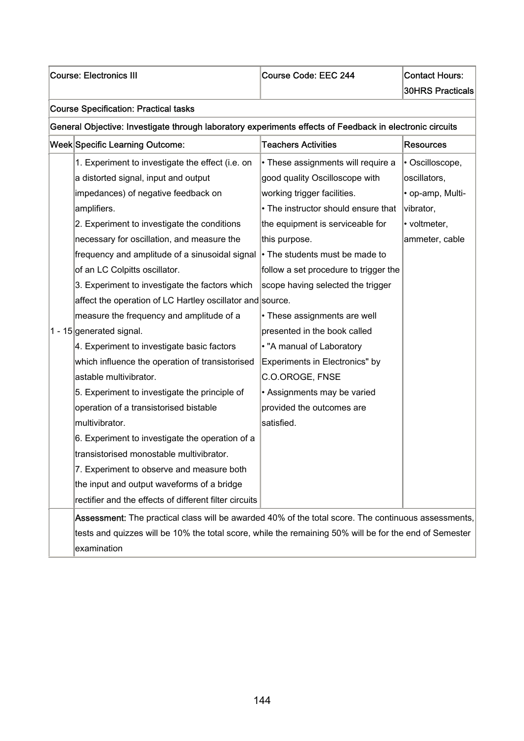### Course: Electronics III Course Code: EEC 244 Contact Hours:

30HRS Practicals

### Course Specification: Practical tasks

### General Objective: Investigate through laboratory experiments effects of Feedback in electronic circuits

| <b>Week Specific Learning Outcome:</b>                                                              | <b>Teachers Activities</b>            | <b>Resources</b> |
|-----------------------------------------------------------------------------------------------------|---------------------------------------|------------------|
| 1. Experiment to investigate the effect (i.e. on                                                    | • These assignments will require a    | · Oscilloscope,  |
| a distorted signal, input and output                                                                | good quality Oscilloscope with        | oscillators,     |
| impedances) of negative feedback on                                                                 | working trigger facilities.           | • op-amp, Multi- |
| amplifiers.                                                                                         | • The instructor should ensure that   | vibrator,        |
| 2. Experiment to investigate the conditions                                                         | the equipment is serviceable for      | • voltmeter,     |
| necessary for oscillation, and measure the                                                          | this purpose.                         | ammeter, cable   |
| frequency and amplitude of a sinusoidal signal                                                      | • The students must be made to        |                  |
| of an LC Colpitts oscillator.                                                                       | follow a set procedure to trigger the |                  |
| 3. Experiment to investigate the factors which                                                      | scope having selected the trigger     |                  |
| affect the operation of LC Hartley oscillator and source.                                           |                                       |                  |
| measure the frequency and amplitude of a                                                            | • These assignments are well          |                  |
| 1 - 15 generated signal.                                                                            | presented in the book called          |                  |
| 4. Experiment to investigate basic factors                                                          | . "A manual of Laboratory             |                  |
| which influence the operation of transistorised                                                     | Experiments in Electronics" by        |                  |
| astable multivibrator.                                                                              | C.O.OROGE, FNSE                       |                  |
| 5. Experiment to investigate the principle of                                                       | • Assignments may be varied           |                  |
| operation of a transistorised bistable                                                              | provided the outcomes are             |                  |
| multivibrator.                                                                                      | satisfied.                            |                  |
| 6. Experiment to investigate the operation of a                                                     |                                       |                  |
| transistorised monostable multivibrator.                                                            |                                       |                  |
| 7. Experiment to observe and measure both                                                           |                                       |                  |
| the input and output waveforms of a bridge                                                          |                                       |                  |
| rectifier and the effects of different filter circuits                                              |                                       |                  |
| Assessment: The practical class will be awarded 40% of the total score. The continuous assessments, |                                       |                  |

tests and quizzes will be 10% the total score, while the remaining 50% will be for the end of Semester examination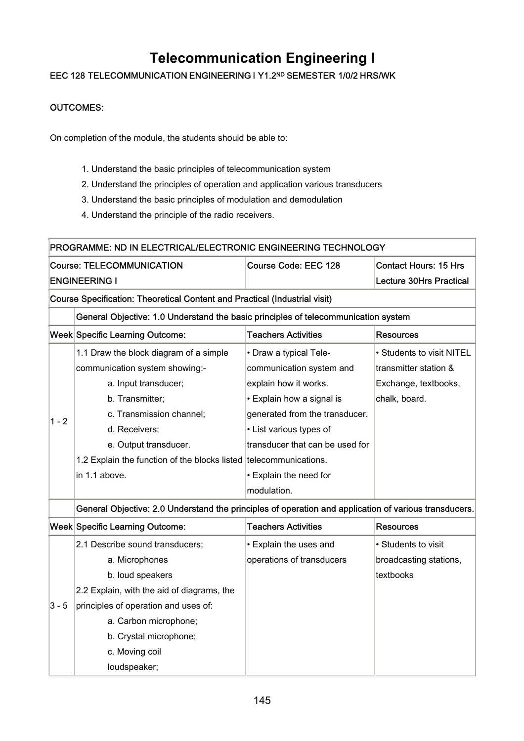## **Telecommunication Engineering I**

### EEC 128 TELECOMMUNICATION ENGINEERING I Y1.2ND SEMESTER 1/0/2 HRS/WK

#### OUTCOMES:

On completion of the module, the students should be able to:

- 1. Understand the basic principles of telecommunication system
- 2. Understand the principles of operation and application various transducers
- 3. Understand the basic principles of modulation and demodulation
- 4. Understand the principle of the radio receivers.

|                                                                            | PROGRAMME: ND IN ELECTRICAL/ELECTRONIC ENGINEERING TECHNOLOGY                                         |                                 |                                |  |  |
|----------------------------------------------------------------------------|-------------------------------------------------------------------------------------------------------|---------------------------------|--------------------------------|--|--|
|                                                                            | <b>Course: TELECOMMUNICATION</b>                                                                      | Course Code: EEC 128            | <b>Contact Hours: 15 Hrs</b>   |  |  |
|                                                                            | <b>ENGINEERING I</b>                                                                                  |                                 | <b>Lecture 30Hrs Practical</b> |  |  |
| Course Specification: Theoretical Content and Practical (Industrial visit) |                                                                                                       |                                 |                                |  |  |
|                                                                            | General Objective: 1.0 Understand the basic principles of telecommunication system                    |                                 |                                |  |  |
|                                                                            | Week Specific Learning Outcome:                                                                       | <b>Teachers Activities</b>      | <b>Resources</b>               |  |  |
|                                                                            | 1.1 Draw the block diagram of a simple                                                                | • Draw a typical Tele-          | • Students to visit NITEL      |  |  |
|                                                                            | communication system showing:-                                                                        | communication system and        | transmitter station &          |  |  |
|                                                                            | a. Input transducer;                                                                                  | explain how it works.           | Exchange, textbooks,           |  |  |
|                                                                            | b. Transmitter;                                                                                       | • Explain how a signal is       | chalk, board.                  |  |  |
| $1 - 2$                                                                    | c. Transmission channel;                                                                              | generated from the transducer.  |                                |  |  |
|                                                                            | d. Receivers;                                                                                         | • List various types of         |                                |  |  |
|                                                                            | e. Output transducer.                                                                                 | transducer that can be used for |                                |  |  |
|                                                                            | 1.2 Explain the function of the blocks listed telecommunications.                                     |                                 |                                |  |  |
|                                                                            | in 1.1 above.                                                                                         | • Explain the need for          |                                |  |  |
|                                                                            |                                                                                                       | modulation.                     |                                |  |  |
|                                                                            | General Objective: 2.0 Understand the principles of operation and application of various transducers. |                                 |                                |  |  |
|                                                                            | Week Specific Learning Outcome:                                                                       | <b>Teachers Activities</b>      | <b>Resources</b>               |  |  |
|                                                                            | 2.1 Describe sound transducers;                                                                       | • Explain the uses and          | • Students to visit            |  |  |
|                                                                            | a. Microphones                                                                                        | operations of transducers       | broadcasting stations,         |  |  |
|                                                                            | b. loud speakers                                                                                      |                                 | textbooks                      |  |  |
|                                                                            | 2.2 Explain, with the aid of diagrams, the                                                            |                                 |                                |  |  |
| $3 - 5$                                                                    | principles of operation and uses of:                                                                  |                                 |                                |  |  |
|                                                                            | a. Carbon microphone;                                                                                 |                                 |                                |  |  |
|                                                                            | b. Crystal microphone;                                                                                |                                 |                                |  |  |
|                                                                            | c. Moving coil                                                                                        |                                 |                                |  |  |
|                                                                            | loudspeaker;                                                                                          |                                 |                                |  |  |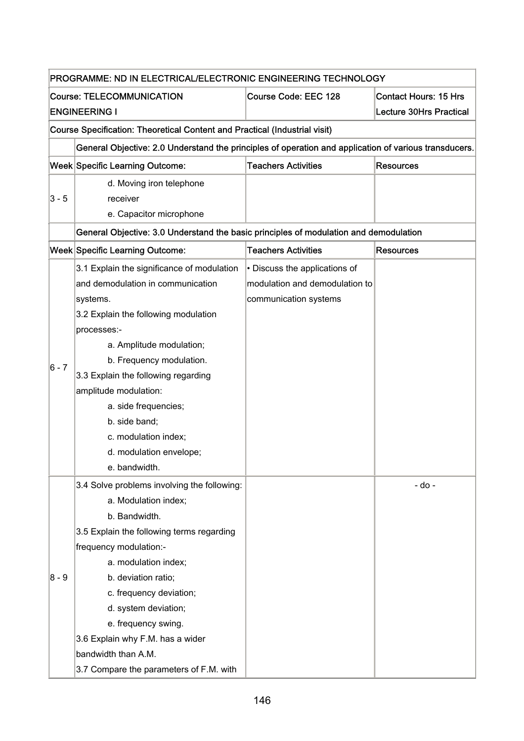|                                  | PROGRAMME: ND IN ELECTRICAL/ELECTRONIC ENGINEERING TECHNOLOGY                                         |                                |                                |  |  |
|----------------------------------|-------------------------------------------------------------------------------------------------------|--------------------------------|--------------------------------|--|--|
| <b>Course: TELECOMMUNICATION</b> |                                                                                                       | Course Code: EEC 128           | <b>Contact Hours: 15 Hrs</b>   |  |  |
|                                  | <b>ENGINEERING I</b>                                                                                  |                                | <b>Lecture 30Hrs Practical</b> |  |  |
|                                  | <b>Course Specification: Theoretical Content and Practical (Industrial visit)</b>                     |                                |                                |  |  |
|                                  | General Objective: 2.0 Understand the principles of operation and application of various transducers. |                                |                                |  |  |
|                                  | Week Specific Learning Outcome:                                                                       | <b>Teachers Activities</b>     | <b>Resources</b>               |  |  |
|                                  | d. Moving iron telephone                                                                              |                                |                                |  |  |
| $3 - 5$                          | receiver                                                                                              |                                |                                |  |  |
|                                  | e. Capacitor microphone                                                                               |                                |                                |  |  |
|                                  | General Objective: 3.0 Understand the basic principles of modulation and demodulation                 |                                |                                |  |  |
|                                  | <b>Week Specific Learning Outcome:</b>                                                                | <b>Teachers Activities</b>     | <b>Resources</b>               |  |  |
|                                  | 3.1 Explain the significance of modulation                                                            | • Discuss the applications of  |                                |  |  |
|                                  | and demodulation in communication                                                                     | modulation and demodulation to |                                |  |  |
|                                  | systems.                                                                                              | communication systems          |                                |  |  |
|                                  | 3.2 Explain the following modulation                                                                  |                                |                                |  |  |
|                                  | processes:-                                                                                           |                                |                                |  |  |
|                                  | a. Amplitude modulation;                                                                              |                                |                                |  |  |
|                                  | b. Frequency modulation.                                                                              |                                |                                |  |  |
| 6 - 7                            | 3.3 Explain the following regarding                                                                   |                                |                                |  |  |
|                                  | amplitude modulation:                                                                                 |                                |                                |  |  |
|                                  | a. side frequencies;                                                                                  |                                |                                |  |  |
|                                  | b. side band;                                                                                         |                                |                                |  |  |
|                                  | c. modulation index;                                                                                  |                                |                                |  |  |
|                                  | d. modulation envelope;                                                                               |                                |                                |  |  |
|                                  | e. bandwidth.                                                                                         |                                |                                |  |  |
|                                  | 3.4 Solve problems involving the following:                                                           |                                | - do -                         |  |  |
|                                  | a. Modulation index;                                                                                  |                                |                                |  |  |
|                                  | b. Bandwidth.                                                                                         |                                |                                |  |  |
|                                  | 3.5 Explain the following terms regarding                                                             |                                |                                |  |  |
|                                  | frequency modulation:-                                                                                |                                |                                |  |  |
|                                  | a. modulation index;                                                                                  |                                |                                |  |  |
| $8 - 9$                          | b. deviation ratio;                                                                                   |                                |                                |  |  |
|                                  | c. frequency deviation;                                                                               |                                |                                |  |  |
|                                  | d. system deviation;                                                                                  |                                |                                |  |  |
|                                  | e. frequency swing.                                                                                   |                                |                                |  |  |
|                                  | 3.6 Explain why F.M. has a wider                                                                      |                                |                                |  |  |
|                                  | bandwidth than A.M.                                                                                   |                                |                                |  |  |
|                                  | 3.7 Compare the parameters of F.M. with                                                               |                                |                                |  |  |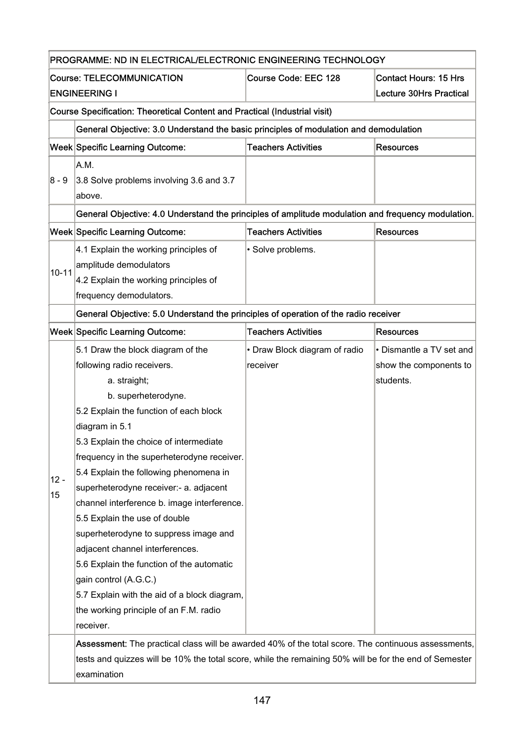|                      | <b>Course: TELECOMMUNICATION</b>                                                                       | Course Code: EEC 128          | <b>Contact Hours: 15 Hrs</b>   |  |
|----------------------|--------------------------------------------------------------------------------------------------------|-------------------------------|--------------------------------|--|
| <b>ENGINEERING I</b> |                                                                                                        |                               | <b>Lecture 30Hrs Practical</b> |  |
|                      | Course Specification: Theoretical Content and Practical (Industrial visit)                             |                               |                                |  |
|                      | General Objective: 3.0 Understand the basic principles of modulation and demodulation                  |                               |                                |  |
|                      | Week Specific Learning Outcome:                                                                        | <b>Teachers Activities</b>    | <b>Resources</b>               |  |
|                      | A.M.                                                                                                   |                               |                                |  |
| $8 - 9$              | 3.8 Solve problems involving 3.6 and 3.7                                                               |                               |                                |  |
|                      | above.                                                                                                 |                               |                                |  |
|                      | General Objective: 4.0 Understand the principles of amplitude modulation and frequency modulation.     |                               |                                |  |
|                      | Week Specific Learning Outcome:                                                                        | <b>Teachers Activities</b>    | <b>Resources</b>               |  |
|                      | 4.1 Explain the working principles of                                                                  | · Solve problems.             |                                |  |
| $10 - 11$            | amplitude demodulators                                                                                 |                               |                                |  |
|                      | 4.2 Explain the working principles of                                                                  |                               |                                |  |
|                      | frequency demodulators.                                                                                |                               |                                |  |
|                      | General Objective: 5.0 Understand the principles of operation of the radio receiver                    |                               |                                |  |
|                      | Week Specific Learning Outcome:                                                                        | <b>Teachers Activities</b>    | <b>Resources</b>               |  |
|                      | 5.1 Draw the block diagram of the                                                                      | • Draw Block diagram of radio | • Dismantle a TV set and       |  |
|                      | following radio receivers.                                                                             | receiver                      | show the components to         |  |
|                      | a. straight;                                                                                           |                               | students.                      |  |
|                      | b. superheterodyne.                                                                                    |                               |                                |  |
|                      | 5.2 Explain the function of each block                                                                 |                               |                                |  |
|                      | diagram in 5.1                                                                                         |                               |                                |  |
|                      | 5.3 Explain the choice of intermediate                                                                 |                               |                                |  |
|                      | frequency in the superheterodyne receiver.                                                             |                               |                                |  |
| $12 -$               | 5.4 Explain the following phenomena in                                                                 |                               |                                |  |
| 15                   | superheterodyne receiver:- a. adjacent                                                                 |                               |                                |  |
|                      | channel interference b. image interference.                                                            |                               |                                |  |
|                      | 5.5 Explain the use of double<br>superheterodyne to suppress image and                                 |                               |                                |  |
|                      | adjacent channel interferences.                                                                        |                               |                                |  |
|                      | 5.6 Explain the function of the automatic                                                              |                               |                                |  |
|                      | gain control (A.G.C.)                                                                                  |                               |                                |  |
|                      | 5.7 Explain with the aid of a block diagram,                                                           |                               |                                |  |
|                      | the working principle of an F.M. radio                                                                 |                               |                                |  |
|                      | receiver.                                                                                              |                               |                                |  |
|                      | Assessment: The practical class will be awarded 40% of the total score. The continuous assessments,    |                               |                                |  |
|                      | tests and quizzes will be 10% the total score, while the remaining 50% will be for the end of Semester |                               |                                |  |
|                      | examination                                                                                            |                               |                                |  |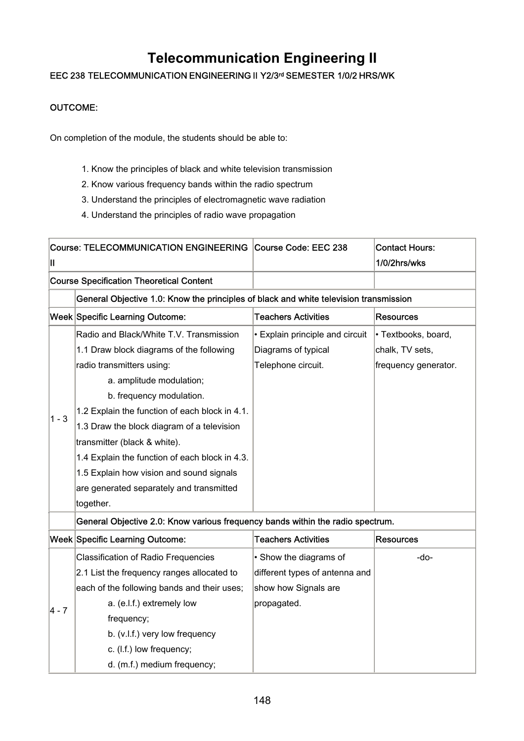## **Telecommunication Engineering II**

### EEC 238 TELECOMMUNICATION ENGINEERING II Y2/3rd SEMESTER 1/0/2 HRS/WK

#### OUTCOME:

On completion of the module, the students should be able to:

- 1. Know the principles of black and white television transmission
- 2. Know various frequency bands within the radio spectrum
- 3. Understand the principles of electromagnetic wave radiation
- 4. Understand the principles of radio wave propagation

|                     | Course: TELECOMMUNICATION ENGINEERING Course Code: EEC 238                            |                                 | <b>Contact Hours:</b> |  |  |
|---------------------|---------------------------------------------------------------------------------------|---------------------------------|-----------------------|--|--|
| Ш                   |                                                                                       |                                 | 1/0/2hrs/wks          |  |  |
|                     | <b>Course Specification Theoretical Content</b>                                       |                                 |                       |  |  |
|                     | General Objective 1.0: Know the principles of black and white television transmission |                                 |                       |  |  |
|                     | Week Specific Learning Outcome:                                                       | <b>Teachers Activities</b>      | <b>Resources</b>      |  |  |
|                     | Radio and Black/White T.V. Transmission                                               | • Explain principle and circuit | · Textbooks, board,   |  |  |
|                     | 1.1 Draw block diagrams of the following                                              | Diagrams of typical             | chalk, TV sets,       |  |  |
|                     | radio transmitters using:                                                             | Telephone circuit.              | frequency generator.  |  |  |
|                     | a. amplitude modulation;                                                              |                                 |                       |  |  |
|                     | b. frequency modulation.                                                              |                                 |                       |  |  |
| $1 - 3$             | 1.2 Explain the function of each block in 4.1.                                        |                                 |                       |  |  |
|                     | 1.3 Draw the block diagram of a television                                            |                                 |                       |  |  |
|                     | transmitter (black & white).                                                          |                                 |                       |  |  |
|                     | 1.4 Explain the function of each block in 4.3.                                        |                                 |                       |  |  |
|                     | 1.5 Explain how vision and sound signals                                              |                                 |                       |  |  |
|                     | are generated separately and transmitted                                              |                                 |                       |  |  |
|                     | together.                                                                             |                                 |                       |  |  |
|                     | General Objective 2.0: Know various frequency bands within the radio spectrum.        |                                 |                       |  |  |
|                     | Week Specific Learning Outcome:                                                       | <b>Teachers Activities</b>      | <b>Resources</b>      |  |  |
|                     | <b>Classification of Radio Frequencies</b>                                            | • Show the diagrams of          | -do-                  |  |  |
|                     | 2.1 List the frequency ranges allocated to                                            | different types of antenna and  |                       |  |  |
|                     | each of the following bands and their uses;                                           | show how Signals are            |                       |  |  |
| $\vert 4 - 7 \vert$ | a. (e.l.f.) extremely low                                                             | propagated.                     |                       |  |  |
|                     | frequency;                                                                            |                                 |                       |  |  |
|                     | b. (v.l.f.) very low frequency                                                        |                                 |                       |  |  |
|                     | c. (I.f.) low frequency;                                                              |                                 |                       |  |  |
|                     | d. (m.f.) medium frequency;                                                           |                                 |                       |  |  |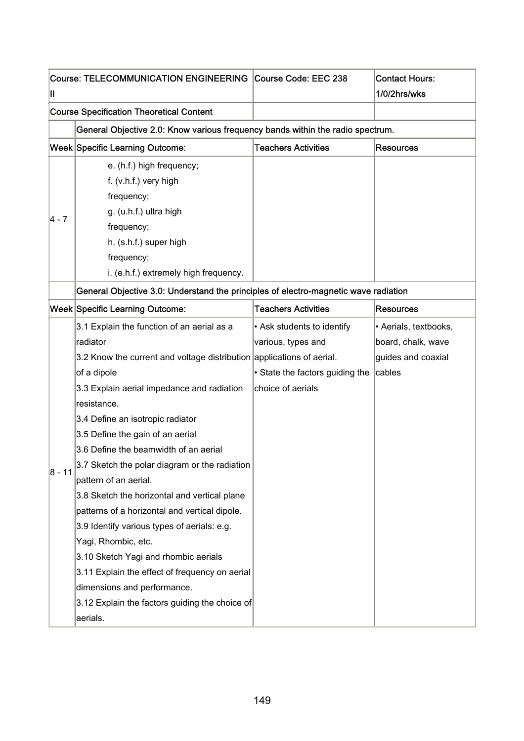|          | Course: TELECOMMUNICATION ENGINEERING Course Code: EEC 238                          |                                 | <b>Contact Hours:</b> |
|----------|-------------------------------------------------------------------------------------|---------------------------------|-----------------------|
| Ш        |                                                                                     |                                 | 1/0/2hrs/wks          |
|          | <b>Course Specification Theoretical Content</b>                                     |                                 |                       |
|          | General Objective 2.0: Know various frequency bands within the radio spectrum.      |                                 |                       |
|          | <b>Week Specific Learning Outcome:</b>                                              | <b>Teachers Activities</b>      | <b>Resources</b>      |
|          | e. (h.f.) high frequency;                                                           |                                 |                       |
|          | $f. (v.h.f.)$ very high                                                             |                                 |                       |
|          | frequency;                                                                          |                                 |                       |
|          | g. (u.h.f.) ultra high                                                              |                                 |                       |
| 4 - 7    | frequency;                                                                          |                                 |                       |
|          | h. (s.h.f.) super high                                                              |                                 |                       |
|          | frequency;                                                                          |                                 |                       |
|          | i. (e.h.f.) extremely high frequency.                                               |                                 |                       |
|          | General Objective 3.0: Understand the principles of electro-magnetic wave radiation |                                 |                       |
|          | <b>Week Specific Learning Outcome:</b>                                              | <b>Teachers Activities</b>      | <b>Resources</b>      |
|          | 3.1 Explain the function of an aerial as a                                          | • Ask students to identify      | · Aerials, textbooks, |
|          | radiator                                                                            | various, types and              | board, chalk, wave    |
|          | 3.2 Know the current and voltage distribution applications of aerial.               |                                 | guides and coaxial    |
|          | of a dipole                                                                         | • State the factors guiding the | cables                |
|          | 3.3 Explain aerial impedance and radiation                                          | choice of aerials               |                       |
|          | resistance.                                                                         |                                 |                       |
|          | 3.4 Define an isotropic radiator                                                    |                                 |                       |
|          | 3.5 Define the gain of an aerial                                                    |                                 |                       |
|          | 3.6 Define the beamwidth of an aerial                                               |                                 |                       |
|          | 3.7 Sketch the polar diagram or the radiation                                       |                                 |                       |
| $8 - 11$ | pattern of an aerial.                                                               |                                 |                       |
|          | 3.8 Sketch the horizontal and vertical plane                                        |                                 |                       |
|          | patterns of a horizontal and vertical dipole.                                       |                                 |                       |
|          | 3.9 Identify various types of aerials: e.g.                                         |                                 |                       |
|          | Yagi, Rhombic, etc.                                                                 |                                 |                       |
|          | 3.10 Sketch Yagi and rhombic aerials                                                |                                 |                       |
|          | 3.11 Explain the effect of frequency on aerial                                      |                                 |                       |
|          | dimensions and performance.                                                         |                                 |                       |
|          | 3.12 Explain the factors guiding the choice of                                      |                                 |                       |
|          | aerials.                                                                            |                                 |                       |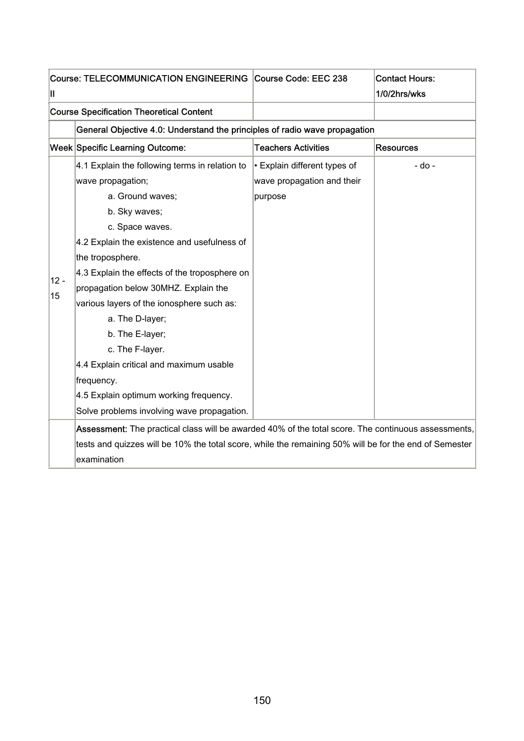| Ш      | Course: TELECOMMUNICATION ENGINEERING Course Code: EEC 238                                             |                              | <b>Contact Hours:</b><br>1/0/2hrs/wks |
|--------|--------------------------------------------------------------------------------------------------------|------------------------------|---------------------------------------|
|        | <b>Course Specification Theoretical Content</b>                                                        |                              |                                       |
|        | General Objective 4.0: Understand the principles of radio wave propagation                             |                              |                                       |
|        | <b>Week Specific Learning Outcome:</b>                                                                 | <b>Teachers Activities</b>   | <b>Resources</b>                      |
|        | 4.1 Explain the following terms in relation to                                                         | • Explain different types of | - do -                                |
|        | wave propagation;                                                                                      | wave propagation and their   |                                       |
|        | a. Ground waves;                                                                                       | purpose                      |                                       |
|        | b. Sky waves;                                                                                          |                              |                                       |
|        | c. Space waves.                                                                                        |                              |                                       |
|        | 4.2 Explain the existence and usefulness of                                                            |                              |                                       |
|        | the troposphere.                                                                                       |                              |                                       |
| $12 -$ | 4.3 Explain the effects of the troposphere on                                                          |                              |                                       |
| 15     | propagation below 30MHZ. Explain the                                                                   |                              |                                       |
|        | various layers of the ionosphere such as:                                                              |                              |                                       |
|        | a. The D-layer;                                                                                        |                              |                                       |
|        | b. The E-layer;                                                                                        |                              |                                       |
|        | c. The F-layer.                                                                                        |                              |                                       |
|        | 4.4 Explain critical and maximum usable                                                                |                              |                                       |
|        | frequency.                                                                                             |                              |                                       |
|        | 4.5 Explain optimum working frequency.                                                                 |                              |                                       |
|        | Solve problems involving wave propagation.                                                             |                              |                                       |
|        | Assessment: The practical class will be awarded 40% of the total score. The continuous assessments,    |                              |                                       |
|        | tests and quizzes will be 10% the total score, while the remaining 50% will be for the end of Semester |                              |                                       |
|        | lexamination                                                                                           |                              |                                       |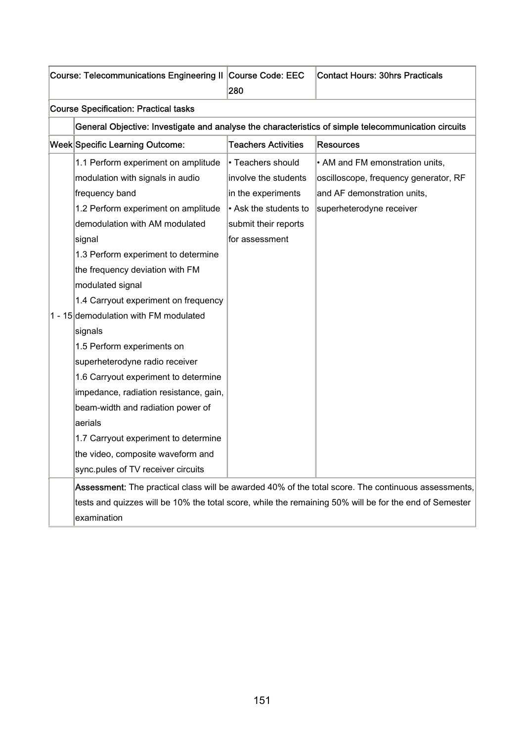|                                              | Course: Telecommunications Engineering II Course Code: EEC | 280                        | <b>Contact Hours: 30hrs Practicals</b>                                                                 |
|----------------------------------------------|------------------------------------------------------------|----------------------------|--------------------------------------------------------------------------------------------------------|
| <b>Course Specification: Practical tasks</b> |                                                            |                            |                                                                                                        |
|                                              |                                                            |                            | General Objective: Investigate and analyse the characteristics of simple telecommunication circuits    |
|                                              | <b>Week Specific Learning Outcome:</b>                     | <b>Teachers Activities</b> | <b>Resources</b>                                                                                       |
|                                              | 1.1 Perform experiment on amplitude                        | • Teachers should          | • AM and FM emonstration units,                                                                        |
|                                              | modulation with signals in audio                           | involve the students       | oscilloscope, frequency generator, RF                                                                  |
|                                              | frequency band                                             | in the experiments         | and AF demonstration units,                                                                            |
|                                              | 1.2 Perform experiment on amplitude                        | • Ask the students to      | superheterodyne receiver                                                                               |
|                                              | demodulation with AM modulated                             | submit their reports       |                                                                                                        |
|                                              | signal                                                     | for assessment             |                                                                                                        |
|                                              | 1.3 Perform experiment to determine                        |                            |                                                                                                        |
|                                              | the frequency deviation with FM                            |                            |                                                                                                        |
|                                              | modulated signal                                           |                            |                                                                                                        |
|                                              | 1.4 Carryout experiment on frequency                       |                            |                                                                                                        |
|                                              | 1 - 15 demodulation with FM modulated                      |                            |                                                                                                        |
|                                              | signals                                                    |                            |                                                                                                        |
|                                              | 1.5 Perform experiments on                                 |                            |                                                                                                        |
|                                              | superheterodyne radio receiver                             |                            |                                                                                                        |
|                                              | 1.6 Carryout experiment to determine                       |                            |                                                                                                        |
|                                              | impedance, radiation resistance, gain,                     |                            |                                                                                                        |
|                                              | beam-width and radiation power of                          |                            |                                                                                                        |
|                                              | aerials                                                    |                            |                                                                                                        |
|                                              | 1.7 Carryout experiment to determine                       |                            |                                                                                                        |
|                                              | the video, composite waveform and                          |                            |                                                                                                        |
|                                              | sync.pules of TV receiver circuits                         |                            |                                                                                                        |
|                                              |                                                            |                            | Assessment: The practical class will be awarded 40% of the total score. The continuous assessments,    |
|                                              |                                                            |                            | tests and quizzes will be 10% the total score, while the remaining 50% will be for the end of Semester |
|                                              | examination                                                |                            |                                                                                                        |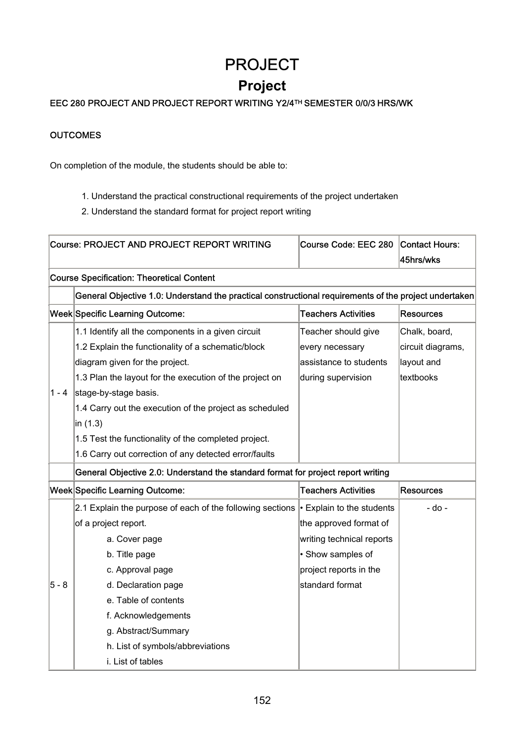# PROJECT **Project**

## EEC 280 PROJECT AND PROJECT REPORT WRITING Y2/4TH SEMESTER 0/0/3 HRS/WK

#### **OUTCOMES**

On completion of the module, the students should be able to:

- 1. Understand the practical constructional requirements of the project undertaken
- 2. Understand the standard format for project report writing

|         | <b>Course: PROJECT AND PROJECT REPORT WRITING</b>                                                     | Course Code: EEC 280            | Contact Hours:<br>45hrs/wks |
|---------|-------------------------------------------------------------------------------------------------------|---------------------------------|-----------------------------|
|         | <b>Course Specification: Theoretical Content</b>                                                      |                                 |                             |
|         | General Objective 1.0: Understand the practical constructional requirements of the project undertaken |                                 |                             |
|         | <b>Week Specific Learning Outcome:</b>                                                                | <b>Teachers Activities</b>      | <b>Resources</b>            |
|         | 1.1 Identify all the components in a given circuit                                                    | Teacher should give             | Chalk, board,               |
|         | 1.2 Explain the functionality of a schematic/block                                                    | every necessary                 | circuit diagrams,           |
|         | diagram given for the project.                                                                        | assistance to students          | layout and                  |
|         | 1.3 Plan the layout for the execution of the project on                                               | during supervision              | textbooks                   |
| $1 - 4$ | stage-by-stage basis.                                                                                 |                                 |                             |
|         | 1.4 Carry out the execution of the project as scheduled                                               |                                 |                             |
|         | in (1.3)                                                                                              |                                 |                             |
|         | 1.5 Test the functionality of the completed project.                                                  |                                 |                             |
|         | 1.6 Carry out correction of any detected error/faults                                                 |                                 |                             |
|         | General Objective 2.0: Understand the standard format for project report writing                      |                                 |                             |
|         | <b>Week Specific Learning Outcome:</b>                                                                | <b>Teachers Activities</b>      | <b>Resources</b>            |
|         | 2.1 Explain the purpose of each of the following sections                                             | $\cdot$ Explain to the students | - do -                      |
|         | of a project report.                                                                                  | the approved format of          |                             |
|         | a. Cover page                                                                                         | writing technical reports       |                             |
|         | b. Title page                                                                                         | · Show samples of               |                             |
|         | c. Approval page                                                                                      | project reports in the          |                             |
| $5 - 8$ | d. Declaration page                                                                                   | standard format                 |                             |
|         | e. Table of contents                                                                                  |                                 |                             |
|         | f. Acknowledgements                                                                                   |                                 |                             |
|         | g. Abstract/Summary                                                                                   |                                 |                             |
|         | h. List of symbols/abbreviations                                                                      |                                 |                             |
|         | i. List of tables                                                                                     |                                 |                             |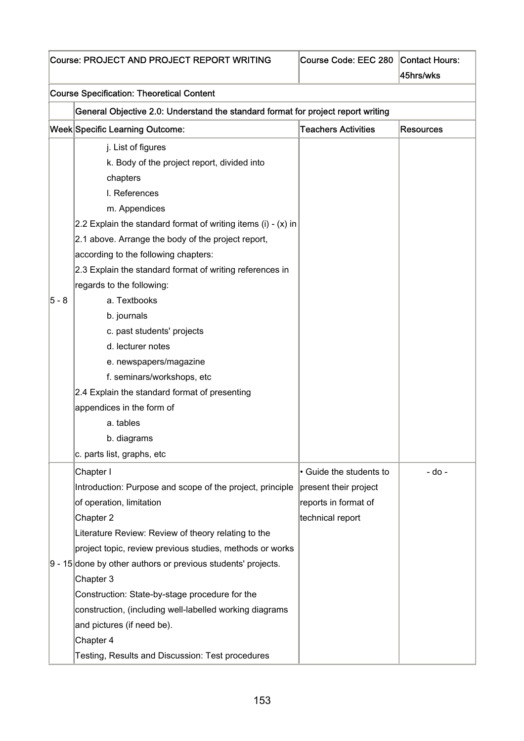| Course: PROJECT AND PROJECT REPORT WRITING | Course Code: EEC 280 Contact Hours: |  |
|--------------------------------------------|-------------------------------------|--|
|--------------------------------------------|-------------------------------------|--|

| Course Code: EEC 280 Contact Hours: |                   |
|-------------------------------------|-------------------|
|                                     | <i>A</i> Ehrebuke |

|       |                                                                                  |                            | 45hrs/wks        |  |
|-------|----------------------------------------------------------------------------------|----------------------------|------------------|--|
|       | <b>Course Specification: Theoretical Content</b>                                 |                            |                  |  |
|       | General Objective 2.0: Understand the standard format for project report writing |                            |                  |  |
|       | <b>Week Specific Learning Outcome:</b>                                           | <b>Teachers Activities</b> | <b>Resources</b> |  |
|       | j. List of figures                                                               |                            |                  |  |
|       | k. Body of the project report, divided into                                      |                            |                  |  |
|       | chapters                                                                         |                            |                  |  |
|       | I. References                                                                    |                            |                  |  |
|       | m. Appendices                                                                    |                            |                  |  |
|       | 2.2 Explain the standard format of writing items $(i) - (x)$ in                  |                            |                  |  |
|       | 2.1 above. Arrange the body of the project report,                               |                            |                  |  |
|       | according to the following chapters:                                             |                            |                  |  |
|       | 2.3 Explain the standard format of writing references in                         |                            |                  |  |
|       | regards to the following:                                                        |                            |                  |  |
| 5 - 8 | a. Textbooks                                                                     |                            |                  |  |
|       | b. journals                                                                      |                            |                  |  |
|       | c. past students' projects                                                       |                            |                  |  |
|       | d. lecturer notes                                                                |                            |                  |  |
|       | e. newspapers/magazine                                                           |                            |                  |  |
|       | f. seminars/workshops, etc                                                       |                            |                  |  |
|       | 2.4 Explain the standard format of presenting                                    |                            |                  |  |
|       | appendices in the form of                                                        |                            |                  |  |
|       | a. tables                                                                        |                            |                  |  |
|       | b. diagrams                                                                      |                            |                  |  |
|       | c. parts list, graphs, etc                                                       |                            |                  |  |
|       | Chapter I                                                                        | • Guide the students to    | - do -           |  |
|       | Introduction: Purpose and scope of the project, principle                        | present their project      |                  |  |
|       | of operation, limitation                                                         | reports in format of       |                  |  |
|       | Chapter 2                                                                        | technical report           |                  |  |
|       | Literature Review: Review of theory relating to the                              |                            |                  |  |
|       | project topic, review previous studies, methods or works                         |                            |                  |  |
|       | $9 - 15$ done by other authors or previous students' projects.                   |                            |                  |  |
|       | Chapter 3                                                                        |                            |                  |  |
|       | Construction: State-by-stage procedure for the                                   |                            |                  |  |
|       | construction, (including well-labelled working diagrams                          |                            |                  |  |
|       | and pictures (if need be).                                                       |                            |                  |  |
|       | Chapter 4                                                                        |                            |                  |  |
|       | Testing, Results and Discussion: Test procedures                                 |                            |                  |  |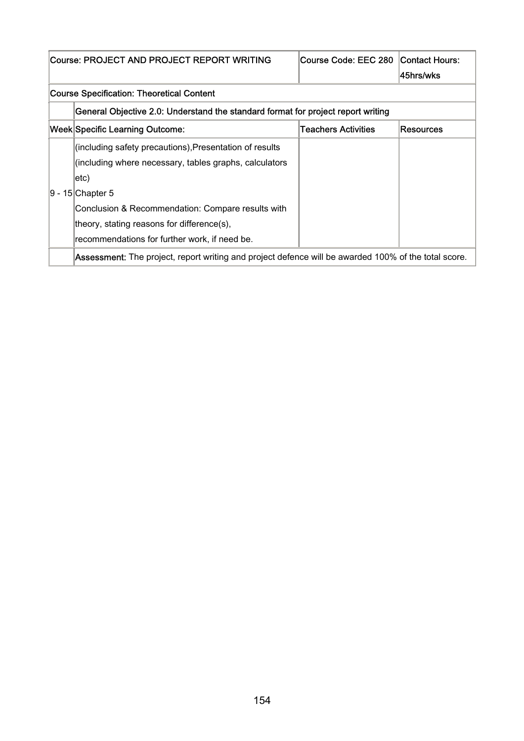| Course: PROJECT AND PROJECT REPORT WRITING                                                                  | Course Code: EEC 280 Contact Hours: | 45hrs/wks |
|-------------------------------------------------------------------------------------------------------------|-------------------------------------|-----------|
| Course Specification: Theoretical Content                                                                   |                                     |           |
| General Objective 2.0: Understand the standard format for project report writing                            |                                     |           |
| Week Specific Learning Outcome:                                                                             | Teachers Activities                 | Resources |
| (including safety precautions), Presentation of results                                                     |                                     |           |
| (including where necessary, tables graphs, calculators                                                      |                                     |           |
| $ etc\rangle$                                                                                               |                                     |           |
| 9 - 15 Chapter 5                                                                                            |                                     |           |
| Conclusion & Recommendation: Compare results with                                                           |                                     |           |
| theory, stating reasons for difference(s),                                                                  |                                     |           |
| recommendations for further work, if need be.                                                               |                                     |           |
| <b>Assessment:</b> The project, report writing and project defence will be awarded 100% of the total score. |                                     |           |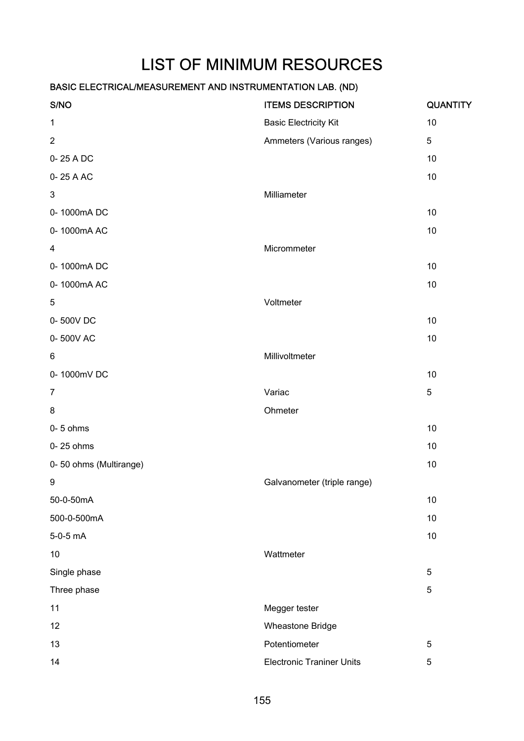# LIST OF MINIMUM RESOURCES

| S/NO                   | <b>ITEMS DESCRIPTION</b>         | <b>QUANTITY</b> |
|------------------------|----------------------------------|-----------------|
| $\mathbf 1$            | <b>Basic Electricity Kit</b>     | 10              |
| $\overline{2}$         | Ammeters (Various ranges)        | $\sqrt{5}$      |
| 0-25 A DC              |                                  | 10              |
| 0-25 A AC              |                                  | 10              |
| $\sqrt{3}$             | Milliameter                      |                 |
| 0-1000mADC             |                                  | 10              |
| 0-1000mAAC             |                                  | 10              |
| 4                      | Micrommeter                      |                 |
| 0-1000mADC             |                                  | 10              |
| 0-1000mAAC             |                                  | $10$            |
| 5                      | Voltmeter                        |                 |
| 0-500VDC               |                                  | 10              |
| 0-500VAC               |                                  | 10              |
| 6                      | Millivoltmeter                   |                 |
| 0-1000mVDC             |                                  | 10              |
| $\overline{7}$         | Variac                           | $\mathbf 5$     |
| 8                      | Ohmeter                          |                 |
| $0 - 5$ ohms           |                                  | 10              |
| 0-25 ohms              |                                  | 10              |
| 0-50 ohms (Multirange) |                                  | 10              |
| 9                      | Galvanometer (triple range)      |                 |
| 50-0-50mA              |                                  | 10              |
| 500-0-500mA            |                                  | 10              |
| 5-0-5 mA               |                                  | $10$            |
| 10                     | Wattmeter                        |                 |
| Single phase           |                                  | $\sqrt{5}$      |
| Three phase            |                                  | $\sqrt{5}$      |
| 11                     | Megger tester                    |                 |
| 12                     | Wheastone Bridge                 |                 |
| 13                     | Potentiometer                    | 5               |
| 14                     | <b>Electronic Traniner Units</b> | 5               |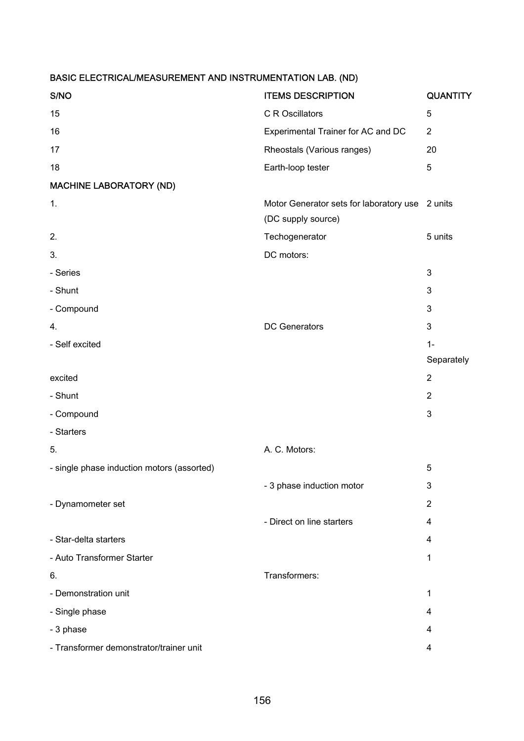| S/NO                                       | <b>ITEMS DESCRIPTION</b>                                              | <b>QUANTITY</b> |
|--------------------------------------------|-----------------------------------------------------------------------|-----------------|
| 15                                         | C R Oscillators                                                       | 5               |
| 16                                         | Experimental Trainer for AC and DC                                    | $\overline{2}$  |
| 17                                         | Rheostals (Various ranges)                                            | 20              |
| 18                                         | Earth-loop tester                                                     | 5               |
| <b>MACHINE LABORATORY (ND)</b>             |                                                                       |                 |
| 1.                                         | Motor Generator sets for laboratory use 2 units<br>(DC supply source) |                 |
| 2.                                         | Techogenerator                                                        | 5 units         |
| 3.                                         | DC motors:                                                            |                 |
| - Series                                   |                                                                       | 3               |
| - Shunt                                    |                                                                       | 3               |
| - Compound                                 |                                                                       | 3               |
| 4.                                         | <b>DC Generators</b>                                                  | 3               |
| - Self excited                             |                                                                       | $1 -$           |
|                                            |                                                                       | Separately      |
| excited                                    |                                                                       | $\overline{2}$  |
| - Shunt                                    |                                                                       | $\overline{2}$  |
| - Compound                                 |                                                                       | 3               |
| - Starters                                 |                                                                       |                 |
| 5.                                         | A. C. Motors:                                                         |                 |
| - single phase induction motors (assorted) |                                                                       | 5               |
|                                            | - 3 phase induction motor                                             | 3               |
| - Dynamometer set                          |                                                                       | $\overline{2}$  |
|                                            | - Direct on line starters                                             | 4               |
| - Star-delta starters                      |                                                                       | 4               |
| - Auto Transformer Starter                 |                                                                       | $\mathbf 1$     |
| 6.                                         | Transformers:                                                         |                 |
| - Demonstration unit                       |                                                                       | $\mathbf 1$     |
| - Single phase                             |                                                                       | 4               |
| - 3 phase                                  |                                                                       | 4               |
| - Transformer demonstrator/trainer unit    |                                                                       | 4               |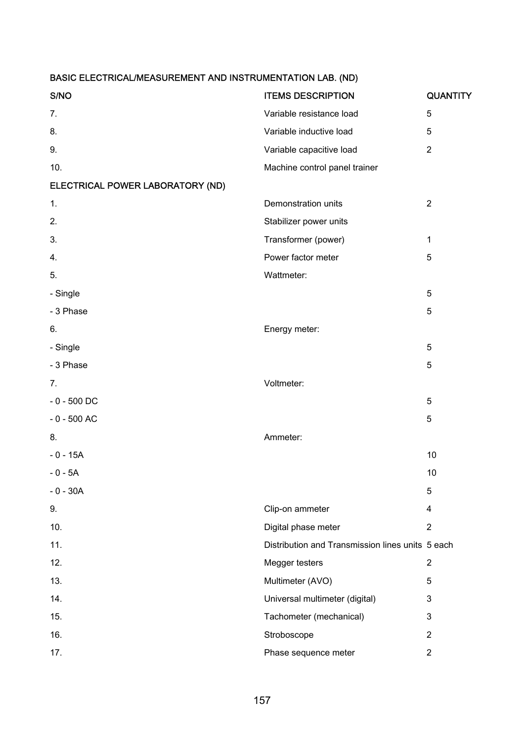| S/NO                             | <b>ITEMS DESCRIPTION</b>                         | <b>QUANTITY</b> |
|----------------------------------|--------------------------------------------------|-----------------|
| 7.                               | Variable resistance load                         | 5               |
| 8.                               | Variable inductive load                          | 5               |
| 9.                               | Variable capacitive load                         | $\overline{2}$  |
| 10.                              | Machine control panel trainer                    |                 |
| ELECTRICAL POWER LABORATORY (ND) |                                                  |                 |
| 1.                               | Demonstration units                              | $\overline{2}$  |
| 2.                               | Stabilizer power units                           |                 |
| 3.                               | Transformer (power)                              | $\mathbf{1}$    |
| 4.                               | Power factor meter                               | 5               |
| 5.                               | Wattmeter:                                       |                 |
| - Single                         |                                                  | $\mathbf 5$     |
| - 3 Phase                        |                                                  | 5               |
| 6.                               | Energy meter:                                    |                 |
| - Single                         |                                                  | 5               |
| - 3 Phase                        |                                                  | 5               |
| 7.                               | Voltmeter:                                       |                 |
| $-0 - 500$ DC                    |                                                  | 5               |
| $-0 - 500$ AC                    |                                                  | 5               |
| 8.                               | Ammeter:                                         |                 |
| $-0 - 15A$                       |                                                  | 10              |
| $-0 - 5A$                        |                                                  | 10              |
| $-0 - 30A$                       |                                                  | 5               |
| 9.                               | Clip-on ammeter                                  | 4               |
| 10.                              | Digital phase meter                              | $\overline{2}$  |
| 11.                              | Distribution and Transmission lines units 5 each |                 |
| 12.                              | Megger testers                                   | $\overline{2}$  |
| 13.                              | Multimeter (AVO)                                 | 5               |
| 14.                              | Universal multimeter (digital)                   | 3               |
| 15.                              | Tachometer (mechanical)                          | 3               |
| 16.                              | Stroboscope                                      | $\overline{2}$  |
| 17.                              | Phase sequence meter                             | $\overline{2}$  |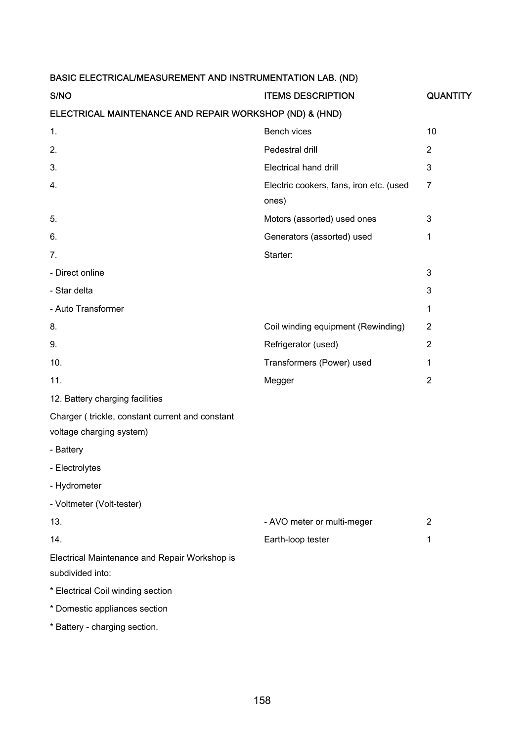| S/NO                                                                        | <b>ITEMS DESCRIPTION</b>                         | <b>QUANTITY</b> |  |
|-----------------------------------------------------------------------------|--------------------------------------------------|-----------------|--|
| ELECTRICAL MAINTENANCE AND REPAIR WORKSHOP (ND) & (HND)                     |                                                  |                 |  |
| 1.                                                                          | Bench vices                                      | 10              |  |
| 2.                                                                          | Pedestral drill                                  | $\overline{2}$  |  |
| 3.                                                                          | Electrical hand drill                            | 3               |  |
| 4.                                                                          | Electric cookers, fans, iron etc. (used<br>ones) | $\overline{7}$  |  |
| 5.                                                                          | Motors (assorted) used ones                      | 3               |  |
| 6.                                                                          | Generators (assorted) used                       | $\mathbf 1$     |  |
| 7.                                                                          | Starter:                                         |                 |  |
| - Direct online                                                             |                                                  | 3               |  |
| - Star delta                                                                |                                                  | 3               |  |
| - Auto Transformer                                                          |                                                  | $\mathbf{1}$    |  |
| 8.                                                                          | Coil winding equipment (Rewinding)               | $\overline{2}$  |  |
| 9.                                                                          | Refrigerator (used)                              | $\overline{2}$  |  |
| 10.                                                                         | Transformers (Power) used                        | $\mathbf 1$     |  |
| 11.                                                                         | Megger                                           | $\overline{2}$  |  |
| 12. Battery charging facilities                                             |                                                  |                 |  |
| Charger (trickle, constant current and constant<br>voltage charging system) |                                                  |                 |  |
| - Battery                                                                   |                                                  |                 |  |
| - Electrolytes                                                              |                                                  |                 |  |
| - Hydrometer                                                                |                                                  |                 |  |
| - Voltmeter (Volt-tester)                                                   |                                                  |                 |  |
| 13.                                                                         | - AVO meter or multi-meger                       | $\overline{2}$  |  |
| 14.                                                                         | Earth-loop tester                                | $\mathbf 1$     |  |
| Electrical Maintenance and Repair Workshop is<br>subdivided into:           |                                                  |                 |  |
| * Electrical Coil winding section                                           |                                                  |                 |  |
| * Domestic appliances section                                               |                                                  |                 |  |
| * Battery - charging section.                                               |                                                  |                 |  |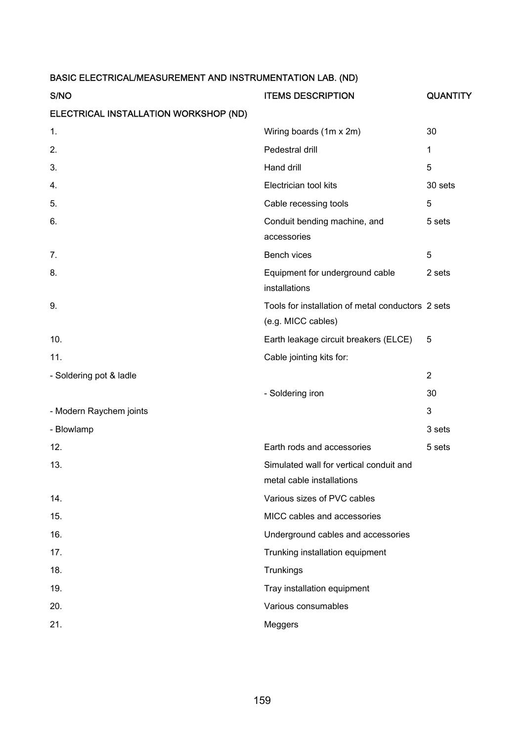| S/NO                                  | <b>ITEMS DESCRIPTION</b>                                                | <b>QUANTITY</b> |
|---------------------------------------|-------------------------------------------------------------------------|-----------------|
| ELECTRICAL INSTALLATION WORKSHOP (ND) |                                                                         |                 |
| 1.                                    | Wiring boards (1m x 2m)                                                 | 30              |
| 2.                                    | Pedestral drill                                                         | 1               |
| 3.                                    | Hand drill                                                              | 5               |
| 4.                                    | Electrician tool kits                                                   | 30 sets         |
| 5.                                    | Cable recessing tools                                                   | 5               |
| 6.                                    | Conduit bending machine, and<br>accessories                             | 5 sets          |
| 7.                                    | Bench vices                                                             | 5               |
| 8.                                    | Equipment for underground cable<br>installations                        | 2 sets          |
| 9.                                    | Tools for installation of metal conductors 2 sets<br>(e.g. MICC cables) |                 |
| 10.                                   | Earth leakage circuit breakers (ELCE)                                   | 5               |
| 11.                                   | Cable jointing kits for:                                                |                 |
| - Soldering pot & ladle               |                                                                         | $\overline{2}$  |
|                                       | - Soldering iron                                                        | 30              |
| - Modern Raychem joints               |                                                                         | 3               |
| - Blowlamp                            |                                                                         | 3 sets          |
| 12.                                   | Earth rods and accessories                                              | 5 sets          |
| 13.                                   | Simulated wall for vertical conduit and<br>metal cable installations    |                 |
| 14.                                   | Various sizes of PVC cables                                             |                 |
| 15.                                   | MICC cables and accessories                                             |                 |
| 16.                                   | Underground cables and accessories                                      |                 |
| 17.                                   | Trunking installation equipment                                         |                 |
| 18.                                   | Trunkings                                                               |                 |
| 19.                                   | Tray installation equipment                                             |                 |
| 20.                                   | Various consumables                                                     |                 |
| 21.                                   | Meggers                                                                 |                 |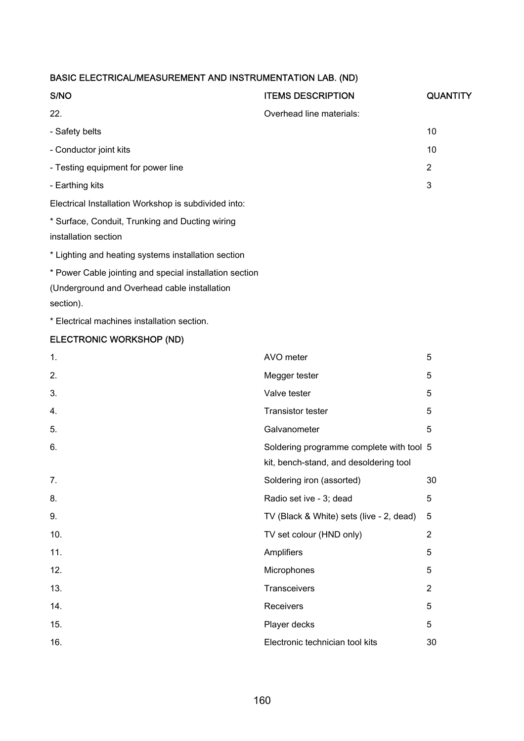| S/NO                                                                    | <b>ITEMS DESCRIPTION</b> | <b>QUANTITY</b> |
|-------------------------------------------------------------------------|--------------------------|-----------------|
| 22.                                                                     | Overhead line materials: |                 |
| - Safety belts                                                          |                          | 10              |
| - Conductor joint kits                                                  |                          | 10              |
| - Testing equipment for power line                                      |                          | $\overline{2}$  |
| - Earthing kits                                                         |                          | 3               |
| Electrical Installation Workshop is subdivided into:                    |                          |                 |
| * Surface, Conduit, Trunking and Ducting wiring<br>installation section |                          |                 |
| * Lighting and heating systems installation section                     |                          |                 |
| * Power Cable jointing and special installation section                 |                          |                 |
| (Underground and Overhead cable installation<br>section).               |                          |                 |

\* Electrical machines installation section.

## ELECTRONIC WORKSHOP (ND)

| AVO meter                                | 5                                        |
|------------------------------------------|------------------------------------------|
| Megger tester                            | 5                                        |
| Valve tester                             | 5                                        |
| <b>Transistor tester</b>                 | 5                                        |
| Galvanometer                             | 5                                        |
| kit, bench-stand, and desoldering tool   |                                          |
| Soldering iron (assorted)                | 30                                       |
| Radio set ive - 3; dead                  | 5                                        |
| TV (Black & White) sets (live - 2, dead) | 5                                        |
| TV set colour (HND only)                 | $\overline{2}$                           |
| Amplifiers                               | 5                                        |
| Microphones                              | 5                                        |
| Transceivers                             | $\overline{2}$                           |
| Receivers                                | 5                                        |
| Player decks                             | 5                                        |
| Electronic technician tool kits          | 30                                       |
|                                          | Soldering programme complete with tool 5 |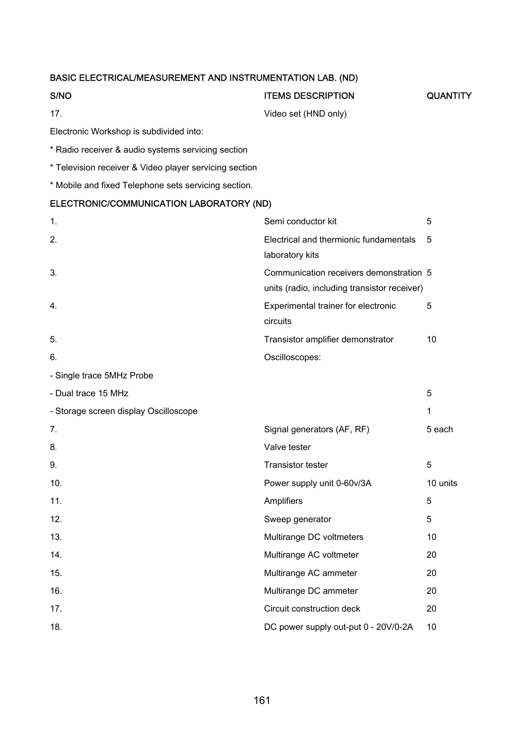## S/NO GUANTITY ITEMS DESCRIPTION CUANTITY

17. Video set (HND only)

Electronic Workshop is subdivided into:

- \* Radio receiver & audio systems servicing section
- \* Television receiver & Video player servicing section
- \* Mobile and fixed Telephone sets servicing section.

#### ELECTRONIC/COMMUNICATION LABORATORY (ND)

| 1.                                    | Semi conductor kit                           | 5            |
|---------------------------------------|----------------------------------------------|--------------|
| 2.                                    | Electrical and thermionic fundamentals       | 5            |
|                                       | laboratory kits                              |              |
| 3.                                    | Communication receivers demonstration 5      |              |
|                                       | units (radio, including transistor receiver) |              |
| 4.                                    | Experimental trainer for electronic          | 5            |
|                                       | circuits                                     |              |
| 5.                                    | Transistor amplifier demonstrator            | 10           |
| 6.                                    | Oscilloscopes:                               |              |
| - Single trace 5MHz Probe             |                                              |              |
| - Dual trace 15 MHz                   |                                              | 5            |
| - Storage screen display Oscilloscope |                                              | $\mathbf{1}$ |
| 7.                                    | Signal generators (AF, RF)                   | 5 each       |
| 8.                                    | Valve tester                                 |              |
| 9.                                    | <b>Transistor tester</b>                     | 5            |
| 10.                                   | Power supply unit 0-60v/3A                   | 10 units     |
| 11.                                   | Amplifiers                                   | 5            |
| 12.                                   | Sweep generator                              | 5            |
| 13.                                   | Multirange DC voltmeters                     | 10           |
| 14.                                   | Multirange AC voltmeter                      | 20           |
| 15.                                   | Multirange AC ammeter                        | 20           |
| 16.                                   | Multirange DC ammeter                        | 20           |
| 17.                                   | Circuit construction deck                    | 20           |
| 18.                                   | DC power supply out-put 0 - 20V/0-2A         | 10           |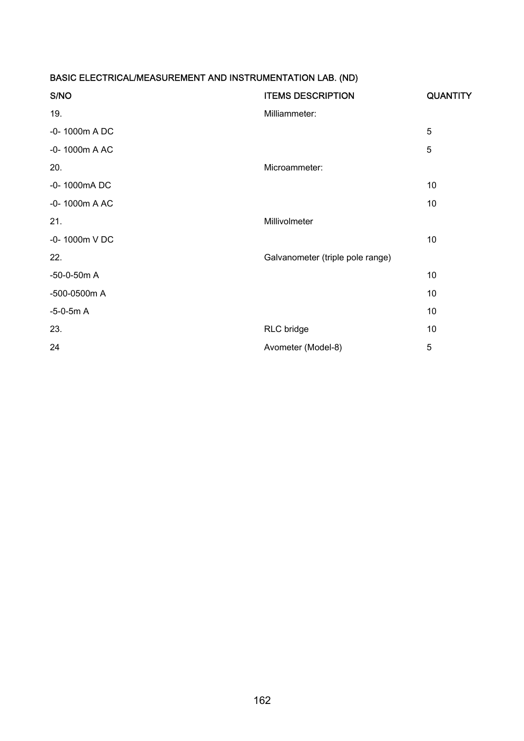| <b>ITEMS DESCRIPTION</b>         | <b>QUANTITY</b> |
|----------------------------------|-----------------|
| Milliammeter:                    |                 |
|                                  | 5               |
|                                  | 5               |
| Microammeter:                    |                 |
|                                  | 10              |
|                                  | 10              |
| Millivolmeter                    |                 |
|                                  | 10              |
| Galvanometer (triple pole range) |                 |
|                                  | 10              |
|                                  | 10              |
|                                  | 10              |
| RLC bridge                       | 10              |
| Avometer (Model-8)               | 5               |
|                                  |                 |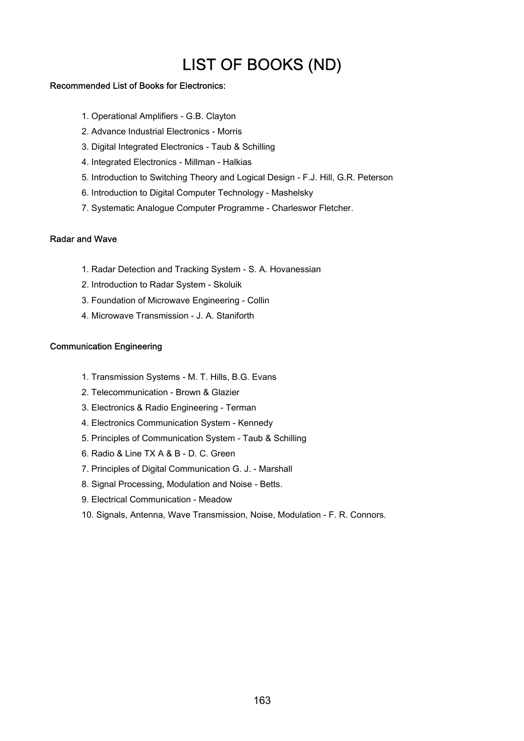## LIST OF BOOKS (ND)

#### Recommended List of Books for Electronics:

- 1. Operational Amplifiers G.B. Clayton
- 2. Advance Industrial Electronics Morris
- 3. Digital Integrated Electronics Taub & Schilling
- 4. Integrated Electronics Millman Halkias
- 5. Introduction to Switching Theory and Logical Design F.J. Hill, G.R. Peterson
- 6. Introduction to Digital Computer Technology Mashelsky
- 7. Systematic Analogue Computer Programme Charleswor Fletcher.

#### Radar and Wave

- 1. Radar Detection and Tracking System S. A. Hovanessian
- 2. Introduction to Radar System Skoluik
- 3. Foundation of Microwave Engineering Collin
- 4. Microwave Transmission J. A. Staniforth

#### Communication Engineering

- 1. Transmission Systems M. T. Hills, B.G. Evans
- 2. Telecommunication Brown & Glazier
- 3. Electronics & Radio Engineering Terman
- 4. Electronics Communication System Kennedy
- 5. Principles of Communication System Taub & Schilling
- 6. Radio & Line TX A & B D. C. Green
- 7. Principles of Digital Communication G. J. Marshall
- 8. Signal Processing, Modulation and Noise Betts.
- 9. Electrical Communication Meadow
- 10. Signals, Antenna, Wave Transmission, Noise, Modulation F. R. Connors.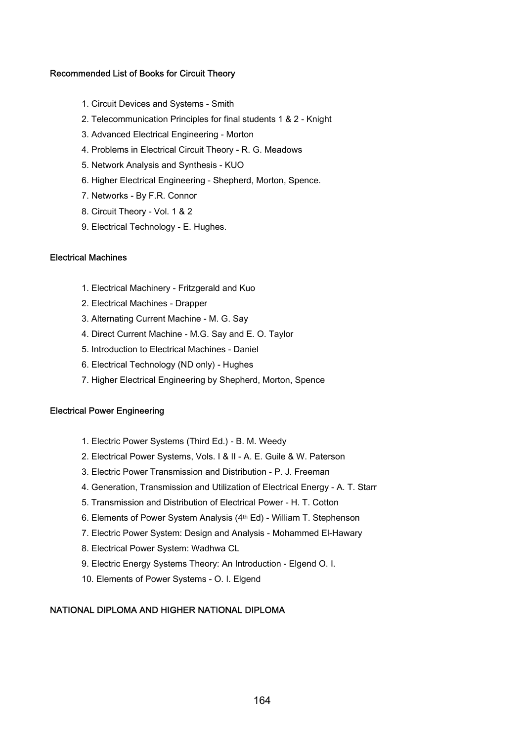#### Recommended List of Books for Circuit Theory

- 1. Circuit Devices and Systems Smith
- 2. Telecommunication Principles for final students 1 & 2 Knight
- 3. Advanced Electrical Engineering Morton
- 4. Problems in Electrical Circuit Theory R. G. Meadows
- 5. Network Analysis and Synthesis KUO
- 6. Higher Electrical Engineering Shepherd, Morton, Spence.
- 7. Networks By F.R. Connor
- 8. Circuit Theory Vol. 1 & 2
- 9. Electrical Technology E. Hughes.

#### Electrical Machines

- 1. Electrical Machinery Fritzgerald and Kuo
- 2. Electrical Machines Drapper
- 3. Alternating Current Machine M. G. Say
- 4. Direct Current Machine M.G. Say and E. O. Taylor
- 5. Introduction to Electrical Machines Daniel
- 6. Electrical Technology (ND only) Hughes
- 7. Higher Electrical Engineering by Shepherd, Morton, Spence

#### Electrical Power Engineering

- 1. Electric Power Systems (Third Ed.) B. M. Weedy
- 2. Electrical Power Systems, Vols. I & II A. E. Guile & W. Paterson
- 3. Electric Power Transmission and Distribution P. J. Freeman
- 4. Generation, Transmission and Utilization of Electrical Energy A. T. Starr
- 5. Transmission and Distribution of Electrical Power H. T. Cotton
- 6. Elements of Power System Analysis (4th Ed) William T. Stephenson
- 7. Electric Power System: Design and Analysis Mohammed El-Hawary
- 8. Electrical Power System: Wadhwa CL
- 9. Electric Energy Systems Theory: An Introduction Elgend O. I.
- 10. Elements of Power Systems O. I. Elgend

#### NATIONAL DIPLOMA AND HIGHER NATIONAL DIPLOMA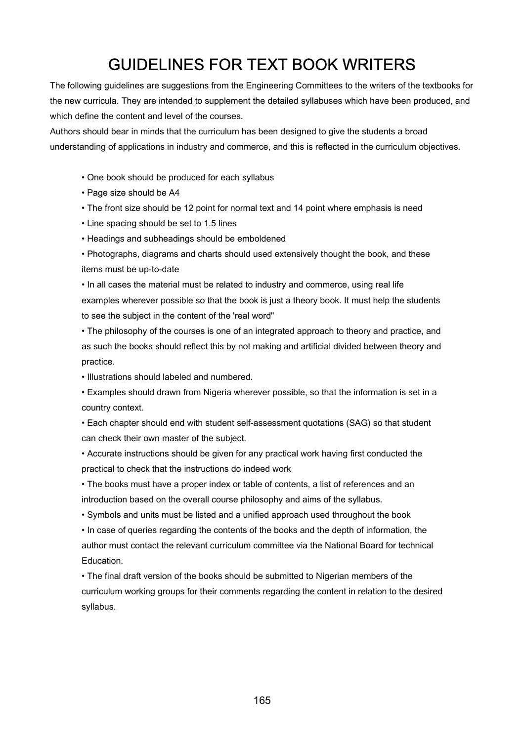# GUIDELINES FOR TEXT BOOK WRITERS

The following guidelines are suggestions from the Engineering Committees to the writers of the textbooks for the new curricula. They are intended to supplement the detailed syllabuses which have been produced, and which define the content and level of the courses.

Authors should bear in minds that the curriculum has been designed to give the students a broad understanding of applications in industry and commerce, and this is reflected in the curriculum objectives.

- One book should be produced for each syllabus
- Page size should be A4
- The front size should be 12 point for normal text and 14 point where emphasis is need
- Line spacing should be set to 1.5 lines
- Headings and subheadings should be emboldened
- Photographs, diagrams and charts should used extensively thought the book, and these items must be up-to-date

• In all cases the material must be related to industry and commerce, using real life examples wherever possible so that the book is just a theory book. It must help the students to see the subject in the content of the 'real word"

• The philosophy of the courses is one of an integrated approach to theory and practice, and as such the books should reflect this by not making and artificial divided between theory and practice.

• Illustrations should labeled and numbered.

• Examples should drawn from Nigeria wherever possible, so that the information is set in a country context.

• Each chapter should end with student self-assessment quotations (SAG) so that student can check their own master of the subject.

• Accurate instructions should be given for any practical work having first conducted the practical to check that the instructions do indeed work

• The books must have a proper index or table of contents, a list of references and an introduction based on the overall course philosophy and aims of the syllabus.

• Symbols and units must be listed and a unified approach used throughout the book

• In case of queries regarding the contents of the books and the depth of information, the author must contact the relevant curriculum committee via the National Board for technical Education.

• The final draft version of the books should be submitted to Nigerian members of the curriculum working groups for their comments regarding the content in relation to the desired syllabus.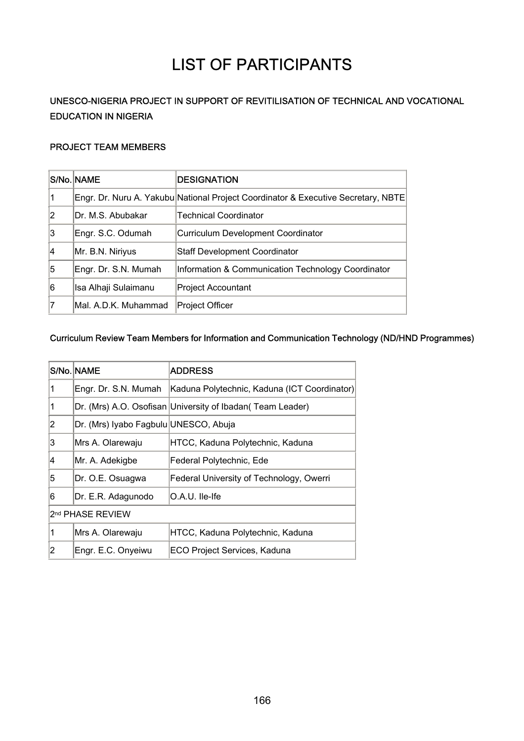# LIST OF PARTICIPANTS

## UNESCO-NIGERIA PROJECT IN SUPPORT OF REVITILISATION OF TECHNICAL AND VOCATIONAL EDUCATION IN NIGERIA

#### PROJECT TEAM MEMBERS

|                | S/No. NAME           | <b>DESIGNATION</b>                                                                |
|----------------|----------------------|-----------------------------------------------------------------------------------|
| 1              |                      | Engr. Dr. Nuru A. Yakubu National Project Coordinator & Executive Secretary, NBTE |
| $\overline{2}$ | Dr. M.S. Abubakar    | <b>Technical Coordinator</b>                                                      |
| 3              | Engr. S.C. Odumah    | Curriculum Development Coordinator                                                |
| 4              | Mr. B.N. Niriyus     | Staff Development Coordinator                                                     |
| 5              | Engr. Dr. S.N. Mumah | Information & Communication Technology Coordinator                                |
| 6              | Isa Alhaji Sulaimanu | Project Accountant                                                                |
| 7              | Mal. A.D.K. Muhammad | Project Officer                                                                   |

#### Curriculum Review Team Members for Information and Communication Technology (ND/HND Programmes)

|                              | S/No. NAME                            | <b>ADDRESS</b>                                             |
|------------------------------|---------------------------------------|------------------------------------------------------------|
| 1                            | Engr. Dr. S.N. Mumah                  | Kaduna Polytechnic, Kaduna (ICT Coordinator)               |
| 1                            |                                       | Dr. (Mrs) A.O. Osofisan University of Ibadan( Team Leader) |
| 2                            | Dr. (Mrs) Iyabo Fagbulu UNESCO, Abuja |                                                            |
| 3                            | Mrs A. Olarewaju                      | HTCC, Kaduna Polytechnic, Kaduna                           |
| 4                            | Mr. A. Adekigbe                       | Federal Polytechnic, Ede                                   |
| 5                            | Dr. O.E. Osuagwa                      | Federal University of Technology, Owerri                   |
| 6                            | Dr. E.R. Adagunodo                    | O.A.U. Ile-Ife                                             |
| 2 <sup>nd</sup> PHASE REVIEW |                                       |                                                            |
| 1                            | Mrs A. Olarewaju                      | HTCC, Kaduna Polytechnic, Kaduna                           |
| 2                            | Engr. E.C. Onyeiwu                    | <b>ECO Project Services, Kaduna</b>                        |